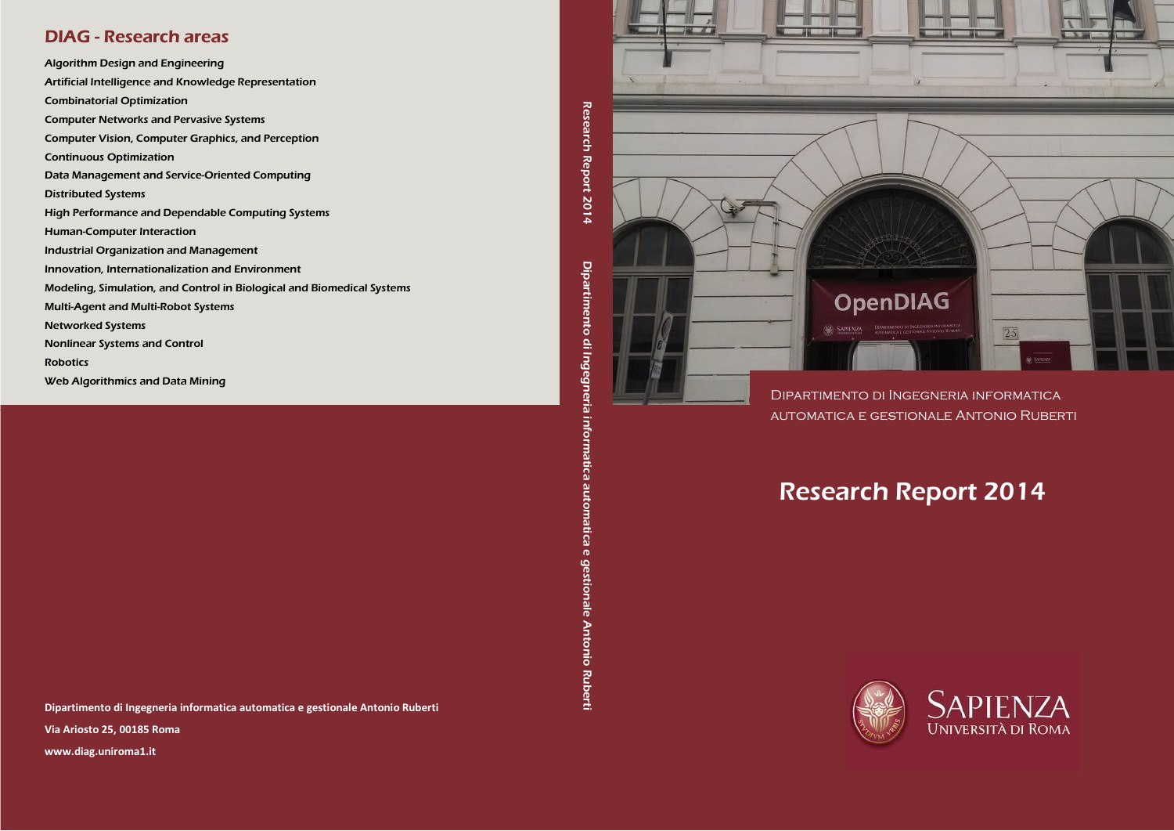### DIAG - Research areas

Algorithm Design and Engineering Artificial Intelligence and Knowledge Representation Combinatorial Optimization Computer Networks and Pervasive Systems Computer Vision, Computer Graphics, and Perception Continuous Optimization Data Management and Service-Oriented Computing Distributed Systems High Performance and Dependable Computing Systems Human-Computer Interaction Industrial Organization and Management Innovation, Internationalization and Environment Modeling, Simulation, and Control in Biological and Biomedical Systems Multi-Agent and Multi-Robot Systems Networked Systems Nonlinear Systems and Control Robotics Web Algorithmics and Data Mining

Dipartimento di Ingegneria informatica automatica e gestionale Antonio Ruberti Via Ariosto 25, 00185 Roma

www.diag.uniroma1.it



Research Report 2014

Dipartimento di Ingegneria informatica automatica e gestionale Antonio Ruberti

automatica

 $\bullet$ 

**gestionale Antonio** 

Ruberti

Dipartimento di Ingegneria informatica

# Research Report 2014





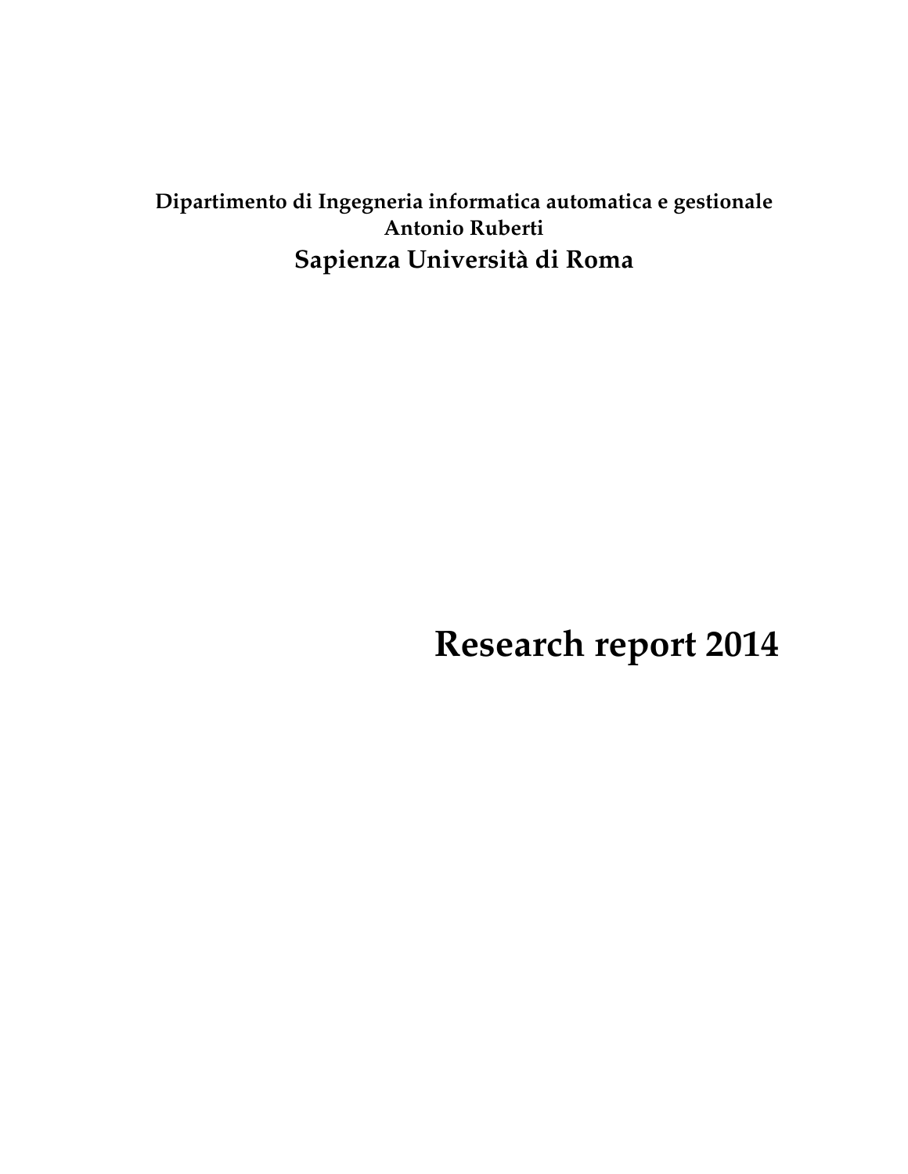## **Dipartimento di Ingegneria informatica automatica e gestionale Antonio Ruberti Sapienza Universit`a di Roma**

**Research report 2014**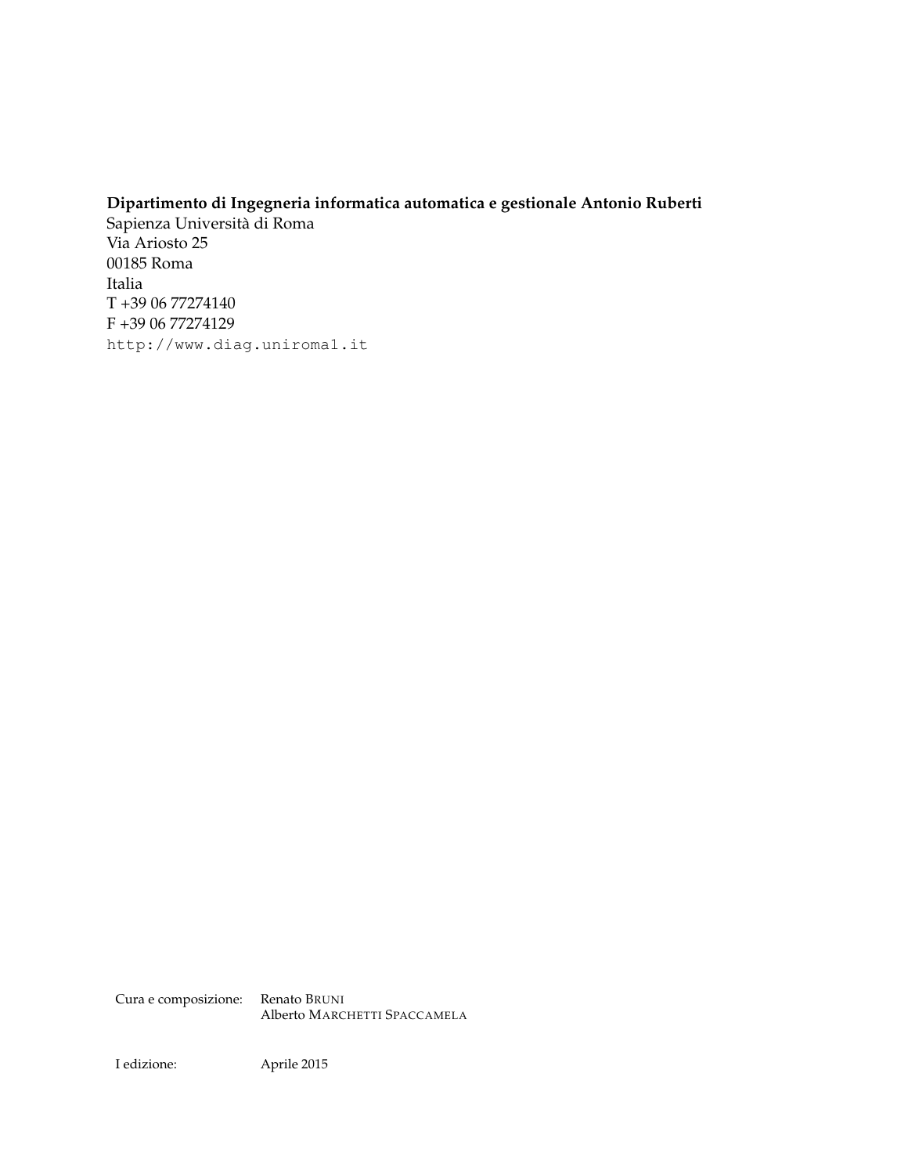#### **Dipartimento di Ingegneria informatica automatica e gestionale Antonio Ruberti**

Sapienza Universita di Roma ` Via Ariosto 25 00185 Roma Italia T +39 06 77274140 F +39 06 77274129 http://www.diag.uniroma1.it

Cura e composizione: Renato BRUNI Alberto MARCHETTI SPACCAMELA

I edizione: Aprile 2015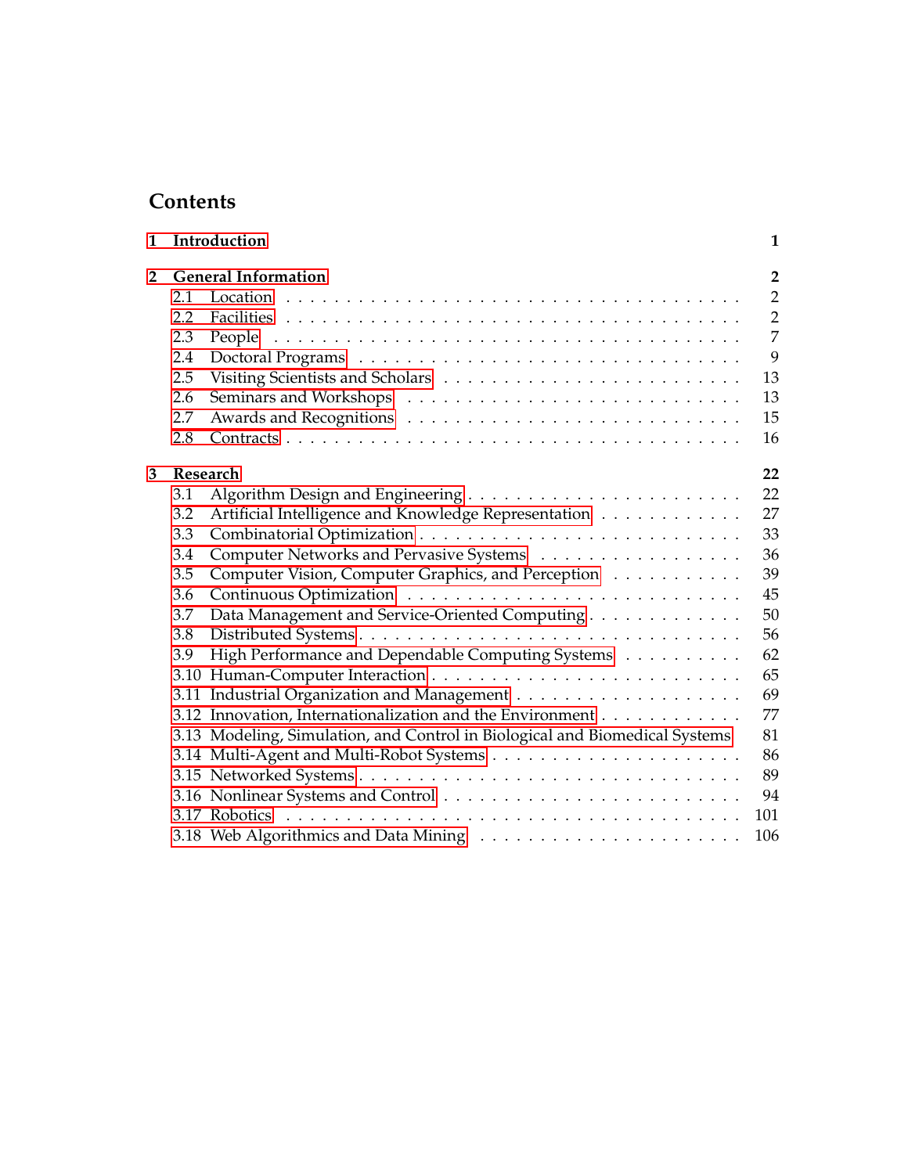### **Contents**

| 1              |     | Introduction<br>1                                                           |                |  |  |  |
|----------------|-----|-----------------------------------------------------------------------------|----------------|--|--|--|
| $\overline{2}$ |     | <b>General Information</b>                                                  |                |  |  |  |
|                | 2.1 |                                                                             | $\overline{2}$ |  |  |  |
|                | 2.2 |                                                                             | $\overline{2}$ |  |  |  |
|                | 2.3 |                                                                             | $\overline{7}$ |  |  |  |
|                | 2.4 |                                                                             | 9              |  |  |  |
|                | 2.5 |                                                                             | 13             |  |  |  |
|                | 2.6 |                                                                             | 13             |  |  |  |
|                | 2.7 |                                                                             | 15             |  |  |  |
|                | 2.8 |                                                                             | 16             |  |  |  |
| 3              |     | Research                                                                    |                |  |  |  |
|                | 3.1 |                                                                             | 22             |  |  |  |
|                | 3.2 | Artificial Intelligence and Knowledge Representation                        | 27             |  |  |  |
|                | 3.3 |                                                                             | 33             |  |  |  |
|                | 3.4 | Computer Networks and Pervasive Systems                                     | 36             |  |  |  |
|                | 3.5 | Computer Vision, Computer Graphics, and Perception                          | 39             |  |  |  |
|                | 3.6 |                                                                             | 45             |  |  |  |
|                | 3.7 | Data Management and Service-Oriented Computing                              | 50             |  |  |  |
|                | 3.8 |                                                                             | 56             |  |  |  |
|                | 3.9 | High Performance and Dependable Computing Systems                           | 62             |  |  |  |
|                |     |                                                                             | 65             |  |  |  |
|                |     |                                                                             | 69             |  |  |  |
|                |     | 3.12 Innovation, Internationalization and the Environment                   | 77             |  |  |  |
|                |     | 3.13 Modeling, Simulation, and Control in Biological and Biomedical Systems | 81             |  |  |  |
|                |     |                                                                             | 86             |  |  |  |
|                |     |                                                                             | 89             |  |  |  |
|                |     |                                                                             | 94             |  |  |  |
|                |     |                                                                             | 101            |  |  |  |
|                |     |                                                                             | 106            |  |  |  |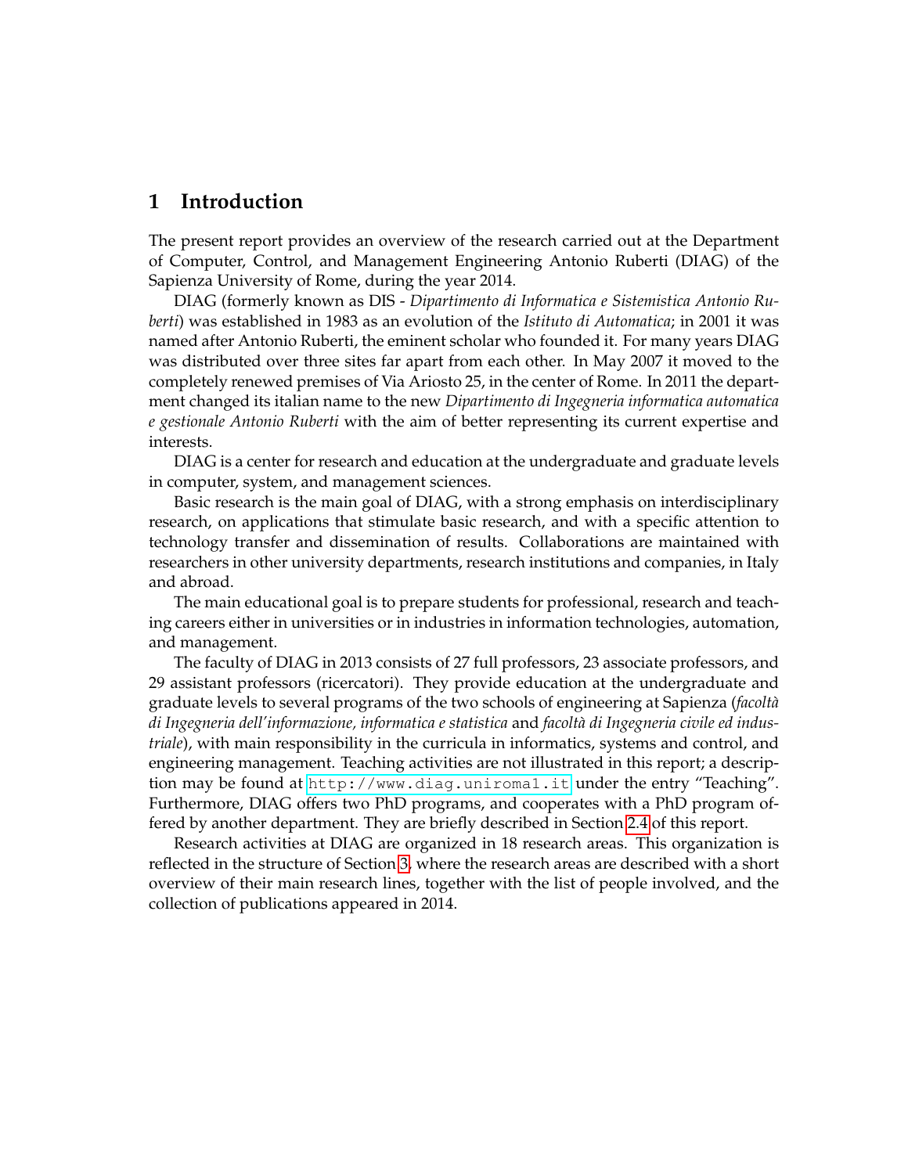### <span id="page-4-0"></span>**1 Introduction**

The present report provides an overview of the research carried out at the Department of Computer, Control, and Management Engineering Antonio Ruberti (DIAG) of the Sapienza University of Rome, during the year 2014.

DIAG (formerly known as DIS - *Dipartimento di Informatica e Sistemistica Antonio Ruberti*) was established in 1983 as an evolution of the *Istituto di Automatica*; in 2001 it was named after Antonio Ruberti, the eminent scholar who founded it. For many years DIAG was distributed over three sites far apart from each other. In May 2007 it moved to the completely renewed premises of Via Ariosto 25, in the center of Rome. In 2011 the department changed its italian name to the new *Dipartimento di Ingegneria informatica automatica e gestionale Antonio Ruberti* with the aim of better representing its current expertise and interests.

DIAG is a center for research and education at the undergraduate and graduate levels in computer, system, and management sciences.

Basic research is the main goal of DIAG, with a strong emphasis on interdisciplinary research, on applications that stimulate basic research, and with a specific attention to technology transfer and dissemination of results. Collaborations are maintained with researchers in other university departments, research institutions and companies, in Italy and abroad.

The main educational goal is to prepare students for professional, research and teaching careers either in universities or in industries in information technologies, automation, and management.

The faculty of DIAG in 2013 consists of 27 full professors, 23 associate professors, and 29 assistant professors (ricercatori). They provide education at the undergraduate and graduate levels to several programs of the two schools of engineering at Sapienza (*facolt`a di Ingegneria dell'informazione, informatica e statistica* and *facolt`a di Ingegneria civile ed industriale*), with main responsibility in the curricula in informatics, systems and control, and engineering management. Teaching activities are not illustrated in this report; a description may be found at <http://www.diag.uniroma1.it> under the entry "Teaching". Furthermore, DIAG offers two PhD programs, and cooperates with a PhD program offered by another department. They are briefly described in Section [2.4](#page-12-0) of this report.

Research activities at DIAG are organized in 18 research areas. This organization is reflected in the structure of Section [3,](#page-25-0) where the research areas are described with a short overview of their main research lines, together with the list of people involved, and the collection of publications appeared in 2014.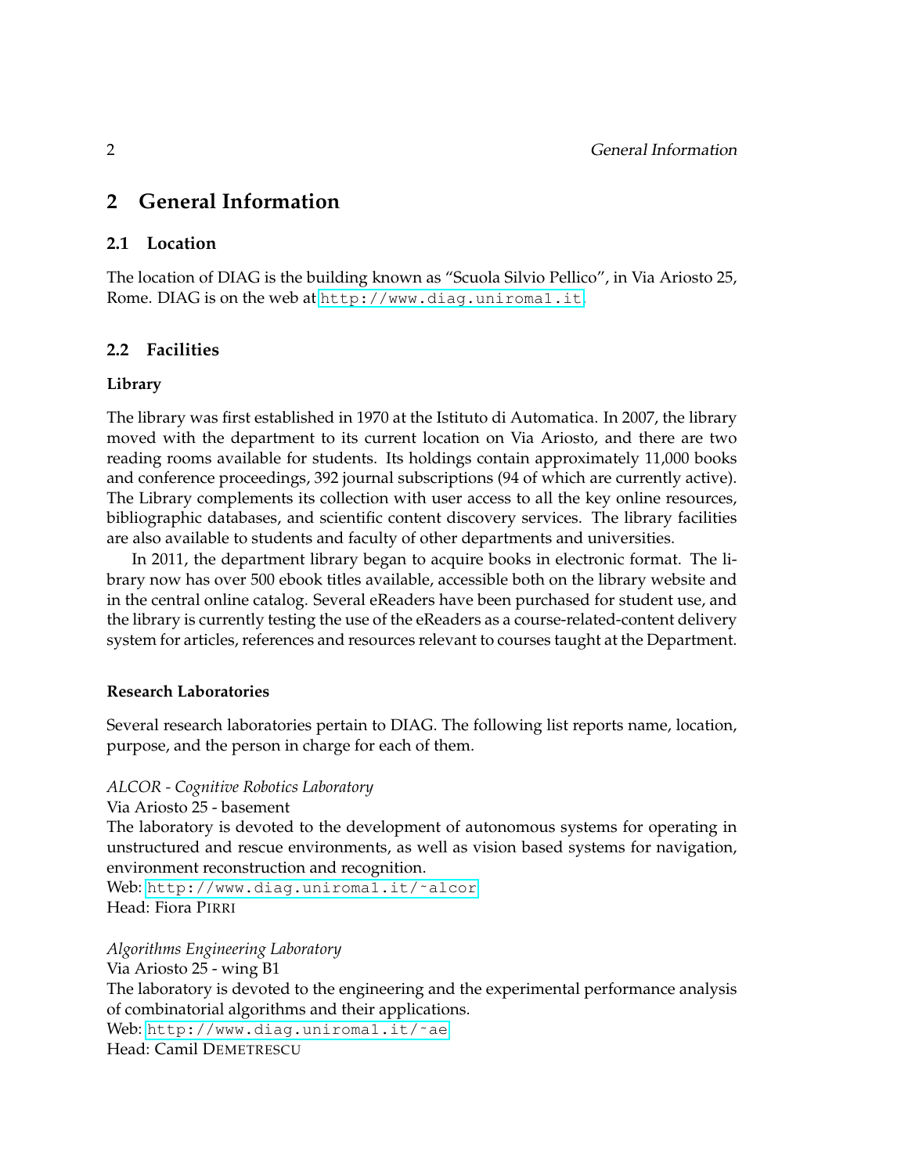### <span id="page-5-0"></span>**2 General Information**

#### <span id="page-5-1"></span>**2.1 Location**

The location of DIAG is the building known as "Scuola Silvio Pellico", in Via Ariosto 25, Rome. DIAG is on the web at <http://www.diag.uniroma1.it>.

#### <span id="page-5-2"></span>**2.2 Facilities**

#### **Library**

The library was first established in 1970 at the Istituto di Automatica. In 2007, the library moved with the department to its current location on Via Ariosto, and there are two reading rooms available for students. Its holdings contain approximately 11,000 books and conference proceedings, 392 journal subscriptions (94 of which are currently active). The Library complements its collection with user access to all the key online resources, bibliographic databases, and scientific content discovery services. The library facilities are also available to students and faculty of other departments and universities.

In 2011, the department library began to acquire books in electronic format. The library now has over 500 ebook titles available, accessible both on the library website and in the central online catalog. Several eReaders have been purchased for student use, and the library is currently testing the use of the eReaders as a course-related-content delivery system for articles, references and resources relevant to courses taught at the Department.

#### **Research Laboratories**

Several research laboratories pertain to DIAG. The following list reports name, location, purpose, and the person in charge for each of them.

#### *ALCOR - Cognitive Robotics Laboratory*

Via Ariosto 25 - basement

The laboratory is devoted to the development of autonomous systems for operating in unstructured and rescue environments, as well as vision based systems for navigation, environment reconstruction and recognition.

Web: http://www.diag.uniroma1.it/~alcor Head: Fiora PIRRI

*Algorithms Engineering Laboratory* Via Ariosto 25 - wing B1 The laboratory is devoted to the engineering and the experimental performance analysis of combinatorial algorithms and their applications. Web: http://www.diag.uniromal.it/~ae Head: Camil DEMETRESCU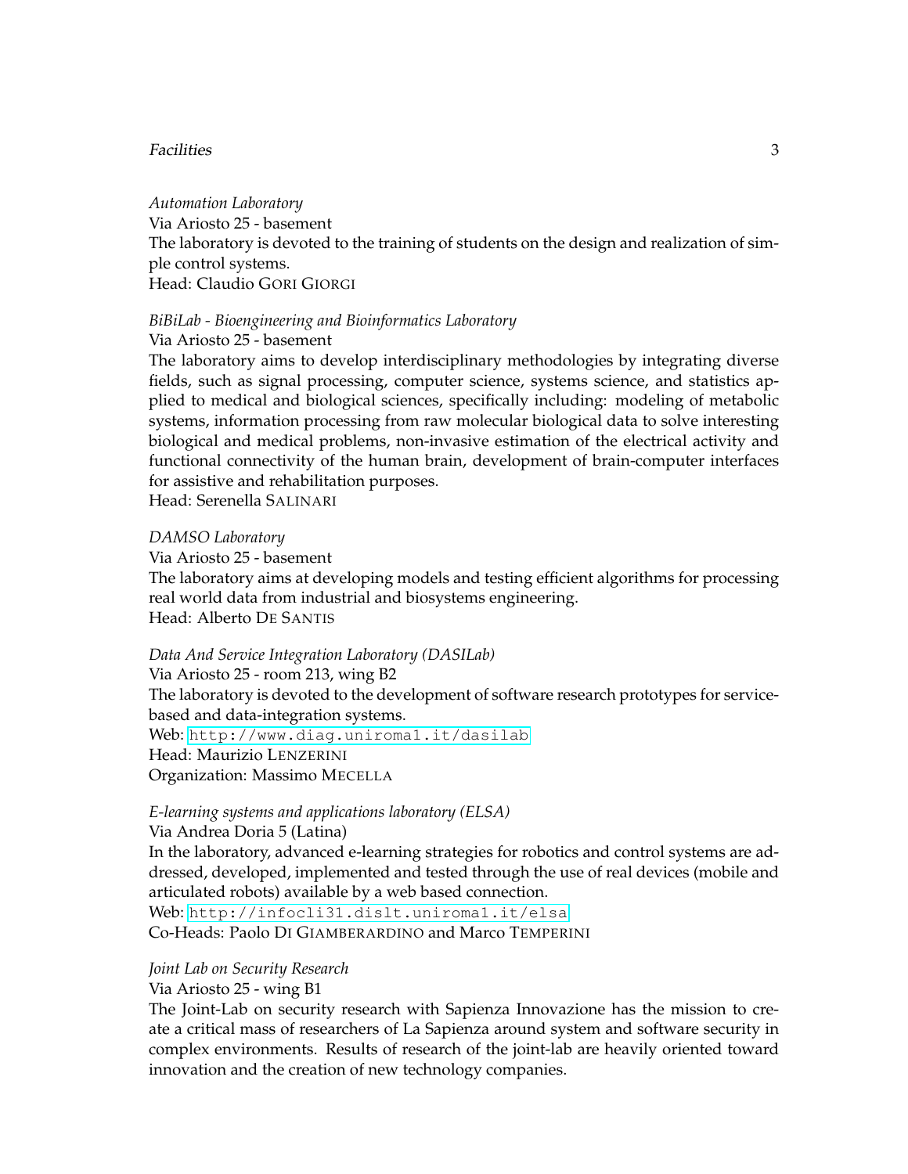#### Facilities 3

*Automation Laboratory* Via Ariosto 25 - basement The laboratory is devoted to the training of students on the design and realization of simple control systems. Head: Claudio GORI GIORGI

#### *BiBiLab - Bioengineering and Bioinformatics Laboratory*

Via Ariosto 25 - basement

The laboratory aims to develop interdisciplinary methodologies by integrating diverse fields, such as signal processing, computer science, systems science, and statistics applied to medical and biological sciences, specifically including: modeling of metabolic systems, information processing from raw molecular biological data to solve interesting biological and medical problems, non-invasive estimation of the electrical activity and functional connectivity of the human brain, development of brain-computer interfaces for assistive and rehabilitation purposes.

Head: Serenella SALINARI

#### *DAMSO Laboratory*

Via Ariosto 25 - basement

The laboratory aims at developing models and testing efficient algorithms for processing real world data from industrial and biosystems engineering. Head: Alberto DE SANTIS

#### *Data And Service Integration Laboratory (DASILab)*

Via Ariosto 25 - room 213, wing B2 The laboratory is devoted to the development of software research prototypes for servicebased and data-integration systems. Web: <http://www.diag.uniroma1.it/dasilab> Head: Maurizio LENZERINI Organization: Massimo MECELLA

#### *E-learning systems and applications laboratory (ELSA)*

Via Andrea Doria 5 (Latina)

In the laboratory, advanced e-learning strategies for robotics and control systems are addressed, developed, implemented and tested through the use of real devices (mobile and articulated robots) available by a web based connection.

Web: <http://infocli31.dislt.uniroma1.it/elsa> Co-Heads: Paolo DI GIAMBERARDINO and Marco TEMPERINI

#### *Joint Lab on Security Research*

Via Ariosto 25 - wing B1

The Joint-Lab on security research with Sapienza Innovazione has the mission to create a critical mass of researchers of La Sapienza around system and software security in complex environments. Results of research of the joint-lab are heavily oriented toward innovation and the creation of new technology companies.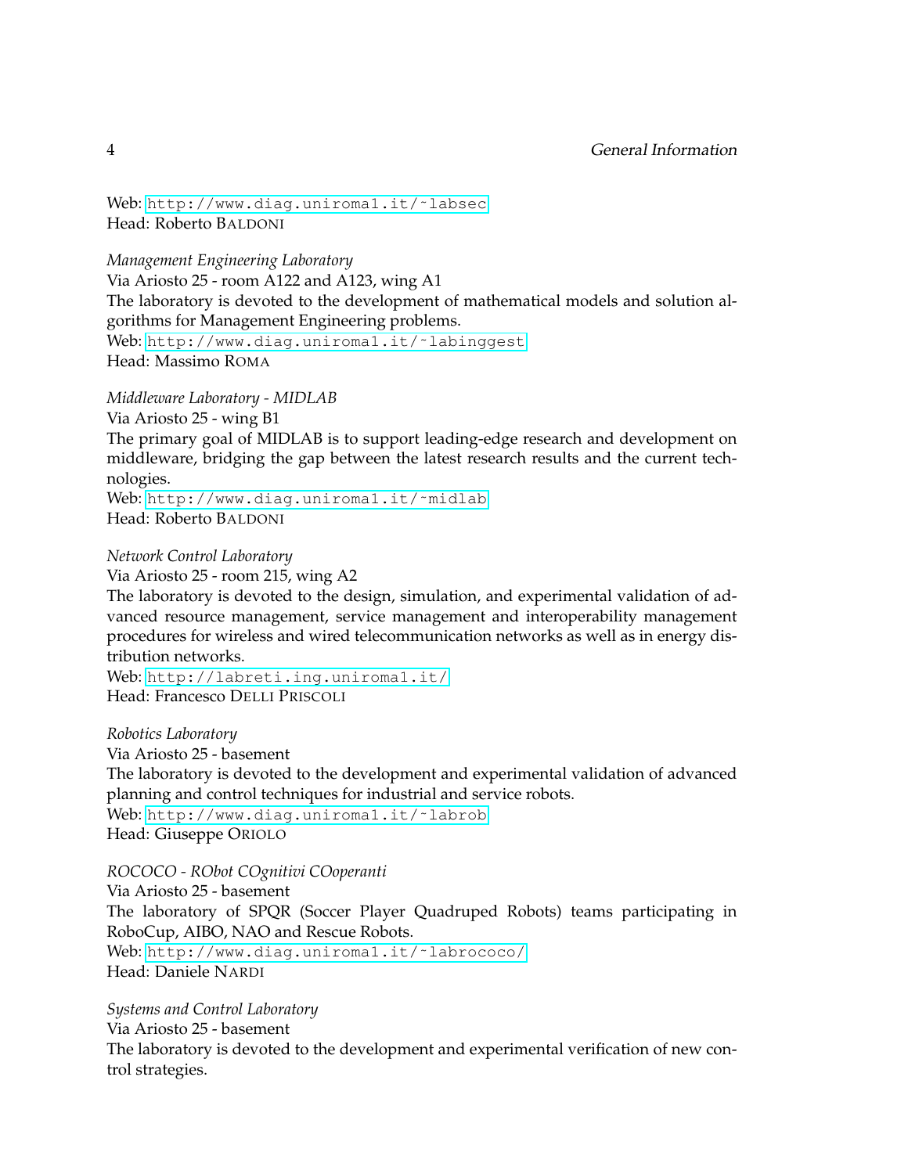Web: http://www.diag.uniromal.it/~labsec Head: Roberto BALDONI

*Management Engineering Laboratory*

Via Ariosto 25 - room A122 and A123, wing A1 The laboratory is devoted to the development of mathematical models and solution algorithms for Management Engineering problems. Web: http://www.diag.uniroma1.it/~labinggest Head: Massimo ROMA

*Middleware Laboratory - MIDLAB*

Via Ariosto 25 - wing B1 The primary goal of MIDLAB is to support leading-edge research and development on middleware, bridging the gap between the latest research results and the current technologies. Web: http://www.diag.uniromal.it/~midlab

Head: Roberto BALDONI

*Network Control Laboratory*

Via Ariosto 25 - room 215, wing A2

The laboratory is devoted to the design, simulation, and experimental validation of advanced resource management, service management and interoperability management procedures for wireless and wired telecommunication networks as well as in energy distribution networks.

Web: <http://labreti.ing.uniroma1.it/> Head: Francesco DELLI PRISCOLI

*Robotics Laboratory*

Via Ariosto 25 - basement

The laboratory is devoted to the development and experimental validation of advanced planning and control techniques for industrial and service robots.

Web: http://www.diag.uniroma1.it/~labrob Head: Giuseppe ORIOLO

*ROCOCO - RObot COgnitivi COoperanti*

Via Ariosto 25 - basement The laboratory of SPQR (Soccer Player Quadruped Robots) teams participating in RoboCup, AIBO, NAO and Rescue Robots. Web: http://www.diag.uniroma1.it/~labrococo/ Head: Daniele NARDI

*Systems and Control Laboratory*

Via Ariosto 25 - basement The laboratory is devoted to the development and experimental verification of new control strategies.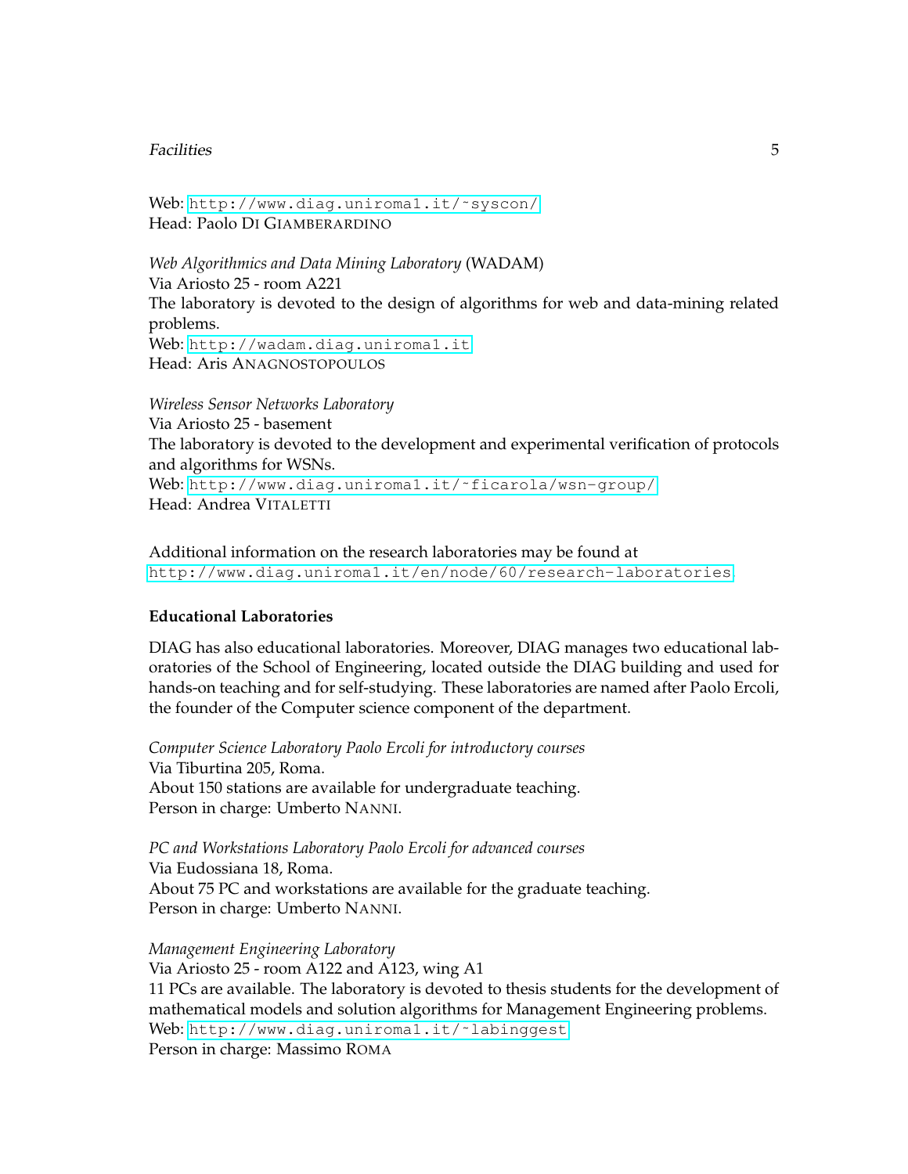#### Facilities 5

Web: http://www.diag.uniroma1.it/~syscon/ Head: Paolo DI GIAMBERARDINO

*Web Algorithmics and Data Mining Laboratory* (WADAM) Via Ariosto 25 - room A221 The laboratory is devoted to the design of algorithms for web and data-mining related problems. Web: <http://wadam.diag.uniroma1.it> Head: Aris ANAGNOSTOPOULOS

*Wireless Sensor Networks Laboratory* Via Ariosto 25 - basement The laboratory is devoted to the development and experimental verification of protocols and algorithms for WSNs. Web: http://www.diag.uniroma1.it/~ficarola/wsn-group/ Head: Andrea VITALETTI

Additional information on the research laboratories may be found at <http://www.diag.uniroma1.it/en/node/60/research-laboratories>.

#### **Educational Laboratories**

DIAG has also educational laboratories. Moreover, DIAG manages two educational laboratories of the School of Engineering, located outside the DIAG building and used for hands-on teaching and for self-studying. These laboratories are named after Paolo Ercoli, the founder of the Computer science component of the department.

*Computer Science Laboratory Paolo Ercoli for introductory courses* Via Tiburtina 205, Roma. About 150 stations are available for undergraduate teaching. Person in charge: Umberto NANNI.

*PC and Workstations Laboratory Paolo Ercoli for advanced courses* Via Eudossiana 18, Roma. About 75 PC and workstations are available for the graduate teaching. Person in charge: Umberto NANNI.

*Management Engineering Laboratory* Via Ariosto 25 - room A122 and A123, wing A1 11 PCs are available. The laboratory is devoted to thesis students for the development of mathematical models and solution algorithms for Management Engineering problems. Web: http://www.diag.uniromal.it/~labinggest Person in charge: Massimo ROMA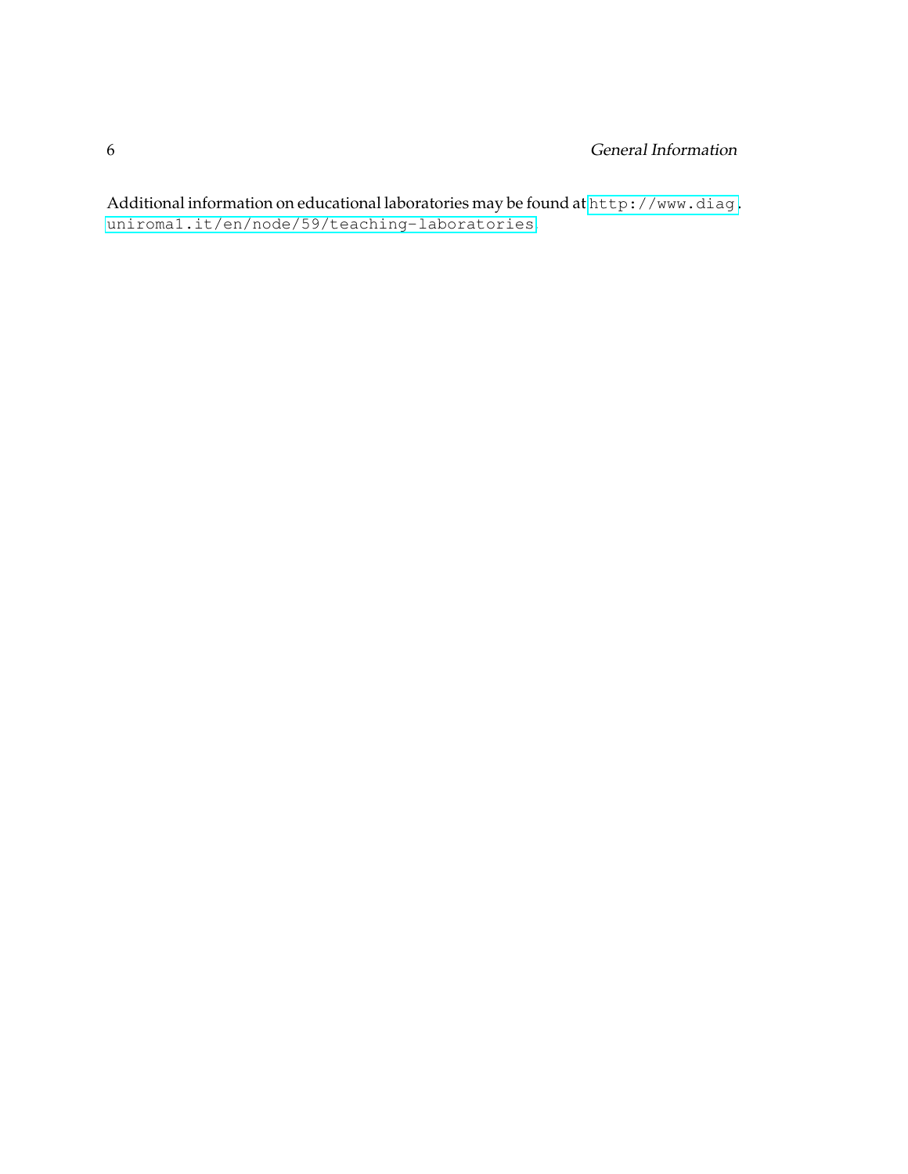Additional information on educational laboratories may be found at [http://www.diag.](http://www.diag.uniroma1.it/en/node/59/teaching-laboratories) [uniroma1.it/en/node/59/teaching-laboratories](http://www.diag.uniroma1.it/en/node/59/teaching-laboratories).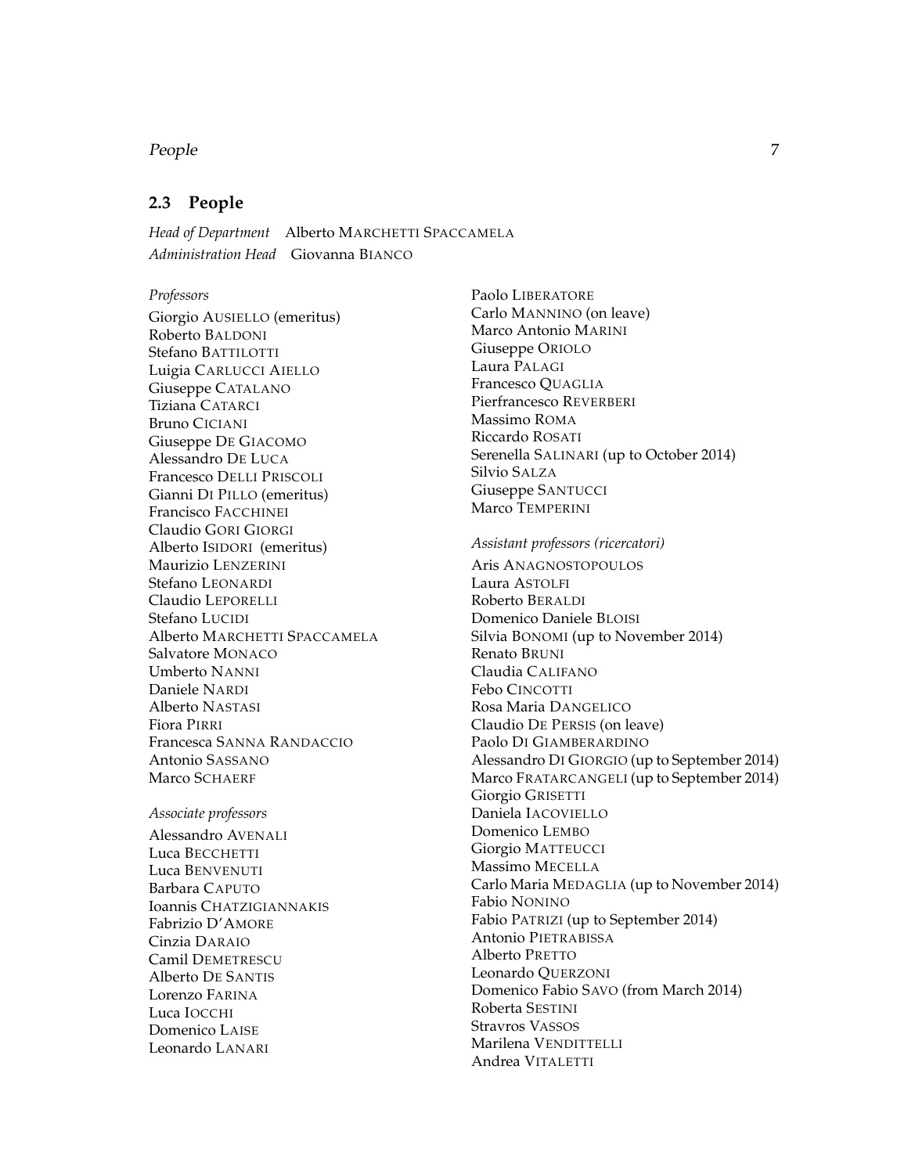#### People 7

#### <span id="page-10-0"></span>**2.3 People**

*Head of Department* Alberto MARCHETTI SPACCAMELA *Administration Head* Giovanna BIANCO

#### *Professors*

Giorgio AUSIELLO (emeritus) Roberto BALDONI Stefano BATTILOTTI Luigia CARLUCCI AIELLO Giuseppe CATALANO Tiziana CATARCI Bruno CICIANI Giuseppe DE GIACOMO Alessandro DE LUCA Francesco DELLI PRISCOLI Gianni DI PILLO (emeritus) Francisco FACCHINEI Claudio GORI GIORGI Alberto ISIDORI (emeritus) Maurizio LENZERINI Stefano LEONARDI Claudio LEPORELLI Stefano LUCIDI Alberto MARCHETTI SPACCAMELA Salvatore MONACO Umberto NANNI Daniele NARDI Alberto NASTASI Fiora PIRRI Francesca SANNA RANDACCIO Antonio SASSANO Marco SCHAERF

#### *Associate professors*

Alessandro AVENALI Luca BECCHETTI Luca BENVENUTI Barbara CAPUTO Ioannis CHATZIGIANNAKIS Fabrizio D'AMORE Cinzia DARAIO Camil DEMETRESCU Alberto DE SANTIS Lorenzo FARINA Luca IOCCHI Domenico LAISE Leonardo LANARI

Paolo LIBERATORE Carlo MANNINO (on leave) Marco Antonio MARINI Giuseppe ORIOLO Laura PALAGI Francesco QUAGLIA Pierfrancesco REVERBERI Massimo ROMA Riccardo ROSATI Serenella SALINARI (up to October 2014) Silvio SALZA Giuseppe SANTUCCI Marco TEMPERINI

#### *Assistant professors (ricercatori)*

Aris ANAGNOSTOPOULOS Laura ASTOLFI Roberto BERALDI Domenico Daniele BLOISI Silvia BONOMI (up to November 2014) Renato BRUNI Claudia CALIFANO Febo CINCOTTI Rosa Maria DANGELICO Claudio DE PERSIS (on leave) Paolo DI GIAMBERARDINO Alessandro DI GIORGIO (up to September 2014) Marco FRATARCANGELI (up to September 2014) Giorgio GRISETTI Daniela IACOVIELLO Domenico LEMBO Giorgio MATTEUCCI Massimo MECELLA Carlo Maria MEDAGLIA (up to November 2014) Fabio NONINO Fabio PATRIZI (up to September 2014) Antonio PIETRABISSA Alberto PRETTO Leonardo QUERZONI Domenico Fabio SAVO (from March 2014) Roberta SESTINI Stravros VASSOS Marilena VENDITTELLI Andrea VITALETTI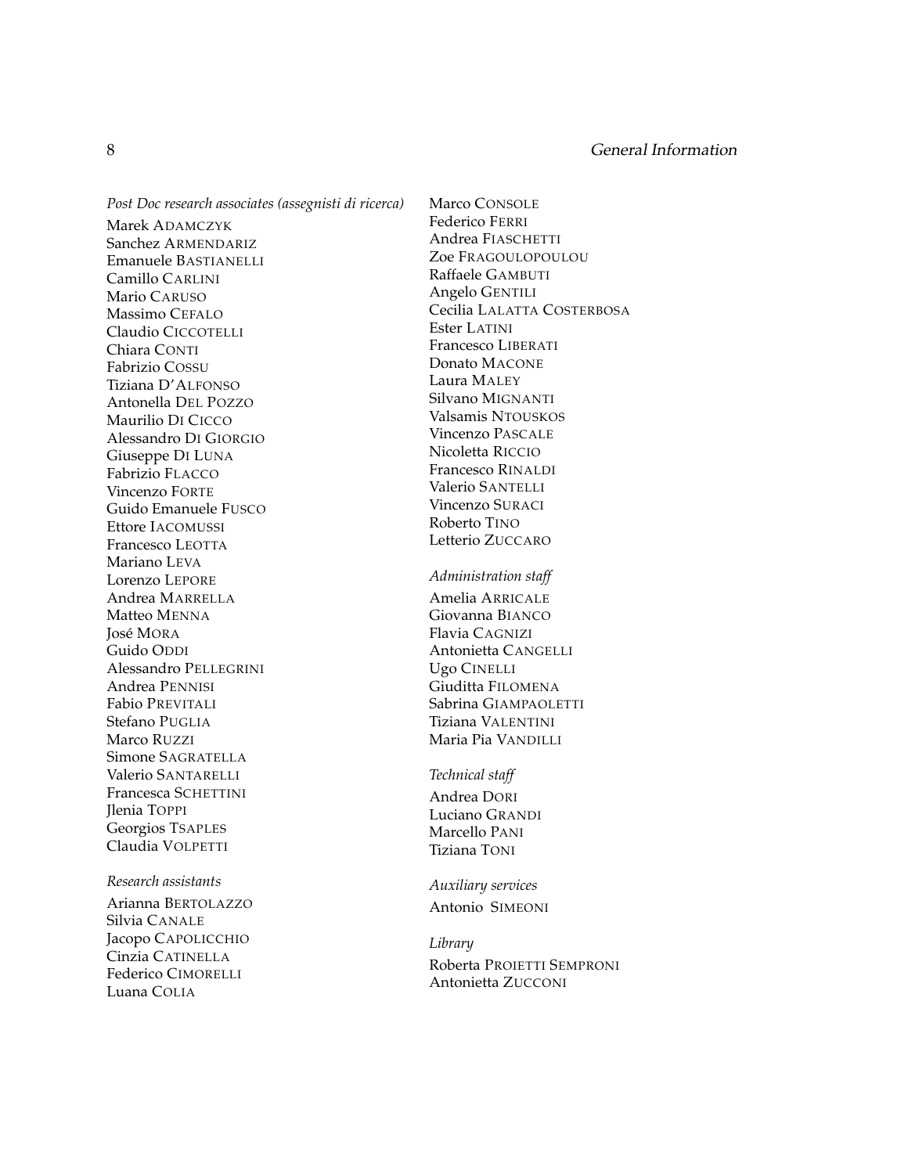*Post Doc research associates (assegnisti di ricerca)* Marek ADAMCZYK Sanchez ARMENDARIZ Emanuele BASTIANELLI Camillo CARLINI Mario CARUSO Massimo CEFALO Claudio CICCOTELLI Chiara CONTI Fabrizio COSSU Tiziana D'ALFONSO Antonella DEL POZZO Maurilio DI CICCO Alessandro DI GIORGIO Giuseppe DI LUNA Fabrizio FLACCO Vincenzo FORTE Guido Emanuele FUSCO Ettore IACOMUSSI Francesco LEOTTA Mariano LEVA Lorenzo LEPORE Andrea MARRELLA Matteo MENNA José MORA Guido ODDI Alessandro PELLEGRINI Andrea PENNISI Fabio PREVITALI Stefano PUGLIA Marco RUZZI Simone SAGRATELLA Valerio SANTARELLI Francesca SCHETTINI Jlenia TOPPI Georgios TSAPLES Claudia VOLPETTI

#### *Research assistants*

Arianna BERTOLAZZO Silvia CANALE Jacopo CAPOLICCHIO Cinzia CATINELLA Federico CIMORELLI Luana COLIA

Marco CONSOLE Federico FERRI Andrea FIASCHETTI Zoe FRAGOULOPOULOU Raffaele GAMBUTI Angelo GENTILI Cecilia LALATTA COSTERBOSA Ester LATINI Francesco LIBERATI Donato MACONE Laura MALEY Silvano MIGNANTI Valsamis NTOUSKOS Vincenzo PASCALE Nicoletta RICCIO Francesco RINALDI Valerio SANTELLI Vincenzo SURACI Roberto TINO Letterio ZUCCARO *Administration staff* Amelia ARRICALE Giovanna BIANCO Flavia CAGNIZI Antonietta CANGELLI Ugo CINELLI Giuditta FILOMENA Sabrina GIAMPAOLETTI Tiziana VALENTINI Maria Pia VANDILLI *Technical staff* Andrea DORI

Luciano GRANDI Marcello PANI Tiziana TONI

*Auxiliary services* Antonio SIMEONI

*Library* Roberta PROIETTI SEMPRONI Antonietta ZUCCONI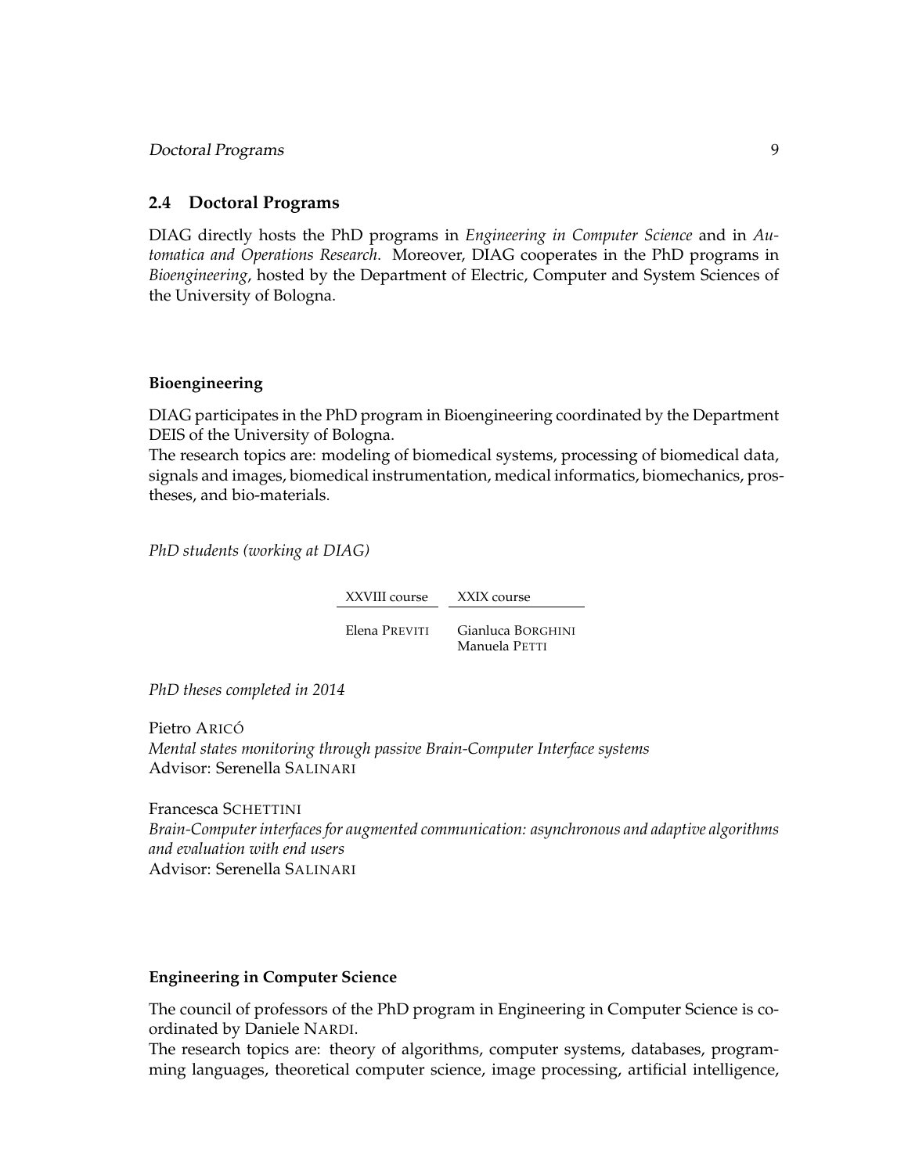#### <span id="page-12-0"></span>**2.4 Doctoral Programs**

DIAG directly hosts the PhD programs in *Engineering in Computer Science* and in *Automatica and Operations Research*. Moreover, DIAG cooperates in the PhD programs in *Bioengineering*, hosted by the Department of Electric, Computer and System Sciences of the University of Bologna.

#### **Bioengineering**

DIAG participates in the PhD program in Bioengineering coordinated by the Department DEIS of the University of Bologna.

The research topics are: modeling of biomedical systems, processing of biomedical data, signals and images, biomedical instrumentation, medical informatics, biomechanics, prostheses, and bio-materials.

*PhD students (working at DIAG)*

XXVIII course XXIX course Elena PREVITI Gianluca BORGHINI Manuela PETTI

*PhD theses completed in 2014*

Pietro ARICÓ *Mental states monitoring through passive Brain-Computer Interface systems* Advisor: Serenella SALINARI

Francesca SCHETTINI *Brain-Computer interfaces for augmented communication: asynchronous and adaptive algorithms and evaluation with end users* Advisor: Serenella SALINARI

#### **Engineering in Computer Science**

The council of professors of the PhD program in Engineering in Computer Science is coordinated by Daniele NARDI.

The research topics are: theory of algorithms, computer systems, databases, programming languages, theoretical computer science, image processing, artificial intelligence,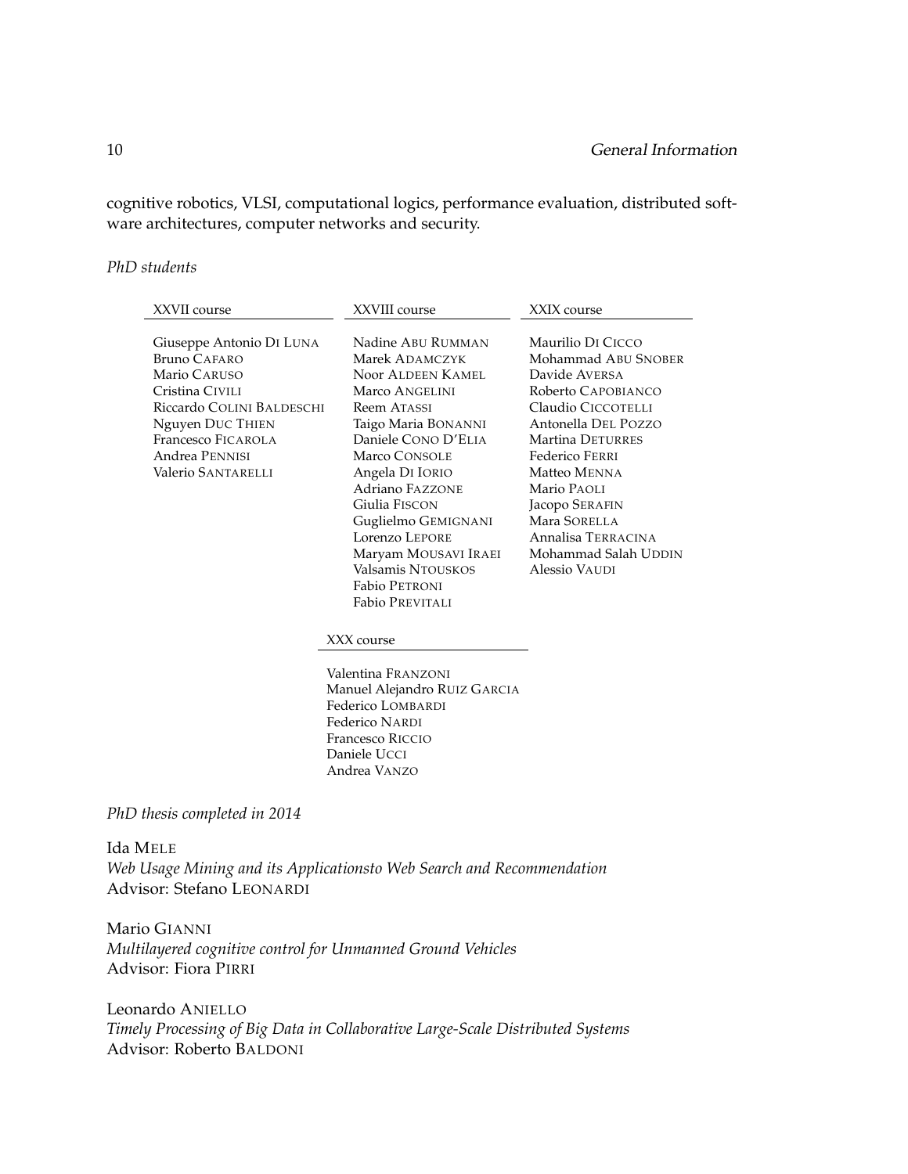cognitive robotics, VLSI, computational logics, performance evaluation, distributed software architectures, computer networks and security.

#### *PhD students*

| XXVII course                                                                                                                                                                                      | XXVIII course                                                                                                                                                                                                                                                                                                                                                                                                                                                                                                                 | XXIX course                                                                                                                                                                                                                                                                                        |
|---------------------------------------------------------------------------------------------------------------------------------------------------------------------------------------------------|-------------------------------------------------------------------------------------------------------------------------------------------------------------------------------------------------------------------------------------------------------------------------------------------------------------------------------------------------------------------------------------------------------------------------------------------------------------------------------------------------------------------------------|----------------------------------------------------------------------------------------------------------------------------------------------------------------------------------------------------------------------------------------------------------------------------------------------------|
| Giuseppe Antonio DI LUNA<br><b>Bruno CAFARO</b><br>Mario CARUSO<br>Cristina CIVILI<br>Riccardo COLINI BALDESCHI<br>Nguyen DUC THIEN<br>Francesco FICAROLA<br>Andrea PENNISI<br>Valerio SANTARELLI | Nadine ABU RUMMAN<br>Marek ADAMCZYK<br>Noor ALDEEN KAMEL<br>Marco ANGELINI<br><b>Reem ATASSI</b><br>Taigo Maria BONANNI<br>Daniele CONO D'ELIA<br>Marco CONSOLE<br>Angela DI IORIO<br><b>Adriano FAZZONE</b><br>Giulia FISCON<br>Guglielmo GEMIGNANI<br>Lorenzo LEPORE<br>Maryam MOUSAVI IRAEI<br>Valsamis NTOUSKOS<br>Fabio PETRONI<br><b>Fabio PREVITALI</b><br>XXX course<br>Valentina FRANZONI<br>Manuel Alejandro RUIZ GARCIA<br>Federico LOMBARDI<br>Federico NARDI<br>Francesco RICCIO<br>Daniele UCCI<br>Andrea VANZO | Maurilio DI CICCO<br>Mohammad ABU SNOBER<br>Davide AVERSA<br>Roberto CAPOBIANCO<br>Claudio CICCOTELLI<br>Antonella DEL POZZO<br>Martina DETURRES<br>Federico FERRI<br>Matteo MENNA<br>Mario PAOLI<br>Jacopo SERAFIN<br>Mara SORELLA<br>Annalisa TERRACINA<br>Mohammad Salah UDDIN<br>Alessio VAUDI |
| PhD thesis completed in 2014                                                                                                                                                                      |                                                                                                                                                                                                                                                                                                                                                                                                                                                                                                                               |                                                                                                                                                                                                                                                                                                    |
| <b>Ida MELE</b><br>Web Usage Mining and its Applicationsto Web Search and Recommendation                                                                                                          |                                                                                                                                                                                                                                                                                                                                                                                                                                                                                                                               |                                                                                                                                                                                                                                                                                                    |

Advisor: Stefano LEONARDI

Mario GIANNI *Multilayered cognitive control for Unmanned Ground Vehicles* Advisor: Fiora PIRRI

Leonardo ANIELLO *Timely Processing of Big Data in Collaborative Large-Scale Distributed Systems* Advisor: Roberto BALDONI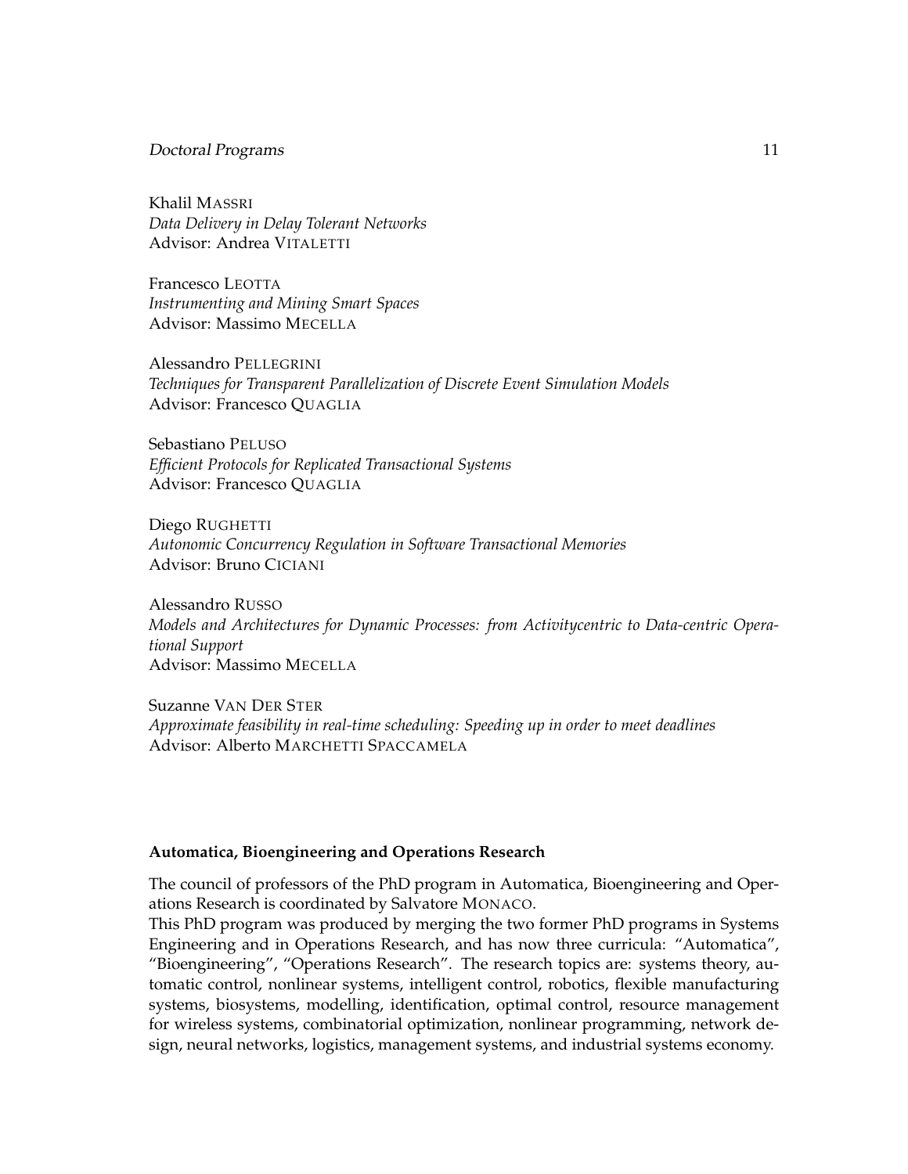#### Doctoral Programs 11

Khalil MASSRI *Data Delivery in Delay Tolerant Networks* Advisor: Andrea VITALETTI

Francesco LEOTTA *Instrumenting and Mining Smart Spaces* Advisor: Massimo MECELLA

Alessandro PELLEGRINI *Techniques for Transparent Parallelization of Discrete Event Simulation Models* Advisor: Francesco QUAGLIA

Sebastiano PELUSO *Efficient Protocols for Replicated Transactional Systems* Advisor: Francesco QUAGLIA

Diego RUGHETTI *Autonomic Concurrency Regulation in Software Transactional Memories* Advisor: Bruno CICIANI

Alessandro RUSSO *Models and Architectures for Dynamic Processes: from Activitycentric to Data-centric Operational Support* Advisor: Massimo MECELLA

Suzanne VAN DER STER *Approximate feasibility in real-time scheduling: Speeding up in order to meet deadlines* Advisor: Alberto MARCHETTI SPACCAMELA

#### **Automatica, Bioengineering and Operations Research**

The council of professors of the PhD program in Automatica, Bioengineering and Operations Research is coordinated by Salvatore MONACO.

This PhD program was produced by merging the two former PhD programs in Systems Engineering and in Operations Research, and has now three curricula: "Automatica", "Bioengineering", "Operations Research". The research topics are: systems theory, automatic control, nonlinear systems, intelligent control, robotics, flexible manufacturing systems, biosystems, modelling, identification, optimal control, resource management for wireless systems, combinatorial optimization, nonlinear programming, network design, neural networks, logistics, management systems, and industrial systems economy.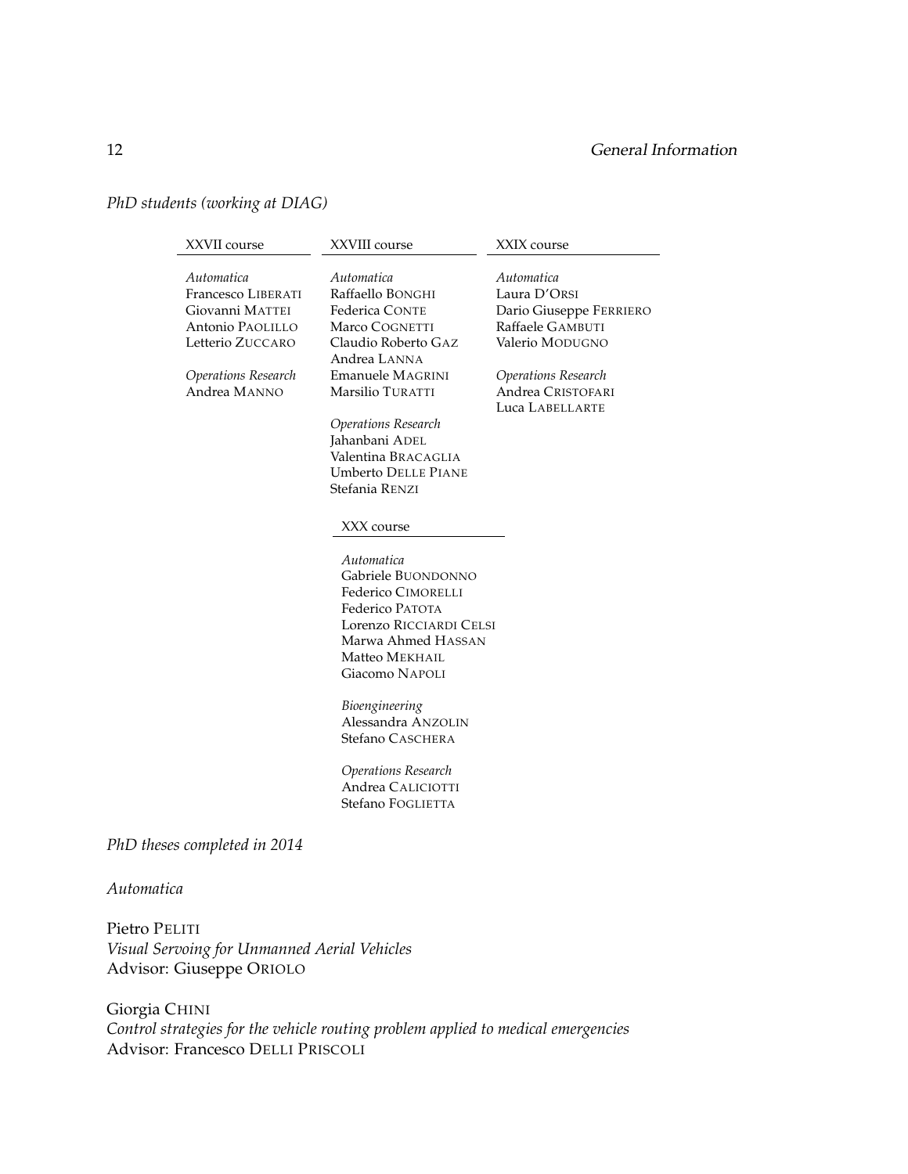#### 12 General Information

#### *PhD students (working at DIAG)*

| XXVII course                                                                                                                       | XXVIII course                                                                                                                                                                                                                                          | XXIX course                                                                                                                                                 |
|------------------------------------------------------------------------------------------------------------------------------------|--------------------------------------------------------------------------------------------------------------------------------------------------------------------------------------------------------------------------------------------------------|-------------------------------------------------------------------------------------------------------------------------------------------------------------|
| Automatica<br>Francesco LIBERATI<br>Giovanni MATTEI<br>Antonio PAOLILLO<br>Letterio ZUCCARO<br>Operations Research<br>Andrea MANNO | Automatica<br>Raffaello BONGHI<br><b>Federica CONTE</b><br>Marco COGNETTI<br>Claudio Roberto GAZ<br>Andrea LANNA<br>Emanuele MAGRINI<br>Marsilio TURATTI<br>Operations Research<br>Jahanbani ADEL<br>Valentina BRACAGLIA<br><b>Umberto DELLE PIANE</b> | Automatica<br>Laura D'ORSI<br>Dario Giuseppe FERRIERO<br>Raffaele GAMBUTI<br>Valerio MODUGNO<br>Operations Research<br>Andrea CRISTOFARI<br>Luca LABELLARTE |
|                                                                                                                                    | Stefania RENZI                                                                                                                                                                                                                                         |                                                                                                                                                             |
|                                                                                                                                    | XXX course                                                                                                                                                                                                                                             |                                                                                                                                                             |
|                                                                                                                                    | Automatica<br>Gabriele BUONDONNO<br>Federico CIMORELLI<br>Federico PATOTA<br>Lorenzo RICCIARDI CELSI<br>Marwa Ahmed HASSAN<br>Matteo MEKHAIL<br>Giacomo NAPOLI                                                                                         |                                                                                                                                                             |
|                                                                                                                                    | Bioengineering<br>Alessandra ANZOLIN<br>Stefano CASCHERA                                                                                                                                                                                               |                                                                                                                                                             |
|                                                                                                                                    | Operations Research<br>Andrea CALICIOTTI<br>Stefano FOGLIETTA                                                                                                                                                                                          |                                                                                                                                                             |
| PhD theses completed in 2014                                                                                                       |                                                                                                                                                                                                                                                        |                                                                                                                                                             |
|                                                                                                                                    |                                                                                                                                                                                                                                                        |                                                                                                                                                             |

#### *Automatica*

Pietro PELITI *Visual Servoing for Unmanned Aerial Vehicles* Advisor: Giuseppe ORIOLO

Giorgia CHINI *Control strategies for the vehicle routing problem applied to medical emergencies* Advisor: Francesco DELLI PRISCOLI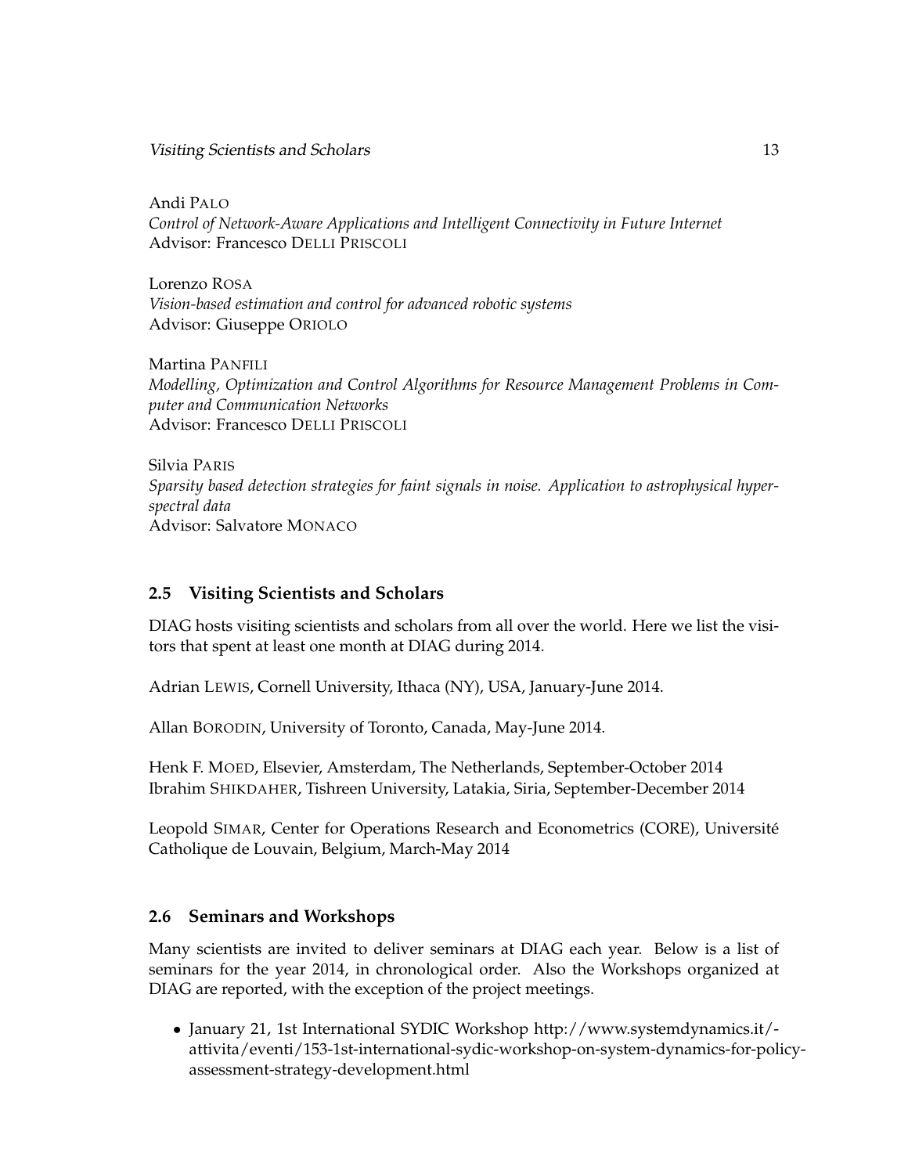Visiting Scientists and Scholars 13 and  $\frac{13}{2}$ 

Andi PALO *Control of Network-Aware Applications and Intelligent Connectivity in Future Internet* Advisor: Francesco DELLI PRISCOLI

Lorenzo ROSA *Vision-based estimation and control for advanced robotic systems* Advisor: Giuseppe ORIOLO

Martina PANFILI *Modelling, Optimization and Control Algorithms for Resource Management Problems in Computer and Communication Networks* Advisor: Francesco DELLI PRISCOLI

Silvia PARIS *Sparsity based detection strategies for faint signals in noise. Application to astrophysical hyperspectral data* Advisor: Salvatore MONACO

#### <span id="page-16-0"></span>**2.5 Visiting Scientists and Scholars**

DIAG hosts visiting scientists and scholars from all over the world. Here we list the visitors that spent at least one month at DIAG during 2014.

Adrian LEWIS, Cornell University, Ithaca (NY), USA, January-June 2014.

Allan BORODIN, University of Toronto, Canada, May-June 2014.

Henk F. MOED, Elsevier, Amsterdam, The Netherlands, September-October 2014 Ibrahim SHIKDAHER, Tishreen University, Latakia, Siria, September-December 2014

Leopold SIMAR, Center for Operations Research and Econometrics (CORE), Universite´ Catholique de Louvain, Belgium, March-May 2014

#### <span id="page-16-1"></span>**2.6 Seminars and Workshops**

Many scientists are invited to deliver seminars at DIAG each year. Below is a list of seminars for the year 2014, in chronological order. Also the Workshops organized at DIAG are reported, with the exception of the project meetings.

• January 21, 1st International SYDIC Workshop http://www.systemdynamics.it/ attivita/eventi/153-1st-international-sydic-workshop-on-system-dynamics-for-policyassessment-strategy-development.html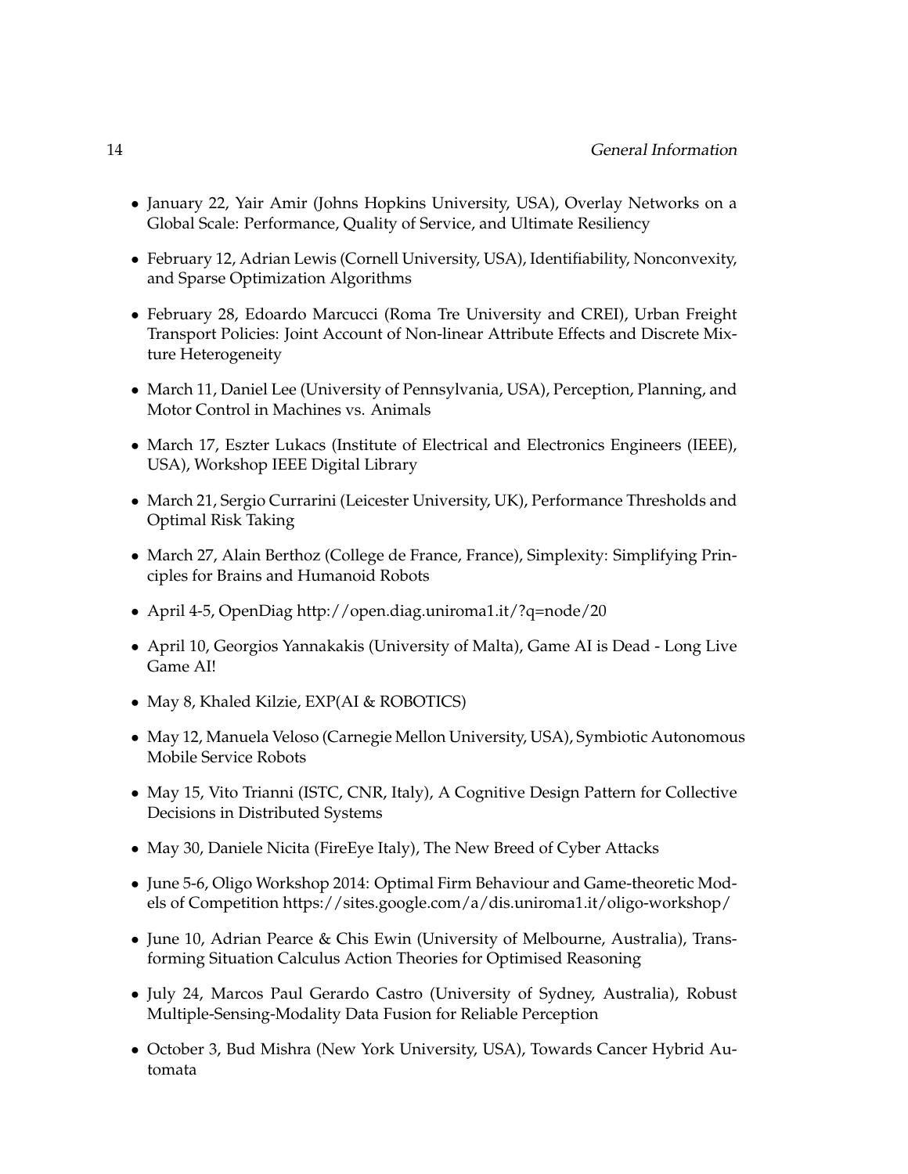- January 22, Yair Amir (Johns Hopkins University, USA), Overlay Networks on a Global Scale: Performance, Quality of Service, and Ultimate Resiliency
- February 12, Adrian Lewis (Cornell University, USA), Identifiability, Nonconvexity, and Sparse Optimization Algorithms
- February 28, Edoardo Marcucci (Roma Tre University and CREI), Urban Freight Transport Policies: Joint Account of Non-linear Attribute Effects and Discrete Mixture Heterogeneity
- March 11, Daniel Lee (University of Pennsylvania, USA), Perception, Planning, and Motor Control in Machines vs. Animals
- March 17, Eszter Lukacs (Institute of Electrical and Electronics Engineers (IEEE), USA), Workshop IEEE Digital Library
- March 21, Sergio Currarini (Leicester University, UK), Performance Thresholds and Optimal Risk Taking
- March 27, Alain Berthoz (College de France, France), Simplexity: Simplifying Principles for Brains and Humanoid Robots
- April 4-5, OpenDiag http://open.diag.uniroma1.it/?q=node/20
- April 10, Georgios Yannakakis (University of Malta), Game AI is Dead Long Live Game AI!
- May 8, Khaled Kilzie, EXP(AI & ROBOTICS)
- May 12, Manuela Veloso (Carnegie Mellon University, USA), Symbiotic Autonomous Mobile Service Robots
- May 15, Vito Trianni (ISTC, CNR, Italy), A Cognitive Design Pattern for Collective Decisions in Distributed Systems
- May 30, Daniele Nicita (FireEye Italy), The New Breed of Cyber Attacks
- June 5-6, Oligo Workshop 2014: Optimal Firm Behaviour and Game-theoretic Models of Competition https://sites.google.com/a/dis.uniroma1.it/oligo-workshop/
- June 10, Adrian Pearce & Chis Ewin (University of Melbourne, Australia), Transforming Situation Calculus Action Theories for Optimised Reasoning
- July 24, Marcos Paul Gerardo Castro (University of Sydney, Australia), Robust Multiple-Sensing-Modality Data Fusion for Reliable Perception
- October 3, Bud Mishra (New York University, USA), Towards Cancer Hybrid Automata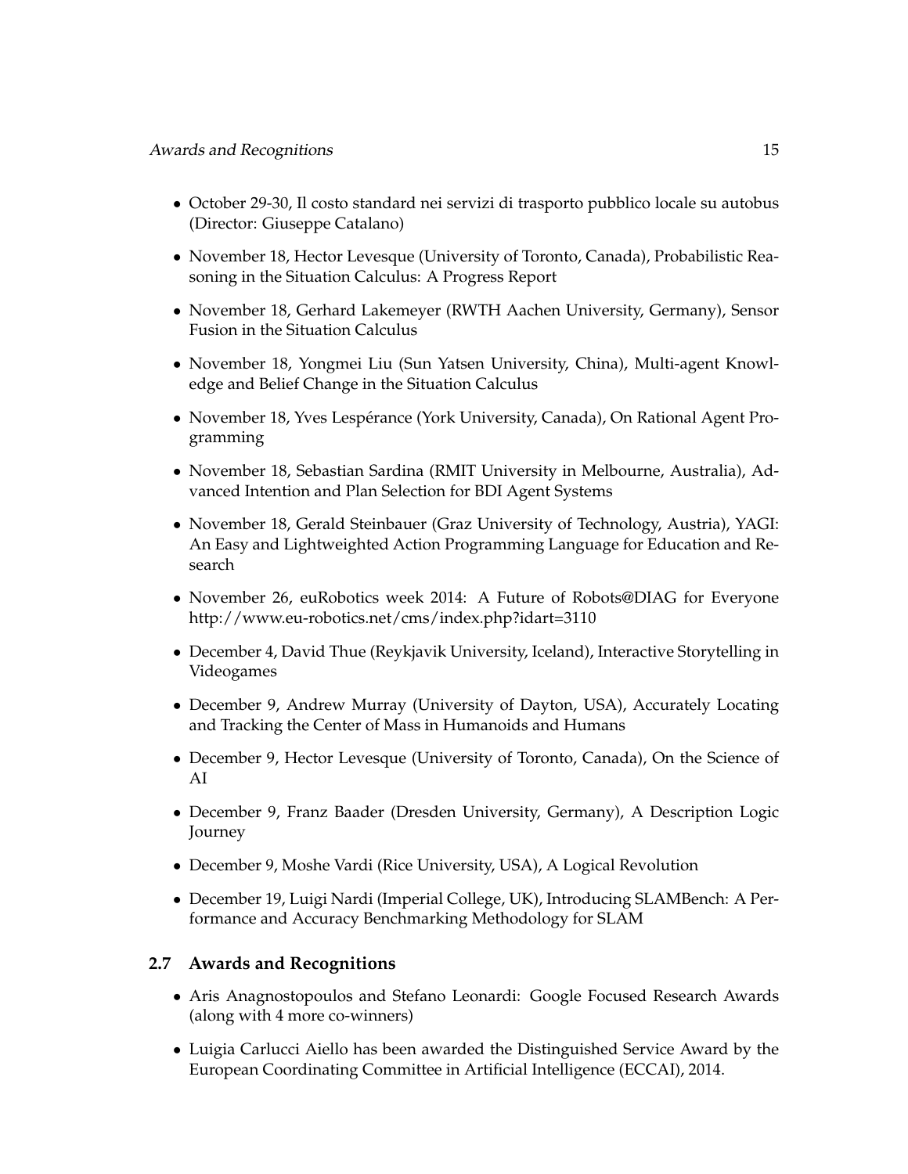- October 29-30, Il costo standard nei servizi di trasporto pubblico locale su autobus (Director: Giuseppe Catalano)
- November 18, Hector Levesque (University of Toronto, Canada), Probabilistic Reasoning in the Situation Calculus: A Progress Report
- November 18, Gerhard Lakemeyer (RWTH Aachen University, Germany), Sensor Fusion in the Situation Calculus
- November 18, Yongmei Liu (Sun Yatsen University, China), Multi-agent Knowledge and Belief Change in the Situation Calculus
- November 18, Yves Lespérance (York University, Canada), On Rational Agent Programming
- November 18, Sebastian Sardina (RMIT University in Melbourne, Australia), Advanced Intention and Plan Selection for BDI Agent Systems
- November 18, Gerald Steinbauer (Graz University of Technology, Austria), YAGI: An Easy and Lightweighted Action Programming Language for Education and Research
- November 26, euRobotics week 2014: A Future of Robots@DIAG for Everyone http://www.eu-robotics.net/cms/index.php?idart=3110
- December 4, David Thue (Reykjavik University, Iceland), Interactive Storytelling in Videogames
- December 9, Andrew Murray (University of Dayton, USA), Accurately Locating and Tracking the Center of Mass in Humanoids and Humans
- December 9, Hector Levesque (University of Toronto, Canada), On the Science of AI
- December 9, Franz Baader (Dresden University, Germany), A Description Logic Journey
- December 9, Moshe Vardi (Rice University, USA), A Logical Revolution
- December 19, Luigi Nardi (Imperial College, UK), Introducing SLAMBench: A Performance and Accuracy Benchmarking Methodology for SLAM

#### <span id="page-18-0"></span>**2.7 Awards and Recognitions**

- Aris Anagnostopoulos and Stefano Leonardi: Google Focused Research Awards (along with 4 more co-winners)
- Luigia Carlucci Aiello has been awarded the Distinguished Service Award by the European Coordinating Committee in Artificial Intelligence (ECCAI), 2014.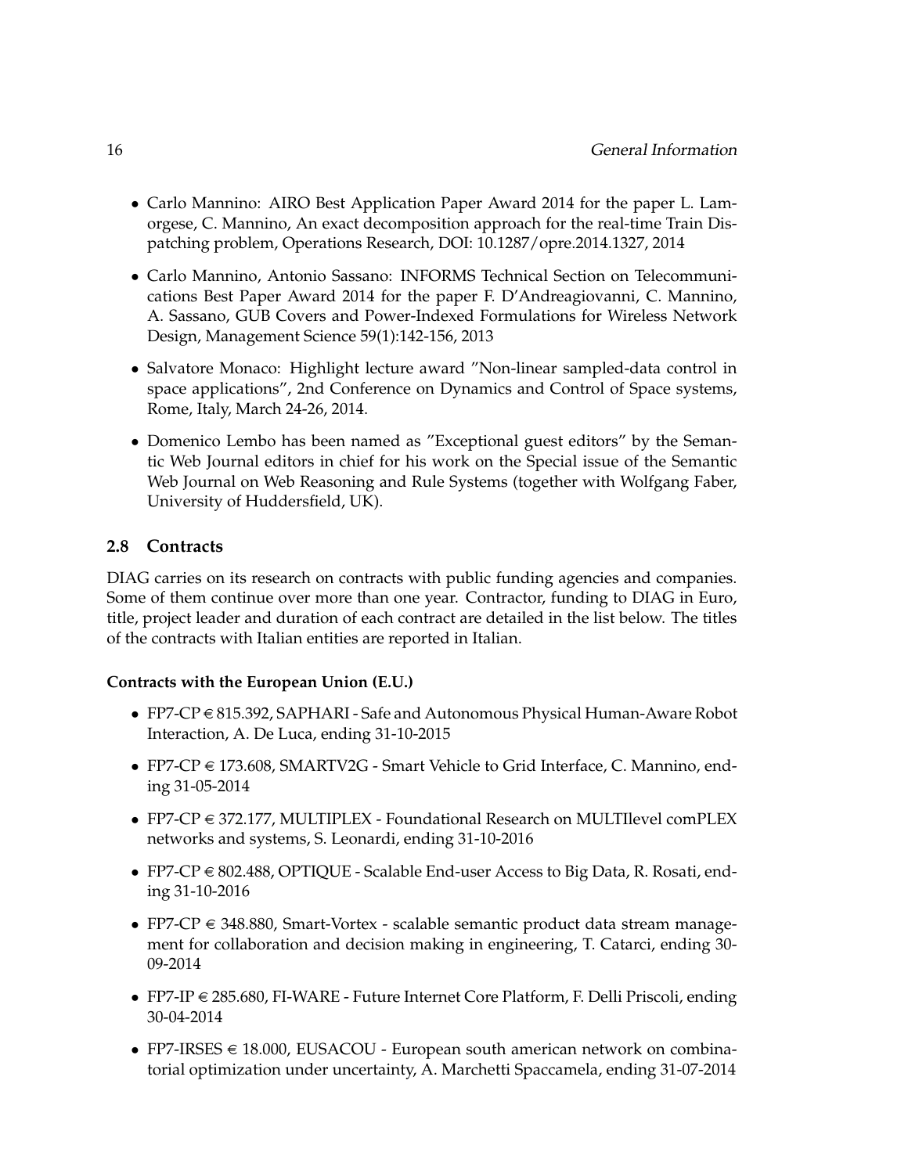- Carlo Mannino: AIRO Best Application Paper Award 2014 for the paper L. Lamorgese, C. Mannino, An exact decomposition approach for the real-time Train Dispatching problem, Operations Research, DOI: 10.1287/opre.2014.1327, 2014
- Carlo Mannino, Antonio Sassano: INFORMS Technical Section on Telecommunications Best Paper Award 2014 for the paper F. D'Andreagiovanni, C. Mannino, A. Sassano, GUB Covers and Power-Indexed Formulations for Wireless Network Design, Management Science 59(1):142-156, 2013
- Salvatore Monaco: Highlight lecture award "Non-linear sampled-data control in space applications", 2nd Conference on Dynamics and Control of Space systems, Rome, Italy, March 24-26, 2014.
- Domenico Lembo has been named as "Exceptional guest editors" by the Semantic Web Journal editors in chief for his work on the Special issue of the Semantic Web Journal on Web Reasoning and Rule Systems (together with Wolfgang Faber, University of Huddersfield, UK).

#### <span id="page-19-0"></span>**2.8 Contracts**

DIAG carries on its research on contracts with public funding agencies and companies. Some of them continue over more than one year. Contractor, funding to DIAG in Euro, title, project leader and duration of each contract are detailed in the list below. The titles of the contracts with Italian entities are reported in Italian.

#### **Contracts with the European Union (E.U.)**

- FP7-CP  $\in$  815.392, SAPHARI Safe and Autonomous Physical Human-Aware Robot Interaction, A. De Luca, ending 31-10-2015
- FP7-CP  $\in$  173.608, SMARTV2G Smart Vehicle to Grid Interface, C. Mannino, ending 31-05-2014
- FP7-CP  $\in$  372.177, MULTIPLEX Foundational Research on MULTIlevel comPLEX networks and systems, S. Leonardi, ending 31-10-2016
- FP7-CP  $\in$  802.488, OPTIQUE Scalable End-user Access to Big Data, R. Rosati, ending 31-10-2016
- FP7-CP  $\in$  348.880, Smart-Vortex scalable semantic product data stream management for collaboration and decision making in engineering, T. Catarci, ending 30- 09-2014
- FP7-IP  $\in$  285.680, FI-WARE Future Internet Core Platform, F. Delli Priscoli, ending 30-04-2014
- FP7-IRSES  $\in$  18.000, EUSACOU European south american network on combinatorial optimization under uncertainty, A. Marchetti Spaccamela, ending 31-07-2014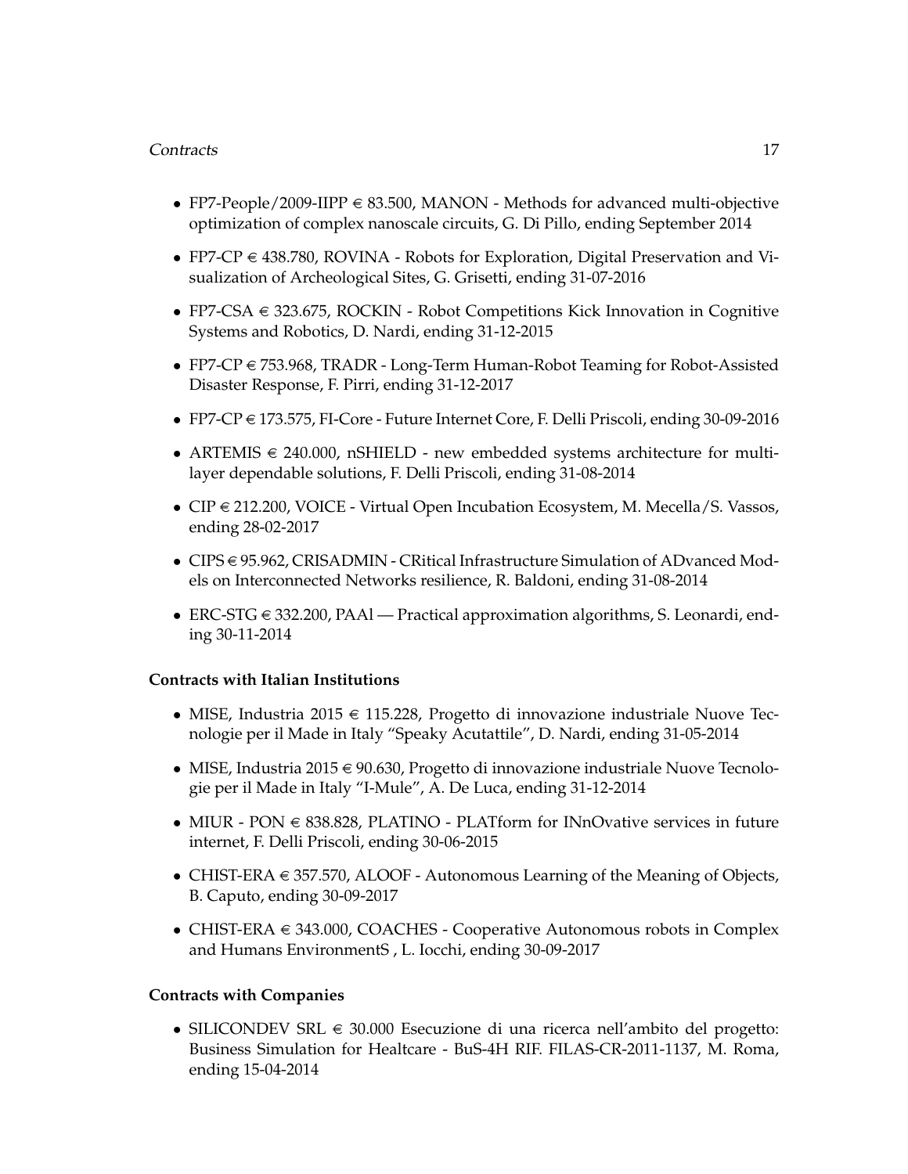#### Contracts 17

- FP7-People/2009-IIPP  $\in$  83.500, MANON Methods for advanced multi-objective optimization of complex nanoscale circuits, G. Di Pillo, ending September 2014
- FP7-CP  $\in$  438.780, ROVINA Robots for Exploration, Digital Preservation and Visualization of Archeological Sites, G. Grisetti, ending 31-07-2016
- FP7-CSA  $\in$  323.675, ROCKIN Robot Competitions Kick Innovation in Cognitive Systems and Robotics, D. Nardi, ending 31-12-2015
- FP7-CP  $\in$  753.968, TRADR Long-Term Human-Robot Teaming for Robot-Assisted Disaster Response, F. Pirri, ending 31-12-2017
- FP7-CP  $\in$  173.575, FI-Core Future Internet Core, F. Delli Priscoli, ending 30-09-2016
- ARTEMIS  $\in$  240.000, nSHIELD new embedded systems architecture for multilayer dependable solutions, F. Delli Priscoli, ending 31-08-2014
- CIP  $\in$  212.200, VOICE Virtual Open Incubation Ecosystem, M. Mecella/S. Vassos, ending 28-02-2017
- CIPS  $\in$  95.962, CRISADMIN CRitical Infrastructure Simulation of ADvanced Models on Interconnected Networks resilience, R. Baldoni, ending 31-08-2014
- ERC-STG  $\in$  332.200, PAAl Practical approximation algorithms, S. Leonardi, ending 30-11-2014

#### **Contracts with Italian Institutions**

- MISE, Industria 2015  $\in$  115.228, Progetto di innovazione industriale Nuove Tecnologie per il Made in Italy "Speaky Acutattile", D. Nardi, ending 31-05-2014
- MISE, Industria 2015  $\in$  90.630, Progetto di innovazione industriale Nuove Tecnologie per il Made in Italy "I-Mule", A. De Luca, ending 31-12-2014
- MIUR PON  $\in$  838.828, PLATINO PLATform for INnOvative services in future internet, F. Delli Priscoli, ending 30-06-2015
- CHIST-ERA  $\in$  357.570, ALOOF Autonomous Learning of the Meaning of Objects, B. Caputo, ending 30-09-2017
- CHIST-ERA  $\in$  343.000, COACHES Cooperative Autonomous robots in Complex and Humans EnvironmentS , L. Iocchi, ending 30-09-2017

#### **Contracts with Companies**

• SILICONDEV SRL  $\in$  30.000 Esecuzione di una ricerca nell'ambito del progetto: Business Simulation for Healtcare - BuS-4H RIF. FILAS-CR-2011-1137, M. Roma, ending 15-04-2014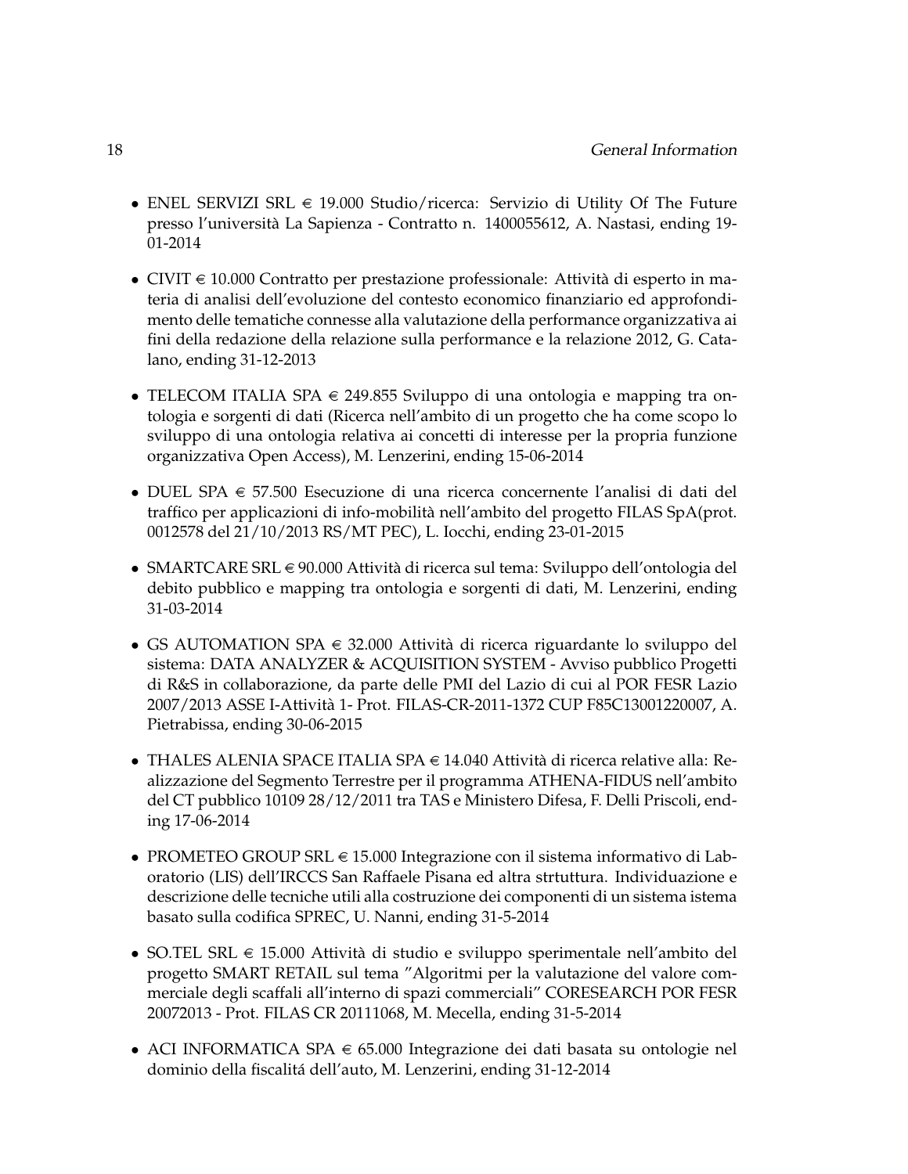- ENEL SERVIZI SRL  $\in$  19.000 Studio/ricerca: Servizio di Utility Of The Future presso l'universita La Sapienza - Contratto n. 1400055612, A. Nastasi, ending 19- ` 01-2014
- CIVIT  $\in$  10.000 Contratto per prestazione professionale: Attività di esperto in materia di analisi dell'evoluzione del contesto economico finanziario ed approfondimento delle tematiche connesse alla valutazione della performance organizzativa ai fini della redazione della relazione sulla performance e la relazione 2012, G. Catalano, ending 31-12-2013
- TELECOM ITALIA SPA  $\in$  249.855 Sviluppo di una ontologia e mapping tra ontologia e sorgenti di dati (Ricerca nell'ambito di un progetto che ha come scopo lo sviluppo di una ontologia relativa ai concetti di interesse per la propria funzione organizzativa Open Access), M. Lenzerini, ending 15-06-2014
- DUEL SPA  $\in$  57.500 Esecuzione di una ricerca concernente l'analisi di dati del traffico per applicazioni di info-mobilita nell'ambito del progetto FILAS SpA(prot. ` 0012578 del 21/10/2013 RS/MT PEC), L. Iocchi, ending 23-01-2015
- SMARTCARE SRL  $\in$  90.000 Attività di ricerca sul tema: Sviluppo dell'ontologia del debito pubblico e mapping tra ontologia e sorgenti di dati, M. Lenzerini, ending 31-03-2014
- GS AUTOMATION SPA  $\in$  32.000 Attività di ricerca riguardante lo sviluppo del sistema: DATA ANALYZER & ACQUISITION SYSTEM - Avviso pubblico Progetti di R&S in collaborazione, da parte delle PMI del Lazio di cui al POR FESR Lazio 2007/2013 ASSE I-Attivita 1- Prot. FILAS-CR-2011-1372 CUP F85C13001220007, A. ` Pietrabissa, ending 30-06-2015
- THALES ALENIA SPACE ITALIA SPA  $\in$  14.040 Attività di ricerca relative alla: Realizzazione del Segmento Terrestre per il programma ATHENA-FIDUS nell'ambito del CT pubblico 10109 28/12/2011 tra TAS e Ministero Difesa, F. Delli Priscoli, ending 17-06-2014
- PROMETEO GROUP SRL  $\in$  15.000 Integrazione con il sistema informativo di Laboratorio (LIS) dell'IRCCS San Raffaele Pisana ed altra strtuttura. Individuazione e descrizione delle tecniche utili alla costruzione dei componenti di un sistema istema basato sulla codifica SPREC, U. Nanni, ending 31-5-2014
- SO.TEL SRL  $\in$  15.000 Attività di studio e sviluppo sperimentale nell'ambito del progetto SMART RETAIL sul tema "Algoritmi per la valutazione del valore commerciale degli scaffali all'interno di spazi commerciali" CORESEARCH POR FESR 20072013 - Prot. FILAS CR 20111068, M. Mecella, ending 31-5-2014
- ACI INFORMATICA SPA  $\in$  65.000 Integrazione dei dati basata su ontologie nel dominio della fiscalita dell'auto, M. Lenzerini, ending 31-12-2014 ´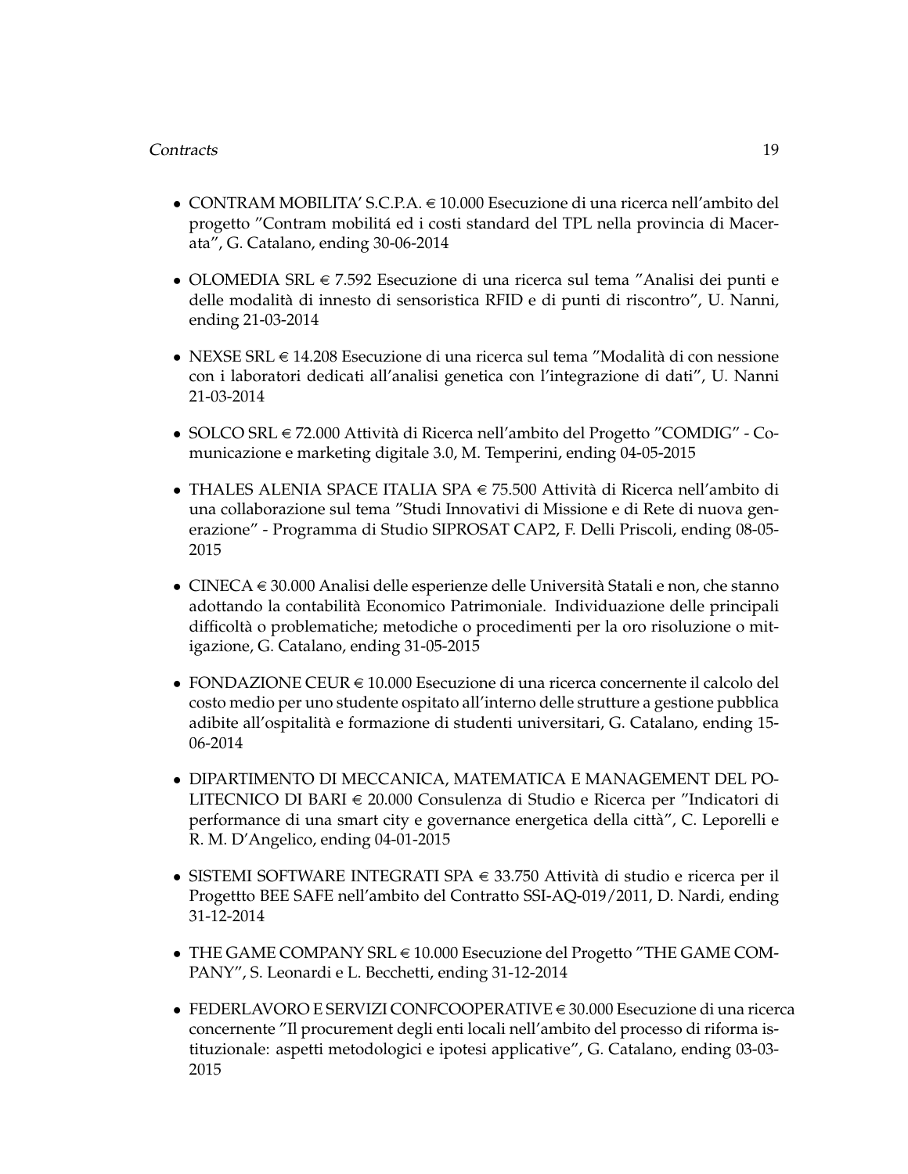#### Contracts 19

- $\bullet$  CONTRAM MOBILITA' S.C.P.A.  $\in$  10.000 Esecuzione di una ricerca nell'ambito del progetto "Contram mobilita ed i costi standard del TPL nella provincia di Macer- ´ ata", G. Catalano, ending 30-06-2014
- OLOMEDIA SRL  $\in 7.592$  Esecuzione di una ricerca sul tema "Analisi dei punti e delle modalita di innesto di sensoristica RFID e di punti di riscontro", U. Nanni, ` ending 21-03-2014
- NEXSE SRL  $\in$  14.208 Esecuzione di una ricerca sul tema "Modalità di con nessione con i laboratori dedicati all'analisi genetica con l'integrazione di dati", U. Nanni 21-03-2014
- SOLCO SRL  $\in$  72.000 Attività di Ricerca nell'ambito del Progetto "COMDIG" Comunicazione e marketing digitale 3.0, M. Temperini, ending 04-05-2015
- THALES ALENIA SPACE ITALIA SPA  $\in$  75.500 Attività di Ricerca nell'ambito di una collaborazione sul tema "Studi Innovativi di Missione e di Rete di nuova generazione" - Programma di Studio SIPROSAT CAP2, F. Delli Priscoli, ending 08-05- 2015
- CINECA  $\in$  30.000 Analisi delle esperienze delle Università Statali e non, che stanno adottando la contabilita Economico Patrimoniale. Individuazione delle principali ` difficolta o problematiche; metodiche o procedimenti per la oro risoluzione o mit- ` igazione, G. Catalano, ending 31-05-2015
- FONDAZIONE CEUR  $\in$  10.000 Esecuzione di una ricerca concernente il calcolo del costo medio per uno studente ospitato all'interno delle strutture a gestione pubblica adibite all'ospitalita e formazione di studenti universitari, G. Catalano, ending 15- ` 06-2014
- DIPARTIMENTO DI MECCANICA, MATEMATICA E MANAGEMENT DEL PO-LITECNICO DI BARI € 20.000 Consulenza di Studio e Ricerca per "Indicatori di performance di una smart city e governance energetica della citta", C. Leporelli e ` R. M. D'Angelico, ending 04-01-2015
- SISTEMI SOFTWARE INTEGRATI SPA  $\in$  33.750 Attività di studio e ricerca per il Progettto BEE SAFE nell'ambito del Contratto SSI-AQ-019/2011, D. Nardi, ending 31-12-2014
- THE GAME COMPANY SRL  $\in$  10.000 Esecuzione del Progetto "THE GAME COM-PANY", S. Leonardi e L. Becchetti, ending 31-12-2014
- FEDERLAVORO E SERVIZI CONFCOOPERATIVE  $\in$  30.000 Esecuzione di una ricerca concernente "Il procurement degli enti locali nell'ambito del processo di riforma istituzionale: aspetti metodologici e ipotesi applicative", G. Catalano, ending 03-03- 2015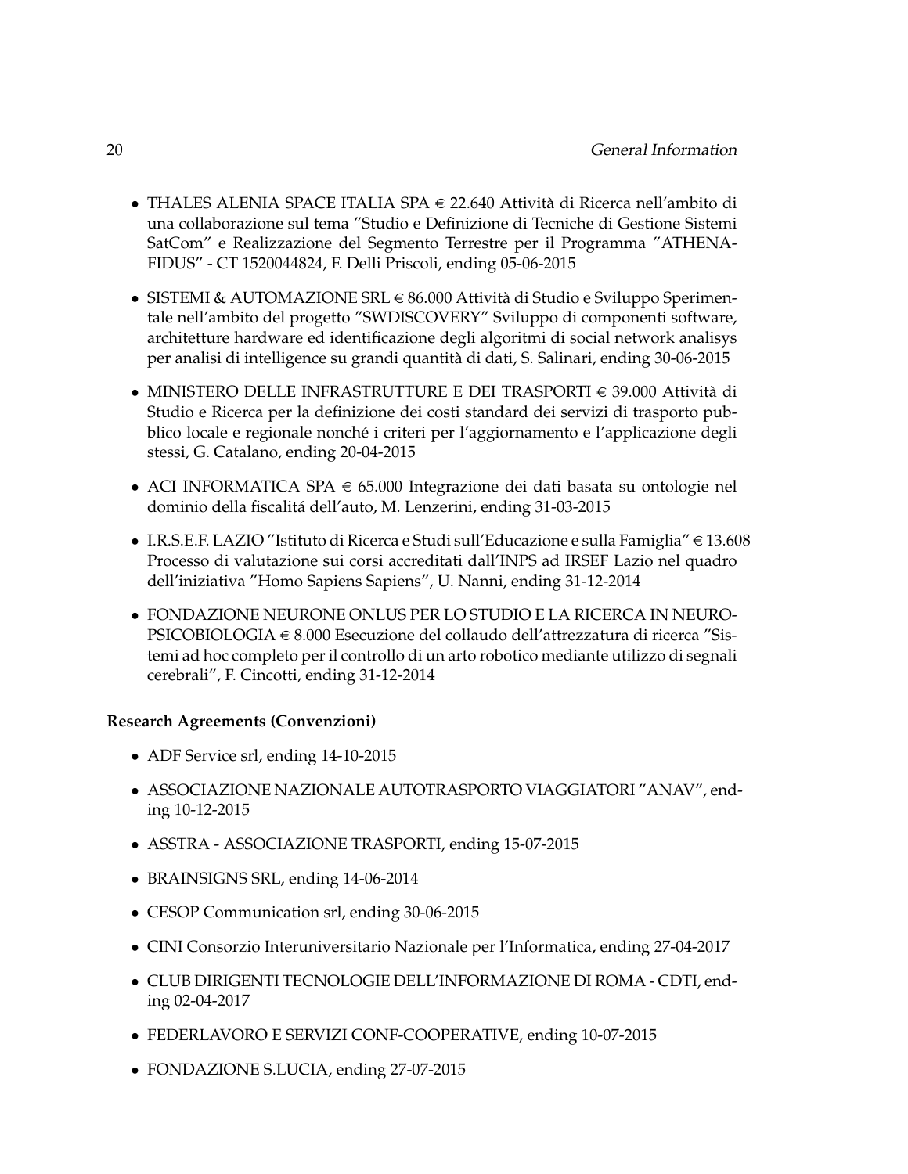- THALES ALENIA SPACE ITALIA SPA  $\in$  22.640 Attività di Ricerca nell'ambito di una collaborazione sul tema "Studio e Definizione di Tecniche di Gestione Sistemi SatCom" e Realizzazione del Segmento Terrestre per il Programma "ATHENA-FIDUS" - CT 1520044824, F. Delli Priscoli, ending 05-06-2015
- SISTEMI & AUTOMAZIONE SRL  $\in$  86.000 Attività di Studio e Sviluppo Sperimentale nell'ambito del progetto "SWDISCOVERY" Sviluppo di componenti software, architetture hardware ed identificazione degli algoritmi di social network analisys per analisi di intelligence su grandi quantita di dati, S. Salinari, ending 30-06-2015 `
- MINISTERO DELLE INFRASTRUTTURE E DEI TRASPORTI  $\epsilon$  39.000 Attività di Studio e Ricerca per la definizione dei costi standard dei servizi di trasporto pubblico locale e regionale nonché i criteri per l'aggiornamento e l'applicazione degli stessi, G. Catalano, ending 20-04-2015
- ACI INFORMATICA SPA  $\in$  65.000 Integrazione dei dati basata su ontologie nel dominio della fiscalita dell'auto, M. Lenzerini, ending 31-03-2015 ´
- $\bullet$  I.R.S.E.F. LAZIO "Istituto di Ricerca e Studi sull'Educazione e sulla Famiglia"  $\in$  13.608 Processo di valutazione sui corsi accreditati dall'INPS ad IRSEF Lazio nel quadro dell'iniziativa "Homo Sapiens Sapiens", U. Nanni, ending 31-12-2014
- FONDAZIONE NEURONE ONLUS PER LO STUDIO E LA RICERCA IN NEURO-PSICOBIOLOGIA  $\in$  8.000 Esecuzione del collaudo dell'attrezzatura di ricerca "Sistemi ad hoc completo per il controllo di un arto robotico mediante utilizzo di segnali cerebrali", F. Cincotti, ending 31-12-2014

#### **Research Agreements (Convenzioni)**

- ADF Service srl, ending 14-10-2015
- ASSOCIAZIONE NAZIONALE AUTOTRASPORTO VIAGGIATORI "ANAV", ending 10-12-2015
- ASSTRA ASSOCIAZIONE TRASPORTI, ending 15-07-2015
- BRAINSIGNS SRL, ending 14-06-2014
- CESOP Communication srl, ending 30-06-2015
- CINI Consorzio Interuniversitario Nazionale per l'Informatica, ending 27-04-2017
- CLUB DIRIGENTI TECNOLOGIE DELL'INFORMAZIONE DI ROMA CDTI, ending 02-04-2017
- FEDERLAVORO E SERVIZI CONF-COOPERATIVE, ending 10-07-2015
- FONDAZIONE S.LUCIA, ending 27-07-2015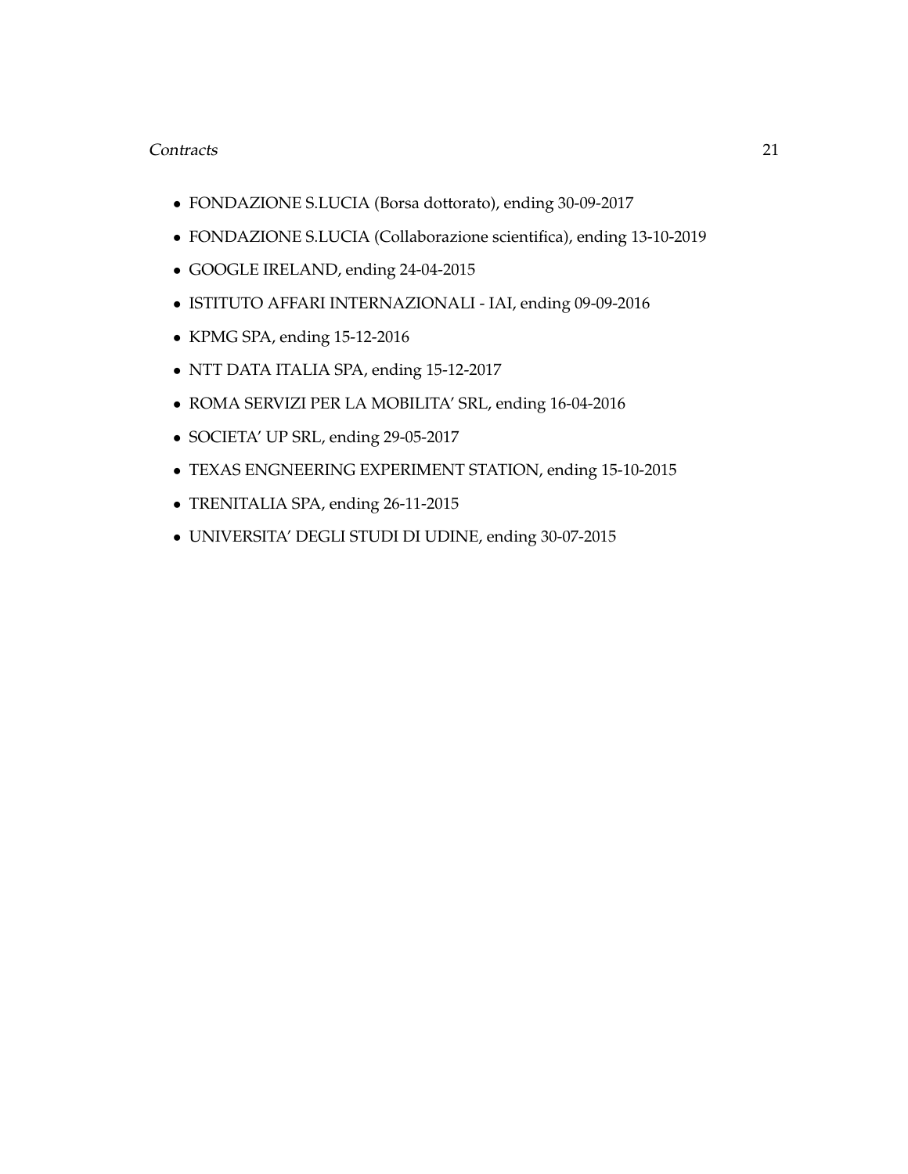#### Contracts 21

- FONDAZIONE S.LUCIA (Borsa dottorato), ending 30-09-2017
- FONDAZIONE S.LUCIA (Collaborazione scientifica), ending 13-10-2019
- GOOGLE IRELAND, ending 24-04-2015
- ISTITUTO AFFARI INTERNAZIONALI IAI, ending 09-09-2016
- KPMG SPA, ending 15-12-2016
- NTT DATA ITALIA SPA, ending 15-12-2017
- ROMA SERVIZI PER LA MOBILITA' SRL, ending 16-04-2016
- SOCIETA' UP SRL, ending 29-05-2017
- TEXAS ENGNEERING EXPERIMENT STATION, ending 15-10-2015
- TRENITALIA SPA, ending 26-11-2015
- UNIVERSITA' DEGLI STUDI DI UDINE, ending 30-07-2015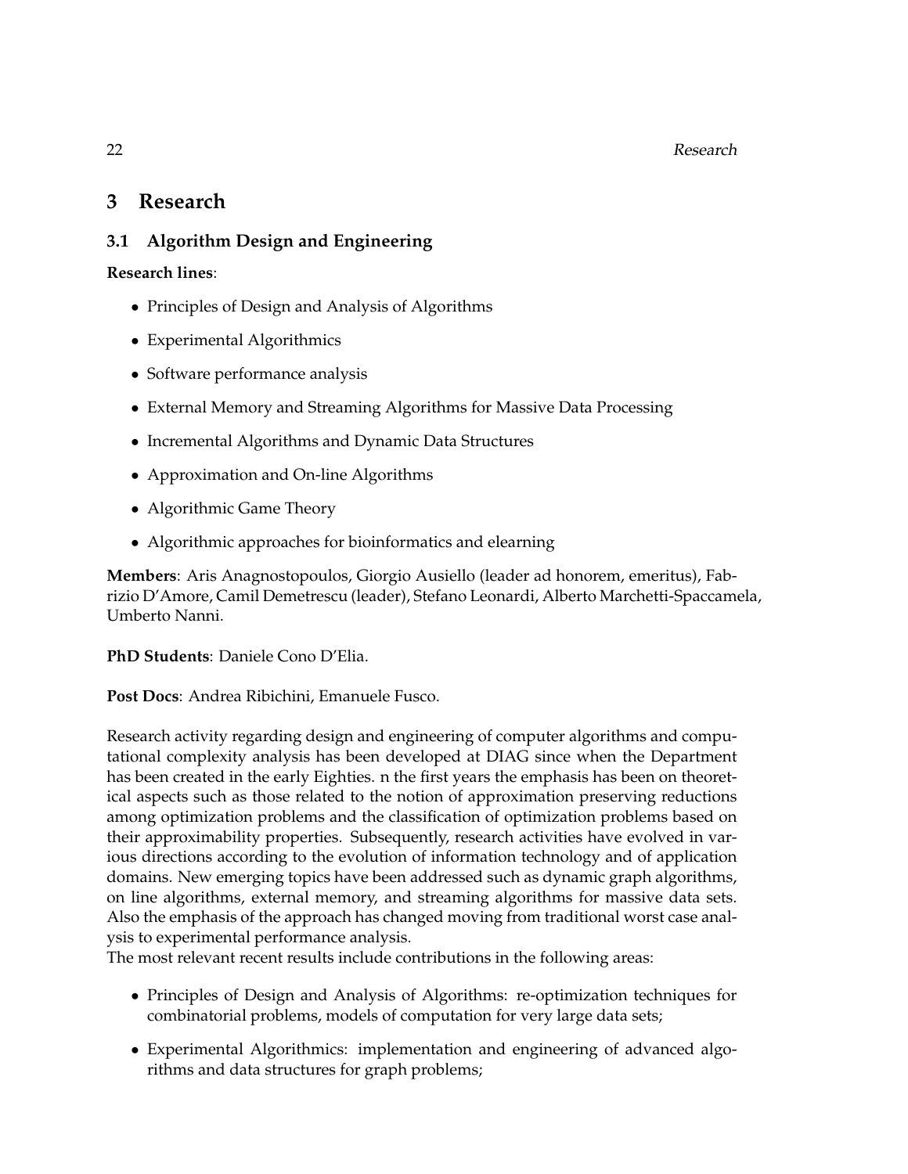### <span id="page-25-0"></span>**3 Research**

#### <span id="page-25-1"></span>**3.1 Algorithm Design and Engineering**

**Research lines**:

- Principles of Design and Analysis of Algorithms
- Experimental Algorithmics
- Software performance analysis
- External Memory and Streaming Algorithms for Massive Data Processing
- Incremental Algorithms and Dynamic Data Structures
- Approximation and On-line Algorithms
- Algorithmic Game Theory
- Algorithmic approaches for bioinformatics and elearning

**Members**: Aris Anagnostopoulos, Giorgio Ausiello (leader ad honorem, emeritus), Fabrizio D'Amore, Camil Demetrescu (leader), Stefano Leonardi, Alberto Marchetti-Spaccamela, Umberto Nanni.

**PhD Students**: Daniele Cono D'Elia.

**Post Docs**: Andrea Ribichini, Emanuele Fusco.

Research activity regarding design and engineering of computer algorithms and computational complexity analysis has been developed at DIAG since when the Department has been created in the early Eighties. n the first years the emphasis has been on theoretical aspects such as those related to the notion of approximation preserving reductions among optimization problems and the classification of optimization problems based on their approximability properties. Subsequently, research activities have evolved in various directions according to the evolution of information technology and of application domains. New emerging topics have been addressed such as dynamic graph algorithms, on line algorithms, external memory, and streaming algorithms for massive data sets. Also the emphasis of the approach has changed moving from traditional worst case analysis to experimental performance analysis.

The most relevant recent results include contributions in the following areas:

- Principles of Design and Analysis of Algorithms: re-optimization techniques for combinatorial problems, models of computation for very large data sets;
- Experimental Algorithmics: implementation and engineering of advanced algorithms and data structures for graph problems;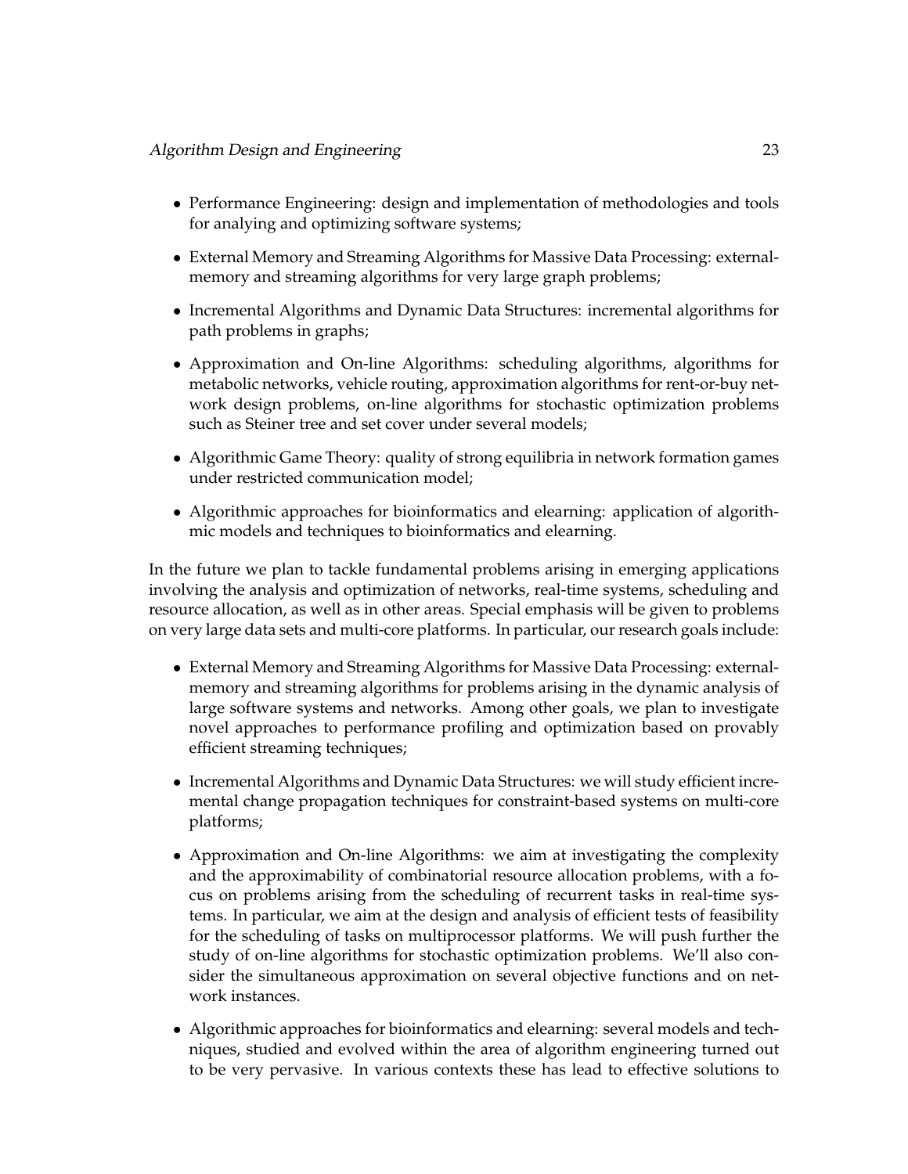- Performance Engineering: design and implementation of methodologies and tools for analying and optimizing software systems;
- External Memory and Streaming Algorithms for Massive Data Processing: externalmemory and streaming algorithms for very large graph problems;
- Incremental Algorithms and Dynamic Data Structures: incremental algorithms for path problems in graphs;
- Approximation and On-line Algorithms: scheduling algorithms, algorithms for metabolic networks, vehicle routing, approximation algorithms for rent-or-buy network design problems, on-line algorithms for stochastic optimization problems such as Steiner tree and set cover under several models;
- Algorithmic Game Theory: quality of strong equilibria in network formation games under restricted communication model;
- Algorithmic approaches for bioinformatics and elearning: application of algorithmic models and techniques to bioinformatics and elearning.

In the future we plan to tackle fundamental problems arising in emerging applications involving the analysis and optimization of networks, real-time systems, scheduling and resource allocation, as well as in other areas. Special emphasis will be given to problems on very large data sets and multi-core platforms. In particular, our research goals include:

- External Memory and Streaming Algorithms for Massive Data Processing: externalmemory and streaming algorithms for problems arising in the dynamic analysis of large software systems and networks. Among other goals, we plan to investigate novel approaches to performance profiling and optimization based on provably efficient streaming techniques;
- Incremental Algorithms and Dynamic Data Structures: we will study efficient incremental change propagation techniques for constraint-based systems on multi-core platforms;
- Approximation and On-line Algorithms: we aim at investigating the complexity and the approximability of combinatorial resource allocation problems, with a focus on problems arising from the scheduling of recurrent tasks in real-time systems. In particular, we aim at the design and analysis of efficient tests of feasibility for the scheduling of tasks on multiprocessor platforms. We will push further the study of on-line algorithms for stochastic optimization problems. We'll also consider the simultaneous approximation on several objective functions and on network instances.
- Algorithmic approaches for bioinformatics and elearning: several models and techniques, studied and evolved within the area of algorithm engineering turned out to be very pervasive. In various contexts these has lead to effective solutions to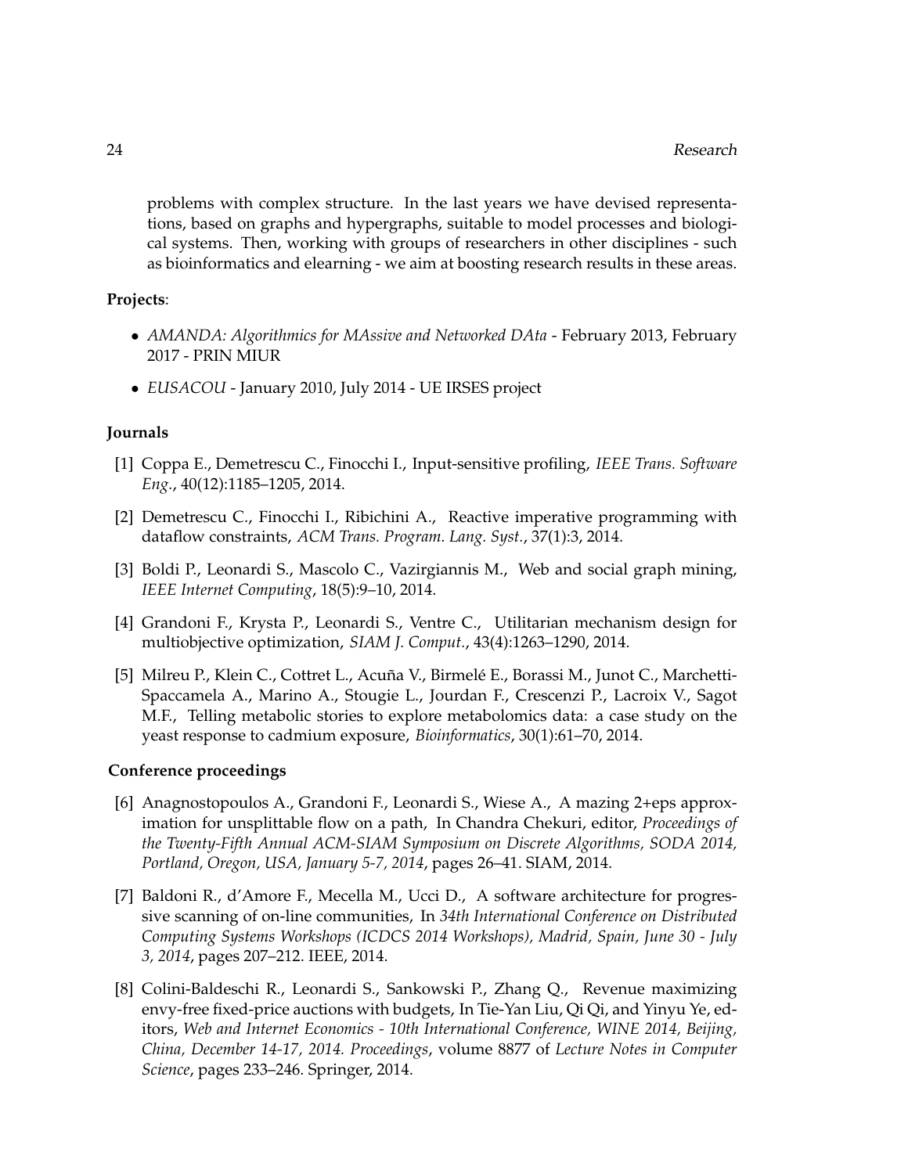problems with complex structure. In the last years we have devised representations, based on graphs and hypergraphs, suitable to model processes and biological systems. Then, working with groups of researchers in other disciplines - such as bioinformatics and elearning - we aim at boosting research results in these areas.

#### **Projects**:

- *AMANDA: Algorithmics for MAssive and Networked DAta* February 2013, February 2017 - PRIN MIUR
- *EUSACOU* January 2010, July 2014 UE IRSES project

#### **Journals**

- [1] Coppa E., Demetrescu C., Finocchi I., Input-sensitive profiling, *IEEE Trans. Software Eng.*, 40(12):1185–1205, 2014.
- [2] Demetrescu C., Finocchi I., Ribichini A., Reactive imperative programming with dataflow constraints, *ACM Trans. Program. Lang. Syst.*, 37(1):3, 2014.
- [3] Boldi P., Leonardi S., Mascolo C., Vazirgiannis M., Web and social graph mining, *IEEE Internet Computing*, 18(5):9–10, 2014.
- [4] Grandoni F., Krysta P., Leonardi S., Ventre C., Utilitarian mechanism design for multiobjective optimization, *SIAM J. Comput.*, 43(4):1263–1290, 2014.
- [5] Milreu P., Klein C., Cottret L., Acuña V., Birmelé E., Borassi M., Junot C., Marchetti-Spaccamela A., Marino A., Stougie L., Jourdan F., Crescenzi P., Lacroix V., Sagot M.F., Telling metabolic stories to explore metabolomics data: a case study on the yeast response to cadmium exposure, *Bioinformatics*, 30(1):61–70, 2014.

#### **Conference proceedings**

- [6] Anagnostopoulos A., Grandoni F., Leonardi S., Wiese A., A mazing 2+eps approximation for unsplittable flow on a path, In Chandra Chekuri, editor, *Proceedings of the Twenty-Fifth Annual ACM-SIAM Symposium on Discrete Algorithms, SODA 2014, Portland, Oregon, USA, January 5-7, 2014*, pages 26–41. SIAM, 2014.
- [7] Baldoni R., d'Amore F., Mecella M., Ucci D., A software architecture for progressive scanning of on-line communities, In *34th International Conference on Distributed Computing Systems Workshops (ICDCS 2014 Workshops), Madrid, Spain, June 30 - July 3, 2014*, pages 207–212. IEEE, 2014.
- [8] Colini-Baldeschi R., Leonardi S., Sankowski P., Zhang Q., Revenue maximizing envy-free fixed-price auctions with budgets, In Tie-Yan Liu, Qi Qi, and Yinyu Ye, editors, *Web and Internet Economics - 10th International Conference, WINE 2014, Beijing, China, December 14-17, 2014. Proceedings*, volume 8877 of *Lecture Notes in Computer Science*, pages 233–246. Springer, 2014.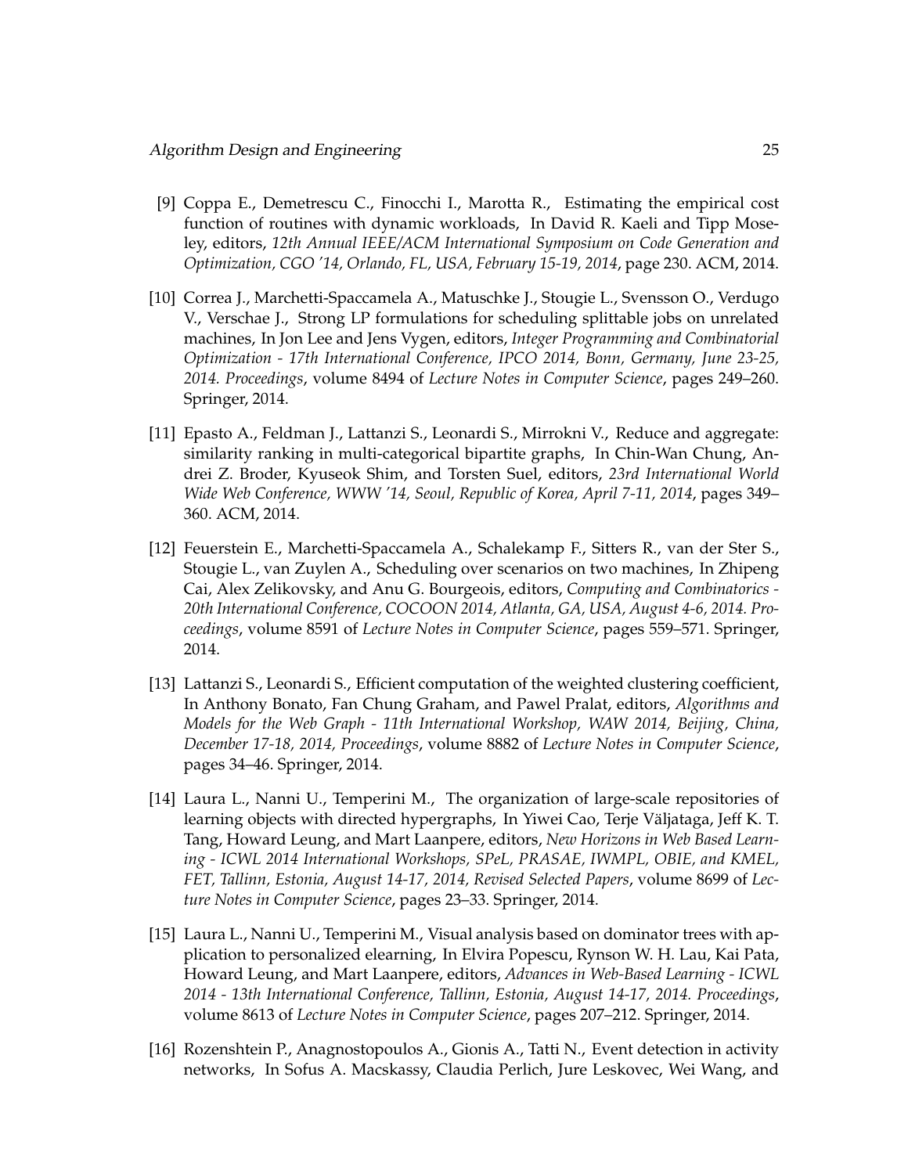- [9] Coppa E., Demetrescu C., Finocchi I., Marotta R., Estimating the empirical cost function of routines with dynamic workloads, In David R. Kaeli and Tipp Moseley, editors, *12th Annual IEEE/ACM International Symposium on Code Generation and Optimization, CGO '14, Orlando, FL, USA, February 15-19, 2014*, page 230. ACM, 2014.
- [10] Correa J., Marchetti-Spaccamela A., Matuschke J., Stougie L., Svensson O., Verdugo V., Verschae J., Strong LP formulations for scheduling splittable jobs on unrelated machines, In Jon Lee and Jens Vygen, editors, *Integer Programming and Combinatorial Optimization - 17th International Conference, IPCO 2014, Bonn, Germany, June 23-25, 2014. Proceedings*, volume 8494 of *Lecture Notes in Computer Science*, pages 249–260. Springer, 2014.
- [11] Epasto A., Feldman J., Lattanzi S., Leonardi S., Mirrokni V., Reduce and aggregate: similarity ranking in multi-categorical bipartite graphs, In Chin-Wan Chung, Andrei Z. Broder, Kyuseok Shim, and Torsten Suel, editors, *23rd International World Wide Web Conference, WWW '14, Seoul, Republic of Korea, April 7-11, 2014*, pages 349– 360. ACM, 2014.
- [12] Feuerstein E., Marchetti-Spaccamela A., Schalekamp F., Sitters R., van der Ster S., Stougie L., van Zuylen A., Scheduling over scenarios on two machines, In Zhipeng Cai, Alex Zelikovsky, and Anu G. Bourgeois, editors, *Computing and Combinatorics - 20th International Conference, COCOON 2014, Atlanta, GA, USA, August 4-6, 2014. Proceedings*, volume 8591 of *Lecture Notes in Computer Science*, pages 559–571. Springer, 2014.
- [13] Lattanzi S., Leonardi S., Efficient computation of the weighted clustering coefficient, In Anthony Bonato, Fan Chung Graham, and Pawel Pralat, editors, *Algorithms and Models for the Web Graph - 11th International Workshop, WAW 2014, Beijing, China, December 17-18, 2014, Proceedings*, volume 8882 of *Lecture Notes in Computer Science*, pages 34–46. Springer, 2014.
- [14] Laura L., Nanni U., Temperini M., The organization of large-scale repositories of learning objects with directed hypergraphs, In Yiwei Cao, Terje Väljataga, Jeff K. T. Tang, Howard Leung, and Mart Laanpere, editors, *New Horizons in Web Based Learning - ICWL 2014 International Workshops, SPeL, PRASAE, IWMPL, OBIE, and KMEL, FET, Tallinn, Estonia, August 14-17, 2014, Revised Selected Papers*, volume 8699 of *Lecture Notes in Computer Science*, pages 23–33. Springer, 2014.
- [15] Laura L., Nanni U., Temperini M., Visual analysis based on dominator trees with application to personalized elearning, In Elvira Popescu, Rynson W. H. Lau, Kai Pata, Howard Leung, and Mart Laanpere, editors, *Advances in Web-Based Learning - ICWL 2014 - 13th International Conference, Tallinn, Estonia, August 14-17, 2014. Proceedings*, volume 8613 of *Lecture Notes in Computer Science*, pages 207–212. Springer, 2014.
- [16] Rozenshtein P., Anagnostopoulos A., Gionis A., Tatti N., Event detection in activity networks, In Sofus A. Macskassy, Claudia Perlich, Jure Leskovec, Wei Wang, and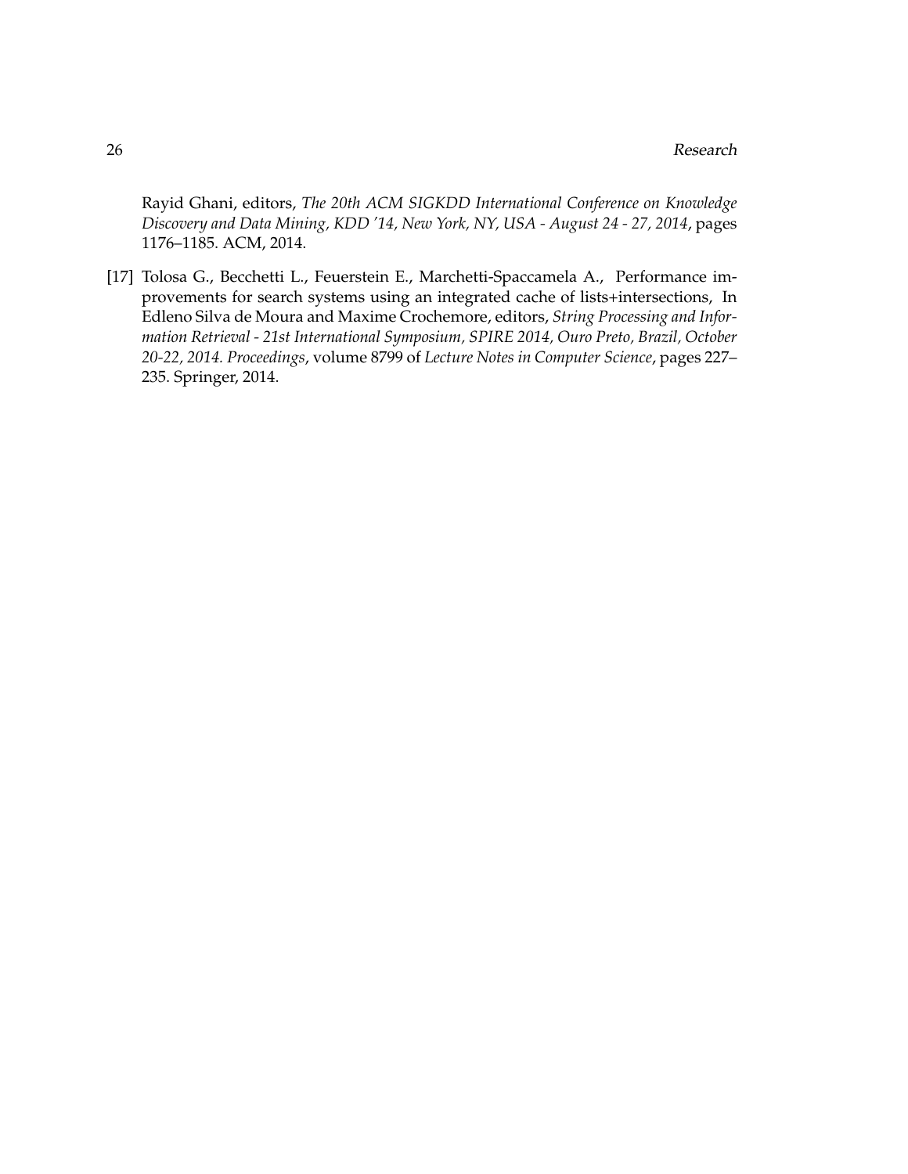Rayid Ghani, editors, *The 20th ACM SIGKDD International Conference on Knowledge Discovery and Data Mining, KDD '14, New York, NY, USA - August 24 - 27, 2014*, pages 1176–1185. ACM, 2014.

[17] Tolosa G., Becchetti L., Feuerstein E., Marchetti-Spaccamela A., Performance improvements for search systems using an integrated cache of lists+intersections, In Edleno Silva de Moura and Maxime Crochemore, editors, *String Processing and Information Retrieval - 21st International Symposium, SPIRE 2014, Ouro Preto, Brazil, October 20-22, 2014. Proceedings*, volume 8799 of *Lecture Notes in Computer Science*, pages 227– 235. Springer, 2014.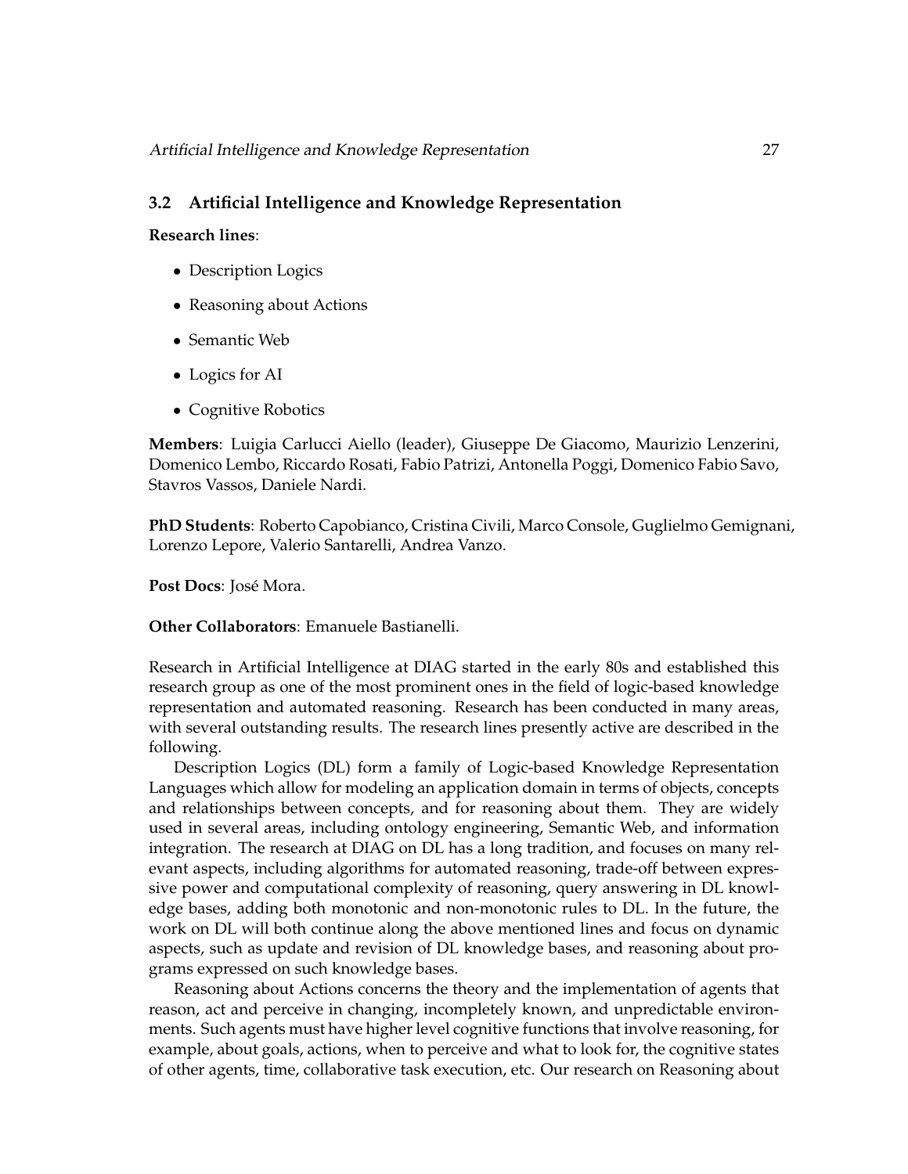#### <span id="page-30-0"></span>**3.2 Artificial Intelligence and Knowledge Representation**

#### **Research lines**:

- Description Logics
- Reasoning about Actions
- Semantic Web
- Logics for AI
- Cognitive Robotics

**Members**: Luigia Carlucci Aiello (leader), Giuseppe De Giacomo, Maurizio Lenzerini, Domenico Lembo, Riccardo Rosati, Fabio Patrizi, Antonella Poggi, Domenico Fabio Savo, Stavros Vassos, Daniele Nardi.

**PhD Students**: Roberto Capobianco, Cristina Civili, Marco Console, Guglielmo Gemignani, Lorenzo Lepore, Valerio Santarelli, Andrea Vanzo.

Post Docs: José Mora.

**Other Collaborators**: Emanuele Bastianelli.

Research in Artificial Intelligence at DIAG started in the early 80s and established this research group as one of the most prominent ones in the field of logic-based knowledge representation and automated reasoning. Research has been conducted in many areas, with several outstanding results. The research lines presently active are described in the following.

Description Logics (DL) form a family of Logic-based Knowledge Representation Languages which allow for modeling an application domain in terms of objects, concepts and relationships between concepts, and for reasoning about them. They are widely used in several areas, including ontology engineering, Semantic Web, and information integration. The research at DIAG on DL has a long tradition, and focuses on many relevant aspects, including algorithms for automated reasoning, trade-off between expressive power and computational complexity of reasoning, query answering in DL knowledge bases, adding both monotonic and non-monotonic rules to DL. In the future, the work on DL will both continue along the above mentioned lines and focus on dynamic aspects, such as update and revision of DL knowledge bases, and reasoning about programs expressed on such knowledge bases.

Reasoning about Actions concerns the theory and the implementation of agents that reason, act and perceive in changing, incompletely known, and unpredictable environments. Such agents must have higher level cognitive functions that involve reasoning, for example, about goals, actions, when to perceive and what to look for, the cognitive states of other agents, time, collaborative task execution, etc. Our research on Reasoning about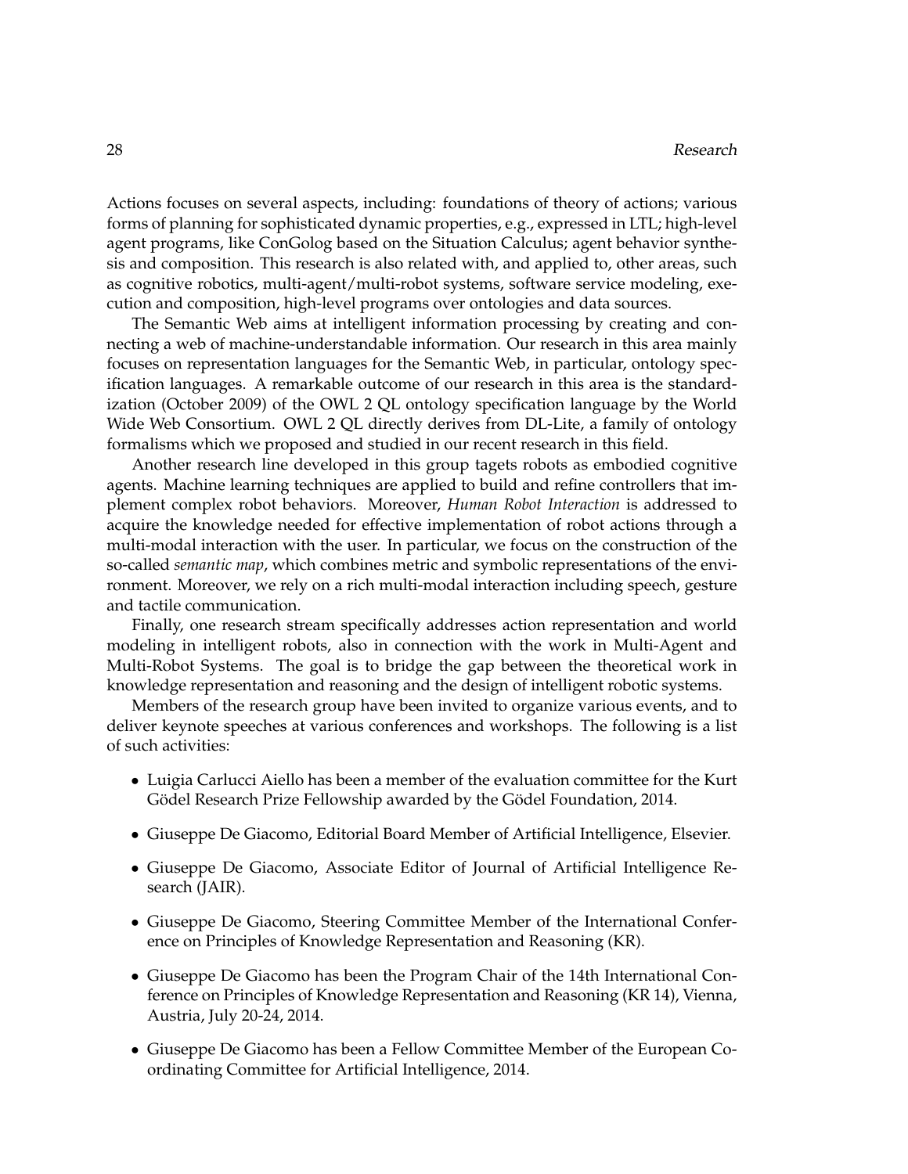Actions focuses on several aspects, including: foundations of theory of actions; various forms of planning for sophisticated dynamic properties, e.g., expressed in LTL; high-level agent programs, like ConGolog based on the Situation Calculus; agent behavior synthesis and composition. This research is also related with, and applied to, other areas, such as cognitive robotics, multi-agent/multi-robot systems, software service modeling, execution and composition, high-level programs over ontologies and data sources.

The Semantic Web aims at intelligent information processing by creating and connecting a web of machine-understandable information. Our research in this area mainly focuses on representation languages for the Semantic Web, in particular, ontology specification languages. A remarkable outcome of our research in this area is the standardization (October 2009) of the OWL 2 QL ontology specification language by the World Wide Web Consortium. OWL 2 QL directly derives from DL-Lite, a family of ontology formalisms which we proposed and studied in our recent research in this field.

Another research line developed in this group tagets robots as embodied cognitive agents. Machine learning techniques are applied to build and refine controllers that implement complex robot behaviors. Moreover, *Human Robot Interaction* is addressed to acquire the knowledge needed for effective implementation of robot actions through a multi-modal interaction with the user. In particular, we focus on the construction of the so-called *semantic map*, which combines metric and symbolic representations of the environment. Moreover, we rely on a rich multi-modal interaction including speech, gesture and tactile communication.

Finally, one research stream specifically addresses action representation and world modeling in intelligent robots, also in connection with the work in Multi-Agent and Multi-Robot Systems. The goal is to bridge the gap between the theoretical work in knowledge representation and reasoning and the design of intelligent robotic systems.

Members of the research group have been invited to organize various events, and to deliver keynote speeches at various conferences and workshops. The following is a list of such activities:

- Luigia Carlucci Aiello has been a member of the evaluation committee for the Kurt Gödel Research Prize Fellowship awarded by the Gödel Foundation, 2014.
- Giuseppe De Giacomo, Editorial Board Member of Artificial Intelligence, Elsevier.
- Giuseppe De Giacomo, Associate Editor of Journal of Artificial Intelligence Research (JAIR).
- Giuseppe De Giacomo, Steering Committee Member of the International Conference on Principles of Knowledge Representation and Reasoning (KR).
- Giuseppe De Giacomo has been the Program Chair of the 14th International Conference on Principles of Knowledge Representation and Reasoning (KR 14), Vienna, Austria, July 20-24, 2014.
- Giuseppe De Giacomo has been a Fellow Committee Member of the European Coordinating Committee for Artificial Intelligence, 2014.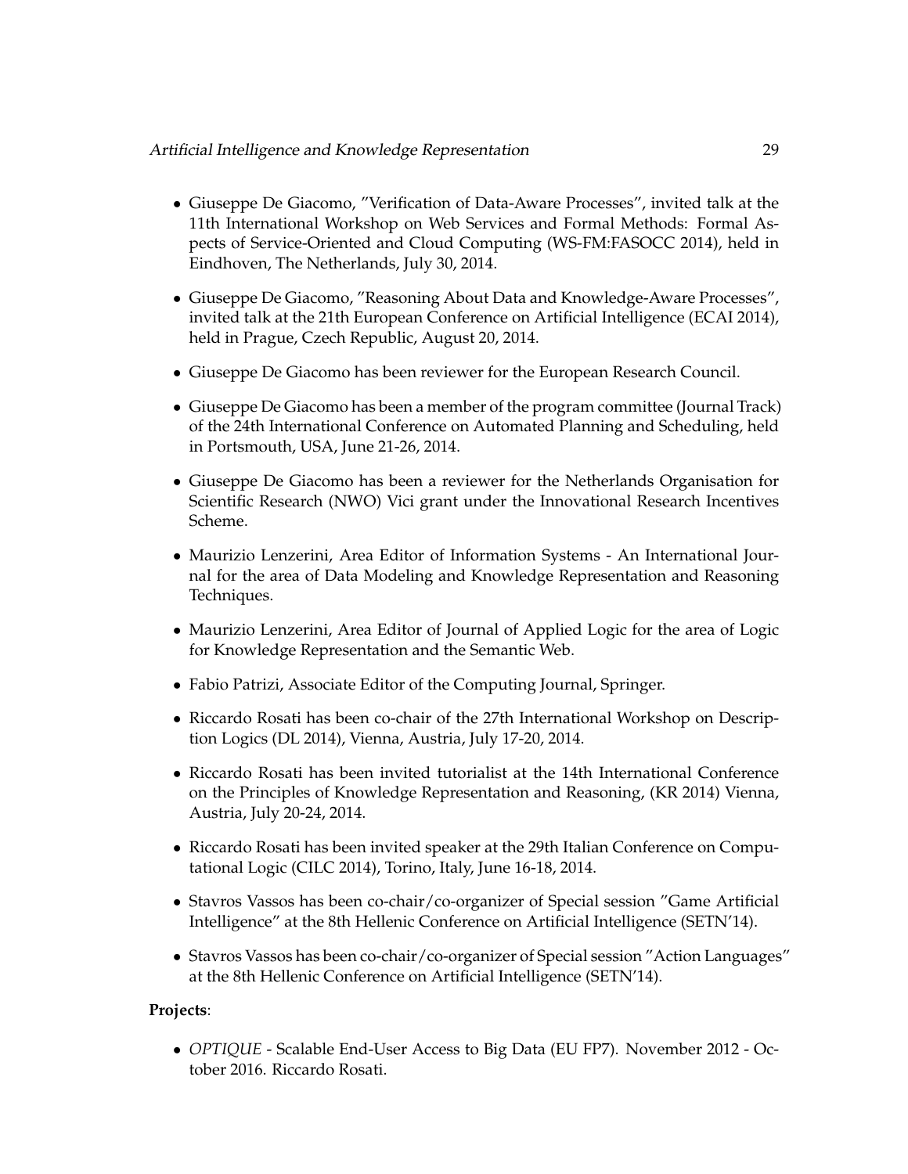#### Artificial Intelligence and Knowledge Representation 29

- Giuseppe De Giacomo, "Verification of Data-Aware Processes", invited talk at the 11th International Workshop on Web Services and Formal Methods: Formal Aspects of Service-Oriented and Cloud Computing (WS-FM:FASOCC 2014), held in Eindhoven, The Netherlands, July 30, 2014.
- Giuseppe De Giacomo, "Reasoning About Data and Knowledge-Aware Processes", invited talk at the 21th European Conference on Artificial Intelligence (ECAI 2014), held in Prague, Czech Republic, August 20, 2014.
- Giuseppe De Giacomo has been reviewer for the European Research Council.
- Giuseppe De Giacomo has been a member of the program committee (Journal Track) of the 24th International Conference on Automated Planning and Scheduling, held in Portsmouth, USA, June 21-26, 2014.
- Giuseppe De Giacomo has been a reviewer for the Netherlands Organisation for Scientific Research (NWO) Vici grant under the Innovational Research Incentives Scheme.
- Maurizio Lenzerini, Area Editor of Information Systems An International Journal for the area of Data Modeling and Knowledge Representation and Reasoning Techniques.
- Maurizio Lenzerini, Area Editor of Journal of Applied Logic for the area of Logic for Knowledge Representation and the Semantic Web.
- Fabio Patrizi, Associate Editor of the Computing Journal, Springer.
- Riccardo Rosati has been co-chair of the 27th International Workshop on Description Logics (DL 2014), Vienna, Austria, July 17-20, 2014.
- Riccardo Rosati has been invited tutorialist at the 14th International Conference on the Principles of Knowledge Representation and Reasoning, (KR 2014) Vienna, Austria, July 20-24, 2014.
- Riccardo Rosati has been invited speaker at the 29th Italian Conference on Computational Logic (CILC 2014), Torino, Italy, June 16-18, 2014.
- Stavros Vassos has been co-chair/co-organizer of Special session "Game Artificial Intelligence" at the 8th Hellenic Conference on Artificial Intelligence (SETN'14).
- Stavros Vassos has been co-chair/co-organizer of Special session "Action Languages" at the 8th Hellenic Conference on Artificial Intelligence (SETN'14).

#### **Projects**:

• *OPTIQUE* - Scalable End-User Access to Big Data (EU FP7). November 2012 - October 2016. Riccardo Rosati.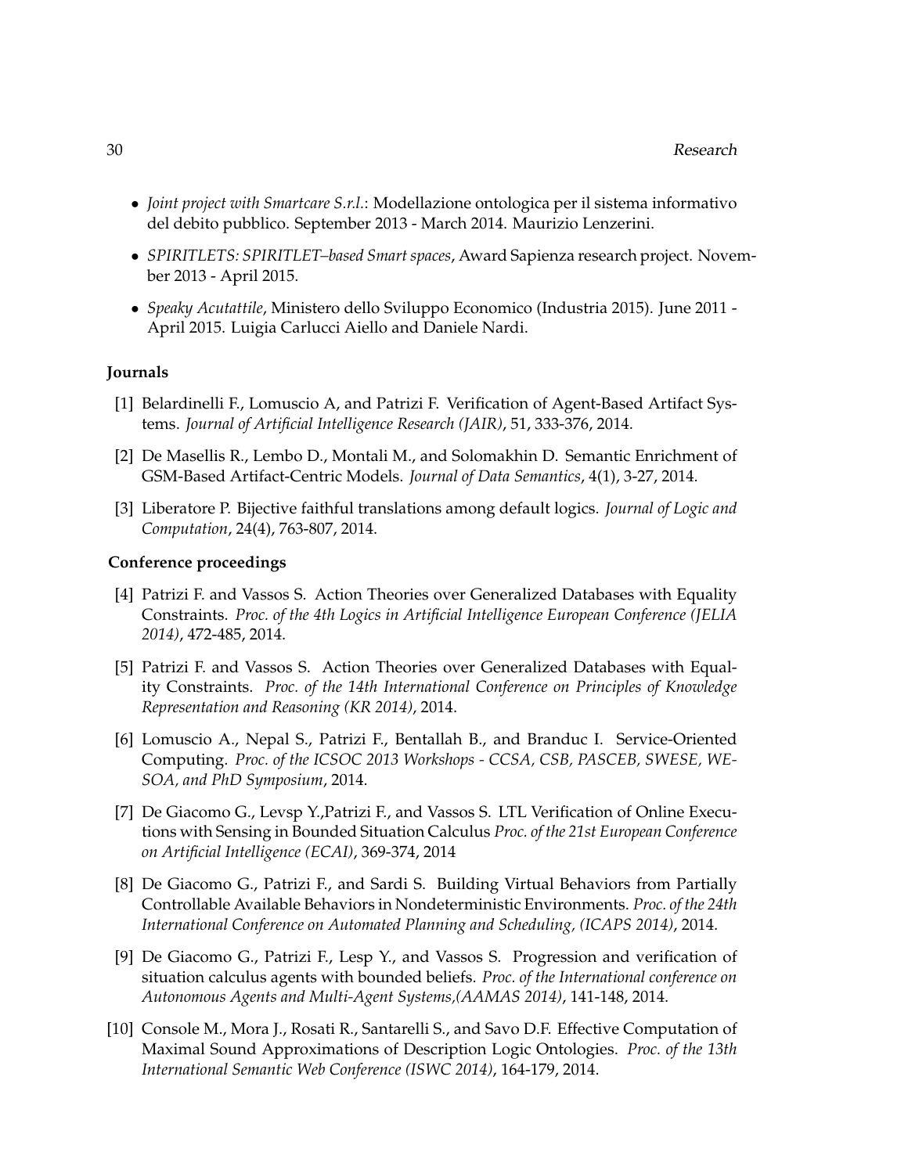- *Joint project with Smartcare S.r.l.*: Modellazione ontologica per il sistema informativo del debito pubblico. September 2013 - March 2014. Maurizio Lenzerini.
- *SPIRITLETS: SPIRITLET–based Smart spaces*, Award Sapienza research project. November 2013 - April 2015.
- *Speaky Acutattile*, Ministero dello Sviluppo Economico (Industria 2015). June 2011 April 2015. Luigia Carlucci Aiello and Daniele Nardi.

#### **Journals**

- [1] Belardinelli F., Lomuscio A, and Patrizi F. Verification of Agent-Based Artifact Systems. *Journal of Artificial Intelligence Research (JAIR)*, 51, 333-376, 2014.
- [2] De Masellis R., Lembo D., Montali M., and Solomakhin D. Semantic Enrichment of GSM-Based Artifact-Centric Models. *Journal of Data Semantics*, 4(1), 3-27, 2014.
- [3] Liberatore P. Bijective faithful translations among default logics. *Journal of Logic and Computation*, 24(4), 763-807, 2014.

#### **Conference proceedings**

- [4] Patrizi F. and Vassos S. Action Theories over Generalized Databases with Equality Constraints. *Proc. of the 4th Logics in Artificial Intelligence European Conference (JELIA 2014)*, 472-485, 2014.
- [5] Patrizi F. and Vassos S. Action Theories over Generalized Databases with Equality Constraints. *Proc. of the 14th International Conference on Principles of Knowledge Representation and Reasoning (KR 2014)*, 2014.
- [6] Lomuscio A., Nepal S., Patrizi F., Bentallah B., and Branduc I. Service-Oriented Computing. *Proc. of the ICSOC 2013 Workshops - CCSA, CSB, PASCEB, SWESE, WE-SOA, and PhD Symposium*, 2014.
- [7] De Giacomo G., Levsp Y.,Patrizi F., and Vassos S. LTL Verification of Online Executions with Sensing in Bounded Situation Calculus *Proc. of the 21st European Conference on Artificial Intelligence (ECAI)*, 369-374, 2014
- [8] De Giacomo G., Patrizi F., and Sardi S. Building Virtual Behaviors from Partially Controllable Available Behaviors in Nondeterministic Environments. *Proc. of the 24th International Conference on Automated Planning and Scheduling, (ICAPS 2014)*, 2014.
- [9] De Giacomo G., Patrizi F., Lesp Y., and Vassos S. Progression and verification of situation calculus agents with bounded beliefs. *Proc. of the International conference on Autonomous Agents and Multi-Agent Systems,(AAMAS 2014)*, 141-148, 2014.
- [10] Console M., Mora J., Rosati R., Santarelli S., and Savo D.F. Effective Computation of Maximal Sound Approximations of Description Logic Ontologies. *Proc. of the 13th International Semantic Web Conference (ISWC 2014)*, 164-179, 2014.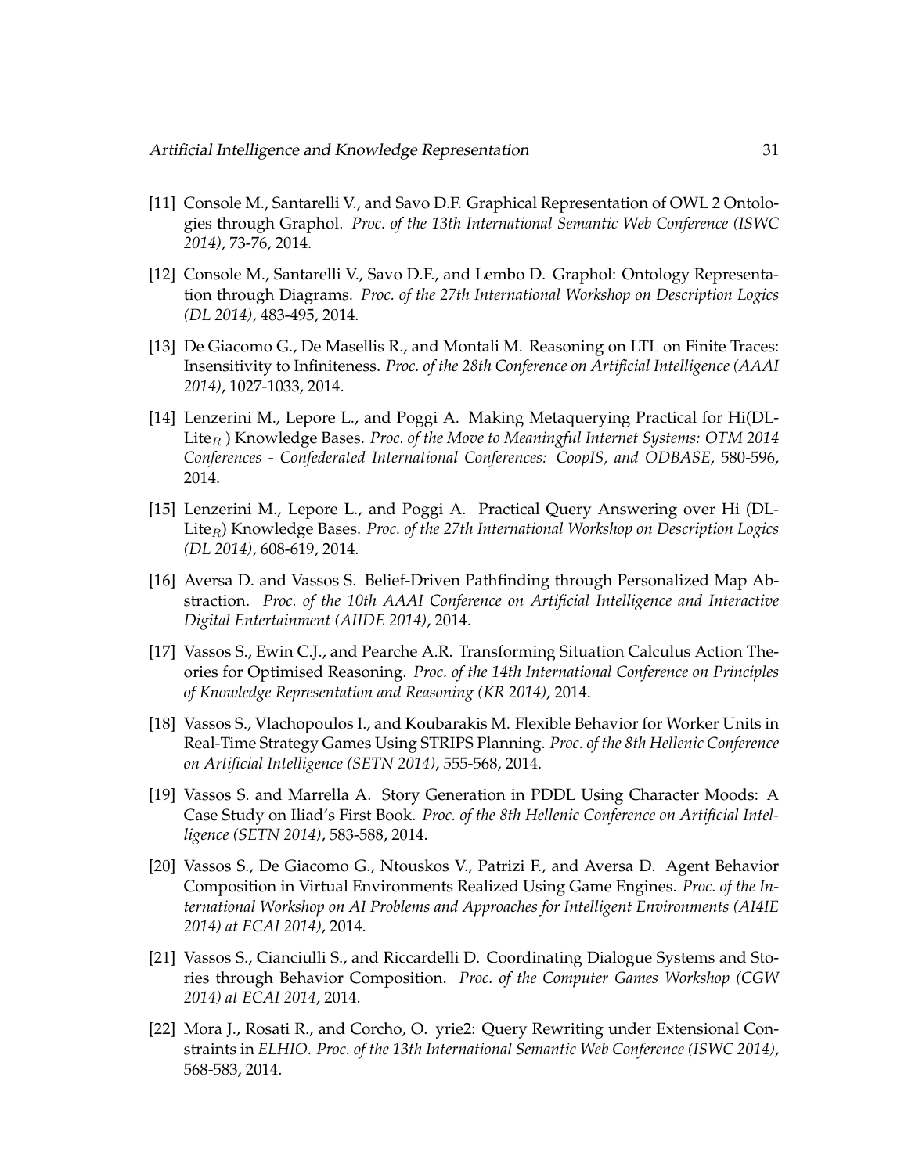- [11] Console M., Santarelli V., and Savo D.F. Graphical Representation of OWL 2 Ontologies through Graphol. *Proc. of the 13th International Semantic Web Conference (ISWC 2014)*, 73-76, 2014.
- [12] Console M., Santarelli V., Savo D.F., and Lembo D. Graphol: Ontology Representation through Diagrams. *Proc. of the 27th International Workshop on Description Logics (DL 2014)*, 483-495, 2014.
- [13] De Giacomo G., De Masellis R., and Montali M. Reasoning on LTL on Finite Traces: Insensitivity to Infiniteness. *Proc. of the 28th Conference on Artificial Intelligence (AAAI 2014)*, 1027-1033, 2014.
- [14] Lenzerini M., Lepore L., and Poggi A. Making Metaquerying Practical for Hi(DL-Lite<sub>R</sub>) Knowledge Bases. *Proc. of the Move to Meaningful Internet Systems: OTM 2014 Conferences - Confederated International Conferences: CoopIS, and ODBASE*, 580-596, 2014.
- [15] Lenzerini M., Lepore L., and Poggi A. Practical Query Answering over Hi (DL-Lite<sub>R</sub>) Knowledge Bases. *Proc. of the 27th International Workshop on Description Logics (DL 2014)*, 608-619, 2014.
- [16] Aversa D. and Vassos S. Belief-Driven Pathfinding through Personalized Map Abstraction. *Proc. of the 10th AAAI Conference on Artificial Intelligence and Interactive Digital Entertainment (AIIDE 2014)*, 2014.
- [17] Vassos S., Ewin C.J., and Pearche A.R. Transforming Situation Calculus Action Theories for Optimised Reasoning. *Proc. of the 14th International Conference on Principles of Knowledge Representation and Reasoning (KR 2014)*, 2014.
- [18] Vassos S., Vlachopoulos I., and Koubarakis M. Flexible Behavior for Worker Units in Real-Time Strategy Games Using STRIPS Planning. *Proc. of the 8th Hellenic Conference on Artificial Intelligence (SETN 2014)*, 555-568, 2014.
- [19] Vassos S. and Marrella A. Story Generation in PDDL Using Character Moods: A Case Study on Iliad's First Book. *Proc. of the 8th Hellenic Conference on Artificial Intelligence (SETN 2014)*, 583-588, 2014.
- [20] Vassos S., De Giacomo G., Ntouskos V., Patrizi F., and Aversa D. Agent Behavior Composition in Virtual Environments Realized Using Game Engines. *Proc. of the International Workshop on AI Problems and Approaches for Intelligent Environments (AI4IE 2014) at ECAI 2014)*, 2014.
- [21] Vassos S., Cianciulli S., and Riccardelli D. Coordinating Dialogue Systems and Stories through Behavior Composition. *Proc. of the Computer Games Workshop (CGW 2014) at ECAI 2014*, 2014.
- [22] Mora J., Rosati R., and Corcho, O. yrie2: Query Rewriting under Extensional Constraints in *ELHIO*. *Proc. of the 13th International Semantic Web Conference (ISWC 2014)*, 568-583, 2014.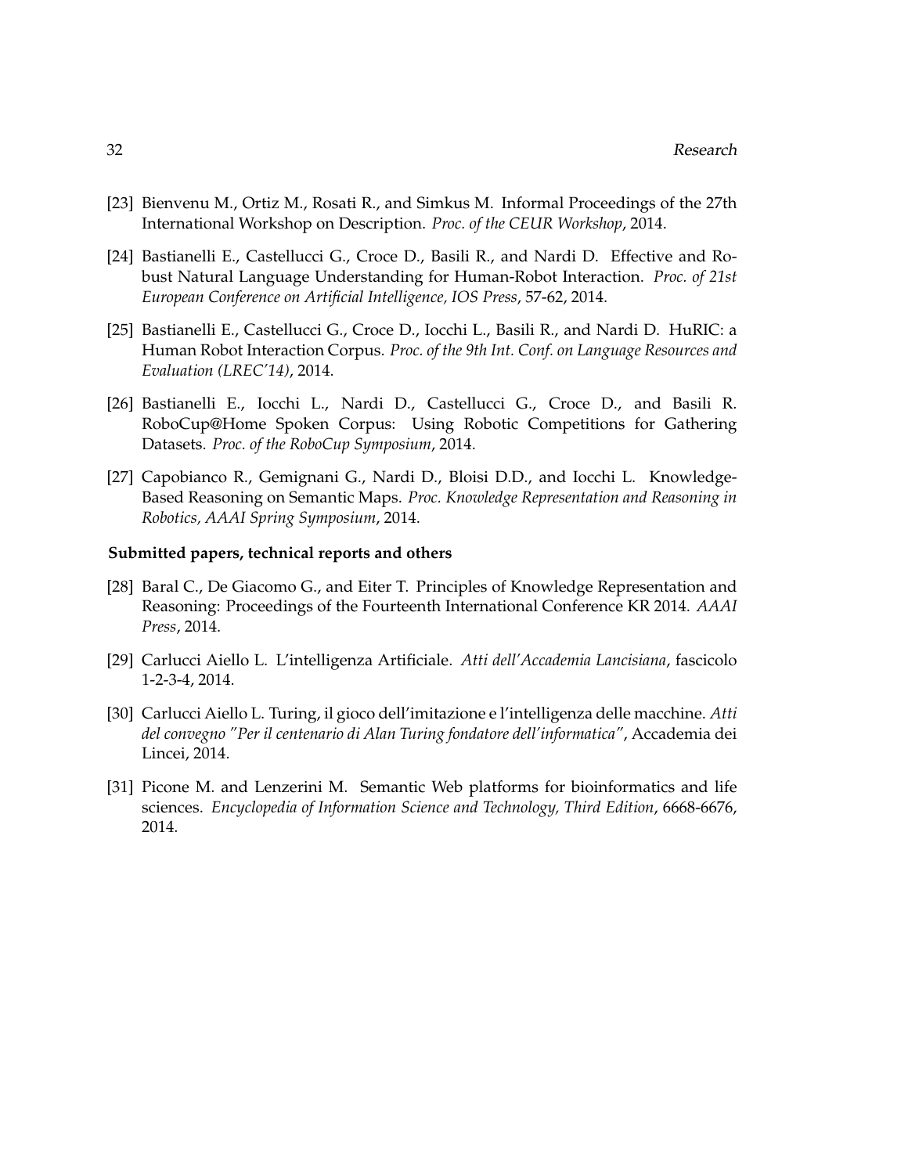- [23] Bienvenu M., Ortiz M., Rosati R., and Simkus M. Informal Proceedings of the 27th International Workshop on Description. *Proc. of the CEUR Workshop*, 2014.
- [24] Bastianelli E., Castellucci G., Croce D., Basili R., and Nardi D. Effective and Robust Natural Language Understanding for Human-Robot Interaction. *Proc. of 21st European Conference on Artificial Intelligence, IOS Press*, 57-62, 2014.
- [25] Bastianelli E., Castellucci G., Croce D., Iocchi L., Basili R., and Nardi D. HuRIC: a Human Robot Interaction Corpus. *Proc. of the 9th Int. Conf. on Language Resources and Evaluation (LREC'14)*, 2014.
- [26] Bastianelli E., Iocchi L., Nardi D., Castellucci G., Croce D., and Basili R. RoboCup@Home Spoken Corpus: Using Robotic Competitions for Gathering Datasets. *Proc. of the RoboCup Symposium*, 2014.
- [27] Capobianco R., Gemignani G., Nardi D., Bloisi D.D., and Iocchi L. Knowledge-Based Reasoning on Semantic Maps. *Proc. Knowledge Representation and Reasoning in Robotics, AAAI Spring Symposium*, 2014.

#### **Submitted papers, technical reports and others**

- [28] Baral C., De Giacomo G., and Eiter T. Principles of Knowledge Representation and Reasoning: Proceedings of the Fourteenth International Conference KR 2014. *AAAI Press*, 2014.
- [29] Carlucci Aiello L. L'intelligenza Artificiale. *Atti dell'Accademia Lancisiana*, fascicolo 1-2-3-4, 2014.
- [30] Carlucci Aiello L. Turing, il gioco dell'imitazione e l'intelligenza delle macchine. *Atti del convegno "Per il centenario di Alan Turing fondatore dell'informatica"*, Accademia dei Lincei, 2014.
- [31] Picone M. and Lenzerini M. Semantic Web platforms for bioinformatics and life sciences. *Encyclopedia of Information Science and Technology, Third Edition*, 6668-6676, 2014.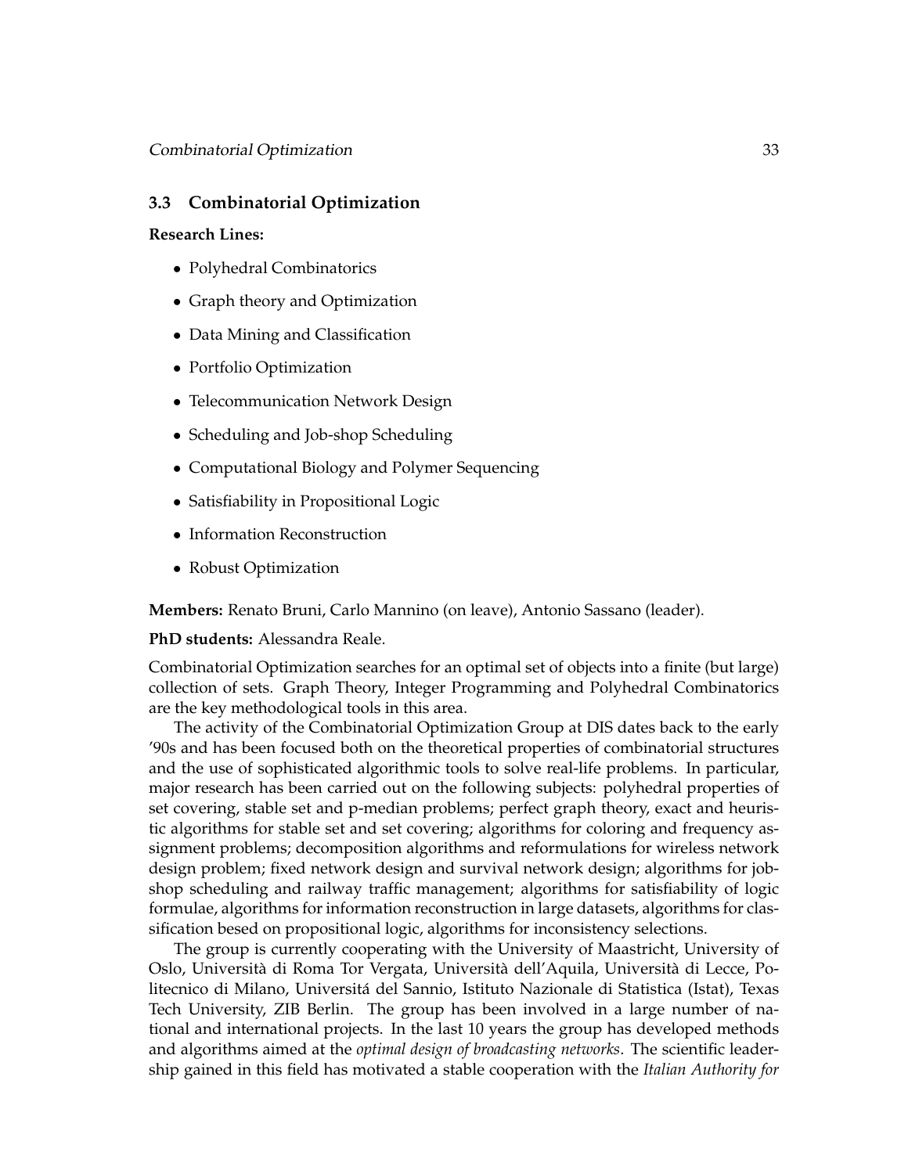# **3.3 Combinatorial Optimization**

#### **Research Lines:**

- Polyhedral Combinatorics
- Graph theory and Optimization
- Data Mining and Classification
- Portfolio Optimization
- Telecommunication Network Design
- Scheduling and Job-shop Scheduling
- Computational Biology and Polymer Sequencing
- Satisfiability in Propositional Logic
- Information Reconstruction
- Robust Optimization

**Members:** Renato Bruni, Carlo Mannino (on leave), Antonio Sassano (leader).

#### **PhD students:** Alessandra Reale.

Combinatorial Optimization searches for an optimal set of objects into a finite (but large) collection of sets. Graph Theory, Integer Programming and Polyhedral Combinatorics are the key methodological tools in this area.

The activity of the Combinatorial Optimization Group at DIS dates back to the early '90s and has been focused both on the theoretical properties of combinatorial structures and the use of sophisticated algorithmic tools to solve real-life problems. In particular, major research has been carried out on the following subjects: polyhedral properties of set covering, stable set and p-median problems; perfect graph theory, exact and heuristic algorithms for stable set and set covering; algorithms for coloring and frequency assignment problems; decomposition algorithms and reformulations for wireless network design problem; fixed network design and survival network design; algorithms for jobshop scheduling and railway traffic management; algorithms for satisfiability of logic formulae, algorithms for information reconstruction in large datasets, algorithms for classification besed on propositional logic, algorithms for inconsistency selections.

The group is currently cooperating with the University of Maastricht, University of Oslo, Università di Roma Tor Vergata, Università dell'Aquila, Università di Lecce, Politecnico di Milano, Universita del Sannio, Istituto Nazionale di Statistica (Istat), Texas ´ Tech University, ZIB Berlin. The group has been involved in a large number of national and international projects. In the last 10 years the group has developed methods and algorithms aimed at the *optimal design of broadcasting networks*. The scientific leadership gained in this field has motivated a stable cooperation with the *Italian Authority for*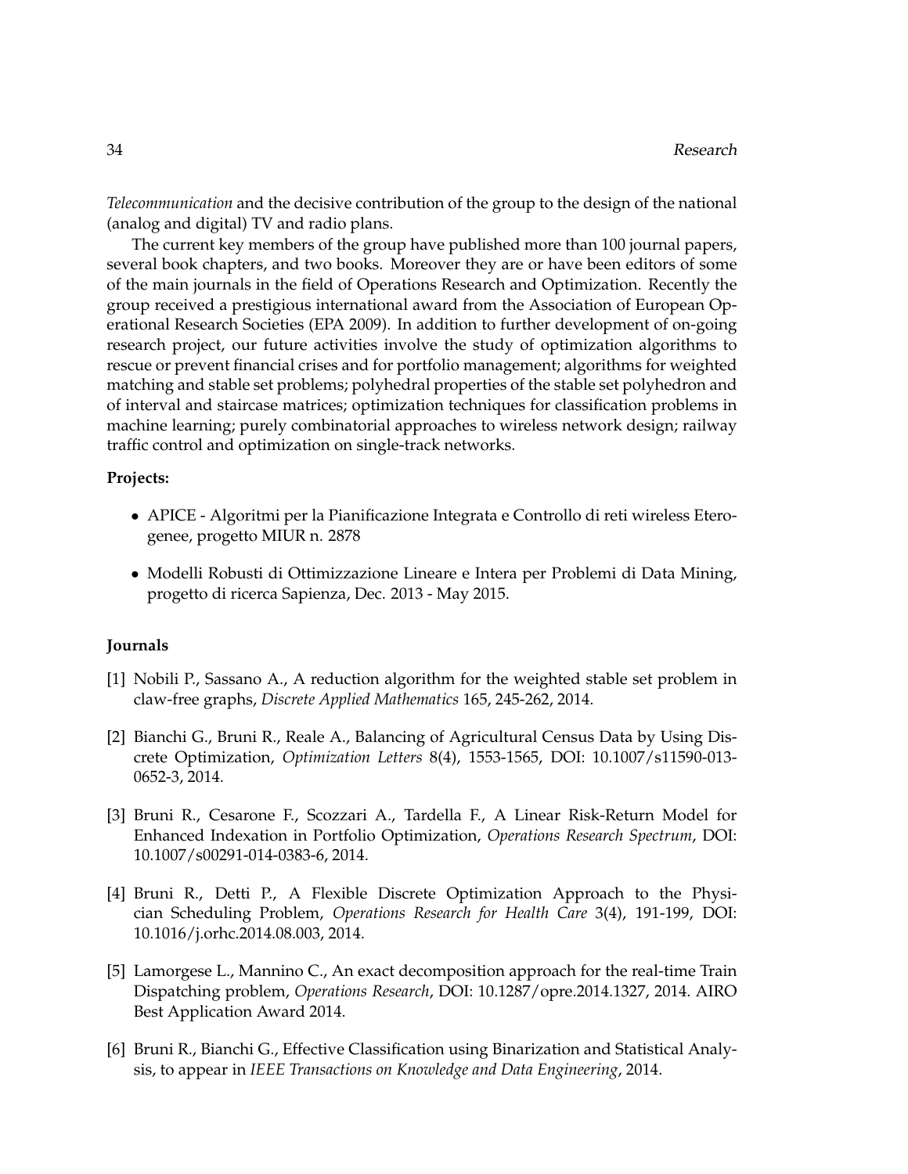*Telecommunication* and the decisive contribution of the group to the design of the national (analog and digital) TV and radio plans.

The current key members of the group have published more than 100 journal papers, several book chapters, and two books. Moreover they are or have been editors of some of the main journals in the field of Operations Research and Optimization. Recently the group received a prestigious international award from the Association of European Operational Research Societies (EPA 2009). In addition to further development of on-going research project, our future activities involve the study of optimization algorithms to rescue or prevent financial crises and for portfolio management; algorithms for weighted matching and stable set problems; polyhedral properties of the stable set polyhedron and of interval and staircase matrices; optimization techniques for classification problems in machine learning; purely combinatorial approaches to wireless network design; railway traffic control and optimization on single-track networks.

#### **Projects:**

- APICE Algoritmi per la Pianificazione Integrata e Controllo di reti wireless Eterogenee, progetto MIUR n. 2878
- Modelli Robusti di Ottimizzazione Lineare e Intera per Problemi di Data Mining, progetto di ricerca Sapienza, Dec. 2013 - May 2015.

#### **Journals**

- [1] Nobili P., Sassano A., A reduction algorithm for the weighted stable set problem in claw-free graphs, *Discrete Applied Mathematics* 165, 245-262, 2014.
- [2] Bianchi G., Bruni R., Reale A., Balancing of Agricultural Census Data by Using Discrete Optimization, *Optimization Letters* 8(4), 1553-1565, DOI: 10.1007/s11590-013- 0652-3, 2014.
- [3] Bruni R., Cesarone F., Scozzari A., Tardella F., A Linear Risk-Return Model for Enhanced Indexation in Portfolio Optimization, *Operations Research Spectrum*, DOI: 10.1007/s00291-014-0383-6, 2014.
- [4] Bruni R., Detti P., A Flexible Discrete Optimization Approach to the Physician Scheduling Problem, *Operations Research for Health Care* 3(4), 191-199, DOI: 10.1016/j.orhc.2014.08.003, 2014.
- [5] Lamorgese L., Mannino C., An exact decomposition approach for the real-time Train Dispatching problem, *Operations Research*, DOI: 10.1287/opre.2014.1327, 2014. AIRO Best Application Award 2014.
- [6] Bruni R., Bianchi G., Effective Classification using Binarization and Statistical Analysis, to appear in *IEEE Transactions on Knowledge and Data Engineering*, 2014.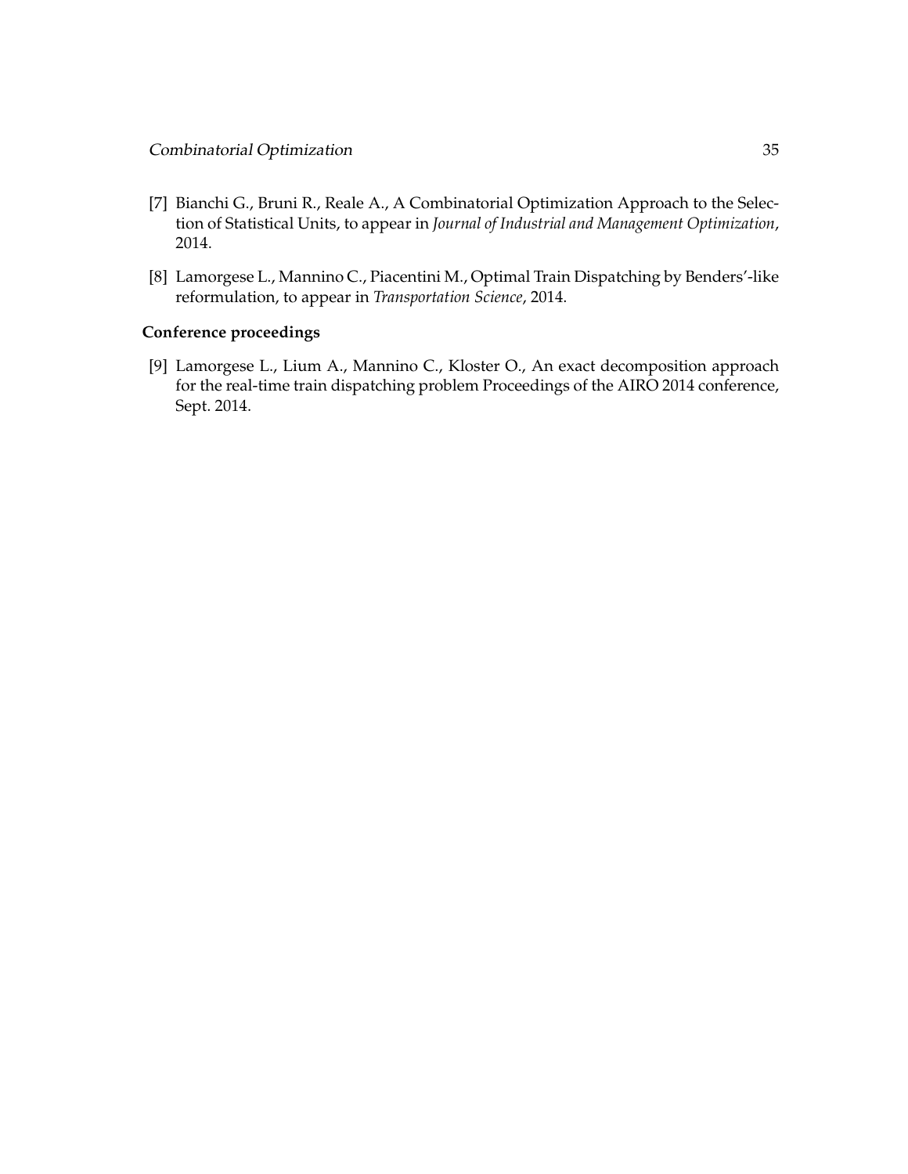- [7] Bianchi G., Bruni R., Reale A., A Combinatorial Optimization Approach to the Selection of Statistical Units, to appear in *Journal of Industrial and Management Optimization*, 2014.
- [8] Lamorgese L., Mannino C., Piacentini M., Optimal Train Dispatching by Benders'-like reformulation, to appear in *Transportation Science*, 2014.

# **Conference proceedings**

[9] Lamorgese L., Lium A., Mannino C., Kloster O., An exact decomposition approach for the real-time train dispatching problem Proceedings of the AIRO 2014 conference, Sept. 2014.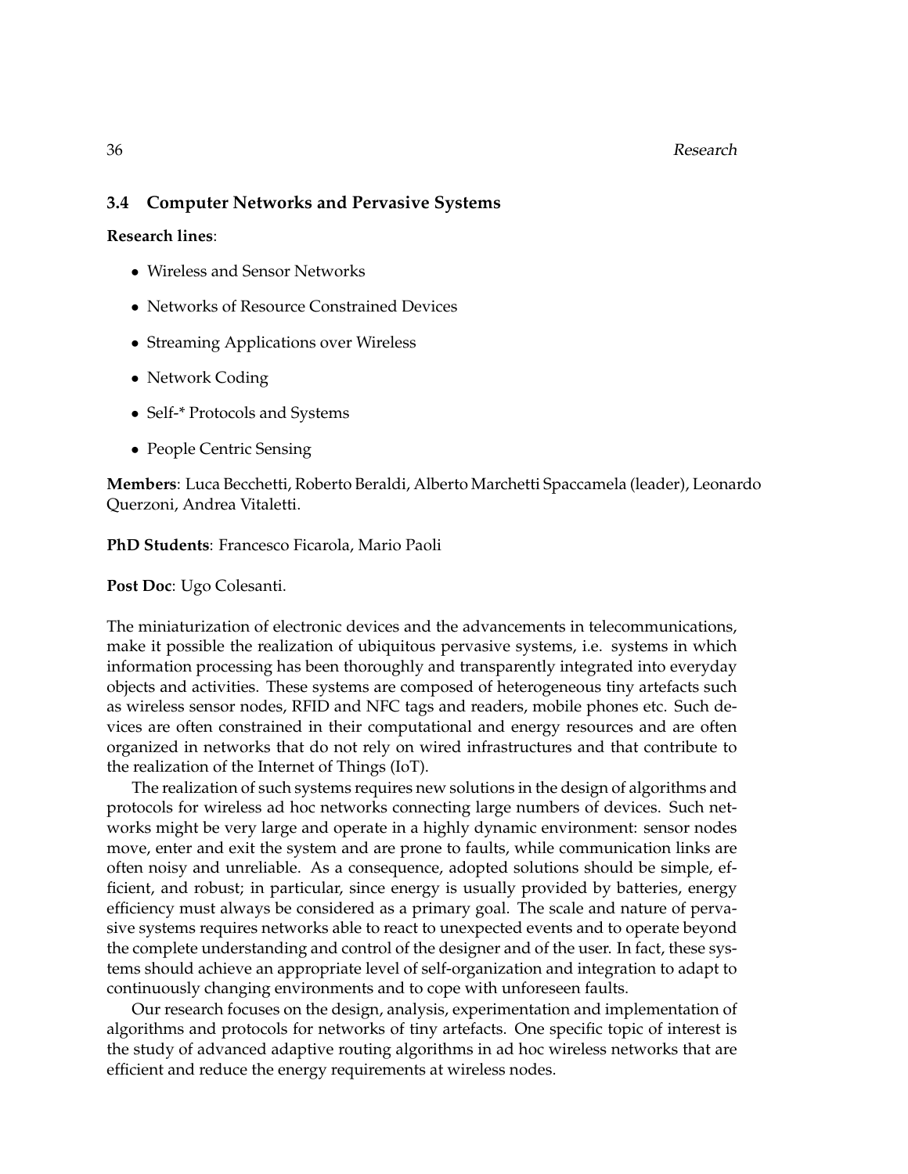## 36 Research

# **3.4 Computer Networks and Pervasive Systems**

**Research lines**:

- Wireless and Sensor Networks
- Networks of Resource Constrained Devices
- Streaming Applications over Wireless
- Network Coding
- Self-\* Protocols and Systems
- People Centric Sensing

**Members**: Luca Becchetti, Roberto Beraldi, Alberto Marchetti Spaccamela (leader), Leonardo Querzoni, Andrea Vitaletti.

**PhD Students**: Francesco Ficarola, Mario Paoli

**Post Doc**: Ugo Colesanti.

The miniaturization of electronic devices and the advancements in telecommunications, make it possible the realization of ubiquitous pervasive systems, i.e. systems in which information processing has been thoroughly and transparently integrated into everyday objects and activities. These systems are composed of heterogeneous tiny artefacts such as wireless sensor nodes, RFID and NFC tags and readers, mobile phones etc. Such devices are often constrained in their computational and energy resources and are often organized in networks that do not rely on wired infrastructures and that contribute to the realization of the Internet of Things (IoT).

The realization of such systems requires new solutions in the design of algorithms and protocols for wireless ad hoc networks connecting large numbers of devices. Such networks might be very large and operate in a highly dynamic environment: sensor nodes move, enter and exit the system and are prone to faults, while communication links are often noisy and unreliable. As a consequence, adopted solutions should be simple, efficient, and robust; in particular, since energy is usually provided by batteries, energy efficiency must always be considered as a primary goal. The scale and nature of pervasive systems requires networks able to react to unexpected events and to operate beyond the complete understanding and control of the designer and of the user. In fact, these systems should achieve an appropriate level of self-organization and integration to adapt to continuously changing environments and to cope with unforeseen faults.

Our research focuses on the design, analysis, experimentation and implementation of algorithms and protocols for networks of tiny artefacts. One specific topic of interest is the study of advanced adaptive routing algorithms in ad hoc wireless networks that are efficient and reduce the energy requirements at wireless nodes.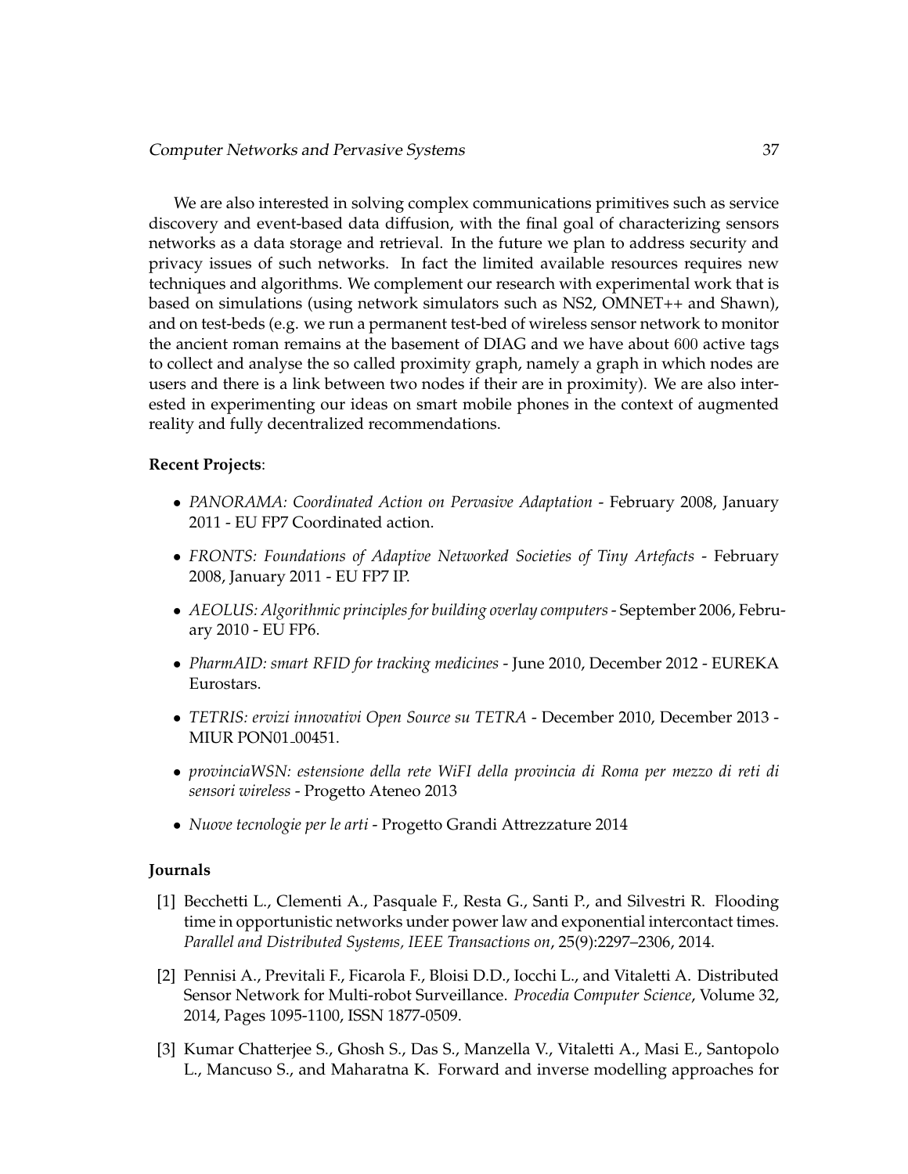We are also interested in solving complex communications primitives such as service discovery and event-based data diffusion, with the final goal of characterizing sensors networks as a data storage and retrieval. In the future we plan to address security and privacy issues of such networks. In fact the limited available resources requires new techniques and algorithms. We complement our research with experimental work that is based on simulations (using network simulators such as NS2, OMNET++ and Shawn), and on test-beds (e.g. we run a permanent test-bed of wireless sensor network to monitor the ancient roman remains at the basement of DIAG and we have about 600 active tags to collect and analyse the so called proximity graph, namely a graph in which nodes are users and there is a link between two nodes if their are in proximity). We are also interested in experimenting our ideas on smart mobile phones in the context of augmented reality and fully decentralized recommendations.

### **Recent Projects**:

- *PANORAMA: Coordinated Action on Pervasive Adaptation* February 2008, January 2011 - EU FP7 Coordinated action.
- *FRONTS: Foundations of Adaptive Networked Societies of Tiny Artefacts* February 2008, January 2011 - EU FP7 IP.
- *AEOLUS: Algorithmic principles for building overlay computers* September 2006, February 2010 - EU FP6.
- *PharmAID: smart RFID for tracking medicines* June 2010, December 2012 EUREKA Eurostars.
- *TETRIS: ervizi innovativi Open Source su TETRA* December 2010, December 2013 MIUR PON01<sub>-00451</sub>.
- *provinciaWSN: estensione della rete WiFI della provincia di Roma per mezzo di reti di sensori wireless* - Progetto Ateneo 2013
- *Nuove tecnologie per le arti* Progetto Grandi Attrezzature 2014

#### **Journals**

- [1] Becchetti L., Clementi A., Pasquale F., Resta G., Santi P., and Silvestri R. Flooding time in opportunistic networks under power law and exponential intercontact times. *Parallel and Distributed Systems, IEEE Transactions on*, 25(9):2297–2306, 2014.
- [2] Pennisi A., Previtali F., Ficarola F., Bloisi D.D., Iocchi L., and Vitaletti A. Distributed Sensor Network for Multi-robot Surveillance. *Procedia Computer Science*, Volume 32, 2014, Pages 1095-1100, ISSN 1877-0509.
- [3] Kumar Chatterjee S., Ghosh S., Das S., Manzella V., Vitaletti A., Masi E., Santopolo L., Mancuso S., and Maharatna K. Forward and inverse modelling approaches for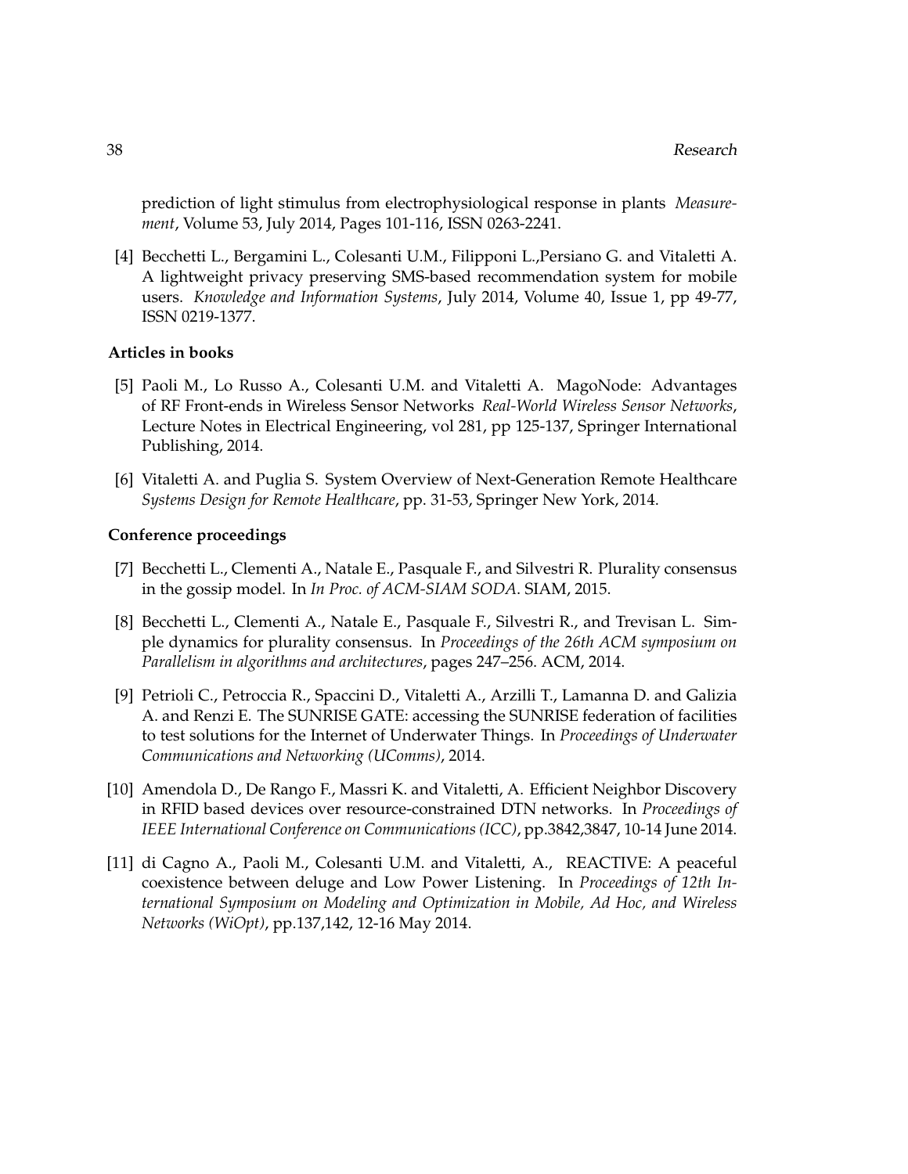prediction of light stimulus from electrophysiological response in plants *Measurement*, Volume 53, July 2014, Pages 101-116, ISSN 0263-2241.

[4] Becchetti L., Bergamini L., Colesanti U.M., Filipponi L.,Persiano G. and Vitaletti A. A lightweight privacy preserving SMS-based recommendation system for mobile users. *Knowledge and Information Systems*, July 2014, Volume 40, Issue 1, pp 49-77, ISSN 0219-1377.

#### **Articles in books**

- [5] Paoli M., Lo Russo A., Colesanti U.M. and Vitaletti A. MagoNode: Advantages of RF Front-ends in Wireless Sensor Networks *Real-World Wireless Sensor Networks*, Lecture Notes in Electrical Engineering, vol 281, pp 125-137, Springer International Publishing, 2014.
- [6] Vitaletti A. and Puglia S. System Overview of Next-Generation Remote Healthcare *Systems Design for Remote Healthcare*, pp. 31-53, Springer New York, 2014.

#### **Conference proceedings**

- [7] Becchetti L., Clementi A., Natale E., Pasquale F., and Silvestri R. Plurality consensus in the gossip model. In *In Proc. of ACM-SIAM SODA*. SIAM, 2015.
- [8] Becchetti L., Clementi A., Natale E., Pasquale F., Silvestri R., and Trevisan L. Simple dynamics for plurality consensus. In *Proceedings of the 26th ACM symposium on Parallelism in algorithms and architectures*, pages 247–256. ACM, 2014.
- [9] Petrioli C., Petroccia R., Spaccini D., Vitaletti A., Arzilli T., Lamanna D. and Galizia A. and Renzi E. The SUNRISE GATE: accessing the SUNRISE federation of facilities to test solutions for the Internet of Underwater Things. In *Proceedings of Underwater Communications and Networking (UComms)*, 2014.
- [10] Amendola D., De Rango F., Massri K. and Vitaletti, A. Efficient Neighbor Discovery in RFID based devices over resource-constrained DTN networks. In *Proceedings of IEEE International Conference on Communications (ICC)*, pp.3842,3847, 10-14 June 2014.
- [11] di Cagno A., Paoli M., Colesanti U.M. and Vitaletti, A., REACTIVE: A peaceful coexistence between deluge and Low Power Listening. In *Proceedings of 12th International Symposium on Modeling and Optimization in Mobile, Ad Hoc, and Wireless Networks (WiOpt)*, pp.137,142, 12-16 May 2014.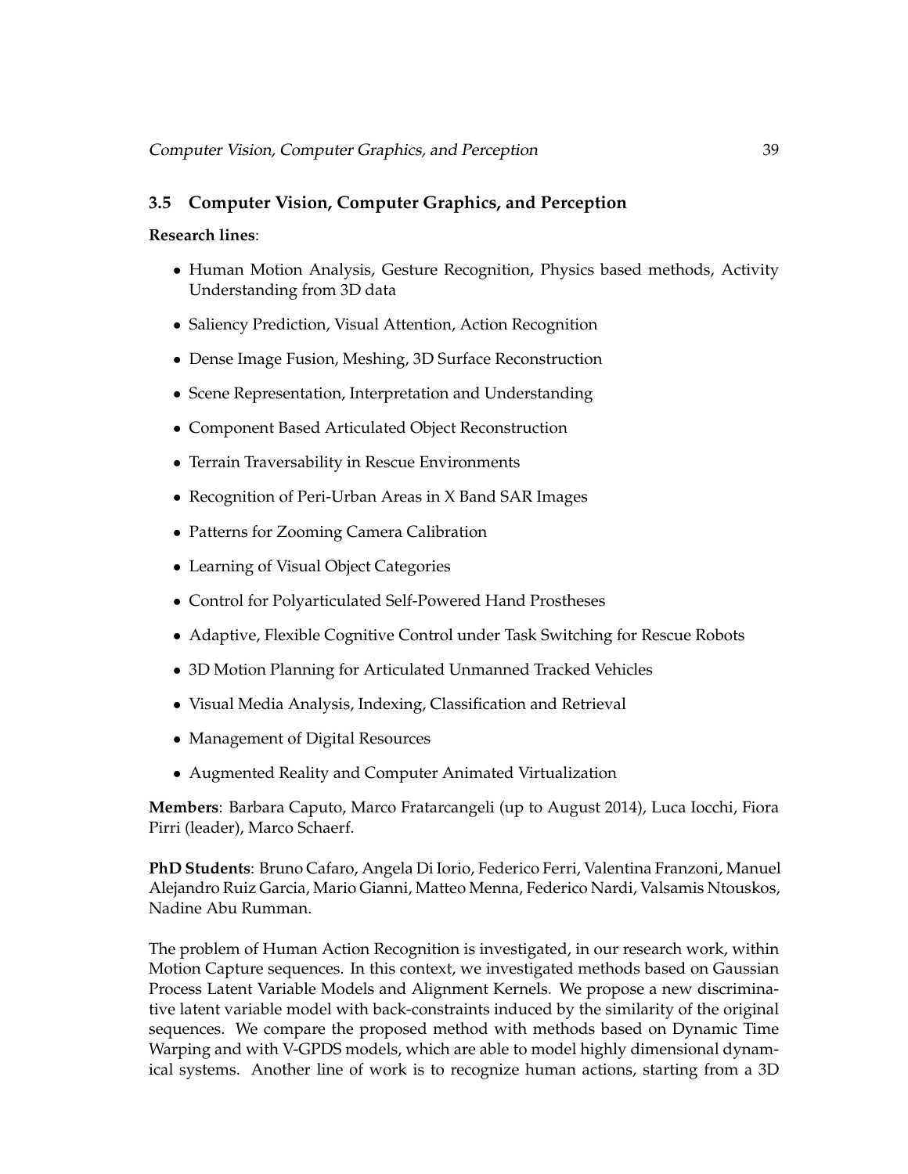# **3.5 Computer Vision, Computer Graphics, and Perception**

# **Research lines**:

- Human Motion Analysis, Gesture Recognition, Physics based methods, Activity Understanding from 3D data
- Saliency Prediction, Visual Attention, Action Recognition
- Dense Image Fusion, Meshing, 3D Surface Reconstruction
- Scene Representation, Interpretation and Understanding
- Component Based Articulated Object Reconstruction
- Terrain Traversability in Rescue Environments
- Recognition of Peri-Urban Areas in X Band SAR Images
- Patterns for Zooming Camera Calibration
- Learning of Visual Object Categories
- Control for Polyarticulated Self-Powered Hand Prostheses
- Adaptive, Flexible Cognitive Control under Task Switching for Rescue Robots
- 3D Motion Planning for Articulated Unmanned Tracked Vehicles
- Visual Media Analysis, Indexing, Classification and Retrieval
- Management of Digital Resources
- Augmented Reality and Computer Animated Virtualization

**Members**: Barbara Caputo, Marco Fratarcangeli (up to August 2014), Luca Iocchi, Fiora Pirri (leader), Marco Schaerf.

**PhD Students**: Bruno Cafaro, Angela Di Iorio, Federico Ferri, Valentina Franzoni, Manuel Alejandro Ruiz Garcia, Mario Gianni, Matteo Menna, Federico Nardi, Valsamis Ntouskos, Nadine Abu Rumman.

The problem of Human Action Recognition is investigated, in our research work, within Motion Capture sequences. In this context, we investigated methods based on Gaussian Process Latent Variable Models and Alignment Kernels. We propose a new discriminative latent variable model with back-constraints induced by the similarity of the original sequences. We compare the proposed method with methods based on Dynamic Time Warping and with V-GPDS models, which are able to model highly dimensional dynamical systems. Another line of work is to recognize human actions, starting from a 3D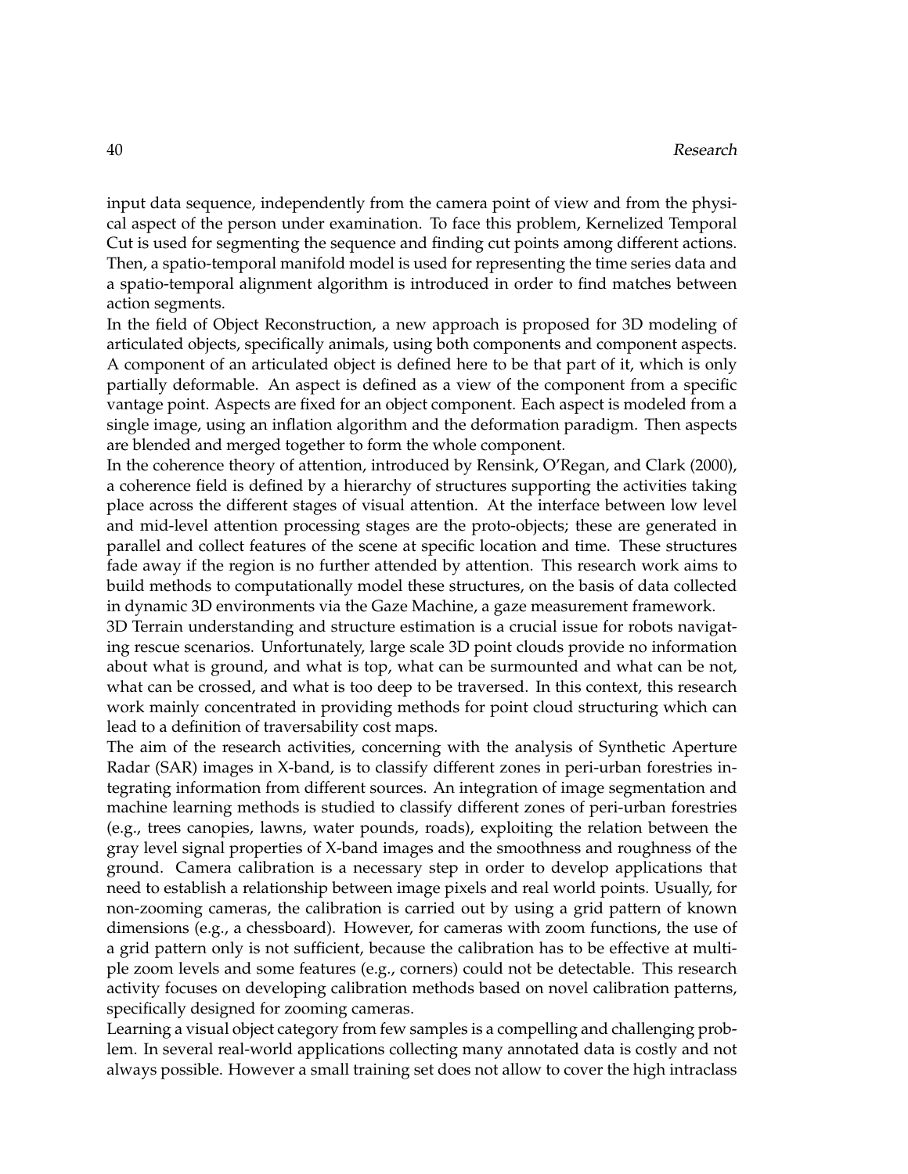input data sequence, independently from the camera point of view and from the physical aspect of the person under examination. To face this problem, Kernelized Temporal Cut is used for segmenting the sequence and finding cut points among different actions. Then, a spatio-temporal manifold model is used for representing the time series data and a spatio-temporal alignment algorithm is introduced in order to find matches between action segments.

In the field of Object Reconstruction, a new approach is proposed for 3D modeling of articulated objects, specifically animals, using both components and component aspects. A component of an articulated object is defined here to be that part of it, which is only partially deformable. An aspect is defined as a view of the component from a specific vantage point. Aspects are fixed for an object component. Each aspect is modeled from a single image, using an inflation algorithm and the deformation paradigm. Then aspects are blended and merged together to form the whole component.

In the coherence theory of attention, introduced by Rensink, O'Regan, and Clark (2000), a coherence field is defined by a hierarchy of structures supporting the activities taking place across the different stages of visual attention. At the interface between low level and mid-level attention processing stages are the proto-objects; these are generated in parallel and collect features of the scene at specific location and time. These structures fade away if the region is no further attended by attention. This research work aims to build methods to computationally model these structures, on the basis of data collected in dynamic 3D environments via the Gaze Machine, a gaze measurement framework.

3D Terrain understanding and structure estimation is a crucial issue for robots navigating rescue scenarios. Unfortunately, large scale 3D point clouds provide no information about what is ground, and what is top, what can be surmounted and what can be not, what can be crossed, and what is too deep to be traversed. In this context, this research work mainly concentrated in providing methods for point cloud structuring which can lead to a definition of traversability cost maps.

The aim of the research activities, concerning with the analysis of Synthetic Aperture Radar (SAR) images in X-band, is to classify different zones in peri-urban forestries integrating information from different sources. An integration of image segmentation and machine learning methods is studied to classify different zones of peri-urban forestries (e.g., trees canopies, lawns, water pounds, roads), exploiting the relation between the gray level signal properties of X-band images and the smoothness and roughness of the ground. Camera calibration is a necessary step in order to develop applications that need to establish a relationship between image pixels and real world points. Usually, for non-zooming cameras, the calibration is carried out by using a grid pattern of known dimensions (e.g., a chessboard). However, for cameras with zoom functions, the use of a grid pattern only is not sufficient, because the calibration has to be effective at multiple zoom levels and some features (e.g., corners) could not be detectable. This research activity focuses on developing calibration methods based on novel calibration patterns, specifically designed for zooming cameras.

Learning a visual object category from few samples is a compelling and challenging problem. In several real-world applications collecting many annotated data is costly and not always possible. However a small training set does not allow to cover the high intraclass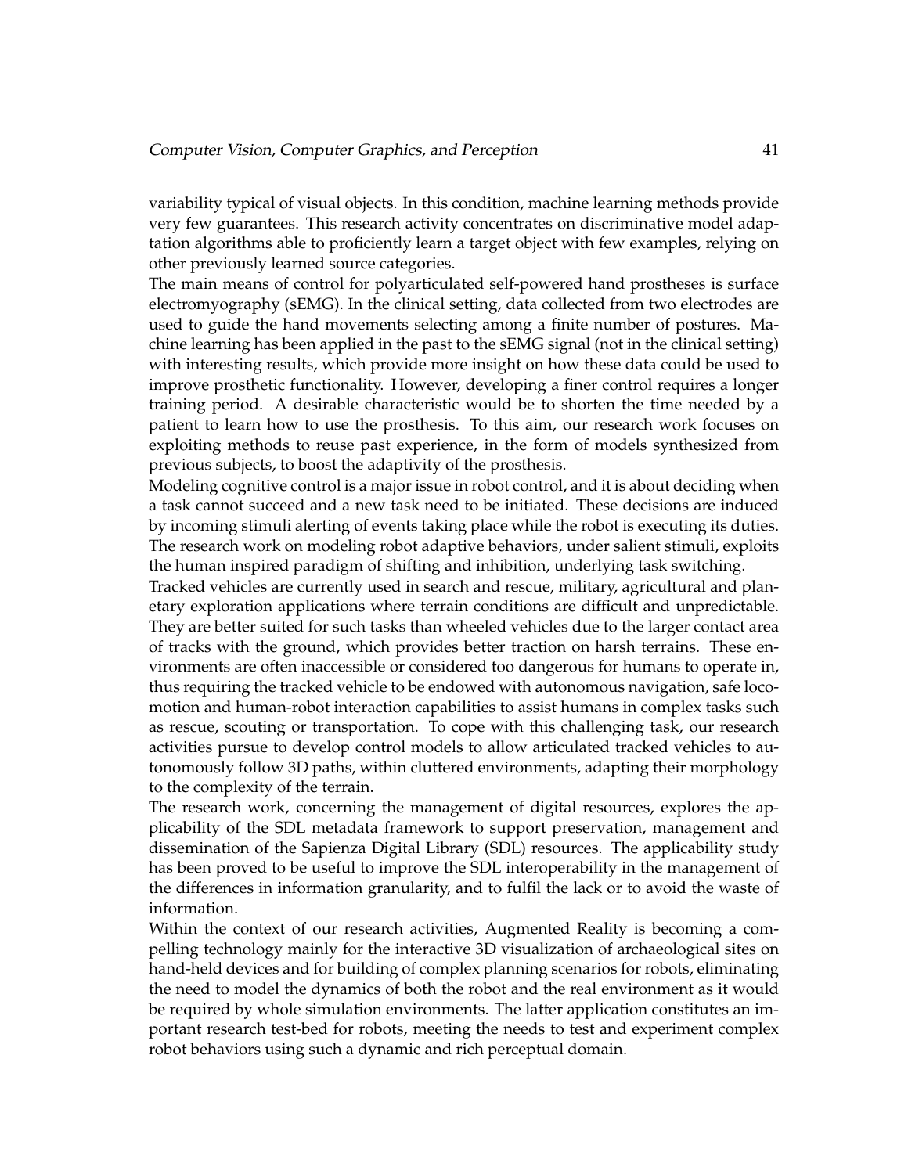variability typical of visual objects. In this condition, machine learning methods provide very few guarantees. This research activity concentrates on discriminative model adaptation algorithms able to proficiently learn a target object with few examples, relying on other previously learned source categories.

The main means of control for polyarticulated self-powered hand prostheses is surface electromyography (sEMG). In the clinical setting, data collected from two electrodes are used to guide the hand movements selecting among a finite number of postures. Machine learning has been applied in the past to the sEMG signal (not in the clinical setting) with interesting results, which provide more insight on how these data could be used to improve prosthetic functionality. However, developing a finer control requires a longer training period. A desirable characteristic would be to shorten the time needed by a patient to learn how to use the prosthesis. To this aim, our research work focuses on exploiting methods to reuse past experience, in the form of models synthesized from previous subjects, to boost the adaptivity of the prosthesis.

Modeling cognitive control is a major issue in robot control, and it is about deciding when a task cannot succeed and a new task need to be initiated. These decisions are induced by incoming stimuli alerting of events taking place while the robot is executing its duties. The research work on modeling robot adaptive behaviors, under salient stimuli, exploits the human inspired paradigm of shifting and inhibition, underlying task switching.

Tracked vehicles are currently used in search and rescue, military, agricultural and planetary exploration applications where terrain conditions are difficult and unpredictable. They are better suited for such tasks than wheeled vehicles due to the larger contact area of tracks with the ground, which provides better traction on harsh terrains. These environments are often inaccessible or considered too dangerous for humans to operate in, thus requiring the tracked vehicle to be endowed with autonomous navigation, safe locomotion and human-robot interaction capabilities to assist humans in complex tasks such as rescue, scouting or transportation. To cope with this challenging task, our research activities pursue to develop control models to allow articulated tracked vehicles to autonomously follow 3D paths, within cluttered environments, adapting their morphology to the complexity of the terrain.

The research work, concerning the management of digital resources, explores the applicability of the SDL metadata framework to support preservation, management and dissemination of the Sapienza Digital Library (SDL) resources. The applicability study has been proved to be useful to improve the SDL interoperability in the management of the differences in information granularity, and to fulfil the lack or to avoid the waste of information.

Within the context of our research activities, Augmented Reality is becoming a compelling technology mainly for the interactive 3D visualization of archaeological sites on hand-held devices and for building of complex planning scenarios for robots, eliminating the need to model the dynamics of both the robot and the real environment as it would be required by whole simulation environments. The latter application constitutes an important research test-bed for robots, meeting the needs to test and experiment complex robot behaviors using such a dynamic and rich perceptual domain.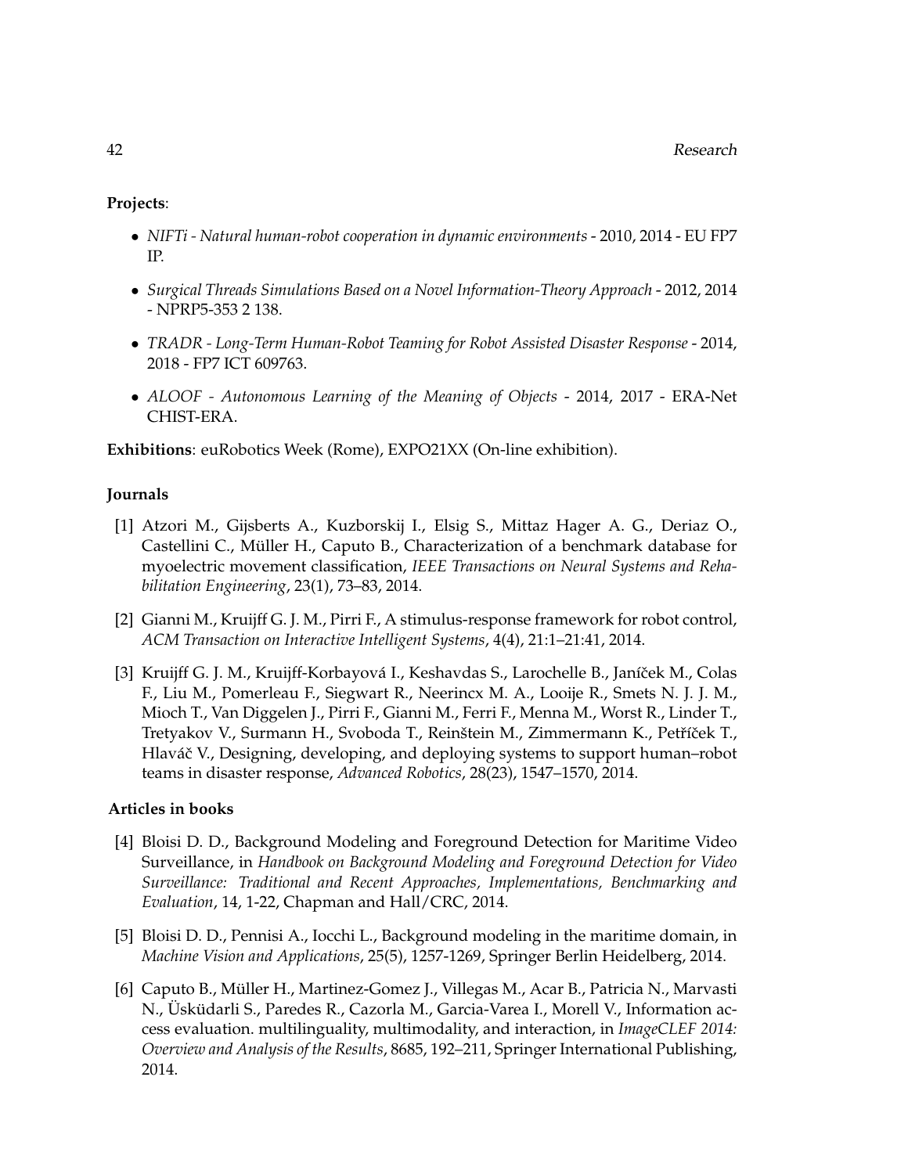# **Projects**:

- *NIFTi Natural human-robot cooperation in dynamic environments* 2010, 2014 EU FP7 IP.
- *Surgical Threads Simulations Based on a Novel Information-Theory Approach* 2012, 2014 - NPRP5-353 2 138.
- *TRADR Long-Term Human-Robot Teaming for Robot Assisted Disaster Response* 2014, 2018 - FP7 ICT 609763.
- *ALOOF Autonomous Learning of the Meaning of Objects* 2014, 2017 ERA-Net CHIST-ERA.

**Exhibitions**: euRobotics Week (Rome), EXPO21XX (On-line exhibition).

# **Journals**

- [1] Atzori M., Gijsberts A., Kuzborskij I., Elsig S., Mittaz Hager A. G., Deriaz O., Castellini C., Müller H., Caputo B., Characterization of a benchmark database for myoelectric movement classification, *IEEE Transactions on Neural Systems and Rehabilitation Engineering*, 23(1), 73–83, 2014.
- [2] Gianni M., Kruijff G. J. M., Pirri F., A stimulus-response framework for robot control, *ACM Transaction on Interactive Intelligent Systems*, 4(4), 21:1–21:41, 2014.
- [3] Kruijff G. J. M., Kruijff-Korbayová I., Keshavdas S., Larochelle B., Janíček M., Colas F., Liu M., Pomerleau F., Siegwart R., Neerincx M. A., Looije R., Smets N. J. J. M., Mioch T., Van Diggelen J., Pirri F., Gianni M., Ferri F., Menna M., Worst R., Linder T., Tretyakov V., Surmann H., Svoboda T., Reinštein M., Zimmermann K., Petříček T., Hlaváč V., Designing, developing, and deploying systems to support human–robot teams in disaster response, *Advanced Robotics*, 28(23), 1547–1570, 2014.

# **Articles in books**

- [4] Bloisi D. D., Background Modeling and Foreground Detection for Maritime Video Surveillance, in *Handbook on Background Modeling and Foreground Detection for Video Surveillance: Traditional and Recent Approaches, Implementations, Benchmarking and Evaluation*, 14, 1-22, Chapman and Hall/CRC, 2014.
- [5] Bloisi D. D., Pennisi A., Iocchi L., Background modeling in the maritime domain, in *Machine Vision and Applications*, 25(5), 1257-1269, Springer Berlin Heidelberg, 2014.
- [6] Caputo B., Muller H., Martinez-Gomez J., Villegas M., Acar B., Patricia N., Marvasti ¨ N., Üsküdarli S., Paredes R., Cazorla M., Garcia-Varea I., Morell V., Information access evaluation. multilinguality, multimodality, and interaction, in *ImageCLEF 2014: Overview and Analysis of the Results*, 8685, 192–211, Springer International Publishing, 2014.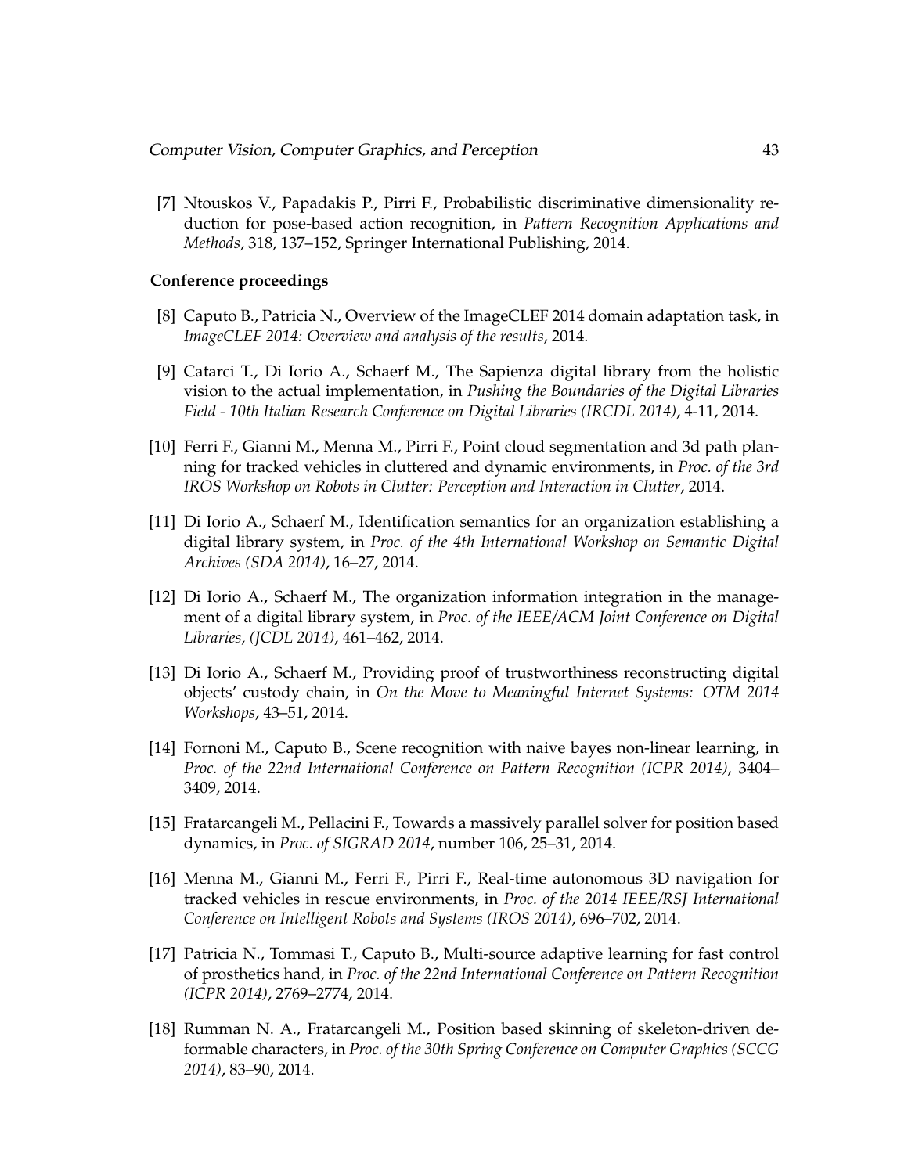[7] Ntouskos V., Papadakis P., Pirri F., Probabilistic discriminative dimensionality reduction for pose-based action recognition, in *Pattern Recognition Applications and Methods*, 318, 137–152, Springer International Publishing, 2014.

#### **Conference proceedings**

- [8] Caputo B., Patricia N., Overview of the ImageCLEF 2014 domain adaptation task, in *ImageCLEF 2014: Overview and analysis of the results*, 2014.
- [9] Catarci T., Di Iorio A., Schaerf M., The Sapienza digital library from the holistic vision to the actual implementation, in *Pushing the Boundaries of the Digital Libraries Field - 10th Italian Research Conference on Digital Libraries (IRCDL 2014)*, 4-11, 2014.
- [10] Ferri F., Gianni M., Menna M., Pirri F., Point cloud segmentation and 3d path planning for tracked vehicles in cluttered and dynamic environments, in *Proc. of the 3rd IROS Workshop on Robots in Clutter: Perception and Interaction in Clutter*, 2014.
- [11] Di Iorio A., Schaerf M., Identification semantics for an organization establishing a digital library system, in *Proc. of the 4th International Workshop on Semantic Digital Archives (SDA 2014)*, 16–27, 2014.
- [12] Di Iorio A., Schaerf M., The organization information integration in the management of a digital library system, in *Proc. of the IEEE/ACM Joint Conference on Digital Libraries, (JCDL 2014)*, 461–462, 2014.
- [13] Di Iorio A., Schaerf M., Providing proof of trustworthiness reconstructing digital objects' custody chain, in *On the Move to Meaningful Internet Systems: OTM 2014 Workshops*, 43–51, 2014.
- [14] Fornoni M., Caputo B., Scene recognition with naive bayes non-linear learning, in *Proc. of the 22nd International Conference on Pattern Recognition (ICPR 2014)*, 3404– 3409, 2014.
- [15] Fratarcangeli M., Pellacini F., Towards a massively parallel solver for position based dynamics, in *Proc. of SIGRAD 2014*, number 106, 25–31, 2014.
- [16] Menna M., Gianni M., Ferri F., Pirri F., Real-time autonomous 3D navigation for tracked vehicles in rescue environments, in *Proc. of the 2014 IEEE/RSJ International Conference on Intelligent Robots and Systems (IROS 2014)*, 696–702, 2014.
- [17] Patricia N., Tommasi T., Caputo B., Multi-source adaptive learning for fast control of prosthetics hand, in *Proc. of the 22nd International Conference on Pattern Recognition (ICPR 2014)*, 2769–2774, 2014.
- [18] Rumman N. A., Fratarcangeli M., Position based skinning of skeleton-driven deformable characters, in *Proc. of the 30th Spring Conference on Computer Graphics (SCCG 2014)*, 83–90, 2014.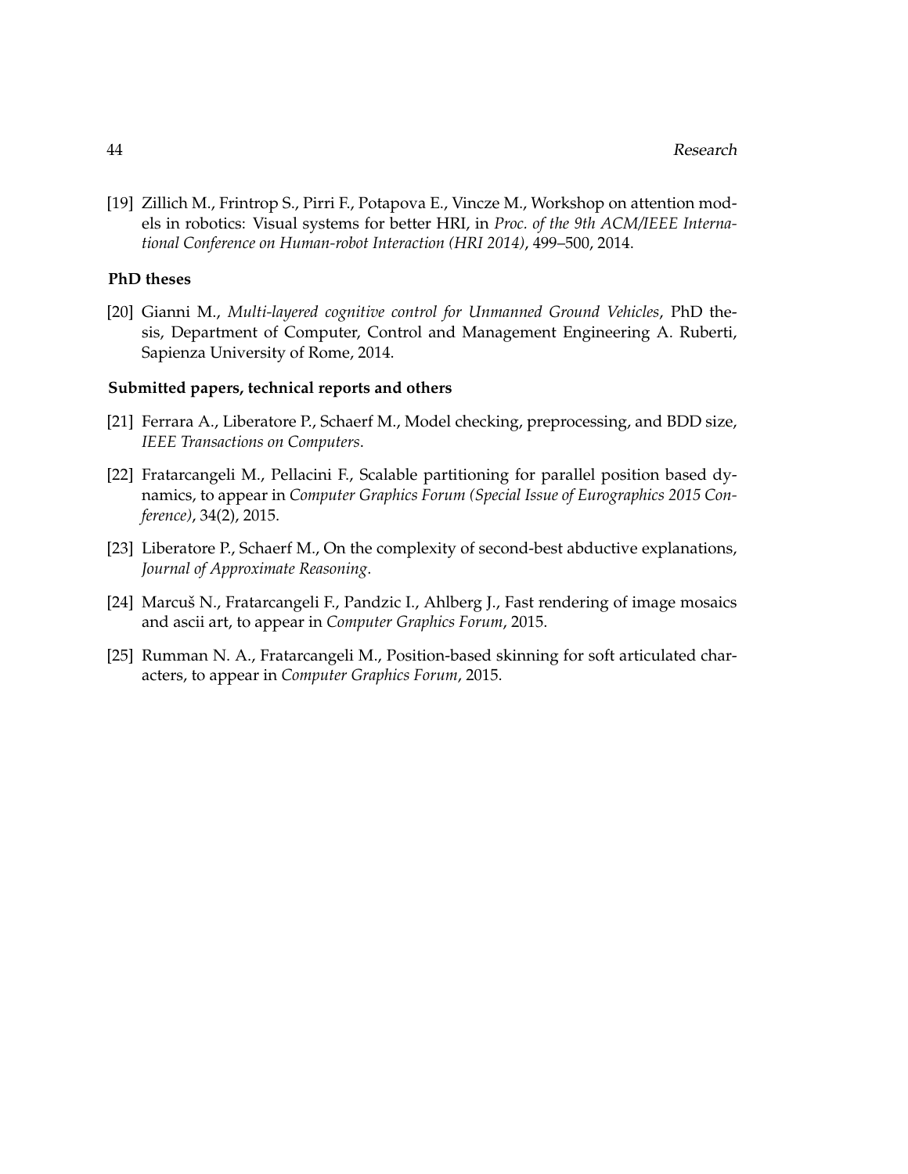[19] Zillich M., Frintrop S., Pirri F., Potapova E., Vincze M., Workshop on attention models in robotics: Visual systems for better HRI, in *Proc. of the 9th ACM/IEEE International Conference on Human-robot Interaction (HRI 2014)*, 499–500, 2014.

#### **PhD theses**

[20] Gianni M., *Multi-layered cognitive control for Unmanned Ground Vehicles*, PhD thesis, Department of Computer, Control and Management Engineering A. Ruberti, Sapienza University of Rome, 2014.

#### **Submitted papers, technical reports and others**

- [21] Ferrara A., Liberatore P., Schaerf M., Model checking, preprocessing, and BDD size, *IEEE Transactions on Computers*.
- [22] Fratarcangeli M., Pellacini F., Scalable partitioning for parallel position based dynamics, to appear in *Computer Graphics Forum (Special Issue of Eurographics 2015 Conference)*, 34(2), 2015.
- [23] Liberatore P., Schaerf M., On the complexity of second-best abductive explanations, *Journal of Approximate Reasoning*.
- [24] Marcuš N., Fratarcangeli F., Pandzic I., Ahlberg J., Fast rendering of image mosaics and ascii art, to appear in *Computer Graphics Forum*, 2015.
- [25] Rumman N. A., Fratarcangeli M., Position-based skinning for soft articulated characters, to appear in *Computer Graphics Forum*, 2015.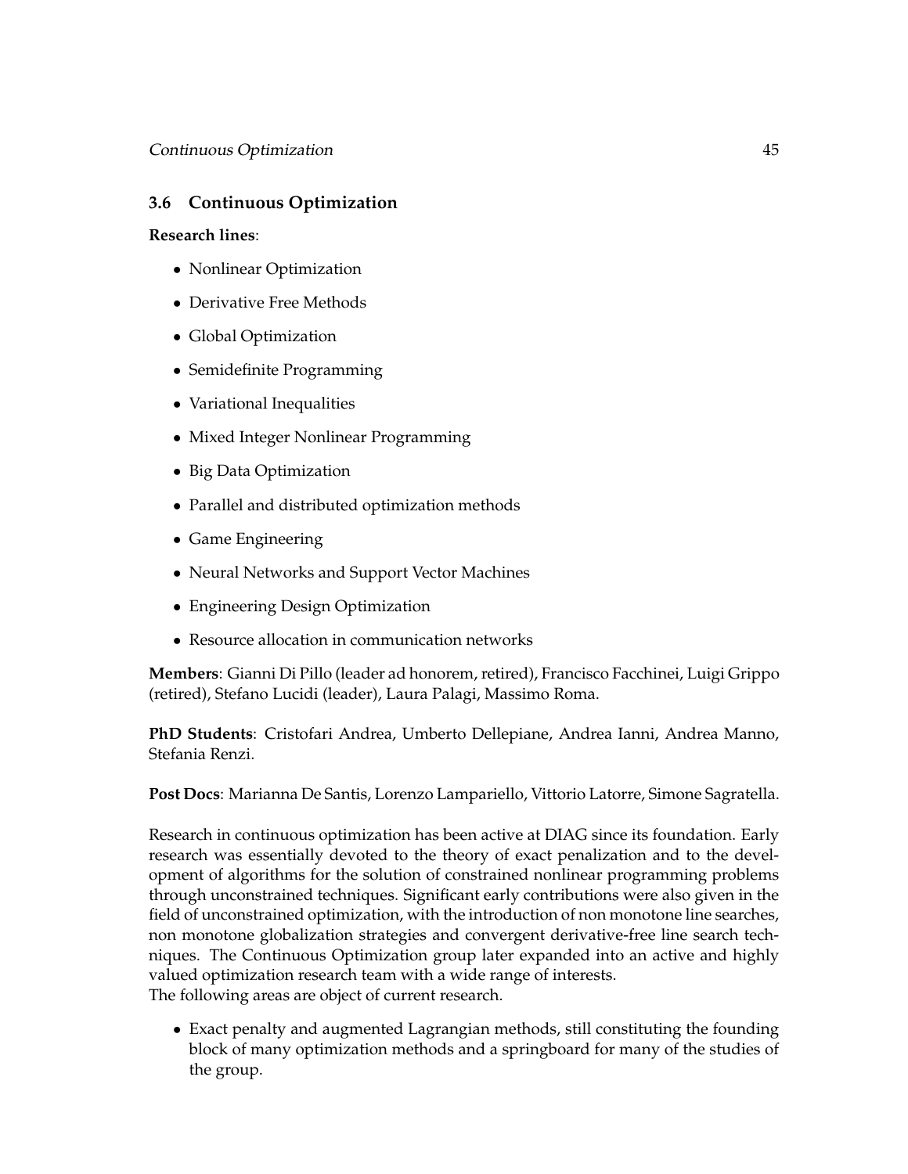# **3.6 Continuous Optimization**

# **Research lines**:

- Nonlinear Optimization
- Derivative Free Methods
- Global Optimization
- Semidefinite Programming
- Variational Inequalities
- Mixed Integer Nonlinear Programming
- Big Data Optimization
- Parallel and distributed optimization methods
- Game Engineering
- Neural Networks and Support Vector Machines
- Engineering Design Optimization
- Resource allocation in communication networks

**Members**: Gianni Di Pillo (leader ad honorem, retired), Francisco Facchinei, Luigi Grippo (retired), Stefano Lucidi (leader), Laura Palagi, Massimo Roma.

**PhD Students**: Cristofari Andrea, Umberto Dellepiane, Andrea Ianni, Andrea Manno, Stefania Renzi.

**Post Docs**: Marianna De Santis, Lorenzo Lampariello, Vittorio Latorre, Simone Sagratella.

Research in continuous optimization has been active at DIAG since its foundation. Early research was essentially devoted to the theory of exact penalization and to the development of algorithms for the solution of constrained nonlinear programming problems through unconstrained techniques. Significant early contributions were also given in the field of unconstrained optimization, with the introduction of non monotone line searches, non monotone globalization strategies and convergent derivative-free line search techniques. The Continuous Optimization group later expanded into an active and highly valued optimization research team with a wide range of interests. The following areas are object of current research.

• Exact penalty and augmented Lagrangian methods, still constituting the founding block of many optimization methods and a springboard for many of the studies of the group.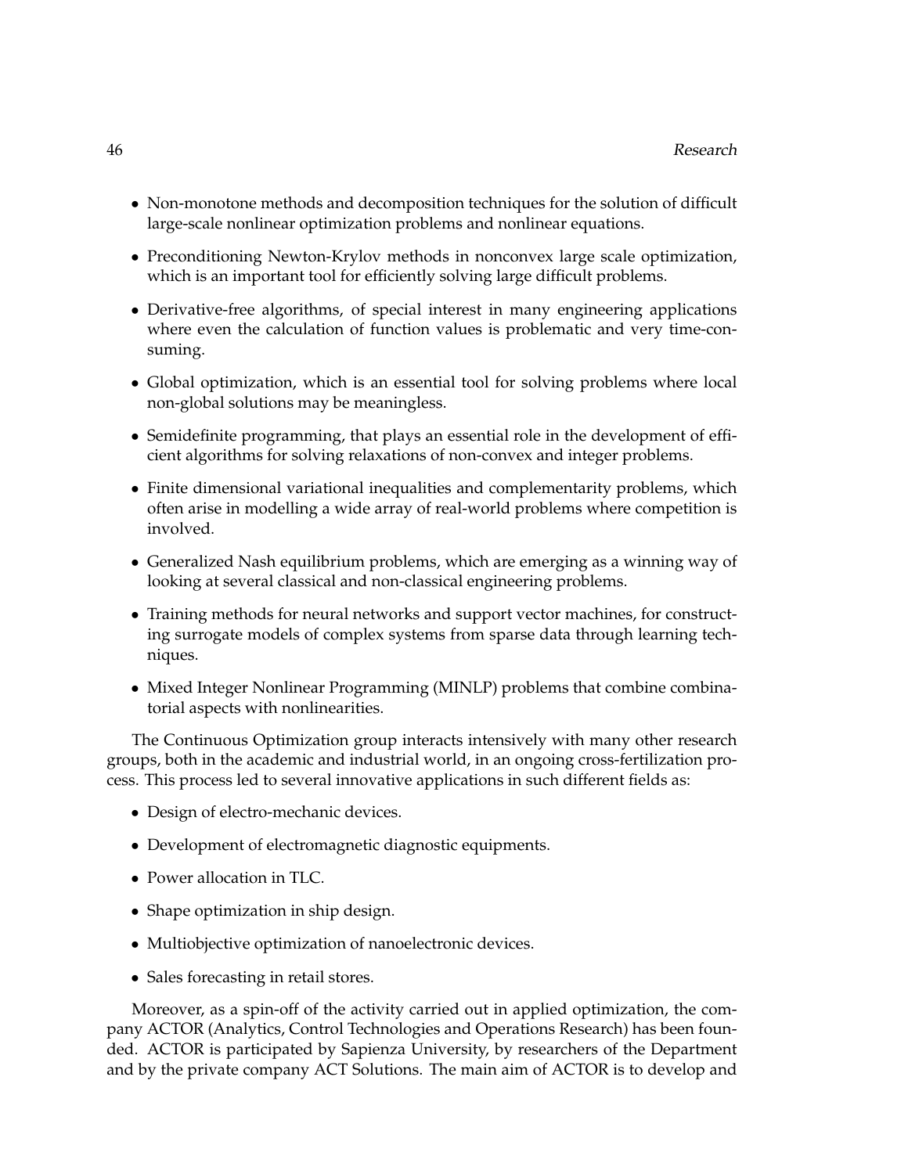- Non-monotone methods and decomposition techniques for the solution of difficult large-scale nonlinear optimization problems and nonlinear equations.
- Preconditioning Newton-Krylov methods in nonconvex large scale optimization, which is an important tool for efficiently solving large difficult problems.
- Derivative-free algorithms, of special interest in many engineering applications where even the calculation of function values is problematic and very time-consuming.
- Global optimization, which is an essential tool for solving problems where local non-global solutions may be meaningless.
- Semidefinite programming, that plays an essential role in the development of efficient algorithms for solving relaxations of non-convex and integer problems.
- Finite dimensional variational inequalities and complementarity problems, which often arise in modelling a wide array of real-world problems where competition is involved.
- Generalized Nash equilibrium problems, which are emerging as a winning way of looking at several classical and non-classical engineering problems.
- Training methods for neural networks and support vector machines, for constructing surrogate models of complex systems from sparse data through learning techniques.
- Mixed Integer Nonlinear Programming (MINLP) problems that combine combinatorial aspects with nonlinearities.

The Continuous Optimization group interacts intensively with many other research groups, both in the academic and industrial world, in an ongoing cross-fertilization process. This process led to several innovative applications in such different fields as:

- Design of electro-mechanic devices.
- Development of electromagnetic diagnostic equipments.
- Power allocation in TLC.
- Shape optimization in ship design.
- Multiobjective optimization of nanoelectronic devices.
- Sales forecasting in retail stores.

Moreover, as a spin-off of the activity carried out in applied optimization, the company ACTOR (Analytics, Control Technologies and Operations Research) has been founded. ACTOR is participated by Sapienza University, by researchers of the Department and by the private company ACT Solutions. The main aim of ACTOR is to develop and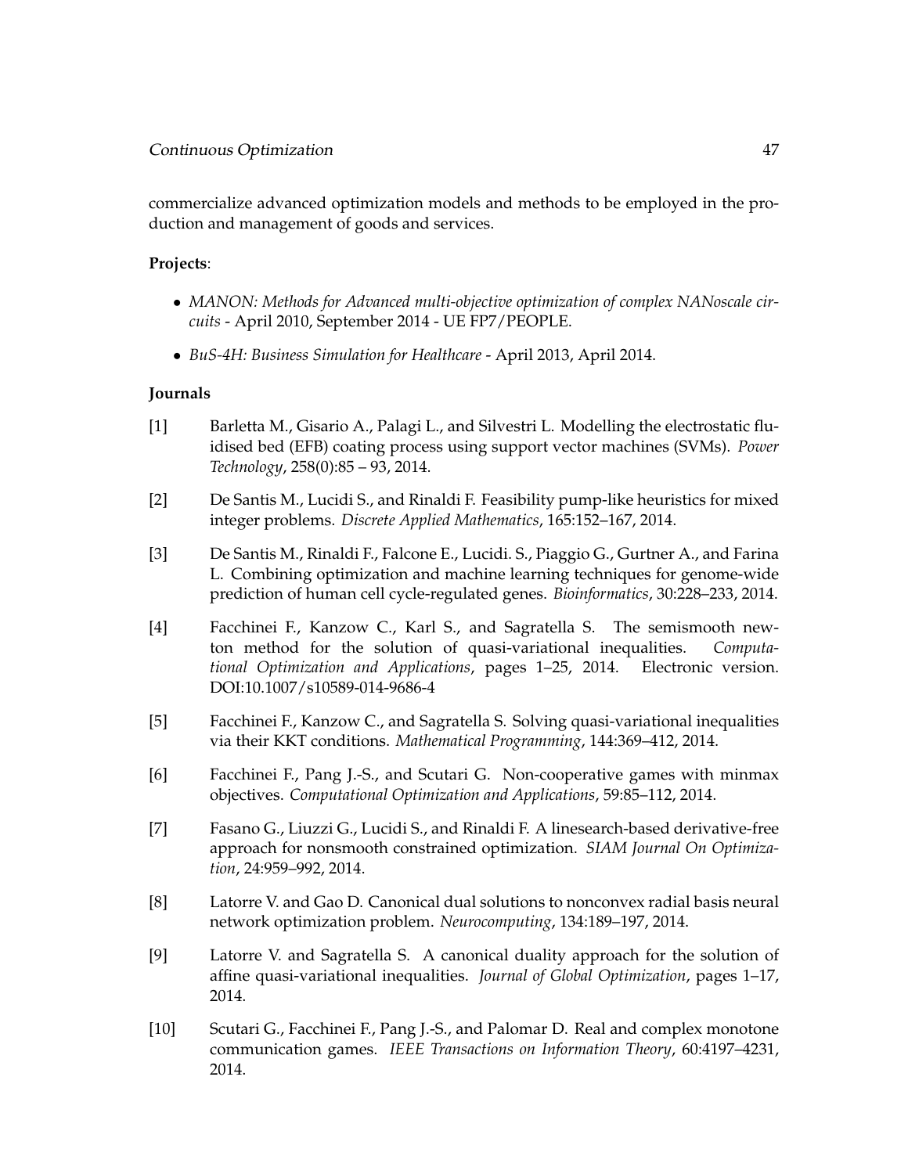commercialize advanced optimization models and methods to be employed in the production and management of goods and services.

# **Projects**:

- *MANON: Methods for Advanced multi-objective optimization of complex NANoscale circuits* - April 2010, September 2014 - UE FP7/PEOPLE.
- *BuS-4H: Business Simulation for Healthcare* April 2013, April 2014.

# **Journals**

- [1] Barletta M., Gisario A., Palagi L., and Silvestri L. Modelling the electrostatic fluidised bed (EFB) coating process using support vector machines (SVMs). *Power Technology*, 258(0):85 – 93, 2014.
- [2] De Santis M., Lucidi S., and Rinaldi F. Feasibility pump-like heuristics for mixed integer problems. *Discrete Applied Mathematics*, 165:152–167, 2014.
- [3] De Santis M., Rinaldi F., Falcone E., Lucidi. S., Piaggio G., Gurtner A., and Farina L. Combining optimization and machine learning techniques for genome-wide prediction of human cell cycle-regulated genes. *Bioinformatics*, 30:228–233, 2014.
- [4] Facchinei F., Kanzow C., Karl S., and Sagratella S. The semismooth newton method for the solution of quasi-variational inequalities. *Computational Optimization and Applications*, pages 1–25, 2014. Electronic version. DOI:10.1007/s10589-014-9686-4
- [5] Facchinei F., Kanzow C., and Sagratella S. Solving quasi-variational inequalities via their KKT conditions. *Mathematical Programming*, 144:369–412, 2014.
- [6] Facchinei F., Pang J.-S., and Scutari G. Non-cooperative games with minmax objectives. *Computational Optimization and Applications*, 59:85–112, 2014.
- [7] Fasano G., Liuzzi G., Lucidi S., and Rinaldi F. A linesearch-based derivative-free approach for nonsmooth constrained optimization. *SIAM Journal On Optimization*, 24:959–992, 2014.
- [8] Latorre V. and Gao D. Canonical dual solutions to nonconvex radial basis neural network optimization problem. *Neurocomputing*, 134:189–197, 2014.
- [9] Latorre V. and Sagratella S. A canonical duality approach for the solution of affine quasi-variational inequalities. *Journal of Global Optimization*, pages 1–17, 2014.
- [10] Scutari G., Facchinei F., Pang J.-S., and Palomar D. Real and complex monotone communication games. *IEEE Transactions on Information Theory*, 60:4197–4231, 2014.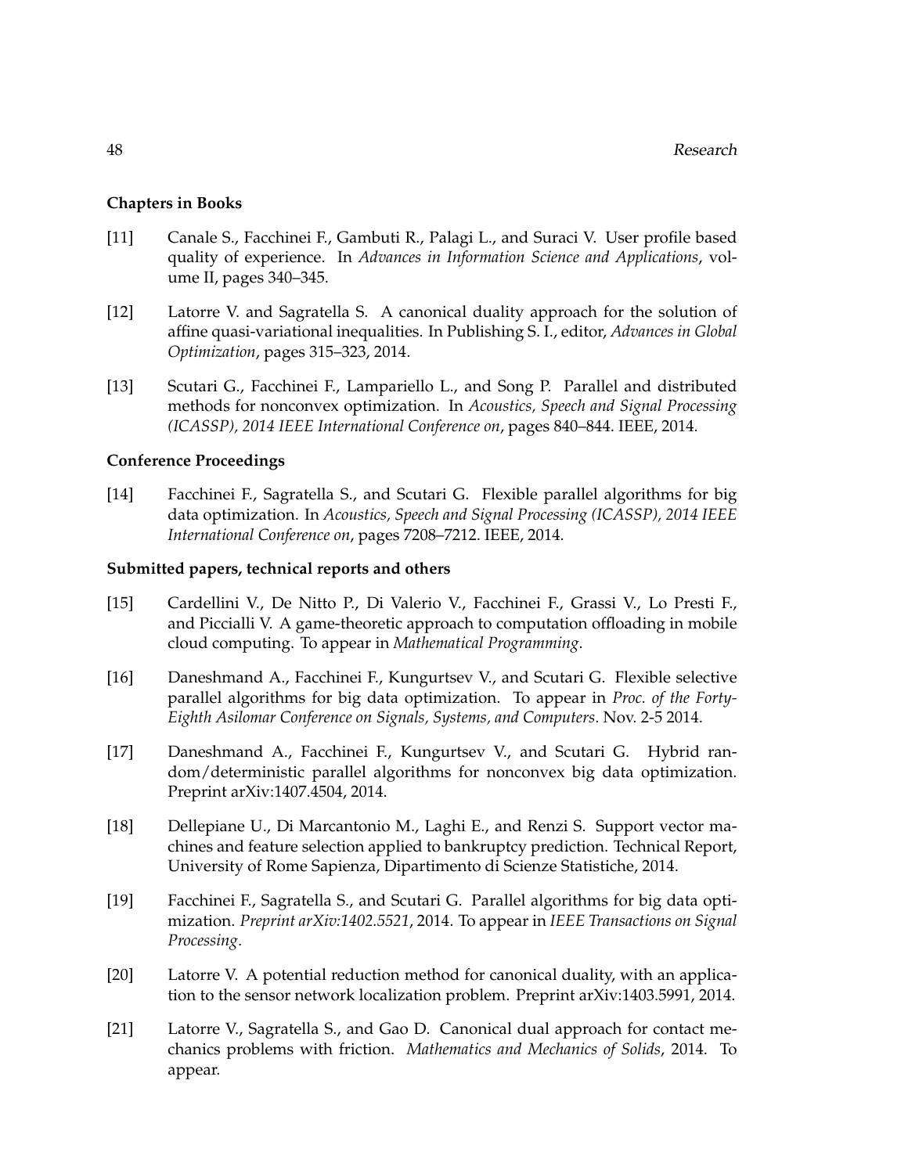### **Chapters in Books**

- [11] Canale S., Facchinei F., Gambuti R., Palagi L., and Suraci V. User profile based quality of experience. In *Advances in Information Science and Applications*, volume II, pages 340–345.
- [12] Latorre V. and Sagratella S. A canonical duality approach for the solution of affine quasi-variational inequalities. In Publishing S. I., editor, *Advances in Global Optimization*, pages 315–323, 2014.
- [13] Scutari G., Facchinei F., Lampariello L., and Song P. Parallel and distributed methods for nonconvex optimization. In *Acoustics, Speech and Signal Processing (ICASSP), 2014 IEEE International Conference on*, pages 840–844. IEEE, 2014.

#### **Conference Proceedings**

[14] Facchinei F., Sagratella S., and Scutari G. Flexible parallel algorithms for big data optimization. In *Acoustics, Speech and Signal Processing (ICASSP), 2014 IEEE International Conference on*, pages 7208–7212. IEEE, 2014.

#### **Submitted papers, technical reports and others**

- [15] Cardellini V., De Nitto P., Di Valerio V., Facchinei F., Grassi V., Lo Presti F., and Piccialli V. A game-theoretic approach to computation offloading in mobile cloud computing. To appear in *Mathematical Programming*.
- [16] Daneshmand A., Facchinei F., Kungurtsev V., and Scutari G. Flexible selective parallel algorithms for big data optimization. To appear in *Proc. of the Forty-Eighth Asilomar Conference on Signals, Systems, and Computers*. Nov. 2-5 2014.
- [17] Daneshmand A., Facchinei F., Kungurtsev V., and Scutari G. Hybrid random/deterministic parallel algorithms for nonconvex big data optimization. Preprint arXiv:1407.4504, 2014.
- [18] Dellepiane U., Di Marcantonio M., Laghi E., and Renzi S. Support vector machines and feature selection applied to bankruptcy prediction. Technical Report, University of Rome Sapienza, Dipartimento di Scienze Statistiche, 2014.
- [19] Facchinei F., Sagratella S., and Scutari G. Parallel algorithms for big data optimization. *Preprint arXiv:1402.5521*, 2014. To appear in *IEEE Transactions on Signal Processing*.
- [20] Latorre V. A potential reduction method for canonical duality, with an application to the sensor network localization problem. Preprint arXiv:1403.5991, 2014.
- [21] Latorre V., Sagratella S., and Gao D. Canonical dual approach for contact mechanics problems with friction. *Mathematics and Mechanics of Solids*, 2014. To appear.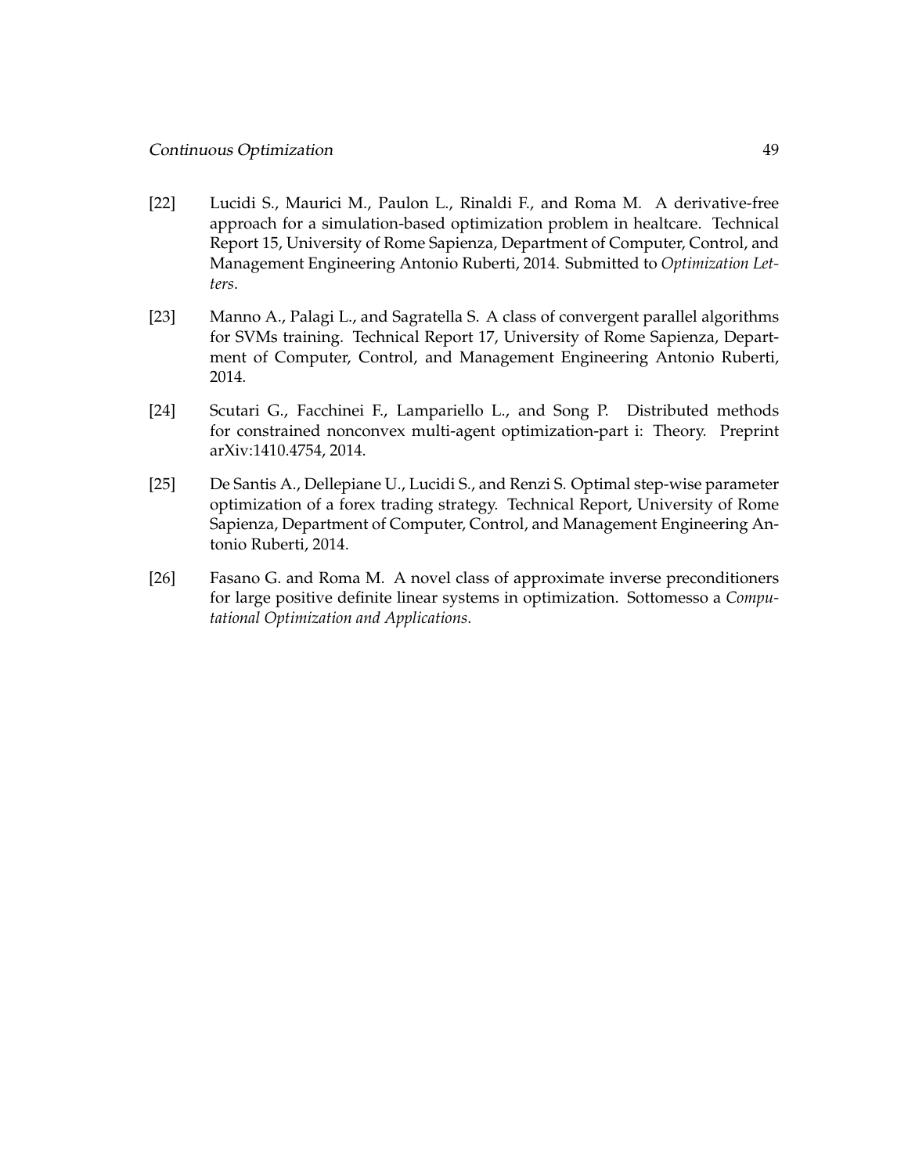## Continuous Optimization 49

- [22] Lucidi S., Maurici M., Paulon L., Rinaldi F., and Roma M. A derivative-free approach for a simulation-based optimization problem in healtcare. Technical Report 15, University of Rome Sapienza, Department of Computer, Control, and Management Engineering Antonio Ruberti, 2014. Submitted to *Optimization Letters*.
- [23] Manno A., Palagi L., and Sagratella S. A class of convergent parallel algorithms for SVMs training. Technical Report 17, University of Rome Sapienza, Department of Computer, Control, and Management Engineering Antonio Ruberti, 2014.
- [24] Scutari G., Facchinei F., Lampariello L., and Song P. Distributed methods for constrained nonconvex multi-agent optimization-part i: Theory. Preprint arXiv:1410.4754, 2014.
- [25] De Santis A., Dellepiane U., Lucidi S., and Renzi S. Optimal step-wise parameter optimization of a forex trading strategy. Technical Report, University of Rome Sapienza, Department of Computer, Control, and Management Engineering Antonio Ruberti, 2014.
- [26] Fasano G. and Roma M. A novel class of approximate inverse preconditioners for large positive definite linear systems in optimization. Sottomesso a *Computational Optimization and Applications*.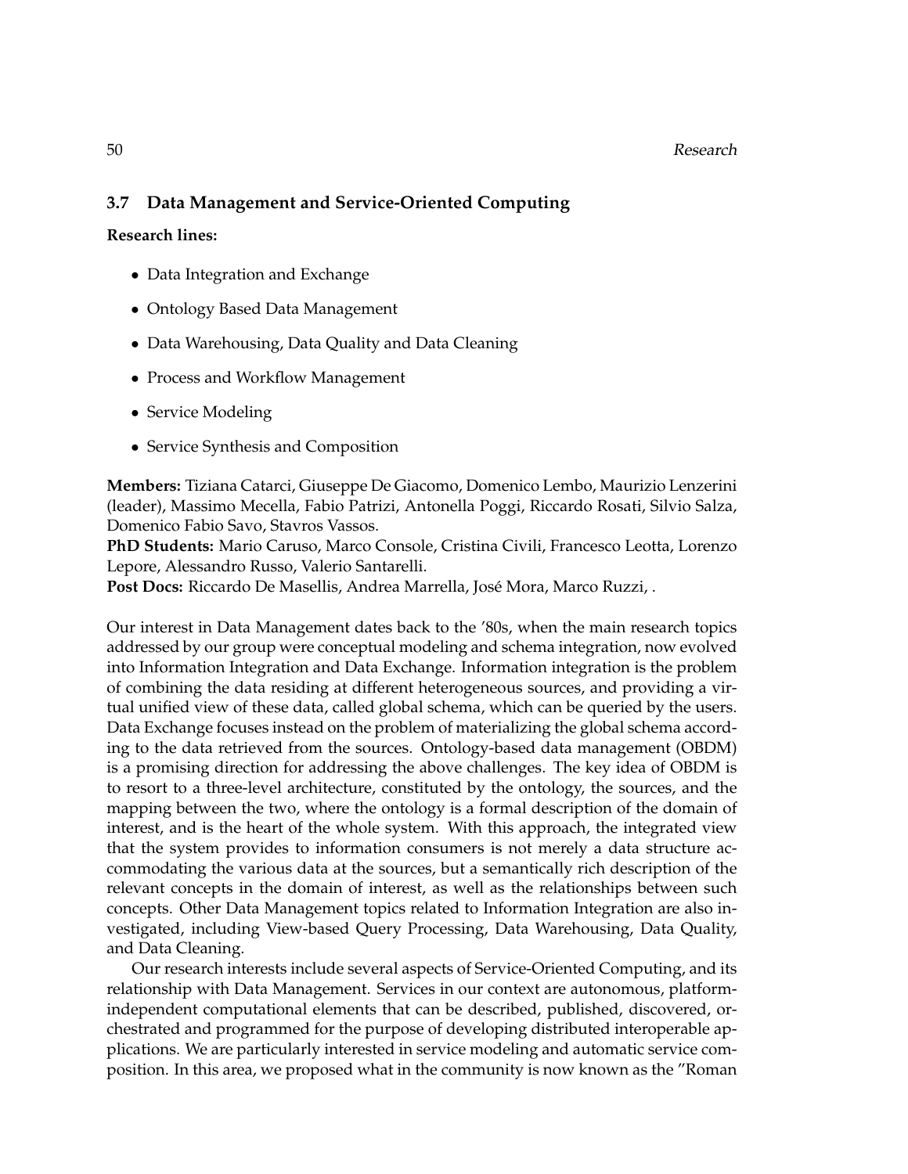## 50 Research

# **3.7 Data Management and Service-Oriented Computing**

#### **Research lines:**

- Data Integration and Exchange
- Ontology Based Data Management
- Data Warehousing, Data Quality and Data Cleaning
- Process and Workflow Management
- Service Modeling
- Service Synthesis and Composition

**Members:** Tiziana Catarci, Giuseppe De Giacomo, Domenico Lembo, Maurizio Lenzerini (leader), Massimo Mecella, Fabio Patrizi, Antonella Poggi, Riccardo Rosati, Silvio Salza, Domenico Fabio Savo, Stavros Vassos.

**PhD Students:** Mario Caruso, Marco Console, Cristina Civili, Francesco Leotta, Lorenzo Lepore, Alessandro Russo, Valerio Santarelli.

Post Docs: Riccardo De Masellis, Andrea Marrella, José Mora, Marco Ruzzi, .

Our interest in Data Management dates back to the '80s, when the main research topics addressed by our group were conceptual modeling and schema integration, now evolved into Information Integration and Data Exchange. Information integration is the problem of combining the data residing at different heterogeneous sources, and providing a virtual unified view of these data, called global schema, which can be queried by the users. Data Exchange focuses instead on the problem of materializing the global schema according to the data retrieved from the sources. Ontology-based data management (OBDM) is a promising direction for addressing the above challenges. The key idea of OBDM is to resort to a three-level architecture, constituted by the ontology, the sources, and the mapping between the two, where the ontology is a formal description of the domain of interest, and is the heart of the whole system. With this approach, the integrated view that the system provides to information consumers is not merely a data structure accommodating the various data at the sources, but a semantically rich description of the relevant concepts in the domain of interest, as well as the relationships between such concepts. Other Data Management topics related to Information Integration are also investigated, including View-based Query Processing, Data Warehousing, Data Quality, and Data Cleaning.

Our research interests include several aspects of Service-Oriented Computing, and its relationship with Data Management. Services in our context are autonomous, platformindependent computational elements that can be described, published, discovered, orchestrated and programmed for the purpose of developing distributed interoperable applications. We are particularly interested in service modeling and automatic service composition. In this area, we proposed what in the community is now known as the "Roman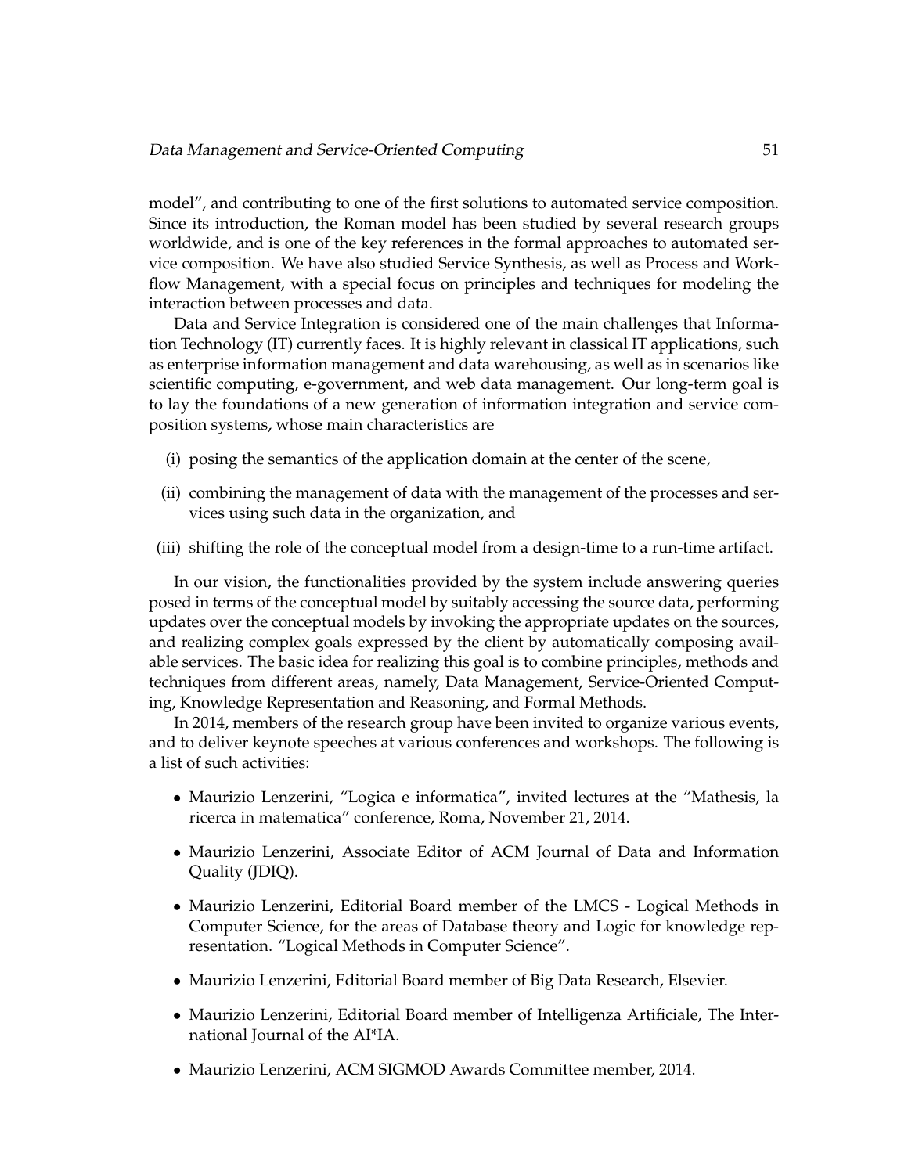model", and contributing to one of the first solutions to automated service composition. Since its introduction, the Roman model has been studied by several research groups worldwide, and is one of the key references in the formal approaches to automated service composition. We have also studied Service Synthesis, as well as Process and Workflow Management, with a special focus on principles and techniques for modeling the interaction between processes and data.

Data and Service Integration is considered one of the main challenges that Information Technology (IT) currently faces. It is highly relevant in classical IT applications, such as enterprise information management and data warehousing, as well as in scenarios like scientific computing, e-government, and web data management. Our long-term goal is to lay the foundations of a new generation of information integration and service composition systems, whose main characteristics are

- (i) posing the semantics of the application domain at the center of the scene,
- (ii) combining the management of data with the management of the processes and services using such data in the organization, and
- (iii) shifting the role of the conceptual model from a design-time to a run-time artifact.

In our vision, the functionalities provided by the system include answering queries posed in terms of the conceptual model by suitably accessing the source data, performing updates over the conceptual models by invoking the appropriate updates on the sources, and realizing complex goals expressed by the client by automatically composing available services. The basic idea for realizing this goal is to combine principles, methods and techniques from different areas, namely, Data Management, Service-Oriented Computing, Knowledge Representation and Reasoning, and Formal Methods.

In 2014, members of the research group have been invited to organize various events, and to deliver keynote speeches at various conferences and workshops. The following is a list of such activities:

- Maurizio Lenzerini, "Logica e informatica", invited lectures at the "Mathesis, la ricerca in matematica" conference, Roma, November 21, 2014.
- Maurizio Lenzerini, Associate Editor of ACM Journal of Data and Information Quality (JDIQ).
- Maurizio Lenzerini, Editorial Board member of the LMCS Logical Methods in Computer Science, for the areas of Database theory and Logic for knowledge representation. "Logical Methods in Computer Science".
- Maurizio Lenzerini, Editorial Board member of Big Data Research, Elsevier.
- Maurizio Lenzerini, Editorial Board member of Intelligenza Artificiale, The International Journal of the AI\*IA.
- Maurizio Lenzerini, ACM SIGMOD Awards Committee member, 2014.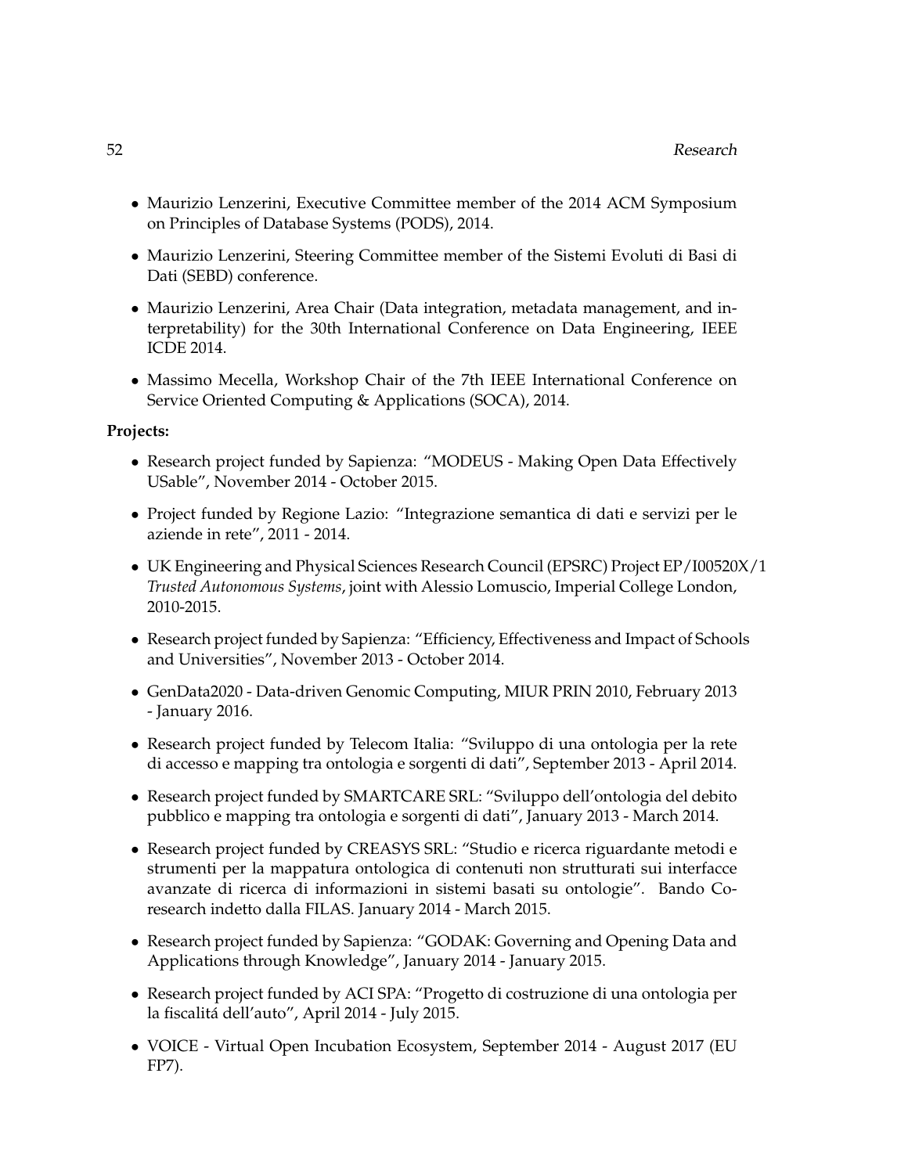- Maurizio Lenzerini, Executive Committee member of the 2014 ACM Symposium on Principles of Database Systems (PODS), 2014.
- Maurizio Lenzerini, Steering Committee member of the Sistemi Evoluti di Basi di Dati (SEBD) conference.
- Maurizio Lenzerini, Area Chair (Data integration, metadata management, and interpretability) for the 30th International Conference on Data Engineering, IEEE ICDE 2014.
- Massimo Mecella, Workshop Chair of the 7th IEEE International Conference on Service Oriented Computing & Applications (SOCA), 2014.

#### **Projects:**

- Research project funded by Sapienza: "MODEUS Making Open Data Effectively USable", November 2014 - October 2015.
- Project funded by Regione Lazio: "Integrazione semantica di dati e servizi per le aziende in rete", 2011 - 2014.
- UK Engineering and Physical Sciences Research Council (EPSRC) Project EP/I00520X/1 *Trusted Autonomous Systems*, joint with Alessio Lomuscio, Imperial College London, 2010-2015.
- Research project funded by Sapienza: "Efficiency, Effectiveness and Impact of Schools and Universities", November 2013 - October 2014.
- GenData2020 Data-driven Genomic Computing, MIUR PRIN 2010, February 2013 - January 2016.
- Research project funded by Telecom Italia: "Sviluppo di una ontologia per la rete di accesso e mapping tra ontologia e sorgenti di dati", September 2013 - April 2014.
- Research project funded by SMARTCARE SRL: "Sviluppo dell'ontologia del debito pubblico e mapping tra ontologia e sorgenti di dati", January 2013 - March 2014.
- Research project funded by CREASYS SRL: "Studio e ricerca riguardante metodi e strumenti per la mappatura ontologica di contenuti non strutturati sui interfacce avanzate di ricerca di informazioni in sistemi basati su ontologie". Bando Coresearch indetto dalla FILAS. January 2014 - March 2015.
- Research project funded by Sapienza: "GODAK: Governing and Opening Data and Applications through Knowledge", January 2014 - January 2015.
- Research project funded by ACI SPA: "Progetto di costruzione di una ontologia per la fiscalitá dell'auto", April 2014 - July 2015.
- VOICE Virtual Open Incubation Ecosystem, September 2014 August 2017 (EU FP7).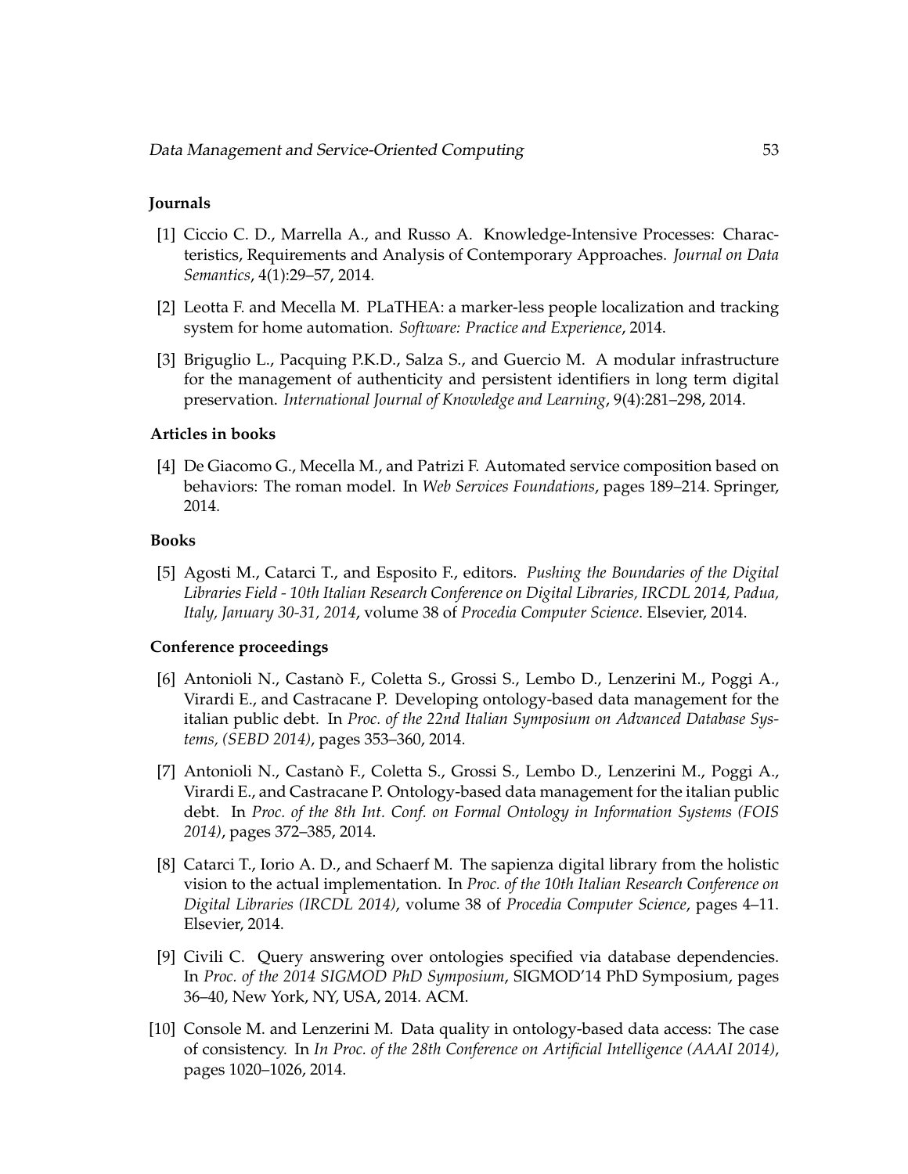## **Journals**

- [1] Ciccio C. D., Marrella A., and Russo A. Knowledge-Intensive Processes: Characteristics, Requirements and Analysis of Contemporary Approaches. *Journal on Data Semantics*, 4(1):29–57, 2014.
- [2] Leotta F. and Mecella M. PLaTHEA: a marker-less people localization and tracking system for home automation. *Software: Practice and Experience*, 2014.
- [3] Briguglio L., Pacquing P.K.D., Salza S., and Guercio M. A modular infrastructure for the management of authenticity and persistent identifiers in long term digital preservation. *International Journal of Knowledge and Learning*, 9(4):281–298, 2014.

### **Articles in books**

[4] De Giacomo G., Mecella M., and Patrizi F. Automated service composition based on behaviors: The roman model. In *Web Services Foundations*, pages 189–214. Springer, 2014.

#### **Books**

[5] Agosti M., Catarci T., and Esposito F., editors. *Pushing the Boundaries of the Digital Libraries Field - 10th Italian Research Conference on Digital Libraries, IRCDL 2014, Padua, Italy, January 30-31, 2014*, volume 38 of *Procedia Computer Science*. Elsevier, 2014.

#### **Conference proceedings**

- [6] Antonioli N., Castano F., Coletta S., Grossi S., Lembo D., Lenzerini M., Poggi A., ` Virardi E., and Castracane P. Developing ontology-based data management for the italian public debt. In *Proc. of the 22nd Italian Symposium on Advanced Database Systems, (SEBD 2014)*, pages 353–360, 2014.
- [7] Antonioli N., Castano F., Coletta S., Grossi S., Lembo D., Lenzerini M., Poggi A., ` Virardi E., and Castracane P. Ontology-based data management for the italian public debt. In *Proc. of the 8th Int. Conf. on Formal Ontology in Information Systems (FOIS 2014)*, pages 372–385, 2014.
- [8] Catarci T., Iorio A. D., and Schaerf M. The sapienza digital library from the holistic vision to the actual implementation. In *Proc. of the 10th Italian Research Conference on Digital Libraries (IRCDL 2014)*, volume 38 of *Procedia Computer Science*, pages 4–11. Elsevier, 2014.
- [9] Civili C. Query answering over ontologies specified via database dependencies. In *Proc. of the 2014 SIGMOD PhD Symposium*, SIGMOD'14 PhD Symposium, pages 36–40, New York, NY, USA, 2014. ACM.
- [10] Console M. and Lenzerini M. Data quality in ontology-based data access: The case of consistency. In *In Proc. of the 28th Conference on Artificial Intelligence (AAAI 2014)*, pages 1020–1026, 2014.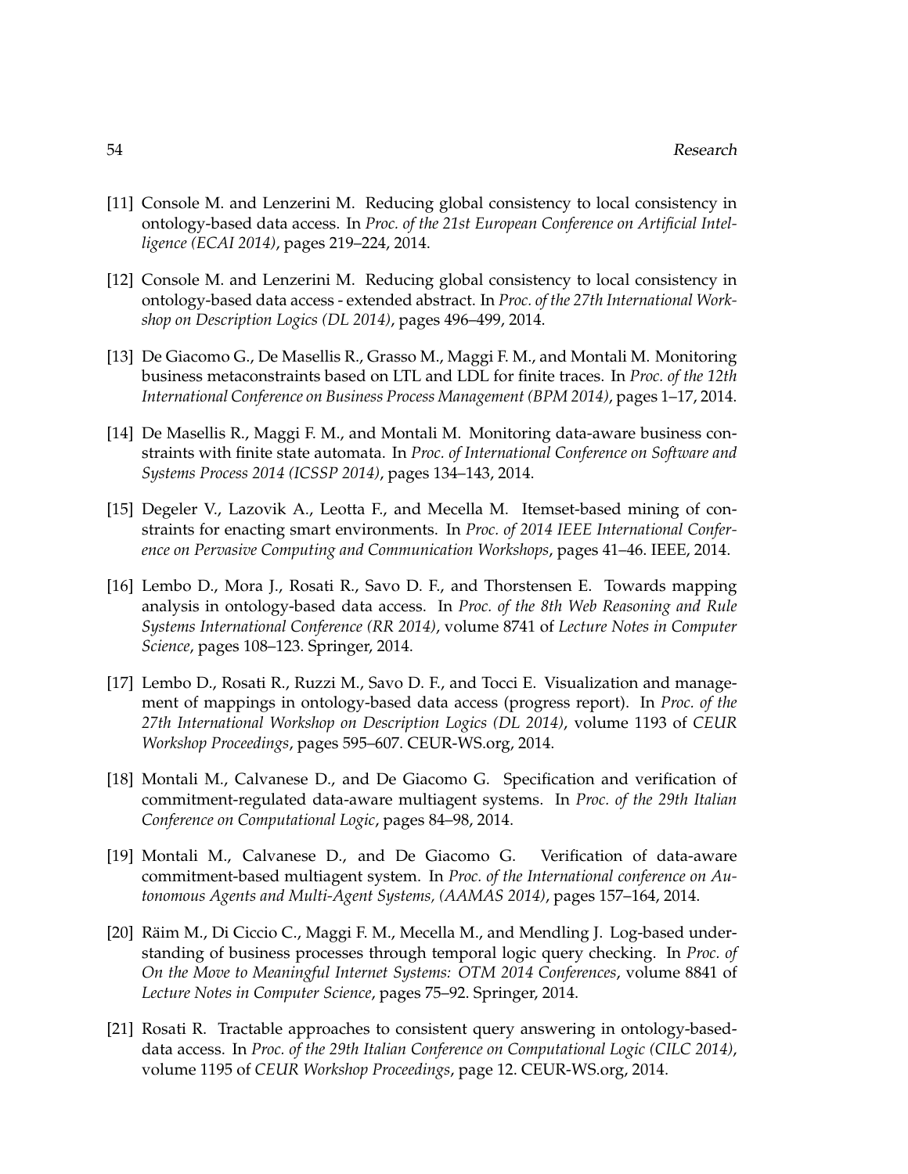- [11] Console M. and Lenzerini M. Reducing global consistency to local consistency in ontology-based data access. In *Proc. of the 21st European Conference on Artificial Intelligence (ECAI 2014)*, pages 219–224, 2014.
- [12] Console M. and Lenzerini M. Reducing global consistency to local consistency in ontology-based data access - extended abstract. In *Proc. of the 27th International Workshop on Description Logics (DL 2014)*, pages 496–499, 2014.
- [13] De Giacomo G., De Masellis R., Grasso M., Maggi F. M., and Montali M. Monitoring business metaconstraints based on LTL and LDL for finite traces. In *Proc. of the 12th International Conference on Business Process Management (BPM 2014)*, pages 1–17, 2014.
- [14] De Masellis R., Maggi F. M., and Montali M. Monitoring data-aware business constraints with finite state automata. In *Proc. of International Conference on Software and Systems Process 2014 (ICSSP 2014)*, pages 134–143, 2014.
- [15] Degeler V., Lazovik A., Leotta F., and Mecella M. Itemset-based mining of constraints for enacting smart environments. In *Proc. of 2014 IEEE International Conference on Pervasive Computing and Communication Workshops*, pages 41–46. IEEE, 2014.
- [16] Lembo D., Mora J., Rosati R., Savo D. F., and Thorstensen E. Towards mapping analysis in ontology-based data access. In *Proc. of the 8th Web Reasoning and Rule Systems International Conference (RR 2014)*, volume 8741 of *Lecture Notes in Computer Science*, pages 108–123. Springer, 2014.
- [17] Lembo D., Rosati R., Ruzzi M., Savo D. F., and Tocci E. Visualization and management of mappings in ontology-based data access (progress report). In *Proc. of the 27th International Workshop on Description Logics (DL 2014)*, volume 1193 of *CEUR Workshop Proceedings*, pages 595–607. CEUR-WS.org, 2014.
- [18] Montali M., Calvanese D., and De Giacomo G. Specification and verification of commitment-regulated data-aware multiagent systems. In *Proc. of the 29th Italian Conference on Computational Logic*, pages 84–98, 2014.
- [19] Montali M., Calvanese D., and De Giacomo G. Verification of data-aware commitment-based multiagent system. In *Proc. of the International conference on Autonomous Agents and Multi-Agent Systems, (AAMAS 2014)*, pages 157–164, 2014.
- [20] Räim M., Di Ciccio C., Maggi F. M., Mecella M., and Mendling J. Log-based understanding of business processes through temporal logic query checking. In *Proc. of On the Move to Meaningful Internet Systems: OTM 2014 Conferences*, volume 8841 of *Lecture Notes in Computer Science*, pages 75–92. Springer, 2014.
- [21] Rosati R. Tractable approaches to consistent query answering in ontology-baseddata access. In *Proc. of the 29th Italian Conference on Computational Logic (CILC 2014)*, volume 1195 of *CEUR Workshop Proceedings*, page 12. CEUR-WS.org, 2014.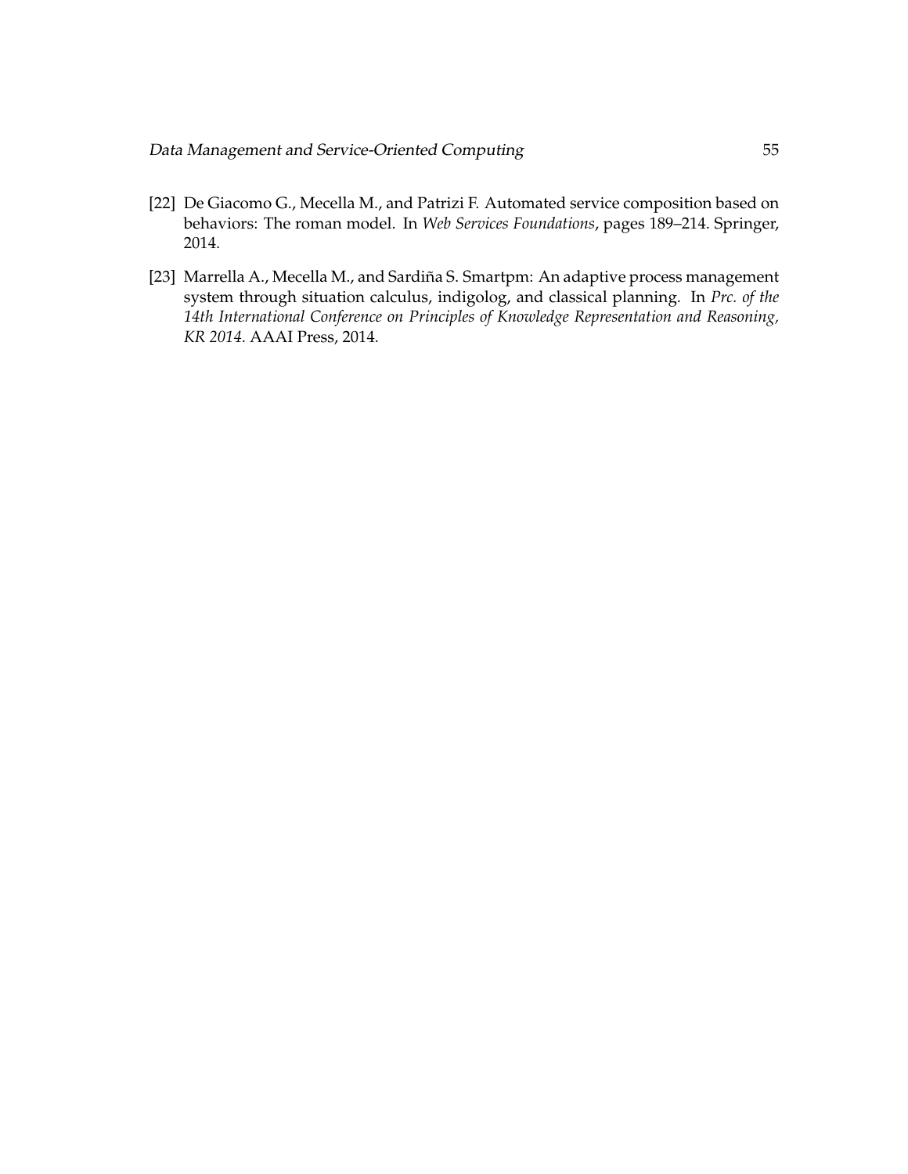- [22] De Giacomo G., Mecella M., and Patrizi F. Automated service composition based on behaviors: The roman model. In *Web Services Foundations*, pages 189–214. Springer, 2014.
- [23] Marrella A., Mecella M., and Sardiña S. Smartpm: An adaptive process management system through situation calculus, indigolog, and classical planning. In *Prc. of the 14th International Conference on Principles of Knowledge Representation and Reasoning, KR 2014*. AAAI Press, 2014.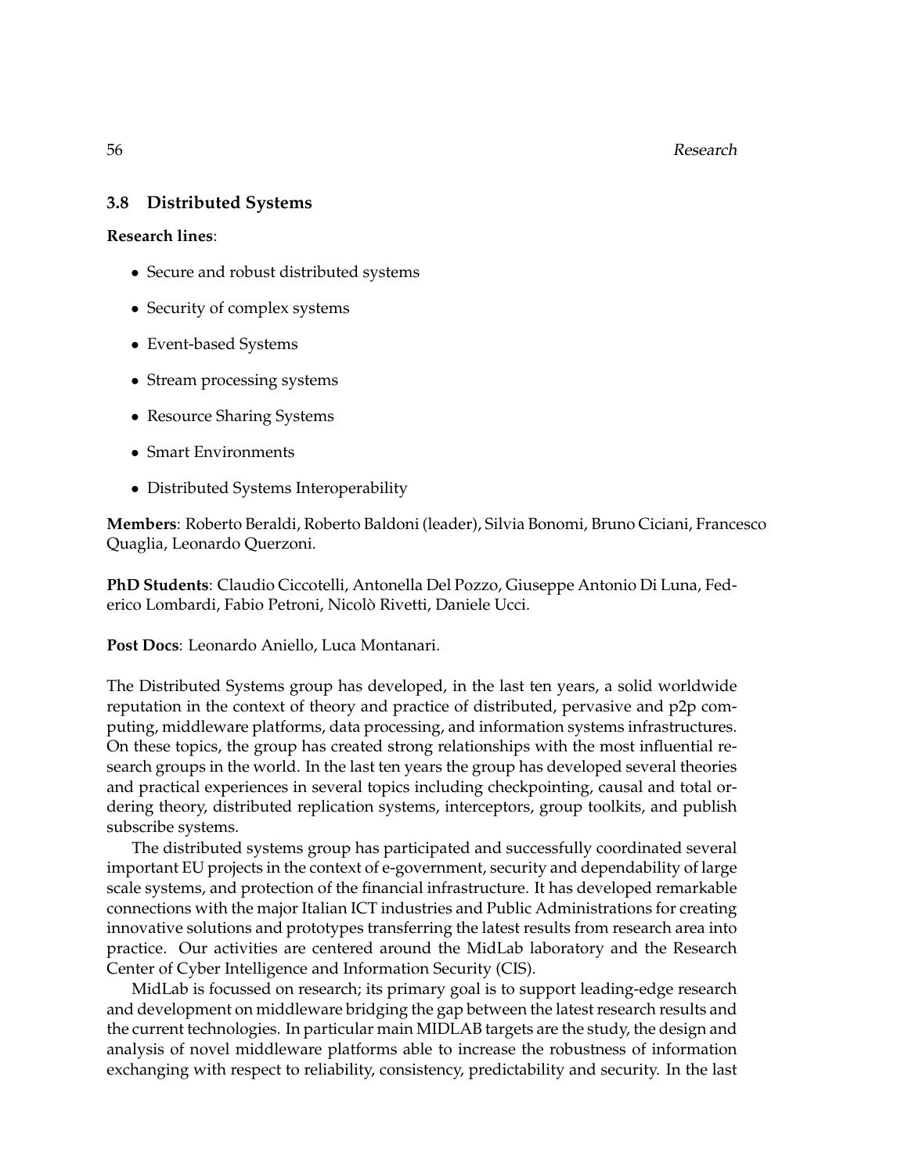56 Research

# **3.8 Distributed Systems**

**Research lines**:

- Secure and robust distributed systems
- Security of complex systems
- Event-based Systems
- Stream processing systems
- Resource Sharing Systems
- Smart Environments
- Distributed Systems Interoperability

**Members**: Roberto Beraldi, Roberto Baldoni (leader), Silvia Bonomi, Bruno Ciciani, Francesco Quaglia, Leonardo Querzoni.

**PhD Students**: Claudio Ciccotelli, Antonella Del Pozzo, Giuseppe Antonio Di Luna, Federico Lombardi, Fabio Petroni, Nicolo Rivetti, Daniele Ucci. `

**Post Docs**: Leonardo Aniello, Luca Montanari.

The Distributed Systems group has developed, in the last ten years, a solid worldwide reputation in the context of theory and practice of distributed, pervasive and p2p computing, middleware platforms, data processing, and information systems infrastructures. On these topics, the group has created strong relationships with the most influential research groups in the world. In the last ten years the group has developed several theories and practical experiences in several topics including checkpointing, causal and total ordering theory, distributed replication systems, interceptors, group toolkits, and publish subscribe systems.

The distributed systems group has participated and successfully coordinated several important EU projects in the context of e-government, security and dependability of large scale systems, and protection of the financial infrastructure. It has developed remarkable connections with the major Italian ICT industries and Public Administrations for creating innovative solutions and prototypes transferring the latest results from research area into practice. Our activities are centered around the MidLab laboratory and the Research Center of Cyber Intelligence and Information Security (CIS).

MidLab is focussed on research; its primary goal is to support leading-edge research and development on middleware bridging the gap between the latest research results and the current technologies. In particular main MIDLAB targets are the study, the design and analysis of novel middleware platforms able to increase the robustness of information exchanging with respect to reliability, consistency, predictability and security. In the last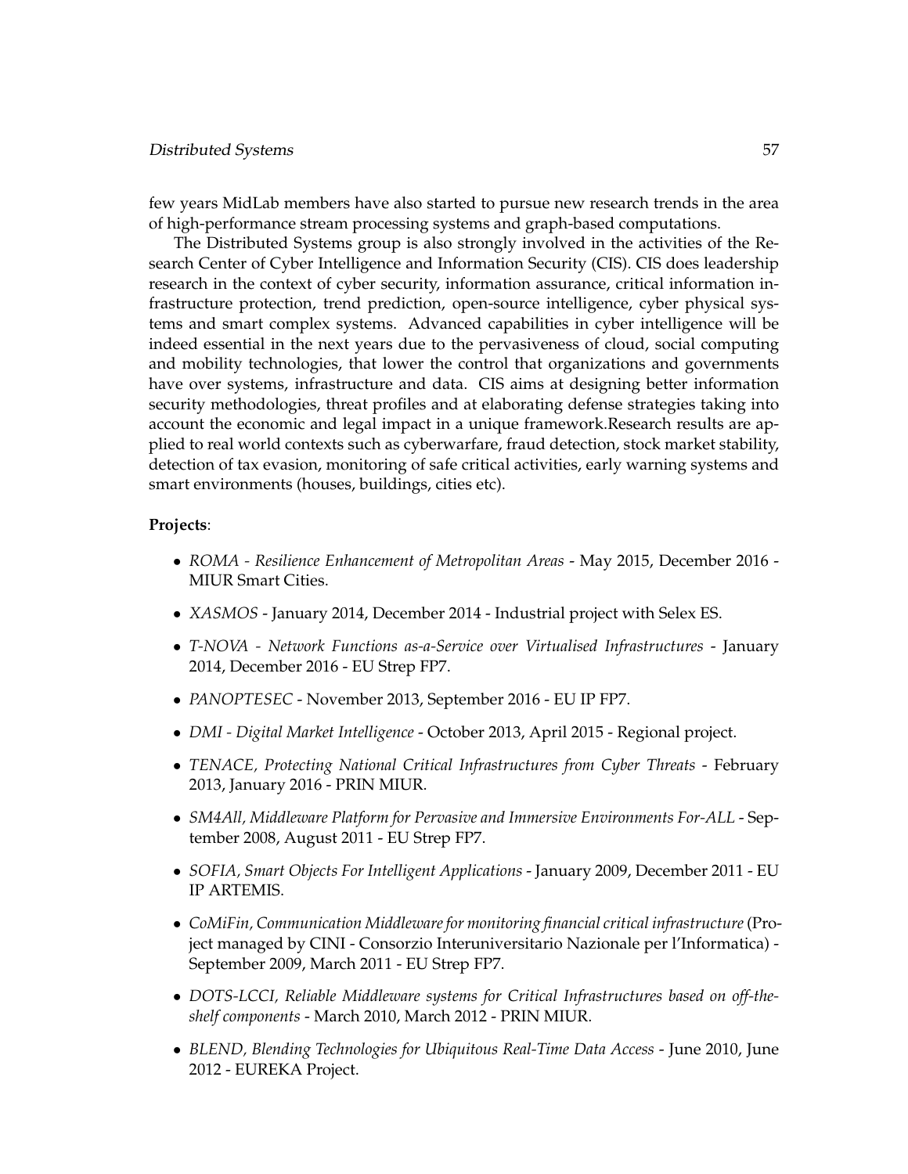#### Distributed Systems 57

few years MidLab members have also started to pursue new research trends in the area of high-performance stream processing systems and graph-based computations.

The Distributed Systems group is also strongly involved in the activities of the Research Center of Cyber Intelligence and Information Security (CIS). CIS does leadership research in the context of cyber security, information assurance, critical information infrastructure protection, trend prediction, open-source intelligence, cyber physical systems and smart complex systems. Advanced capabilities in cyber intelligence will be indeed essential in the next years due to the pervasiveness of cloud, social computing and mobility technologies, that lower the control that organizations and governments have over systems, infrastructure and data. CIS aims at designing better information security methodologies, threat profiles and at elaborating defense strategies taking into account the economic and legal impact in a unique framework.Research results are applied to real world contexts such as cyberwarfare, fraud detection, stock market stability, detection of tax evasion, monitoring of safe critical activities, early warning systems and smart environments (houses, buildings, cities etc).

#### **Projects**:

- *ROMA Resilience Enhancement of Metropolitan Areas* May 2015, December 2016 MIUR Smart Cities.
- *XASMOS* January 2014, December 2014 Industrial project with Selex ES.
- *T-NOVA Network Functions as-a-Service over Virtualised Infrastructures* January 2014, December 2016 - EU Strep FP7.
- *PANOPTESEC* November 2013, September 2016 EU IP FP7.
- *DMI Digital Market Intelligence* October 2013, April 2015 Regional project.
- *TENACE, Protecting National Critical Infrastructures from Cyber Threats February* 2013, January 2016 - PRIN MIUR.
- *SM4All, Middleware Platform for Pervasive and Immersive Environments For-ALL* September 2008, August 2011 - EU Strep FP7.
- *SOFIA, Smart Objects For Intelligent Applications* January 2009, December 2011 EU IP ARTEMIS.
- *CoMiFin, Communication Middleware for monitoring financial critical infrastructure*(Project managed by CINI - Consorzio Interuniversitario Nazionale per l'Informatica) - September 2009, March 2011 - EU Strep FP7.
- *DOTS-LCCI, Reliable Middleware systems for Critical Infrastructures based on off-theshelf components* - March 2010, March 2012 - PRIN MIUR.
- *BLEND, Blending Technologies for Ubiquitous Real-Time Data Access* June 2010, June 2012 - EUREKA Project.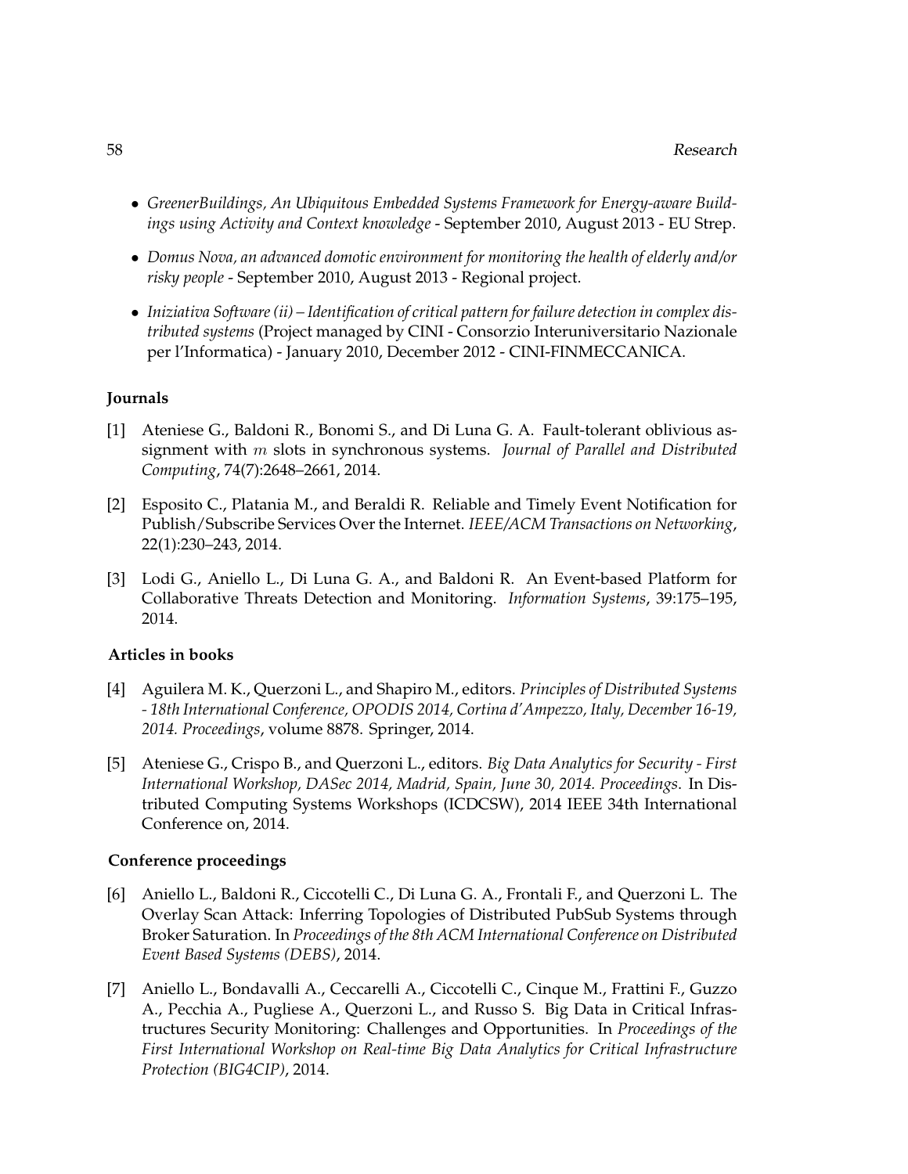- *GreenerBuildings, An Ubiquitous Embedded Systems Framework for Energy-aware Buildings using Activity and Context knowledge* - September 2010, August 2013 - EU Strep.
- *Domus Nova, an advanced domotic environment for monitoring the health of elderly and/or risky people* - September 2010, August 2013 - Regional project.
- *Iniziativa Software (ii) Identification of critical pattern for failure detection in complex distributed systems* (Project managed by CINI - Consorzio Interuniversitario Nazionale per l'Informatica) - January 2010, December 2012 - CINI-FINMECCANICA.

#### **Journals**

- [1] Ateniese G., Baldoni R., Bonomi S., and Di Luna G. A. Fault-tolerant oblivious assignment with m slots in synchronous systems. *Journal of Parallel and Distributed Computing*, 74(7):2648–2661, 2014.
- [2] Esposito C., Platania M., and Beraldi R. Reliable and Timely Event Notification for Publish/Subscribe Services Over the Internet. *IEEE/ACM Transactions on Networking*, 22(1):230–243, 2014.
- [3] Lodi G., Aniello L., Di Luna G. A., and Baldoni R. An Event-based Platform for Collaborative Threats Detection and Monitoring. *Information Systems*, 39:175–195, 2014.

# **Articles in books**

- [4] Aguilera M. K., Querzoni L., and Shapiro M., editors. *Principles of Distributed Systems - 18th International Conference, OPODIS 2014, Cortina d'Ampezzo, Italy, December 16-19, 2014. Proceedings*, volume 8878. Springer, 2014.
- [5] Ateniese G., Crispo B., and Querzoni L., editors. *Big Data Analytics for Security First International Workshop, DASec 2014, Madrid, Spain, June 30, 2014. Proceedings*. In Distributed Computing Systems Workshops (ICDCSW), 2014 IEEE 34th International Conference on, 2014.

#### **Conference proceedings**

- [6] Aniello L., Baldoni R., Ciccotelli C., Di Luna G. A., Frontali F., and Querzoni L. The Overlay Scan Attack: Inferring Topologies of Distributed PubSub Systems through Broker Saturation. In *Proceedings of the 8th ACM International Conference on Distributed Event Based Systems (DEBS)*, 2014.
- [7] Aniello L., Bondavalli A., Ceccarelli A., Ciccotelli C., Cinque M., Frattini F., Guzzo A., Pecchia A., Pugliese A., Querzoni L., and Russo S. Big Data in Critical Infrastructures Security Monitoring: Challenges and Opportunities. In *Proceedings of the First International Workshop on Real-time Big Data Analytics for Critical Infrastructure Protection (BIG4CIP)*, 2014.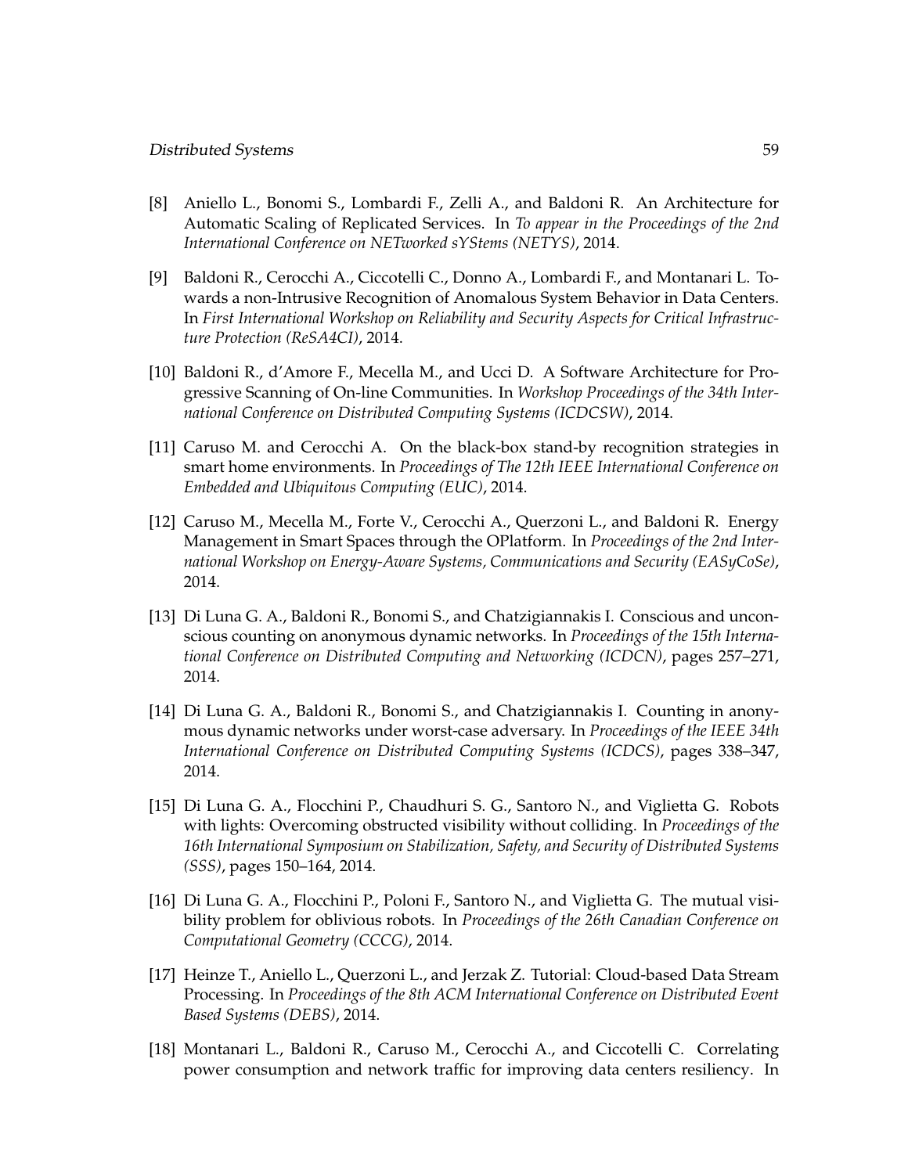- [8] Aniello L., Bonomi S., Lombardi F., Zelli A., and Baldoni R. An Architecture for Automatic Scaling of Replicated Services. In *To appear in the Proceedings of the 2nd International Conference on NETworked sYStems (NETYS)*, 2014.
- [9] Baldoni R., Cerocchi A., Ciccotelli C., Donno A., Lombardi F., and Montanari L. Towards a non-Intrusive Recognition of Anomalous System Behavior in Data Centers. In *First International Workshop on Reliability and Security Aspects for Critical Infrastructure Protection (ReSA4CI)*, 2014.
- [10] Baldoni R., d'Amore F., Mecella M., and Ucci D. A Software Architecture for Progressive Scanning of On-line Communities. In *Workshop Proceedings of the 34th International Conference on Distributed Computing Systems (ICDCSW)*, 2014.
- [11] Caruso M. and Cerocchi A. On the black-box stand-by recognition strategies in smart home environments. In *Proceedings of The 12th IEEE International Conference on Embedded and Ubiquitous Computing (EUC)*, 2014.
- [12] Caruso M., Mecella M., Forte V., Cerocchi A., Querzoni L., and Baldoni R. Energy Management in Smart Spaces through the OPlatform. In *Proceedings of the 2nd International Workshop on Energy-Aware Systems, Communications and Security (EASyCoSe)*, 2014.
- [13] Di Luna G. A., Baldoni R., Bonomi S., and Chatzigiannakis I. Conscious and unconscious counting on anonymous dynamic networks. In *Proceedings of the 15th International Conference on Distributed Computing and Networking (ICDCN)*, pages 257–271, 2014.
- [14] Di Luna G. A., Baldoni R., Bonomi S., and Chatzigiannakis I. Counting in anonymous dynamic networks under worst-case adversary. In *Proceedings of the IEEE 34th International Conference on Distributed Computing Systems (ICDCS)*, pages 338–347, 2014.
- [15] Di Luna G. A., Flocchini P., Chaudhuri S. G., Santoro N., and Viglietta G. Robots with lights: Overcoming obstructed visibility without colliding. In *Proceedings of the 16th International Symposium on Stabilization, Safety, and Security of Distributed Systems (SSS)*, pages 150–164, 2014.
- [16] Di Luna G. A., Flocchini P., Poloni F., Santoro N., and Viglietta G. The mutual visibility problem for oblivious robots. In *Proceedings of the 26th Canadian Conference on Computational Geometry (CCCG)*, 2014.
- [17] Heinze T., Aniello L., Querzoni L., and Jerzak Z. Tutorial: Cloud-based Data Stream Processing. In *Proceedings of the 8th ACM International Conference on Distributed Event Based Systems (DEBS)*, 2014.
- [18] Montanari L., Baldoni R., Caruso M., Cerocchi A., and Ciccotelli C. Correlating power consumption and network traffic for improving data centers resiliency. In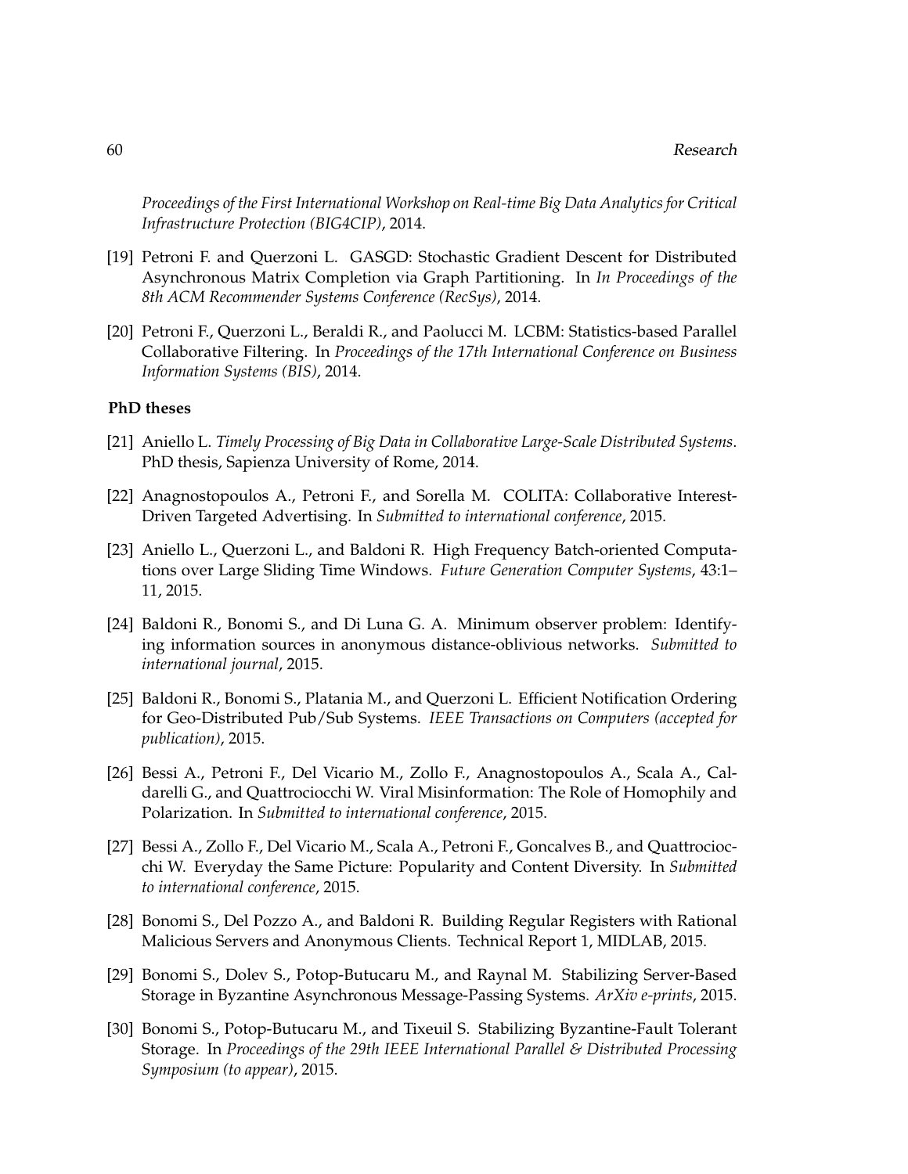*Proceedings of the First International Workshop on Real-time Big Data Analytics for Critical Infrastructure Protection (BIG4CIP)*, 2014.

- [19] Petroni F. and Querzoni L. GASGD: Stochastic Gradient Descent for Distributed Asynchronous Matrix Completion via Graph Partitioning. In *In Proceedings of the 8th ACM Recommender Systems Conference (RecSys)*, 2014.
- [20] Petroni F., Querzoni L., Beraldi R., and Paolucci M. LCBM: Statistics-based Parallel Collaborative Filtering. In *Proceedings of the 17th International Conference on Business Information Systems (BIS)*, 2014.

#### **PhD theses**

- [21] Aniello L. *Timely Processing of Big Data in Collaborative Large-Scale Distributed Systems*. PhD thesis, Sapienza University of Rome, 2014.
- [22] Anagnostopoulos A., Petroni F., and Sorella M. COLITA: Collaborative Interest-Driven Targeted Advertising. In *Submitted to international conference*, 2015.
- [23] Aniello L., Querzoni L., and Baldoni R. High Frequency Batch-oriented Computations over Large Sliding Time Windows. *Future Generation Computer Systems*, 43:1– 11, 2015.
- [24] Baldoni R., Bonomi S., and Di Luna G. A. Minimum observer problem: Identifying information sources in anonymous distance-oblivious networks. *Submitted to international journal*, 2015.
- [25] Baldoni R., Bonomi S., Platania M., and Querzoni L. Efficient Notification Ordering for Geo-Distributed Pub/Sub Systems. *IEEE Transactions on Computers (accepted for publication)*, 2015.
- [26] Bessi A., Petroni F., Del Vicario M., Zollo F., Anagnostopoulos A., Scala A., Caldarelli G., and Quattrociocchi W. Viral Misinformation: The Role of Homophily and Polarization. In *Submitted to international conference*, 2015.
- [27] Bessi A., Zollo F., Del Vicario M., Scala A., Petroni F., Goncalves B., and Quattrociocchi W. Everyday the Same Picture: Popularity and Content Diversity. In *Submitted to international conference*, 2015.
- [28] Bonomi S., Del Pozzo A., and Baldoni R. Building Regular Registers with Rational Malicious Servers and Anonymous Clients. Technical Report 1, MIDLAB, 2015.
- [29] Bonomi S., Dolev S., Potop-Butucaru M., and Raynal M. Stabilizing Server-Based Storage in Byzantine Asynchronous Message-Passing Systems. *ArXiv e-prints*, 2015.
- [30] Bonomi S., Potop-Butucaru M., and Tixeuil S. Stabilizing Byzantine-Fault Tolerant Storage. In *Proceedings of the 29th IEEE International Parallel & Distributed Processing Symposium (to appear)*, 2015.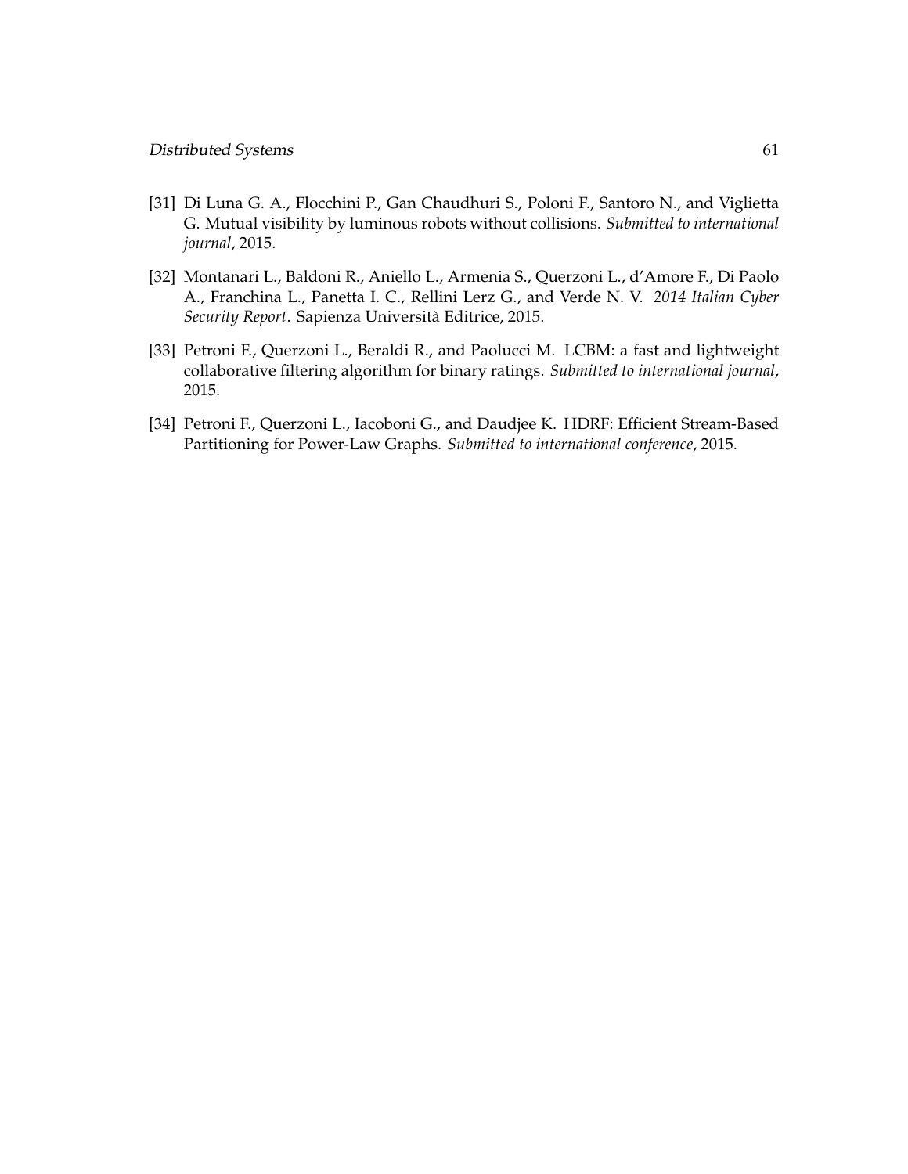- [31] Di Luna G. A., Flocchini P., Gan Chaudhuri S., Poloni F., Santoro N., and Viglietta G. Mutual visibility by luminous robots without collisions. *Submitted to international journal*, 2015.
- [32] Montanari L., Baldoni R., Aniello L., Armenia S., Querzoni L., d'Amore F., Di Paolo A., Franchina L., Panetta I. C., Rellini Lerz G., and Verde N. V. *2014 Italian Cyber Security Report*. Sapienza Universita Editrice, 2015. `
- [33] Petroni F., Querzoni L., Beraldi R., and Paolucci M. LCBM: a fast and lightweight collaborative filtering algorithm for binary ratings. *Submitted to international journal*, 2015.
- [34] Petroni F., Querzoni L., Iacoboni G., and Daudjee K. HDRF: Efficient Stream-Based Partitioning for Power-Law Graphs. *Submitted to international conference*, 2015.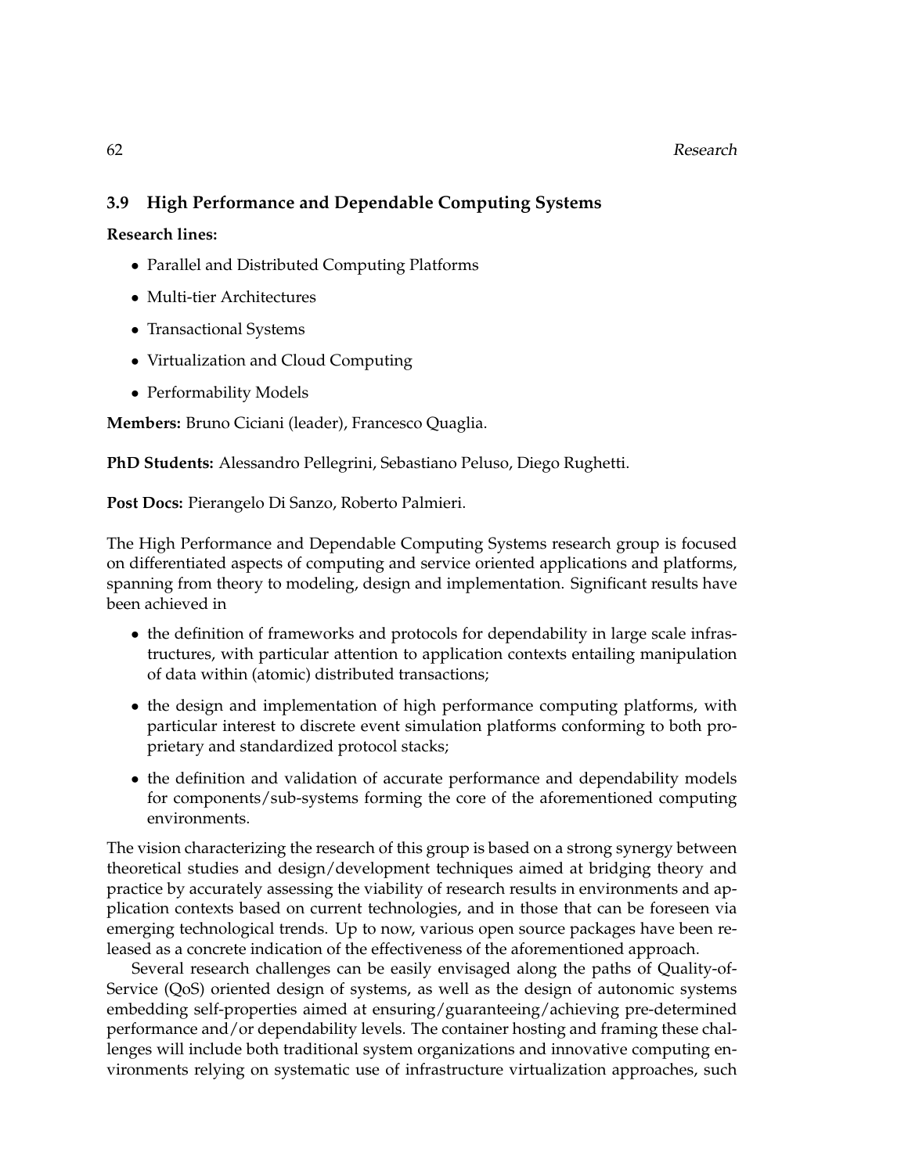# 62 Research

# **3.9 High Performance and Dependable Computing Systems**

**Research lines:**

- Parallel and Distributed Computing Platforms
- Multi-tier Architectures
- Transactional Systems
- Virtualization and Cloud Computing
- Performability Models

**Members:** Bruno Ciciani (leader), Francesco Quaglia.

**PhD Students:** Alessandro Pellegrini, Sebastiano Peluso, Diego Rughetti.

**Post Docs:** Pierangelo Di Sanzo, Roberto Palmieri.

The High Performance and Dependable Computing Systems research group is focused on differentiated aspects of computing and service oriented applications and platforms, spanning from theory to modeling, design and implementation. Significant results have been achieved in

- the definition of frameworks and protocols for dependability in large scale infrastructures, with particular attention to application contexts entailing manipulation of data within (atomic) distributed transactions;
- the design and implementation of high performance computing platforms, with particular interest to discrete event simulation platforms conforming to both proprietary and standardized protocol stacks;
- the definition and validation of accurate performance and dependability models for components/sub-systems forming the core of the aforementioned computing environments.

The vision characterizing the research of this group is based on a strong synergy between theoretical studies and design/development techniques aimed at bridging theory and practice by accurately assessing the viability of research results in environments and application contexts based on current technologies, and in those that can be foreseen via emerging technological trends. Up to now, various open source packages have been released as a concrete indication of the effectiveness of the aforementioned approach.

Several research challenges can be easily envisaged along the paths of Quality-of-Service (QoS) oriented design of systems, as well as the design of autonomic systems embedding self-properties aimed at ensuring/guaranteeing/achieving pre-determined performance and/or dependability levels. The container hosting and framing these challenges will include both traditional system organizations and innovative computing environments relying on systematic use of infrastructure virtualization approaches, such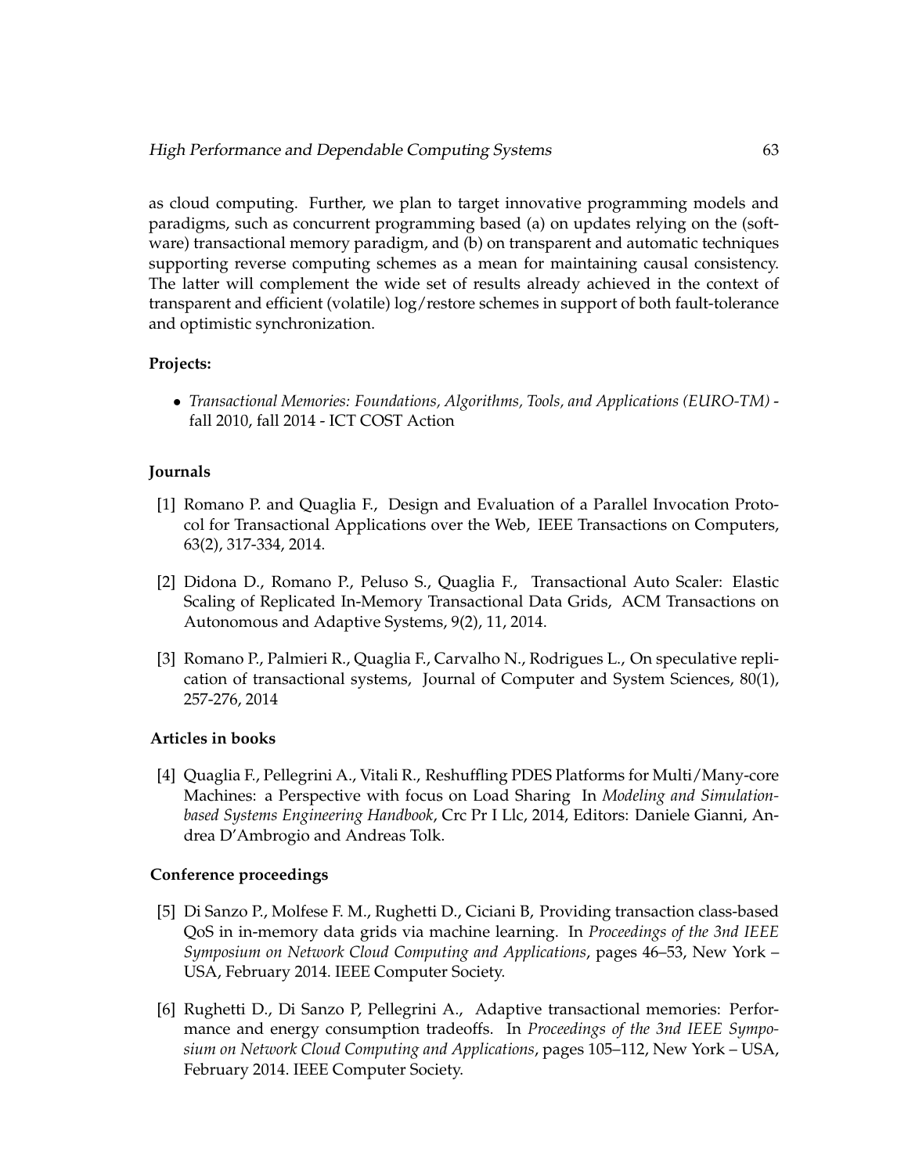as cloud computing. Further, we plan to target innovative programming models and paradigms, such as concurrent programming based (a) on updates relying on the (software) transactional memory paradigm, and (b) on transparent and automatic techniques supporting reverse computing schemes as a mean for maintaining causal consistency. The latter will complement the wide set of results already achieved in the context of transparent and efficient (volatile) log/restore schemes in support of both fault-tolerance and optimistic synchronization.

# **Projects:**

• *Transactional Memories: Foundations, Algorithms, Tools, and Applications (EURO-TM)* fall 2010, fall 2014 - ICT COST Action

## **Journals**

- [1] Romano P. and Quaglia F., Design and Evaluation of a Parallel Invocation Protocol for Transactional Applications over the Web, IEEE Transactions on Computers, 63(2), 317-334, 2014.
- [2] Didona D., Romano P., Peluso S., Quaglia F., Transactional Auto Scaler: Elastic Scaling of Replicated In-Memory Transactional Data Grids, ACM Transactions on Autonomous and Adaptive Systems, 9(2), 11, 2014.
- [3] Romano P., Palmieri R., Quaglia F., Carvalho N., Rodrigues L., On speculative replication of transactional systems, Journal of Computer and System Sciences, 80(1), 257-276, 2014

# **Articles in books**

[4] Quaglia F., Pellegrini A., Vitali R., Reshuffling PDES Platforms for Multi/Many-core Machines: a Perspective with focus on Load Sharing In *Modeling and Simulationbased Systems Engineering Handbook*, Crc Pr I Llc, 2014, Editors: Daniele Gianni, Andrea D'Ambrogio and Andreas Tolk.

# **Conference proceedings**

- [5] Di Sanzo P., Molfese F. M., Rughetti D., Ciciani B, Providing transaction class-based QoS in in-memory data grids via machine learning. In *Proceedings of the 3nd IEEE Symposium on Network Cloud Computing and Applications*, pages 46–53, New York – USA, February 2014. IEEE Computer Society.
- [6] Rughetti D., Di Sanzo P, Pellegrini A., Adaptive transactional memories: Performance and energy consumption tradeoffs. In *Proceedings of the 3nd IEEE Symposium on Network Cloud Computing and Applications*, pages 105–112, New York – USA, February 2014. IEEE Computer Society.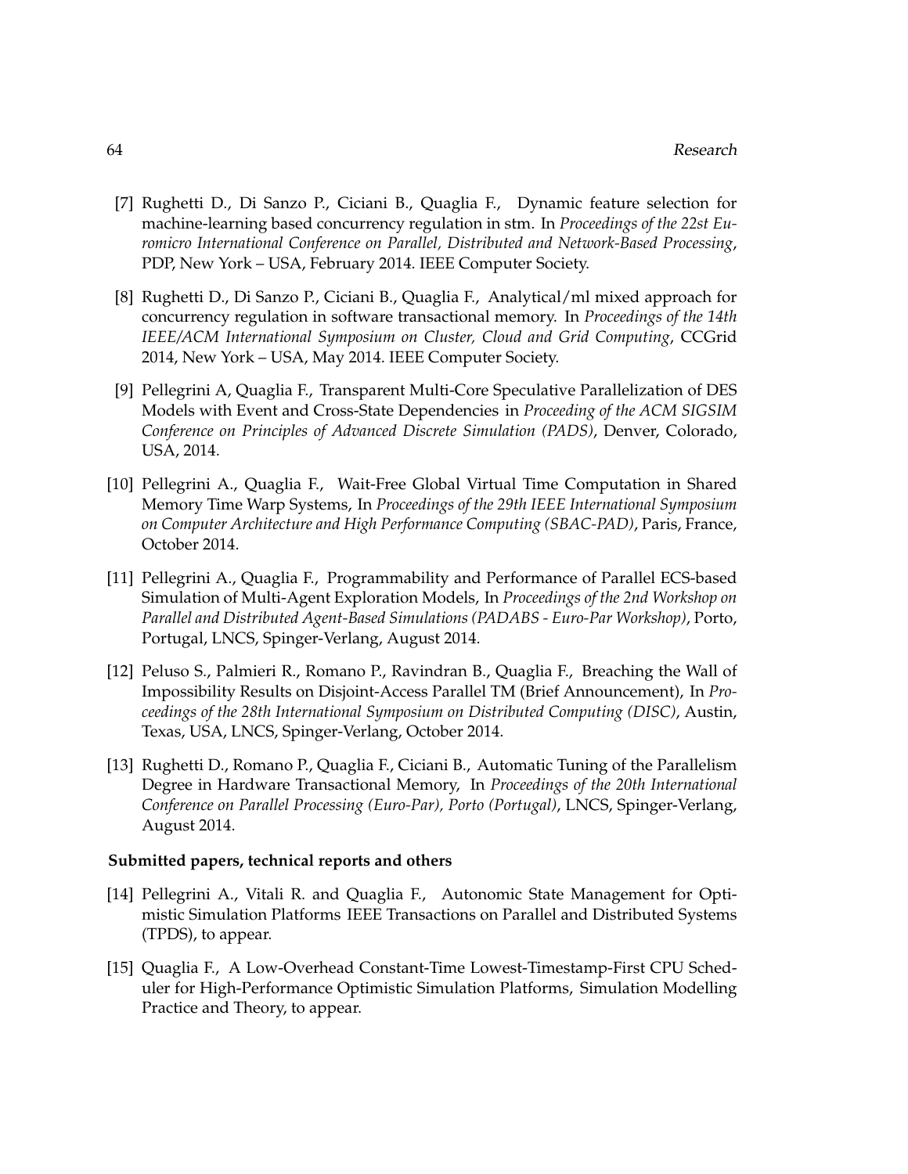- [7] Rughetti D., Di Sanzo P., Ciciani B., Quaglia F., Dynamic feature selection for machine-learning based concurrency regulation in stm. In *Proceedings of the 22st Euromicro International Conference on Parallel, Distributed and Network-Based Processing*, PDP, New York – USA, February 2014. IEEE Computer Society.
- [8] Rughetti D., Di Sanzo P., Ciciani B., Quaglia F., Analytical/ml mixed approach for concurrency regulation in software transactional memory. In *Proceedings of the 14th IEEE/ACM International Symposium on Cluster, Cloud and Grid Computing*, CCGrid 2014, New York – USA, May 2014. IEEE Computer Society.
- [9] Pellegrini A, Quaglia F., Transparent Multi-Core Speculative Parallelization of DES Models with Event and Cross-State Dependencies in *Proceeding of the ACM SIGSIM Conference on Principles of Advanced Discrete Simulation (PADS)*, Denver, Colorado, USA, 2014.
- [10] Pellegrini A., Quaglia F., Wait-Free Global Virtual Time Computation in Shared Memory Time Warp Systems, In *Proceedings of the 29th IEEE International Symposium on Computer Architecture and High Performance Computing (SBAC-PAD)*, Paris, France, October 2014.
- [11] Pellegrini A., Quaglia F., Programmability and Performance of Parallel ECS-based Simulation of Multi-Agent Exploration Models, In *Proceedings of the 2nd Workshop on Parallel and Distributed Agent-Based Simulations (PADABS - Euro-Par Workshop)*, Porto, Portugal, LNCS, Spinger-Verlang, August 2014.
- [12] Peluso S., Palmieri R., Romano P., Ravindran B., Quaglia F., Breaching the Wall of Impossibility Results on Disjoint-Access Parallel TM (Brief Announcement), In *Proceedings of the 28th International Symposium on Distributed Computing (DISC)*, Austin, Texas, USA, LNCS, Spinger-Verlang, October 2014.
- [13] Rughetti D., Romano P., Quaglia F., Ciciani B., Automatic Tuning of the Parallelism Degree in Hardware Transactional Memory, In *Proceedings of the 20th International Conference on Parallel Processing (Euro-Par), Porto (Portugal)*, LNCS, Spinger-Verlang, August 2014.

#### **Submitted papers, technical reports and others**

- [14] Pellegrini A., Vitali R. and Quaglia F., Autonomic State Management for Optimistic Simulation Platforms IEEE Transactions on Parallel and Distributed Systems (TPDS), to appear.
- [15] Quaglia F., A Low-Overhead Constant-Time Lowest-Timestamp-First CPU Scheduler for High-Performance Optimistic Simulation Platforms, Simulation Modelling Practice and Theory, to appear.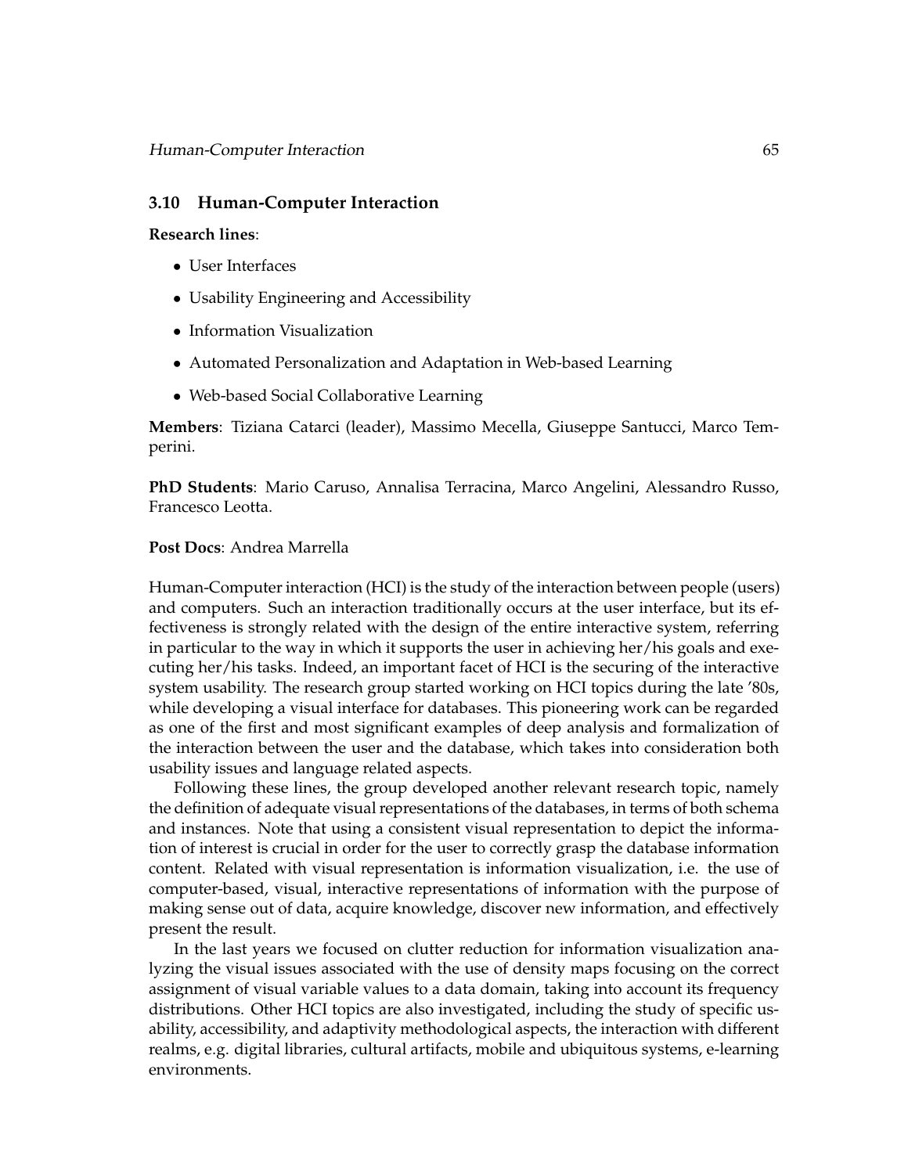## **3.10 Human-Computer Interaction**

#### **Research lines**:

- User Interfaces
- Usability Engineering and Accessibility
- Information Visualization
- Automated Personalization and Adaptation in Web-based Learning
- Web-based Social Collaborative Learning

**Members**: Tiziana Catarci (leader), Massimo Mecella, Giuseppe Santucci, Marco Temperini.

**PhD Students**: Mario Caruso, Annalisa Terracina, Marco Angelini, Alessandro Russo, Francesco Leotta.

### **Post Docs**: Andrea Marrella

Human-Computer interaction (HCI) is the study of the interaction between people (users) and computers. Such an interaction traditionally occurs at the user interface, but its effectiveness is strongly related with the design of the entire interactive system, referring in particular to the way in which it supports the user in achieving her/his goals and executing her/his tasks. Indeed, an important facet of HCI is the securing of the interactive system usability. The research group started working on HCI topics during the late '80s, while developing a visual interface for databases. This pioneering work can be regarded as one of the first and most significant examples of deep analysis and formalization of the interaction between the user and the database, which takes into consideration both usability issues and language related aspects.

Following these lines, the group developed another relevant research topic, namely the definition of adequate visual representations of the databases, in terms of both schema and instances. Note that using a consistent visual representation to depict the information of interest is crucial in order for the user to correctly grasp the database information content. Related with visual representation is information visualization, i.e. the use of computer-based, visual, interactive representations of information with the purpose of making sense out of data, acquire knowledge, discover new information, and effectively present the result.

In the last years we focused on clutter reduction for information visualization analyzing the visual issues associated with the use of density maps focusing on the correct assignment of visual variable values to a data domain, taking into account its frequency distributions. Other HCI topics are also investigated, including the study of specific usability, accessibility, and adaptivity methodological aspects, the interaction with different realms, e.g. digital libraries, cultural artifacts, mobile and ubiquitous systems, e-learning environments.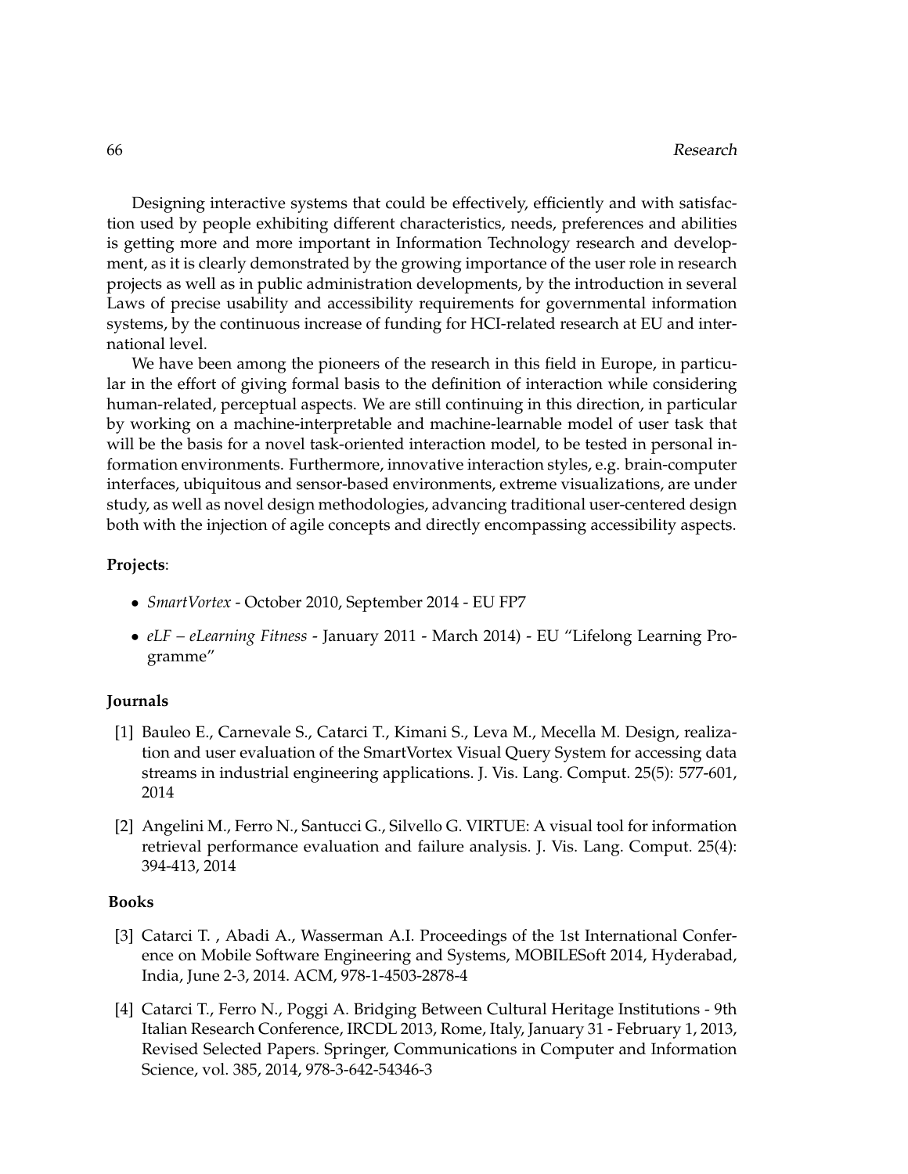Designing interactive systems that could be effectively, efficiently and with satisfaction used by people exhibiting different characteristics, needs, preferences and abilities is getting more and more important in Information Technology research and development, as it is clearly demonstrated by the growing importance of the user role in research projects as well as in public administration developments, by the introduction in several Laws of precise usability and accessibility requirements for governmental information systems, by the continuous increase of funding for HCI-related research at EU and international level.

We have been among the pioneers of the research in this field in Europe, in particular in the effort of giving formal basis to the definition of interaction while considering human-related, perceptual aspects. We are still continuing in this direction, in particular by working on a machine-interpretable and machine-learnable model of user task that will be the basis for a novel task-oriented interaction model, to be tested in personal information environments. Furthermore, innovative interaction styles, e.g. brain-computer interfaces, ubiquitous and sensor-based environments, extreme visualizations, are under study, as well as novel design methodologies, advancing traditional user-centered design both with the injection of agile concepts and directly encompassing accessibility aspects.

#### **Projects**:

- *SmartVortex* October 2010, September 2014 EU FP7
- *eLF eLearning Fitness* January 2011 March 2014) EU "Lifelong Learning Programme"

#### **Journals**

- [1] Bauleo E., Carnevale S., Catarci T., Kimani S., Leva M., Mecella M. Design, realization and user evaluation of the SmartVortex Visual Query System for accessing data streams in industrial engineering applications. J. Vis. Lang. Comput. 25(5): 577-601, 2014
- [2] Angelini M., Ferro N., Santucci G., Silvello G. VIRTUE: A visual tool for information retrieval performance evaluation and failure analysis. J. Vis. Lang. Comput. 25(4): 394-413, 2014

#### **Books**

- [3] Catarci T., Abadi A., Wasserman A.I. Proceedings of the 1st International Conference on Mobile Software Engineering and Systems, MOBILESoft 2014, Hyderabad, India, June 2-3, 2014. ACM, 978-1-4503-2878-4
- [4] Catarci T., Ferro N., Poggi A. Bridging Between Cultural Heritage Institutions 9th Italian Research Conference, IRCDL 2013, Rome, Italy, January 31 - February 1, 2013, Revised Selected Papers. Springer, Communications in Computer and Information Science, vol. 385, 2014, 978-3-642-54346-3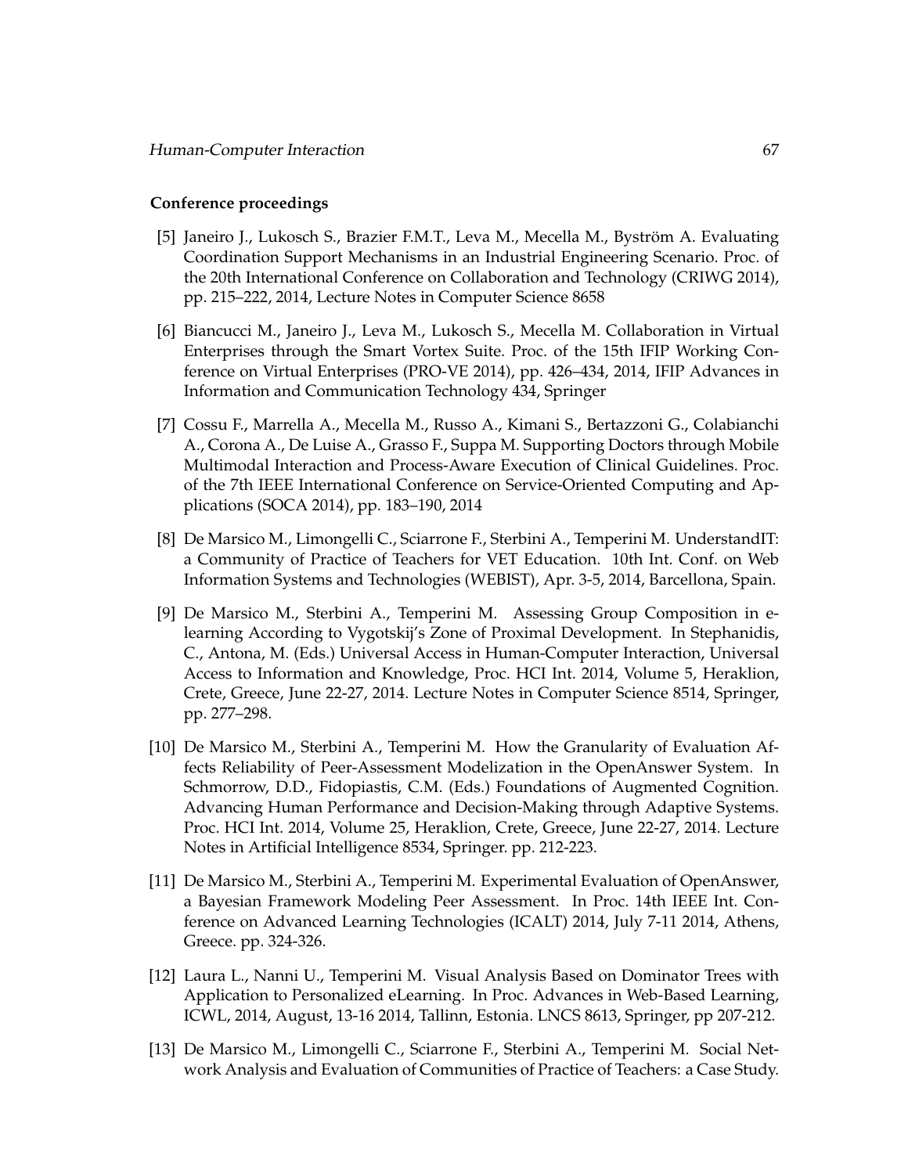### **Conference proceedings**

- [5] Janeiro J., Lukosch S., Brazier F.M.T., Leva M., Mecella M., Byström A. Evaluating Coordination Support Mechanisms in an Industrial Engineering Scenario. Proc. of the 20th International Conference on Collaboration and Technology (CRIWG 2014), pp. 215–222, 2014, Lecture Notes in Computer Science 8658
- [6] Biancucci M., Janeiro J., Leva M., Lukosch S., Mecella M. Collaboration in Virtual Enterprises through the Smart Vortex Suite. Proc. of the 15th IFIP Working Conference on Virtual Enterprises (PRO-VE 2014), pp. 426–434, 2014, IFIP Advances in Information and Communication Technology 434, Springer
- [7] Cossu F., Marrella A., Mecella M., Russo A., Kimani S., Bertazzoni G., Colabianchi A., Corona A., De Luise A., Grasso F., Suppa M. Supporting Doctors through Mobile Multimodal Interaction and Process-Aware Execution of Clinical Guidelines. Proc. of the 7th IEEE International Conference on Service-Oriented Computing and Applications (SOCA 2014), pp. 183–190, 2014
- [8] De Marsico M., Limongelli C., Sciarrone F., Sterbini A., Temperini M. UnderstandIT: a Community of Practice of Teachers for VET Education. 10th Int. Conf. on Web Information Systems and Technologies (WEBIST), Apr. 3-5, 2014, Barcellona, Spain.
- [9] De Marsico M., Sterbini A., Temperini M. Assessing Group Composition in elearning According to Vygotskij's Zone of Proximal Development. In Stephanidis, C., Antona, M. (Eds.) Universal Access in Human-Computer Interaction, Universal Access to Information and Knowledge, Proc. HCI Int. 2014, Volume 5, Heraklion, Crete, Greece, June 22-27, 2014. Lecture Notes in Computer Science 8514, Springer, pp. 277–298.
- [10] De Marsico M., Sterbini A., Temperini M. How the Granularity of Evaluation Affects Reliability of Peer-Assessment Modelization in the OpenAnswer System. In Schmorrow, D.D., Fidopiastis, C.M. (Eds.) Foundations of Augmented Cognition. Advancing Human Performance and Decision-Making through Adaptive Systems. Proc. HCI Int. 2014, Volume 25, Heraklion, Crete, Greece, June 22-27, 2014. Lecture Notes in Artificial Intelligence 8534, Springer. pp. 212-223.
- [11] De Marsico M., Sterbini A., Temperini M. Experimental Evaluation of OpenAnswer, a Bayesian Framework Modeling Peer Assessment. In Proc. 14th IEEE Int. Conference on Advanced Learning Technologies (ICALT) 2014, July 7-11 2014, Athens, Greece. pp. 324-326.
- [12] Laura L., Nanni U., Temperini M. Visual Analysis Based on Dominator Trees with Application to Personalized eLearning. In Proc. Advances in Web-Based Learning, ICWL, 2014, August, 13-16 2014, Tallinn, Estonia. LNCS 8613, Springer, pp 207-212.
- [13] De Marsico M., Limongelli C., Sciarrone F., Sterbini A., Temperini M. Social Network Analysis and Evaluation of Communities of Practice of Teachers: a Case Study.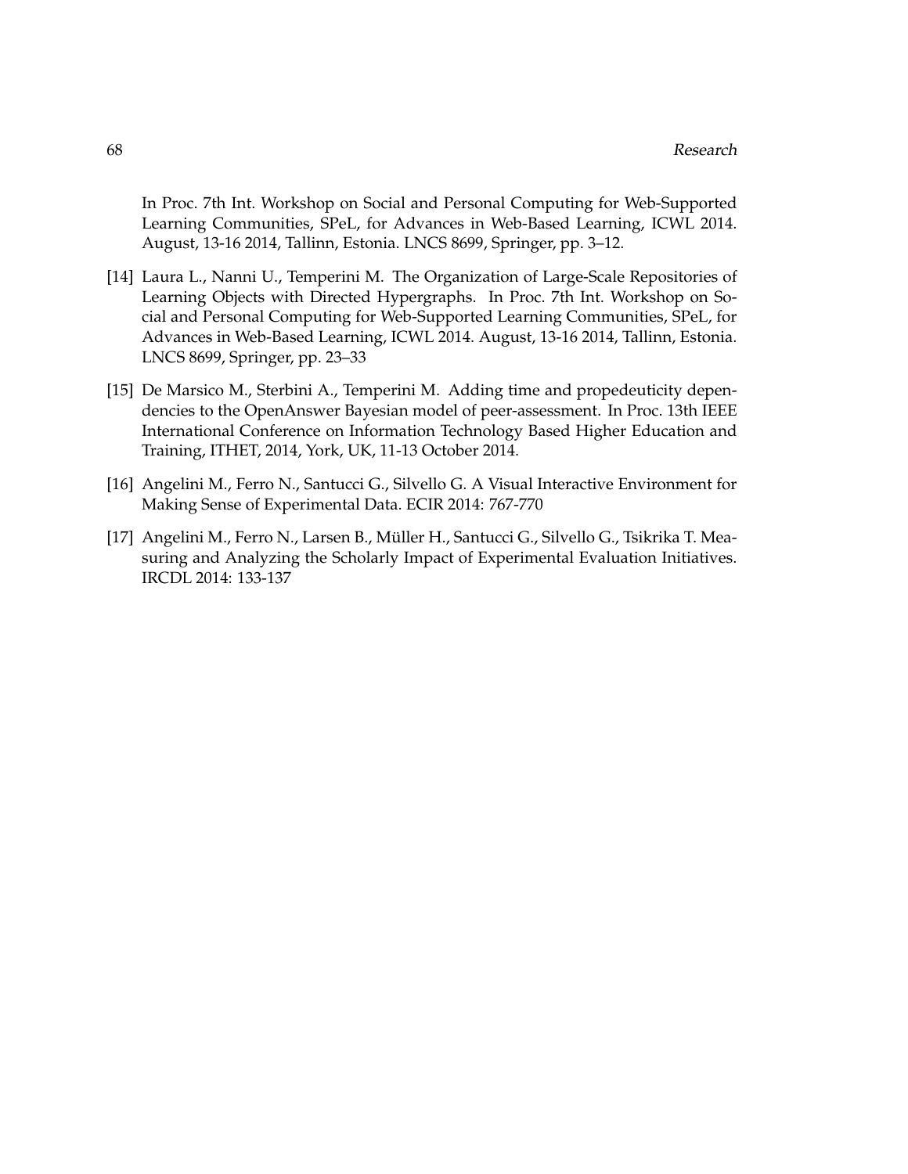In Proc. 7th Int. Workshop on Social and Personal Computing for Web-Supported Learning Communities, SPeL, for Advances in Web-Based Learning, ICWL 2014. August, 13-16 2014, Tallinn, Estonia. LNCS 8699, Springer, pp. 3–12.

- [14] Laura L., Nanni U., Temperini M. The Organization of Large-Scale Repositories of Learning Objects with Directed Hypergraphs. In Proc. 7th Int. Workshop on Social and Personal Computing for Web-Supported Learning Communities, SPeL, for Advances in Web-Based Learning, ICWL 2014. August, 13-16 2014, Tallinn, Estonia. LNCS 8699, Springer, pp. 23–33
- [15] De Marsico M., Sterbini A., Temperini M. Adding time and propedeuticity dependencies to the OpenAnswer Bayesian model of peer-assessment. In Proc. 13th IEEE International Conference on Information Technology Based Higher Education and Training, ITHET, 2014, York, UK, 11-13 October 2014.
- [16] Angelini M., Ferro N., Santucci G., Silvello G. A Visual Interactive Environment for Making Sense of Experimental Data. ECIR 2014: 767-770
- [17] Angelini M., Ferro N., Larsen B., Muller H., Santucci G., Silvello G., Tsikrika T. Mea- ¨ suring and Analyzing the Scholarly Impact of Experimental Evaluation Initiatives. IRCDL 2014: 133-137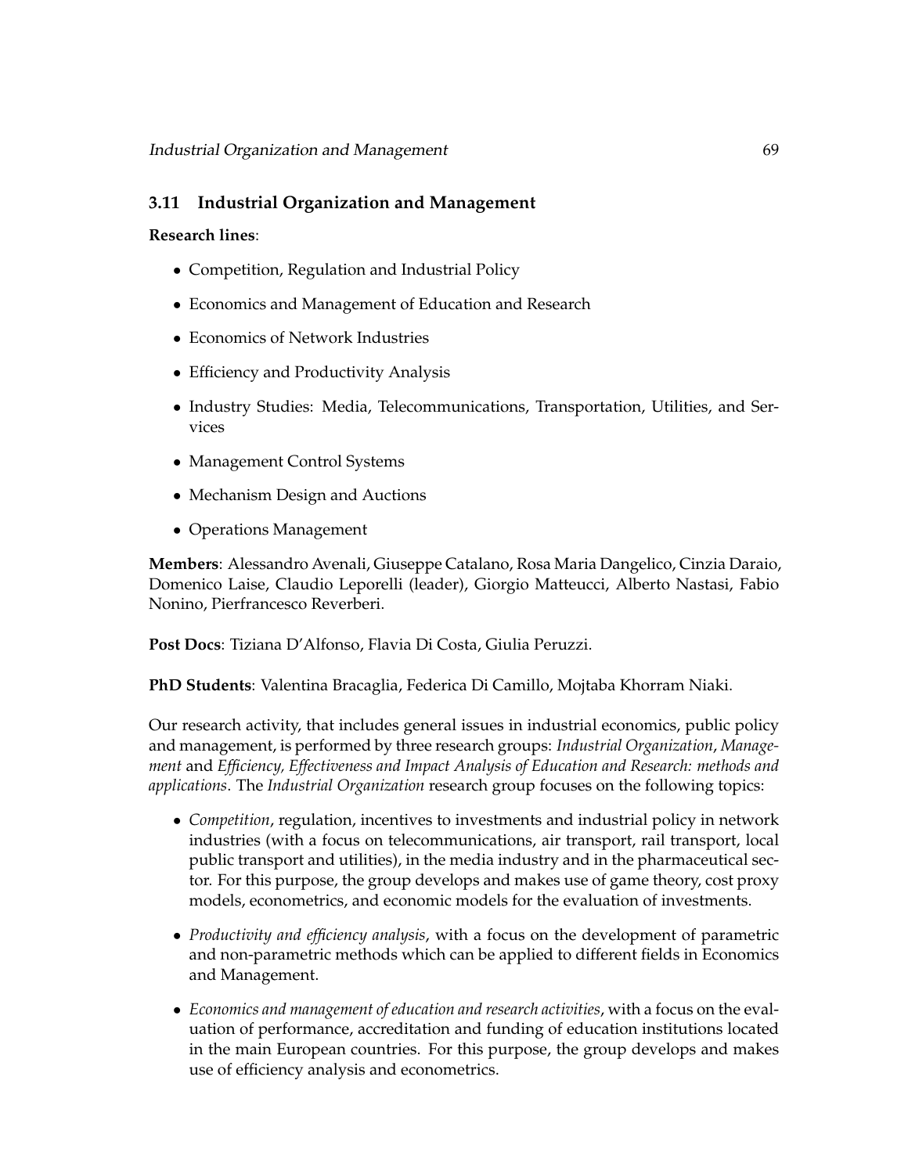# **3.11 Industrial Organization and Management**

## **Research lines**:

- Competition, Regulation and Industrial Policy
- Economics and Management of Education and Research
- Economics of Network Industries
- Efficiency and Productivity Analysis
- Industry Studies: Media, Telecommunications, Transportation, Utilities, and Services
- Management Control Systems
- Mechanism Design and Auctions
- Operations Management

**Members**: Alessandro Avenali, Giuseppe Catalano, Rosa Maria Dangelico, Cinzia Daraio, Domenico Laise, Claudio Leporelli (leader), Giorgio Matteucci, Alberto Nastasi, Fabio Nonino, Pierfrancesco Reverberi.

**Post Docs**: Tiziana D'Alfonso, Flavia Di Costa, Giulia Peruzzi.

**PhD Students**: Valentina Bracaglia, Federica Di Camillo, Mojtaba Khorram Niaki.

Our research activity, that includes general issues in industrial economics, public policy and management, is performed by three research groups: *Industrial Organization*, *Management* and *Efficiency, Effectiveness and Impact Analysis of Education and Research: methods and applications*. The *Industrial Organization* research group focuses on the following topics:

- *Competition*, regulation, incentives to investments and industrial policy in network industries (with a focus on telecommunications, air transport, rail transport, local public transport and utilities), in the media industry and in the pharmaceutical sector. For this purpose, the group develops and makes use of game theory, cost proxy models, econometrics, and economic models for the evaluation of investments.
- *Productivity and efficiency analysis*, with a focus on the development of parametric and non-parametric methods which can be applied to different fields in Economics and Management.
- *Economics and management of education and research activities*, with a focus on the evaluation of performance, accreditation and funding of education institutions located in the main European countries. For this purpose, the group develops and makes use of efficiency analysis and econometrics.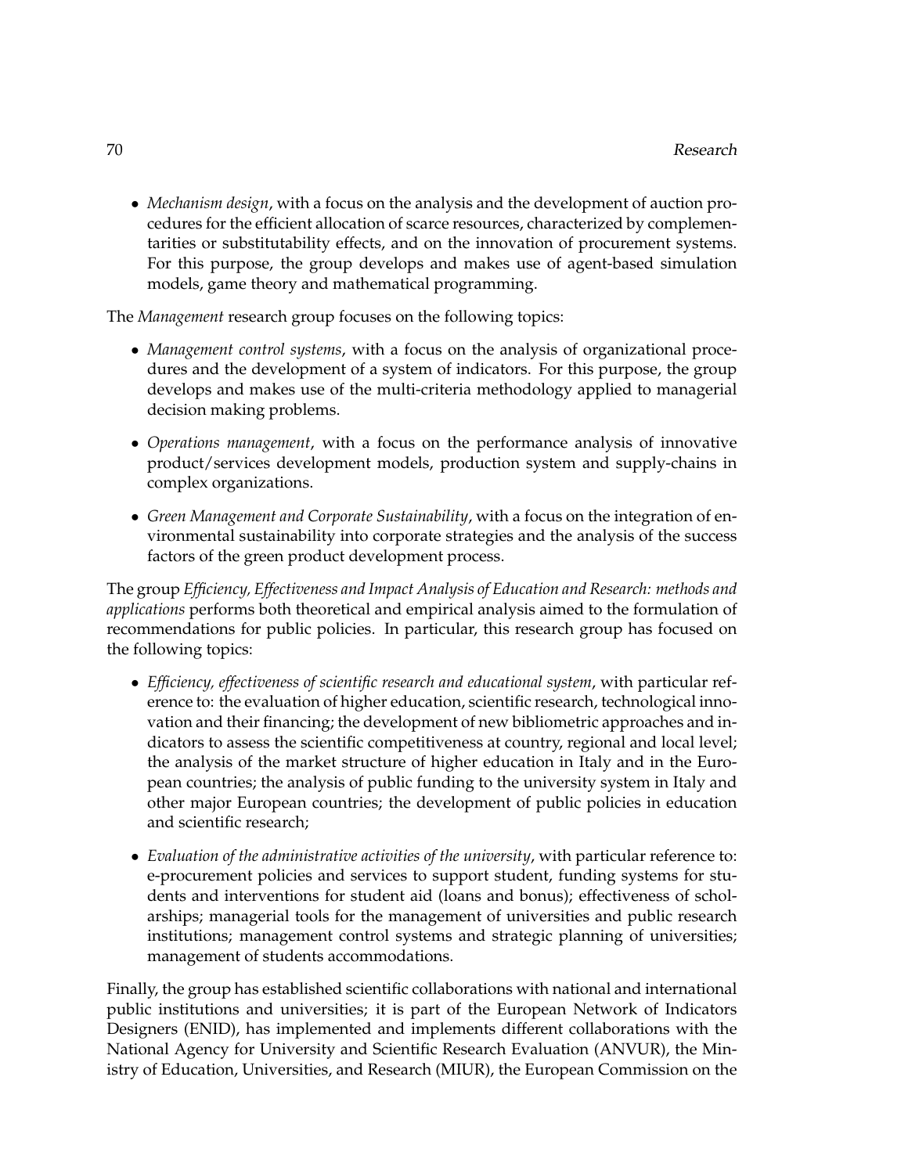• *Mechanism design*, with a focus on the analysis and the development of auction procedures for the efficient allocation of scarce resources, characterized by complementarities or substitutability effects, and on the innovation of procurement systems. For this purpose, the group develops and makes use of agent-based simulation models, game theory and mathematical programming.

The *Management* research group focuses on the following topics:

- *Management control systems*, with a focus on the analysis of organizational procedures and the development of a system of indicators. For this purpose, the group develops and makes use of the multi-criteria methodology applied to managerial decision making problems.
- *Operations management*, with a focus on the performance analysis of innovative product/services development models, production system and supply-chains in complex organizations.
- *Green Management and Corporate Sustainability*, with a focus on the integration of environmental sustainability into corporate strategies and the analysis of the success factors of the green product development process.

The group *Efficiency, Effectiveness and Impact Analysis of Education and Research: methods and applications* performs both theoretical and empirical analysis aimed to the formulation of recommendations for public policies. In particular, this research group has focused on the following topics:

- *Efficiency, effectiveness of scientific research and educational system*, with particular reference to: the evaluation of higher education, scientific research, technological innovation and their financing; the development of new bibliometric approaches and indicators to assess the scientific competitiveness at country, regional and local level; the analysis of the market structure of higher education in Italy and in the European countries; the analysis of public funding to the university system in Italy and other major European countries; the development of public policies in education and scientific research;
- *Evaluation of the administrative activities of the university*, with particular reference to: e-procurement policies and services to support student, funding systems for students and interventions for student aid (loans and bonus); effectiveness of scholarships; managerial tools for the management of universities and public research institutions; management control systems and strategic planning of universities; management of students accommodations.

Finally, the group has established scientific collaborations with national and international public institutions and universities; it is part of the European Network of Indicators Designers (ENID), has implemented and implements different collaborations with the National Agency for University and Scientific Research Evaluation (ANVUR), the Ministry of Education, Universities, and Research (MIUR), the European Commission on the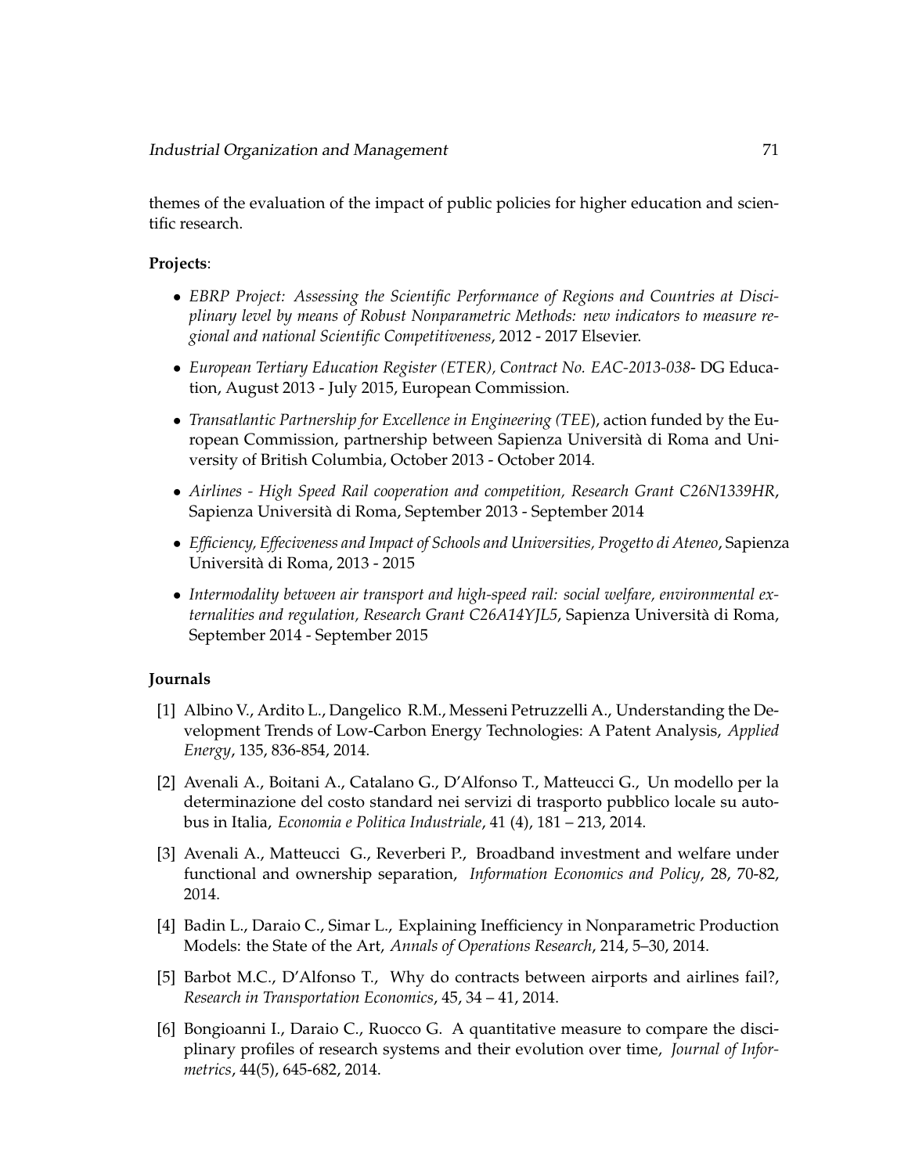themes of the evaluation of the impact of public policies for higher education and scientific research.

## **Projects**:

- *EBRP Project: Assessing the Scientific Performance of Regions and Countries at Disciplinary level by means of Robust Nonparametric Methods: new indicators to measure regional and national Scientific Competitiveness*, 2012 - 2017 Elsevier.
- *European Tertiary Education Register (ETER), Contract No. EAC-2013-038* DG Education, August 2013 - July 2015, European Commission.
- *Transatlantic Partnership for Excellence in Engineering (TEE*), action funded by the European Commission, partnership between Sapienza Universita di Roma and Uni- ` versity of British Columbia, October 2013 - October 2014.
- *Airlines High Speed Rail cooperation and competition, Research Grant C26N1339HR*, Sapienza Universita di Roma, September 2013 - September 2014 `
- *Efficiency, Effeciveness and Impact of Schools and Universities, Progetto di Ateneo*, Sapienza Universita di Roma, 2013 - 2015 `
- *Intermodality between air transport and high-speed rail: social welfare, environmental externalities and regulation, Research Grant C26A14YJL5*, Sapienza Universita di Roma, ` September 2014 - September 2015

## **Journals**

- [1] Albino V., Ardito L., Dangelico R.M., Messeni Petruzzelli A., Understanding the Development Trends of Low-Carbon Energy Technologies: A Patent Analysis, *Applied Energy*, 135, 836-854, 2014.
- [2] Avenali A., Boitani A., Catalano G., D'Alfonso T., Matteucci G., Un modello per la determinazione del costo standard nei servizi di trasporto pubblico locale su autobus in Italia, *Economia e Politica Industriale*, 41 (4), 181 – 213, 2014.
- [3] Avenali A., Matteucci G., Reverberi P., Broadband investment and welfare under functional and ownership separation, *Information Economics and Policy*, 28, 70-82, 2014.
- [4] Badin L., Daraio C., Simar L., Explaining Inefficiency in Nonparametric Production Models: the State of the Art, *Annals of Operations Research*, 214, 5–30, 2014.
- [5] Barbot M.C., D'Alfonso T., Why do contracts between airports and airlines fail?, *Research in Transportation Economics*, 45, 34 – 41, 2014.
- [6] Bongioanni I., Daraio C., Ruocco G. A quantitative measure to compare the disciplinary profiles of research systems and their evolution over time, *Journal of Informetrics*, 44(5), 645-682, 2014.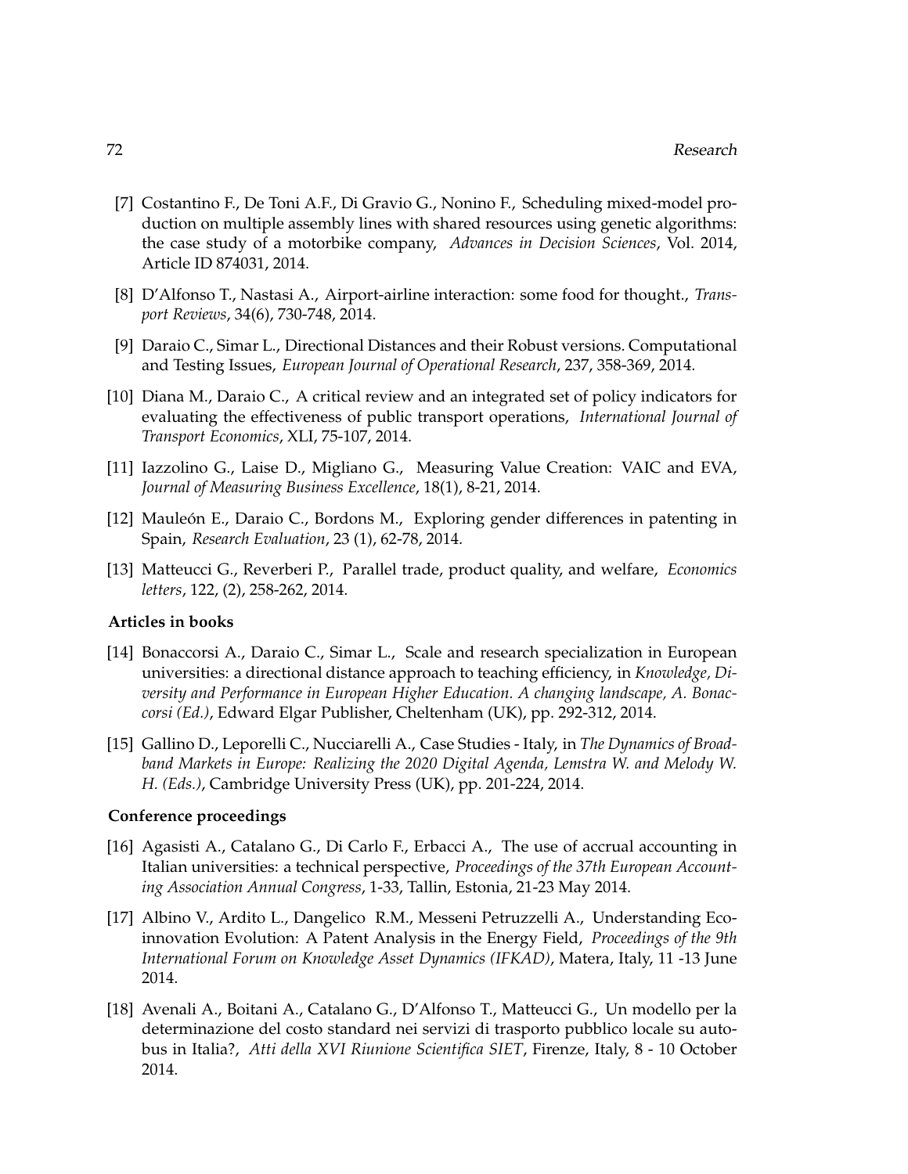- [7] Costantino F., De Toni A.F., Di Gravio G., Nonino F., Scheduling mixed-model production on multiple assembly lines with shared resources using genetic algorithms: the case study of a motorbike company, *Advances in Decision Sciences*, Vol. 2014, Article ID 874031, 2014.
- [8] D'Alfonso T., Nastasi A., Airport-airline interaction: some food for thought., *Transport Reviews*, 34(6), 730-748, 2014.
- [9] Daraio C., Simar L., Directional Distances and their Robust versions. Computational and Testing Issues, *European Journal of Operational Research*, 237, 358-369, 2014.
- [10] Diana M., Daraio C., A critical review and an integrated set of policy indicators for evaluating the effectiveness of public transport operations, *International Journal of Transport Economics*, XLI, 75-107, 2014.
- [11] Iazzolino G., Laise D., Migliano G., Measuring Value Creation: VAIC and EVA, *Journal of Measuring Business Excellence*, 18(1), 8-21, 2014.
- [12] Mauleón E., Daraio C., Bordons M., Exploring gender differences in patenting in Spain, *Research Evaluation*, 23 (1), 62-78, 2014.
- [13] Matteucci G., Reverberi P., Parallel trade, product quality, and welfare, *Economics letters*, 122, (2), 258-262, 2014.

#### **Articles in books**

- [14] Bonaccorsi A., Daraio C., Simar L., Scale and research specialization in European universities: a directional distance approach to teaching efficiency, in *Knowledge, Diversity and Performance in European Higher Education. A changing landscape, A. Bonaccorsi (Ed.)*, Edward Elgar Publisher, Cheltenham (UK), pp. 292-312, 2014.
- [15] Gallino D., Leporelli C., Nucciarelli A., Case Studies Italy, in *The Dynamics of Broadband Markets in Europe: Realizing the 2020 Digital Agenda, Lemstra W. and Melody W. H. (Eds.)*, Cambridge University Press (UK), pp. 201-224, 2014.

## **Conference proceedings**

- [16] Agasisti A., Catalano G., Di Carlo F., Erbacci A., The use of accrual accounting in Italian universities: a technical perspective, *Proceedings of the 37th European Accounting Association Annual Congress*, 1-33, Tallin, Estonia, 21-23 May 2014.
- [17] Albino V., Ardito L., Dangelico R.M., Messeni Petruzzelli A., Understanding Ecoinnovation Evolution: A Patent Analysis in the Energy Field, *Proceedings of the 9th International Forum on Knowledge Asset Dynamics (IFKAD)*, Matera, Italy, 11 -13 June 2014.
- [18] Avenali A., Boitani A., Catalano G., D'Alfonso T., Matteucci G., Un modello per la determinazione del costo standard nei servizi di trasporto pubblico locale su autobus in Italia?, *Atti della XVI Riunione Scientifica SIET*, Firenze, Italy, 8 - 10 October 2014.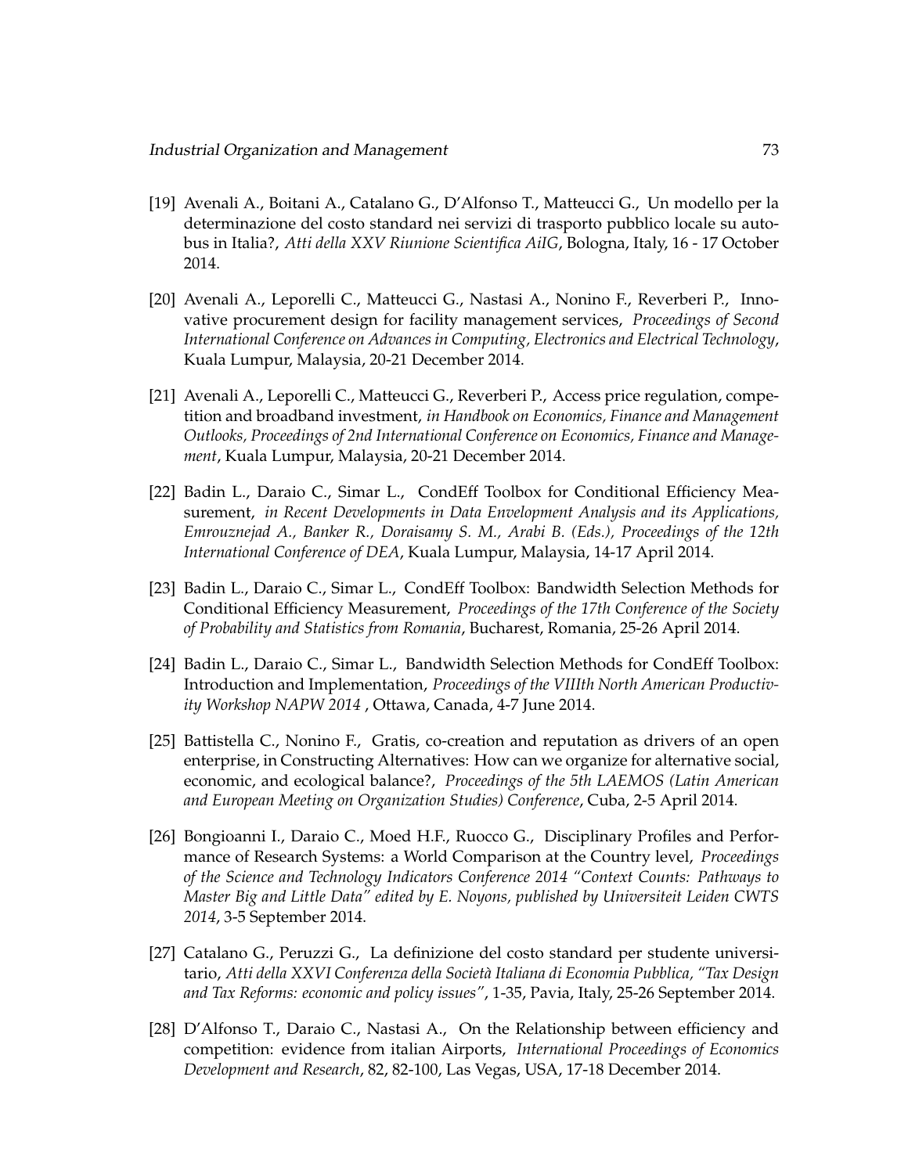- [19] Avenali A., Boitani A., Catalano G., D'Alfonso T., Matteucci G., Un modello per la determinazione del costo standard nei servizi di trasporto pubblico locale su autobus in Italia?, *Atti della XXV Riunione Scientifica AiIG*, Bologna, Italy, 16 - 17 October 2014.
- [20] Avenali A., Leporelli C., Matteucci G., Nastasi A., Nonino F., Reverberi P., Innovative procurement design for facility management services, *Proceedings of Second International Conference on Advances in Computing, Electronics and Electrical Technology*, Kuala Lumpur, Malaysia, 20-21 December 2014.
- [21] Avenali A., Leporelli C., Matteucci G., Reverberi P., Access price regulation, competition and broadband investment, *in Handbook on Economics, Finance and Management Outlooks, Proceedings of 2nd International Conference on Economics, Finance and Management*, Kuala Lumpur, Malaysia, 20-21 December 2014.
- [22] Badin L., Daraio C., Simar L., CondEff Toolbox for Conditional Efficiency Measurement, *in Recent Developments in Data Envelopment Analysis and its Applications, Emrouznejad A., Banker R., Doraisamy S. M., Arabi B. (Eds.), Proceedings of the 12th International Conference of DEA*, Kuala Lumpur, Malaysia, 14-17 April 2014.
- [23] Badin L., Daraio C., Simar L., CondEff Toolbox: Bandwidth Selection Methods for Conditional Efficiency Measurement, *Proceedings of the 17th Conference of the Society of Probability and Statistics from Romania*, Bucharest, Romania, 25-26 April 2014.
- [24] Badin L., Daraio C., Simar L., Bandwidth Selection Methods for CondEff Toolbox: Introduction and Implementation, *Proceedings of the VIIIth North American Productivity Workshop NAPW 2014* , Ottawa, Canada, 4-7 June 2014.
- [25] Battistella C., Nonino F., Gratis, co-creation and reputation as drivers of an open enterprise, in Constructing Alternatives: How can we organize for alternative social, economic, and ecological balance?, *Proceedings of the 5th LAEMOS (Latin American and European Meeting on Organization Studies) Conference*, Cuba, 2-5 April 2014.
- [26] Bongioanni I., Daraio C., Moed H.F., Ruocco G., Disciplinary Profiles and Performance of Research Systems: a World Comparison at the Country level, *Proceedings of the Science and Technology Indicators Conference 2014 "Context Counts: Pathways to Master Big and Little Data" edited by E. Noyons, published by Universiteit Leiden CWTS 2014*, 3-5 September 2014.
- [27] Catalano G., Peruzzi G., La definizione del costo standard per studente universitario, Atti della XXVI Conferenza della Società Italiana di Economia Pubblica, "Tax Design *and Tax Reforms: economic and policy issues"*, 1-35, Pavia, Italy, 25-26 September 2014.
- [28] D'Alfonso T., Daraio C., Nastasi A., On the Relationship between efficiency and competition: evidence from italian Airports, *International Proceedings of Economics Development and Research*, 82, 82-100, Las Vegas, USA, 17-18 December 2014.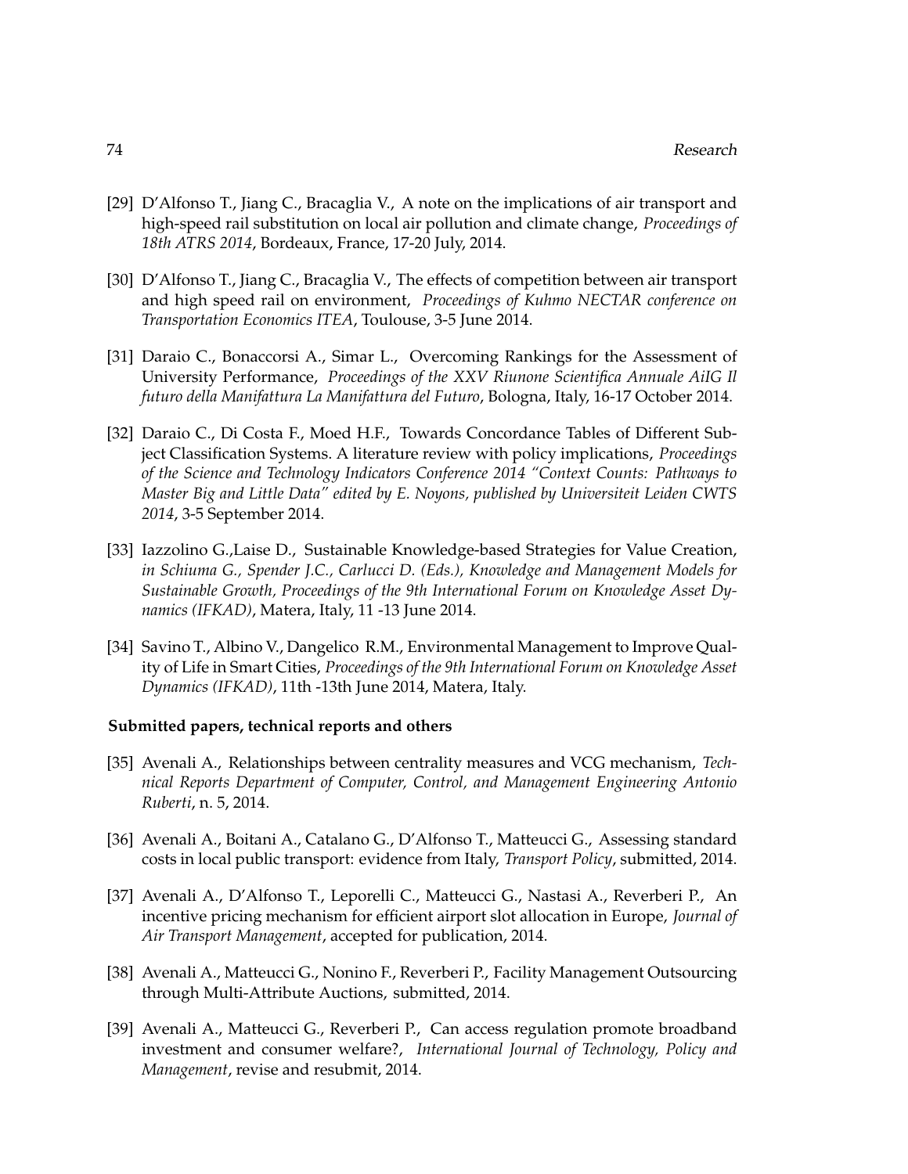- [29] D'Alfonso T., Jiang C., Bracaglia V., A note on the implications of air transport and high-speed rail substitution on local air pollution and climate change, *Proceedings of 18th ATRS 2014*, Bordeaux, France, 17-20 July, 2014.
- [30] D'Alfonso T., Jiang C., Bracaglia V., The effects of competition between air transport and high speed rail on environment, *Proceedings of Kuhmo NECTAR conference on Transportation Economics ITEA*, Toulouse, 3-5 June 2014.
- [31] Daraio C., Bonaccorsi A., Simar L., Overcoming Rankings for the Assessment of University Performance, *Proceedings of the XXV Riunone Scientifica Annuale AiIG Il futuro della Manifattura La Manifattura del Futuro*, Bologna, Italy, 16-17 October 2014.
- [32] Daraio C., Di Costa F., Moed H.F., Towards Concordance Tables of Different Subject Classification Systems. A literature review with policy implications, *Proceedings of the Science and Technology Indicators Conference 2014 "Context Counts: Pathways to Master Big and Little Data" edited by E. Noyons, published by Universiteit Leiden CWTS 2014*, 3-5 September 2014.
- [33] Iazzolino G.,Laise D., Sustainable Knowledge-based Strategies for Value Creation, *in Schiuma G., Spender J.C., Carlucci D. (Eds.), Knowledge and Management Models for Sustainable Growth, Proceedings of the 9th International Forum on Knowledge Asset Dynamics (IFKAD)*, Matera, Italy, 11 -13 June 2014.
- [34] Savino T., Albino V., Dangelico R.M., Environmental Management to Improve Quality of Life in Smart Cities, *Proceedings of the 9th International Forum on Knowledge Asset Dynamics (IFKAD)*, 11th -13th June 2014, Matera, Italy.

#### **Submitted papers, technical reports and others**

- [35] Avenali A., Relationships between centrality measures and VCG mechanism, *Technical Reports Department of Computer, Control, and Management Engineering Antonio Ruberti*, n. 5, 2014.
- [36] Avenali A., Boitani A., Catalano G., D'Alfonso T., Matteucci G., Assessing standard costs in local public transport: evidence from Italy, *Transport Policy*, submitted, 2014.
- [37] Avenali A., D'Alfonso T., Leporelli C., Matteucci G., Nastasi A., Reverberi P., An incentive pricing mechanism for efficient airport slot allocation in Europe, *Journal of Air Transport Management*, accepted for publication, 2014.
- [38] Avenali A., Matteucci G., Nonino F., Reverberi P., Facility Management Outsourcing through Multi-Attribute Auctions, submitted, 2014.
- [39] Avenali A., Matteucci G., Reverberi P., Can access regulation promote broadband investment and consumer welfare?, *International Journal of Technology, Policy and Management*, revise and resubmit, 2014.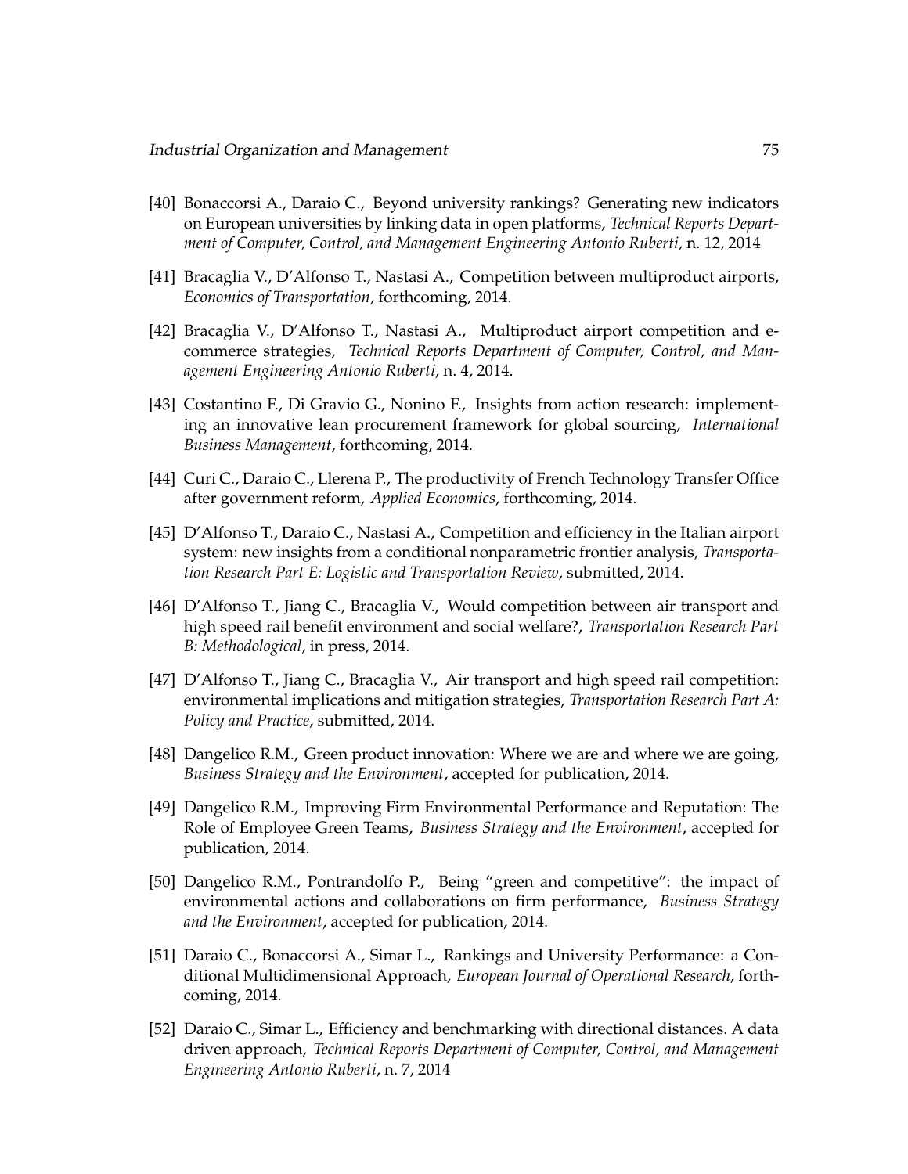- [40] Bonaccorsi A., Daraio C., Beyond university rankings? Generating new indicators on European universities by linking data in open platforms, *Technical Reports Department of Computer, Control, and Management Engineering Antonio Ruberti*, n. 12, 2014
- [41] Bracaglia V., D'Alfonso T., Nastasi A., Competition between multiproduct airports, *Economics of Transportation*, forthcoming, 2014.
- [42] Bracaglia V., D'Alfonso T., Nastasi A., Multiproduct airport competition and ecommerce strategies, *Technical Reports Department of Computer, Control, and Management Engineering Antonio Ruberti*, n. 4, 2014.
- [43] Costantino F., Di Gravio G., Nonino F., Insights from action research: implementing an innovative lean procurement framework for global sourcing, *International Business Management*, forthcoming, 2014.
- [44] Curi C., Daraio C., Llerena P., The productivity of French Technology Transfer Office after government reform, *Applied Economics*, forthcoming, 2014.
- [45] D'Alfonso T., Daraio C., Nastasi A., Competition and efficiency in the Italian airport system: new insights from a conditional nonparametric frontier analysis, *Transportation Research Part E: Logistic and Transportation Review*, submitted, 2014.
- [46] D'Alfonso T., Jiang C., Bracaglia V., Would competition between air transport and high speed rail benefit environment and social welfare?, *Transportation Research Part B: Methodological*, in press, 2014.
- [47] D'Alfonso T., Jiang C., Bracaglia V., Air transport and high speed rail competition: environmental implications and mitigation strategies, *Transportation Research Part A: Policy and Practice*, submitted, 2014.
- [48] Dangelico R.M., Green product innovation: Where we are and where we are going, *Business Strategy and the Environment*, accepted for publication, 2014.
- [49] Dangelico R.M., Improving Firm Environmental Performance and Reputation: The Role of Employee Green Teams, *Business Strategy and the Environment*, accepted for publication, 2014.
- [50] Dangelico R.M., Pontrandolfo P., Being "green and competitive": the impact of environmental actions and collaborations on firm performance, *Business Strategy and the Environment*, accepted for publication, 2014.
- [51] Daraio C., Bonaccorsi A., Simar L., Rankings and University Performance: a Conditional Multidimensional Approach, *European Journal of Operational Research*, forthcoming, 2014.
- [52] Daraio C., Simar L., Efficiency and benchmarking with directional distances. A data driven approach, *Technical Reports Department of Computer, Control, and Management Engineering Antonio Ruberti*, n. 7, 2014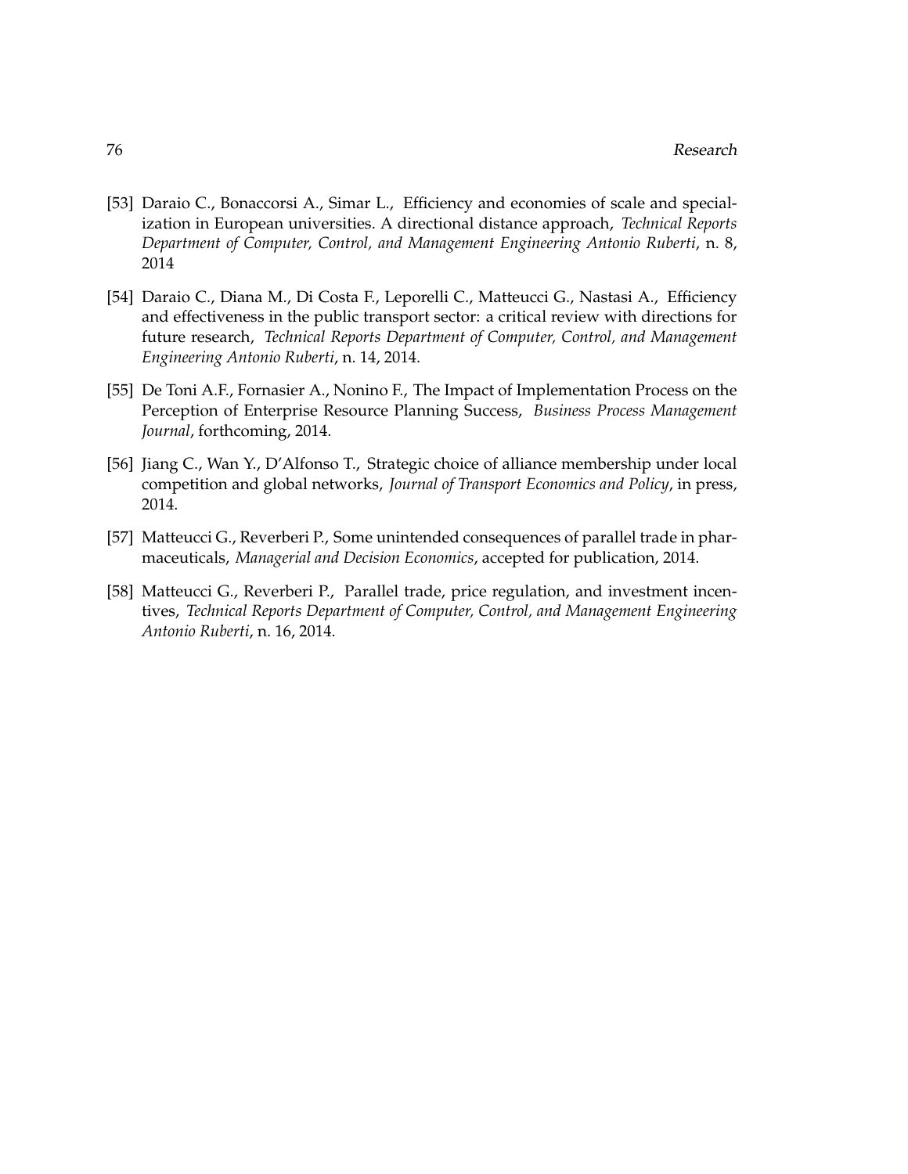- [53] Daraio C., Bonaccorsi A., Simar L., Efficiency and economies of scale and specialization in European universities. A directional distance approach, *Technical Reports Department of Computer, Control, and Management Engineering Antonio Ruberti*, n. 8, 2014
- [54] Daraio C., Diana M., Di Costa F., Leporelli C., Matteucci G., Nastasi A., Efficiency and effectiveness in the public transport sector: a critical review with directions for future research, *Technical Reports Department of Computer, Control, and Management Engineering Antonio Ruberti*, n. 14, 2014.
- [55] De Toni A.F., Fornasier A., Nonino F., The Impact of Implementation Process on the Perception of Enterprise Resource Planning Success, *Business Process Management Journal*, forthcoming, 2014.
- [56] Jiang C., Wan Y., D'Alfonso T., Strategic choice of alliance membership under local competition and global networks, *Journal of Transport Economics and Policy*, in press, 2014.
- [57] Matteucci G., Reverberi P., Some unintended consequences of parallel trade in pharmaceuticals, *Managerial and Decision Economics*, accepted for publication, 2014.
- [58] Matteucci G., Reverberi P., Parallel trade, price regulation, and investment incentives, *Technical Reports Department of Computer, Control, and Management Engineering Antonio Ruberti*, n. 16, 2014.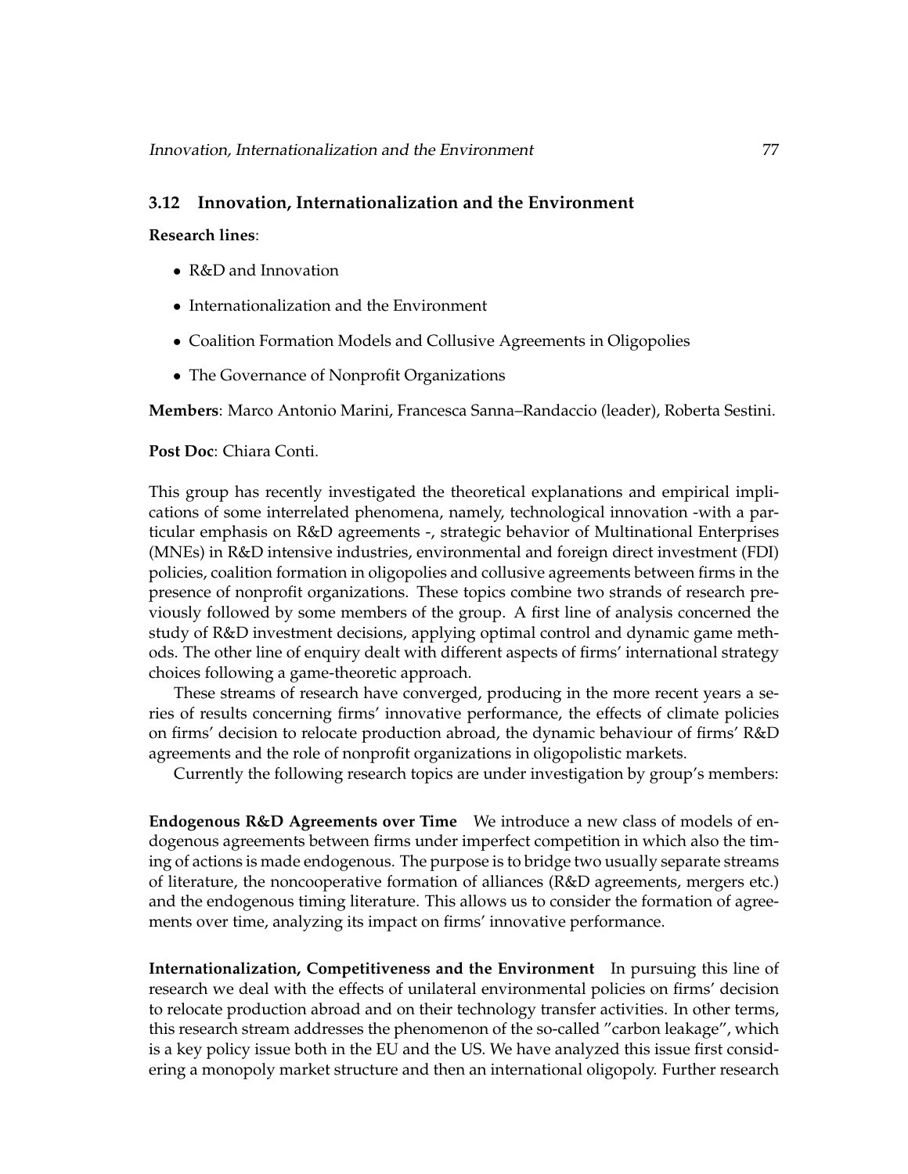## **3.12 Innovation, Internationalization and the Environment**

**Research lines**:

- R&D and Innovation
- Internationalization and the Environment
- Coalition Formation Models and Collusive Agreements in Oligopolies
- The Governance of Nonprofit Organizations

**Members**: Marco Antonio Marini, Francesca Sanna–Randaccio (leader), Roberta Sestini.

#### **Post Doc**: Chiara Conti.

This group has recently investigated the theoretical explanations and empirical implications of some interrelated phenomena, namely, technological innovation -with a particular emphasis on R&D agreements -, strategic behavior of Multinational Enterprises (MNEs) in R&D intensive industries, environmental and foreign direct investment (FDI) policies, coalition formation in oligopolies and collusive agreements between firms in the presence of nonprofit organizations. These topics combine two strands of research previously followed by some members of the group. A first line of analysis concerned the study of R&D investment decisions, applying optimal control and dynamic game methods. The other line of enquiry dealt with different aspects of firms' international strategy choices following a game-theoretic approach.

These streams of research have converged, producing in the more recent years a series of results concerning firms' innovative performance, the effects of climate policies on firms' decision to relocate production abroad, the dynamic behaviour of firms' R&D agreements and the role of nonprofit organizations in oligopolistic markets.

Currently the following research topics are under investigation by group's members:

**Endogenous R&D Agreements over Time** We introduce a new class of models of endogenous agreements between firms under imperfect competition in which also the timing of actions is made endogenous. The purpose is to bridge two usually separate streams of literature, the noncooperative formation of alliances (R&D agreements, mergers etc.) and the endogenous timing literature. This allows us to consider the formation of agreements over time, analyzing its impact on firms' innovative performance.

**Internationalization, Competitiveness and the Environment** In pursuing this line of research we deal with the effects of unilateral environmental policies on firms' decision to relocate production abroad and on their technology transfer activities. In other terms, this research stream addresses the phenomenon of the so-called "carbon leakage", which is a key policy issue both in the EU and the US. We have analyzed this issue first considering a monopoly market structure and then an international oligopoly. Further research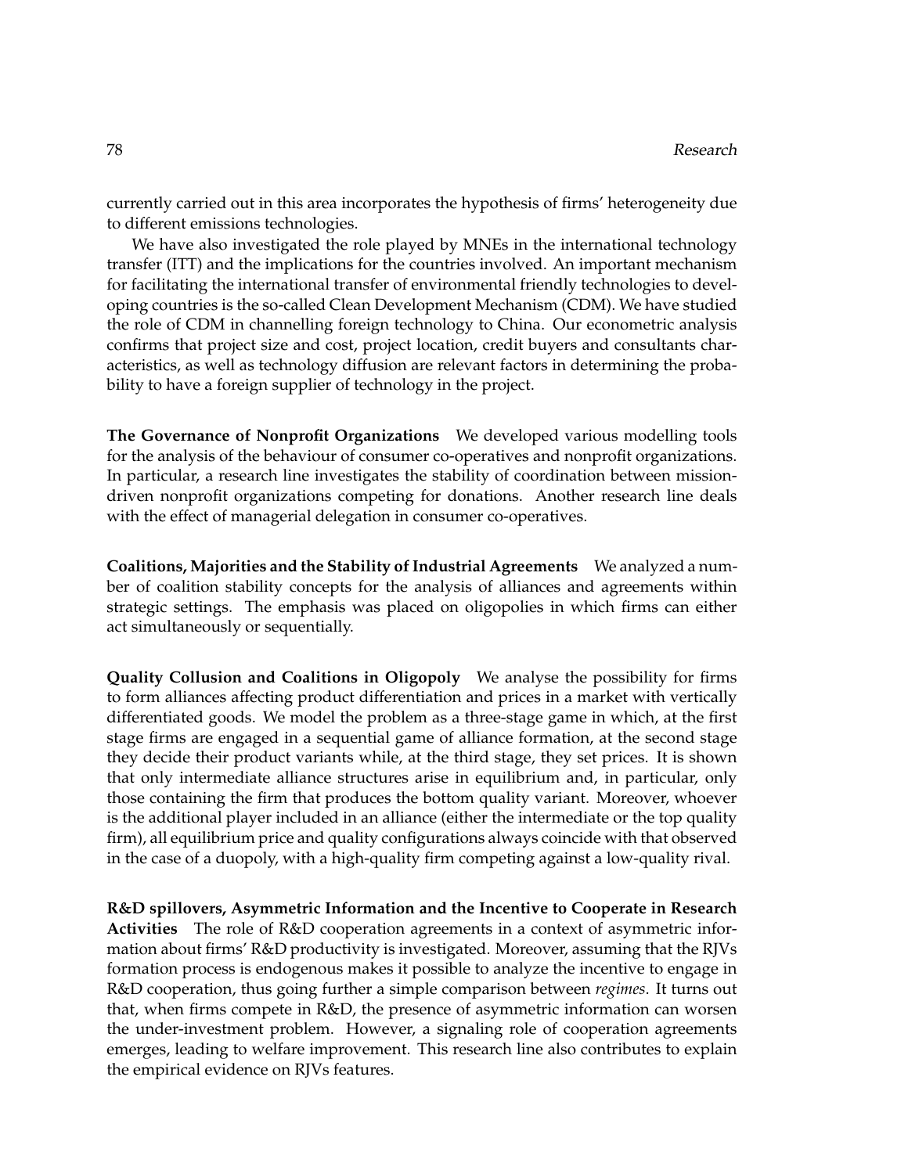currently carried out in this area incorporates the hypothesis of firms' heterogeneity due to different emissions technologies.

We have also investigated the role played by MNEs in the international technology transfer (ITT) and the implications for the countries involved. An important mechanism for facilitating the international transfer of environmental friendly technologies to developing countries is the so-called Clean Development Mechanism (CDM). We have studied the role of CDM in channelling foreign technology to China. Our econometric analysis confirms that project size and cost, project location, credit buyers and consultants characteristics, as well as technology diffusion are relevant factors in determining the probability to have a foreign supplier of technology in the project.

**The Governance of Nonprofit Organizations** We developed various modelling tools for the analysis of the behaviour of consumer co-operatives and nonprofit organizations. In particular, a research line investigates the stability of coordination between missiondriven nonprofit organizations competing for donations. Another research line deals with the effect of managerial delegation in consumer co-operatives.

**Coalitions, Majorities and the Stability of Industrial Agreements** We analyzed a number of coalition stability concepts for the analysis of alliances and agreements within strategic settings. The emphasis was placed on oligopolies in which firms can either act simultaneously or sequentially.

**Quality Collusion and Coalitions in Oligopoly** We analyse the possibility for firms to form alliances affecting product differentiation and prices in a market with vertically differentiated goods. We model the problem as a three-stage game in which, at the first stage firms are engaged in a sequential game of alliance formation, at the second stage they decide their product variants while, at the third stage, they set prices. It is shown that only intermediate alliance structures arise in equilibrium and, in particular, only those containing the firm that produces the bottom quality variant. Moreover, whoever is the additional player included in an alliance (either the intermediate or the top quality firm), all equilibrium price and quality configurations always coincide with that observed in the case of a duopoly, with a high-quality firm competing against a low-quality rival.

**R&D spillovers, Asymmetric Information and the Incentive to Cooperate in Research Activities** The role of R&D cooperation agreements in a context of asymmetric information about firms' R&D productivity is investigated. Moreover, assuming that the RJVs formation process is endogenous makes it possible to analyze the incentive to engage in R&D cooperation, thus going further a simple comparison between *regimes*. It turns out that, when firms compete in R&D, the presence of asymmetric information can worsen the under-investment problem. However, a signaling role of cooperation agreements emerges, leading to welfare improvement. This research line also contributes to explain the empirical evidence on RJVs features.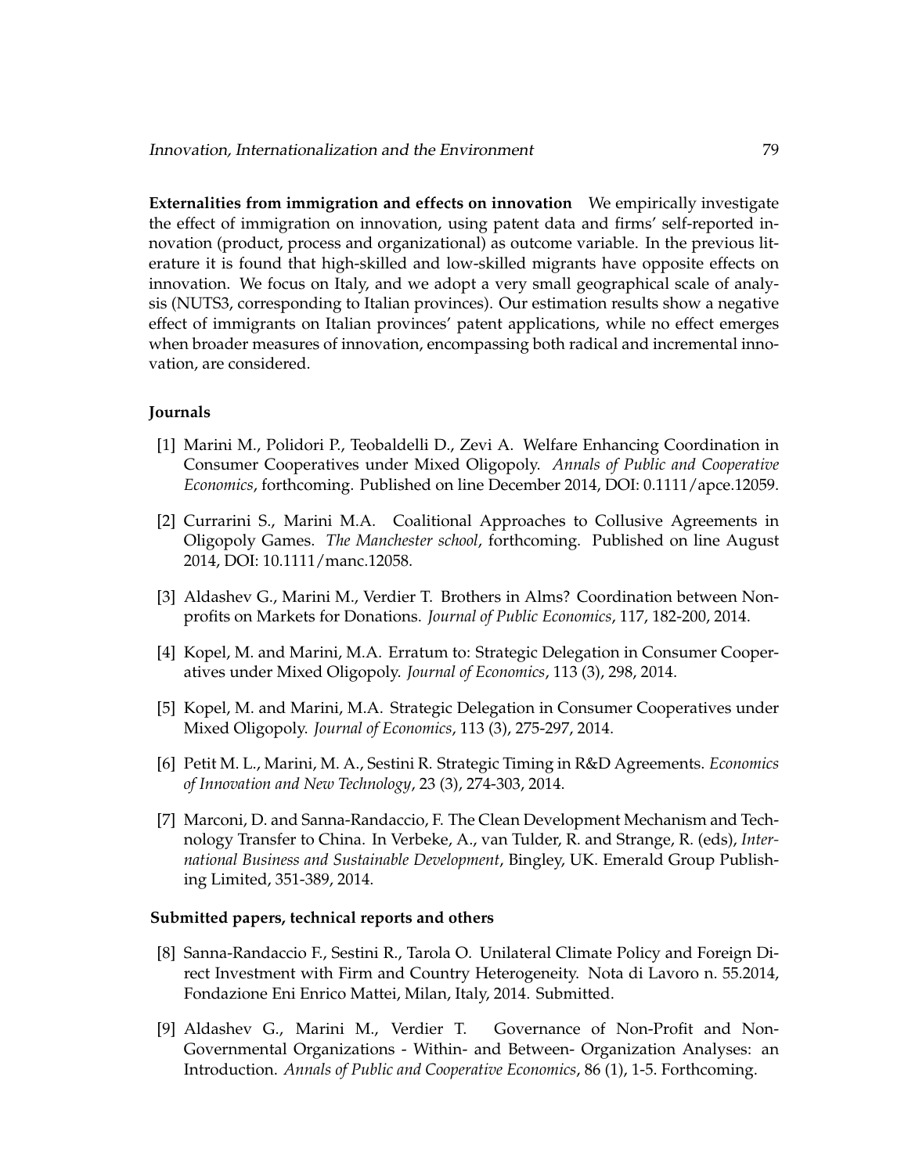**Externalities from immigration and effects on innovation** We empirically investigate the effect of immigration on innovation, using patent data and firms' self-reported innovation (product, process and organizational) as outcome variable. In the previous literature it is found that high-skilled and low-skilled migrants have opposite effects on innovation. We focus on Italy, and we adopt a very small geographical scale of analysis (NUTS3, corresponding to Italian provinces). Our estimation results show a negative effect of immigrants on Italian provinces' patent applications, while no effect emerges when broader measures of innovation, encompassing both radical and incremental innovation, are considered.

## **Journals**

- [1] Marini M., Polidori P., Teobaldelli D., Zevi A. Welfare Enhancing Coordination in Consumer Cooperatives under Mixed Oligopoly. *Annals of Public and Cooperative Economics*, forthcoming. Published on line December 2014, DOI: 0.1111/apce.12059.
- [2] Currarini S., Marini M.A. Coalitional Approaches to Collusive Agreements in Oligopoly Games. *The Manchester school*, forthcoming. Published on line August 2014, DOI: 10.1111/manc.12058.
- [3] Aldashev G., Marini M., Verdier T. Brothers in Alms? Coordination between Nonprofits on Markets for Donations. *Journal of Public Economics*, 117, 182-200, 2014.
- [4] Kopel, M. and Marini, M.A. Erratum to: Strategic Delegation in Consumer Cooperatives under Mixed Oligopoly. *Journal of Economics*, 113 (3), 298, 2014.
- [5] Kopel, M. and Marini, M.A. Strategic Delegation in Consumer Cooperatives under Mixed Oligopoly. *Journal of Economics*, 113 (3), 275-297, 2014.
- [6] Petit M. L., Marini, M. A., Sestini R. Strategic Timing in R&D Agreements. *Economics of Innovation and New Technology*, 23 (3), 274-303, 2014.
- [7] Marconi, D. and Sanna-Randaccio, F. The Clean Development Mechanism and Technology Transfer to China. In Verbeke, A., van Tulder, R. and Strange, R. (eds), *International Business and Sustainable Development*, Bingley, UK. Emerald Group Publishing Limited, 351-389, 2014.

## **Submitted papers, technical reports and others**

- [8] Sanna-Randaccio F., Sestini R., Tarola O. Unilateral Climate Policy and Foreign Direct Investment with Firm and Country Heterogeneity. Nota di Lavoro n. 55.2014, Fondazione Eni Enrico Mattei, Milan, Italy, 2014. Submitted.
- [9] Aldashev G., Marini M., Verdier T. Governance of Non-Profit and Non-Governmental Organizations - Within- and Between- Organization Analyses: an Introduction. *Annals of Public and Cooperative Economics*, 86 (1), 1-5. Forthcoming.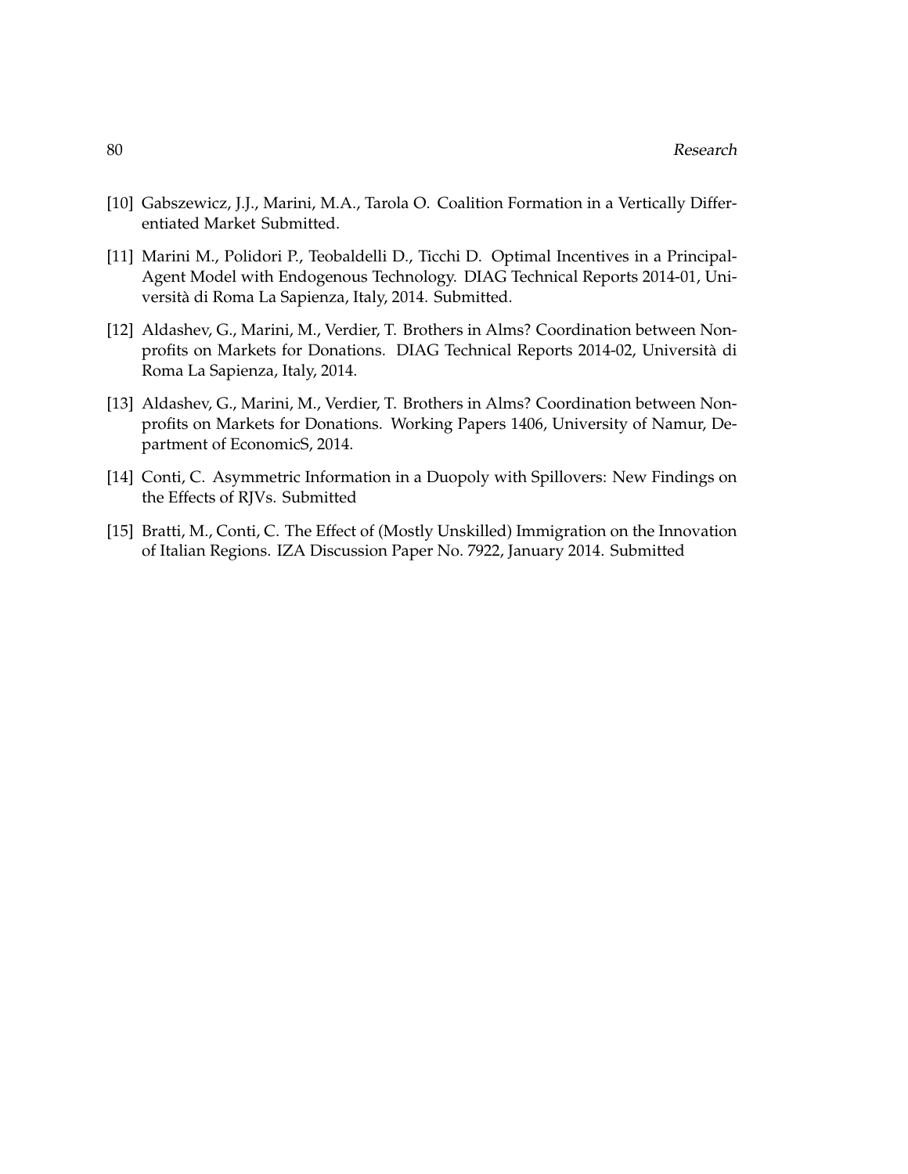- [10] Gabszewicz, J.J., Marini, M.A., Tarola O. Coalition Formation in a Vertically Differentiated Market Submitted.
- [11] Marini M., Polidori P., Teobaldelli D., Ticchi D. Optimal Incentives in a Principal-Agent Model with Endogenous Technology. DIAG Technical Reports 2014-01, Universita di Roma La Sapienza, Italy, 2014. Submitted. `
- [12] Aldashev, G., Marini, M., Verdier, T. Brothers in Alms? Coordination between Nonprofits on Markets for Donations. DIAG Technical Reports 2014-02, Universita di ` Roma La Sapienza, Italy, 2014.
- [13] Aldashev, G., Marini, M., Verdier, T. Brothers in Alms? Coordination between Nonprofits on Markets for Donations. Working Papers 1406, University of Namur, Department of EconomicS, 2014.
- [14] Conti, C. Asymmetric Information in a Duopoly with Spillovers: New Findings on the Effects of RJVs. Submitted
- [15] Bratti, M., Conti, C. The Effect of (Mostly Unskilled) Immigration on the Innovation of Italian Regions. IZA Discussion Paper No. 7922, January 2014. Submitted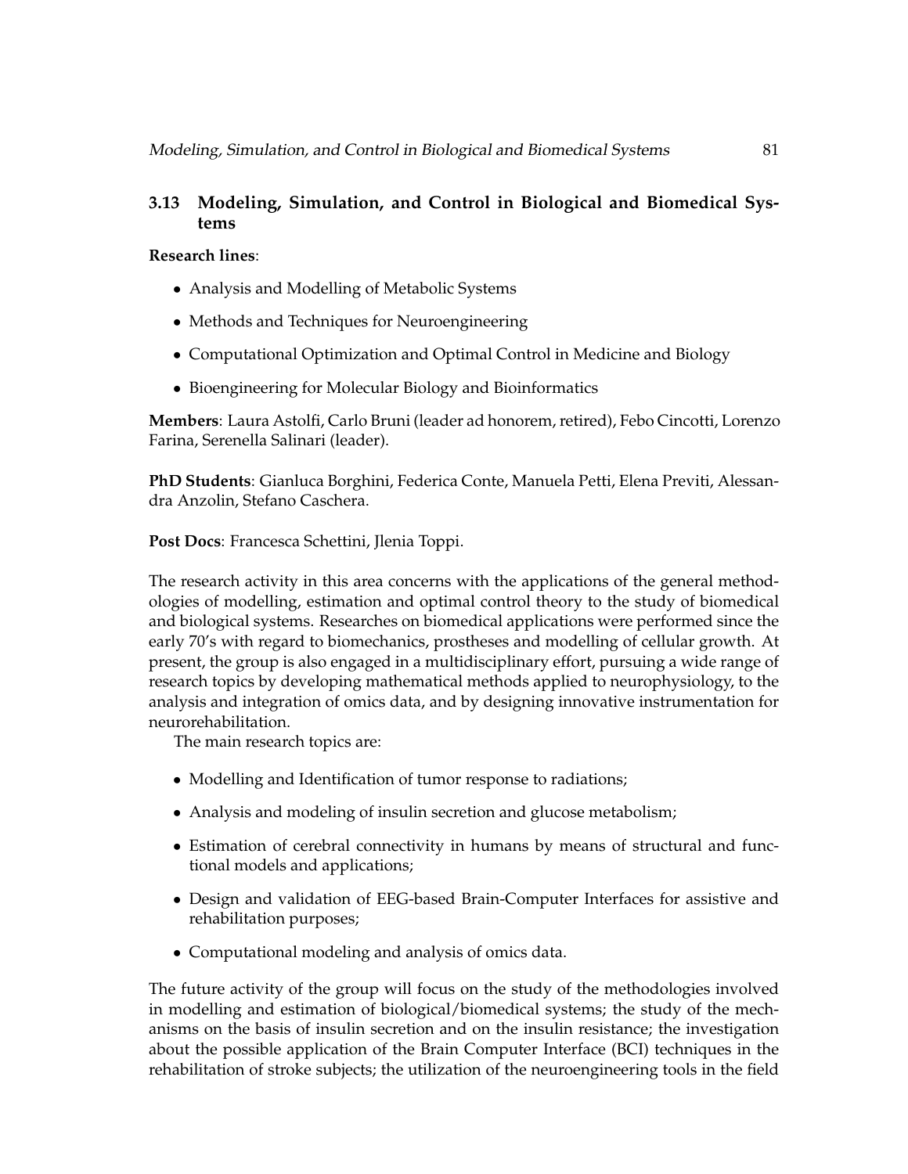# **3.13 Modeling, Simulation, and Control in Biological and Biomedical Systems**

## **Research lines**:

- Analysis and Modelling of Metabolic Systems
- Methods and Techniques for Neuroengineering
- Computational Optimization and Optimal Control in Medicine and Biology
- Bioengineering for Molecular Biology and Bioinformatics

**Members**: Laura Astolfi, Carlo Bruni (leader ad honorem, retired), Febo Cincotti, Lorenzo Farina, Serenella Salinari (leader).

**PhD Students**: Gianluca Borghini, Federica Conte, Manuela Petti, Elena Previti, Alessandra Anzolin, Stefano Caschera.

**Post Docs**: Francesca Schettini, Jlenia Toppi.

The research activity in this area concerns with the applications of the general methodologies of modelling, estimation and optimal control theory to the study of biomedical and biological systems. Researches on biomedical applications were performed since the early 70's with regard to biomechanics, prostheses and modelling of cellular growth. At present, the group is also engaged in a multidisciplinary effort, pursuing a wide range of research topics by developing mathematical methods applied to neurophysiology, to the analysis and integration of omics data, and by designing innovative instrumentation for neurorehabilitation.

The main research topics are:

- Modelling and Identification of tumor response to radiations;
- Analysis and modeling of insulin secretion and glucose metabolism;
- Estimation of cerebral connectivity in humans by means of structural and functional models and applications;
- Design and validation of EEG-based Brain-Computer Interfaces for assistive and rehabilitation purposes;
- Computational modeling and analysis of omics data.

The future activity of the group will focus on the study of the methodologies involved in modelling and estimation of biological/biomedical systems; the study of the mechanisms on the basis of insulin secretion and on the insulin resistance; the investigation about the possible application of the Brain Computer Interface (BCI) techniques in the rehabilitation of stroke subjects; the utilization of the neuroengineering tools in the field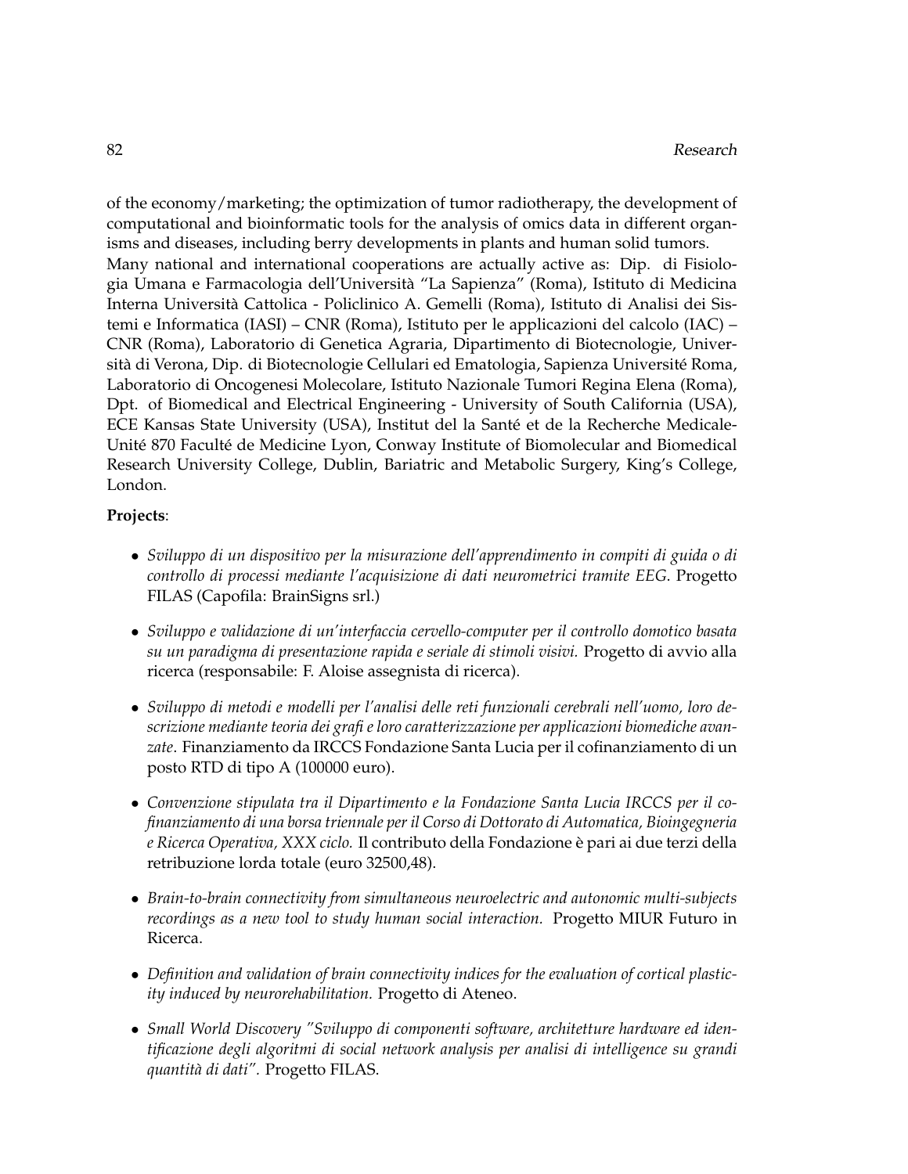of the economy/marketing; the optimization of tumor radiotherapy, the development of computational and bioinformatic tools for the analysis of omics data in different organisms and diseases, including berry developments in plants and human solid tumors. Many national and international cooperations are actually active as: Dip. di Fisiologia Umana e Farmacologia dell'Universita "La Sapienza" (Roma), Istituto di Medicina ` Interna Universita Cattolica - Policlinico A. Gemelli (Roma), Istituto di Analisi dei Sis- ` temi e Informatica (IASI) – CNR (Roma), Istituto per le applicazioni del calcolo (IAC) – CNR (Roma), Laboratorio di Genetica Agraria, Dipartimento di Biotecnologie, Università di Verona, Dip. di Biotecnologie Cellulari ed Ematologia, Sapienza Université Roma, Laboratorio di Oncogenesi Molecolare, Istituto Nazionale Tumori Regina Elena (Roma), Dpt. of Biomedical and Electrical Engineering - University of South California (USA), ECE Kansas State University (USA), Institut del la Sante et de la Recherche Medicale- ´ Unité 870 Faculté de Medicine Lyon, Conway Institute of Biomolecular and Biomedical Research University College, Dublin, Bariatric and Metabolic Surgery, King's College, London.

## **Projects**:

- *Sviluppo di un dispositivo per la misurazione dell'apprendimento in compiti di guida o di controllo di processi mediante l'acquisizione di dati neurometrici tramite EEG*. Progetto FILAS (Capofila: BrainSigns srl.)
- *Sviluppo e validazione di un'interfaccia cervello-computer per il controllo domotico basata su un paradigma di presentazione rapida e seriale di stimoli visivi.* Progetto di avvio alla ricerca (responsabile: F. Aloise assegnista di ricerca).
- *Sviluppo di metodi e modelli per l'analisi delle reti funzionali cerebrali nell'uomo, loro descrizione mediante teoria dei grafi e loro caratterizzazione per applicazioni biomediche avanzate*. Finanziamento da IRCCS Fondazione Santa Lucia per il cofinanziamento di un posto RTD di tipo A (100000 euro).
- *Convenzione stipulata tra il Dipartimento e la Fondazione Santa Lucia IRCCS per il cofinanziamento di una borsa triennale per il Corso di Dottorato di Automatica, Bioingegneria e Ricerca Operativa, XXX ciclo.* Il contributo della Fondazione e pari ai due terzi della ` retribuzione lorda totale (euro 32500,48).
- *Brain-to-brain connectivity from simultaneous neuroelectric and autonomic multi-subjects recordings as a new tool to study human social interaction.* Progetto MIUR Futuro in Ricerca.
- *Definition and validation of brain connectivity indices for the evaluation of cortical plasticity induced by neurorehabilitation.* Progetto di Ateneo.
- *Small World Discovery "Sviluppo di componenti software, architetture hardware ed identificazione degli algoritmi di social network analysis per analisi di intelligence su grandi quantit`a di dati".* Progetto FILAS.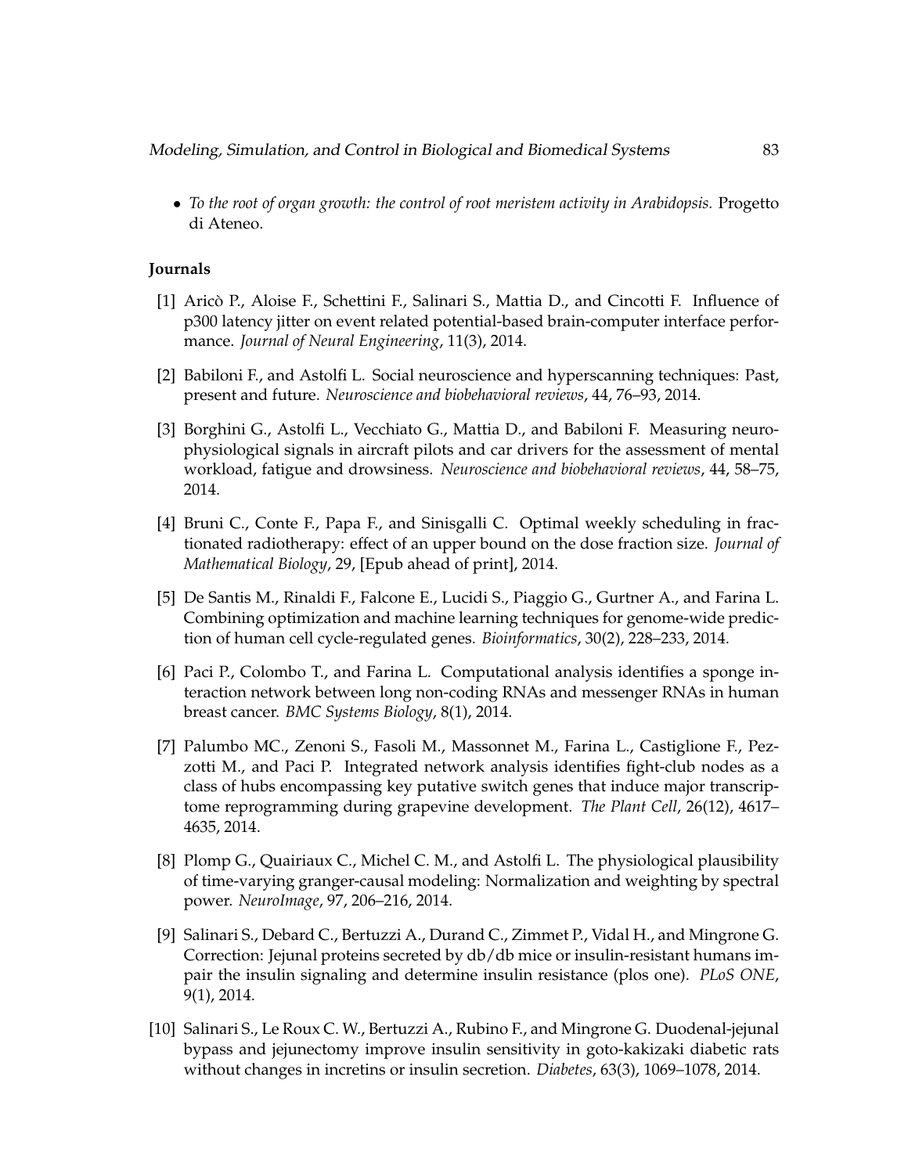Modeling, Simulation, and Control in Biological and Biomedical Systems 83

• *To the root of organ growth: the control of root meristem activity in Arabidopsis.* Progetto di Ateneo.

## **Journals**

- [1] Arico P., Aloise F., Schettini F., Salinari S., Mattia D., and Cincotti F. Influence of ` p300 latency jitter on event related potential-based brain-computer interface performance. *Journal of Neural Engineering*, 11(3), 2014.
- [2] Babiloni F., and Astolfi L. Social neuroscience and hyperscanning techniques: Past, present and future. *Neuroscience and biobehavioral reviews*, 44, 76–93, 2014.
- [3] Borghini G., Astolfi L., Vecchiato G., Mattia D., and Babiloni F. Measuring neurophysiological signals in aircraft pilots and car drivers for the assessment of mental workload, fatigue and drowsiness. *Neuroscience and biobehavioral reviews*, 44, 58–75, 2014.
- [4] Bruni C., Conte F., Papa F., and Sinisgalli C. Optimal weekly scheduling in fractionated radiotherapy: effect of an upper bound on the dose fraction size. *Journal of Mathematical Biology*, 29, [Epub ahead of print], 2014.
- [5] De Santis M., Rinaldi F., Falcone E., Lucidi S., Piaggio G., Gurtner A., and Farina L. Combining optimization and machine learning techniques for genome-wide prediction of human cell cycle-regulated genes. *Bioinformatics*, 30(2), 228–233, 2014.
- [6] Paci P., Colombo T., and Farina L. Computational analysis identifies a sponge interaction network between long non-coding RNAs and messenger RNAs in human breast cancer. *BMC Systems Biology*, 8(1), 2014.
- [7] Palumbo MC., Zenoni S., Fasoli M., Massonnet M., Farina L., Castiglione F., Pezzotti M., and Paci P. Integrated network analysis identifies fight-club nodes as a class of hubs encompassing key putative switch genes that induce major transcriptome reprogramming during grapevine development. *The Plant Cell*, 26(12), 4617– 4635, 2014.
- [8] Plomp G., Quairiaux C., Michel C. M., and Astolfi L. The physiological plausibility of time-varying granger-causal modeling: Normalization and weighting by spectral power. *NeuroImage*, 97, 206–216, 2014.
- [9] Salinari S., Debard C., Bertuzzi A., Durand C., Zimmet P., Vidal H., and Mingrone G. Correction: Jejunal proteins secreted by db/db mice or insulin-resistant humans impair the insulin signaling and determine insulin resistance (plos one). *PLoS ONE*, 9(1), 2014.
- [10] Salinari S., Le Roux C. W., Bertuzzi A., Rubino F., and Mingrone G. Duodenal-jejunal bypass and jejunectomy improve insulin sensitivity in goto-kakizaki diabetic rats without changes in incretins or insulin secretion. *Diabetes*, 63(3), 1069–1078, 2014.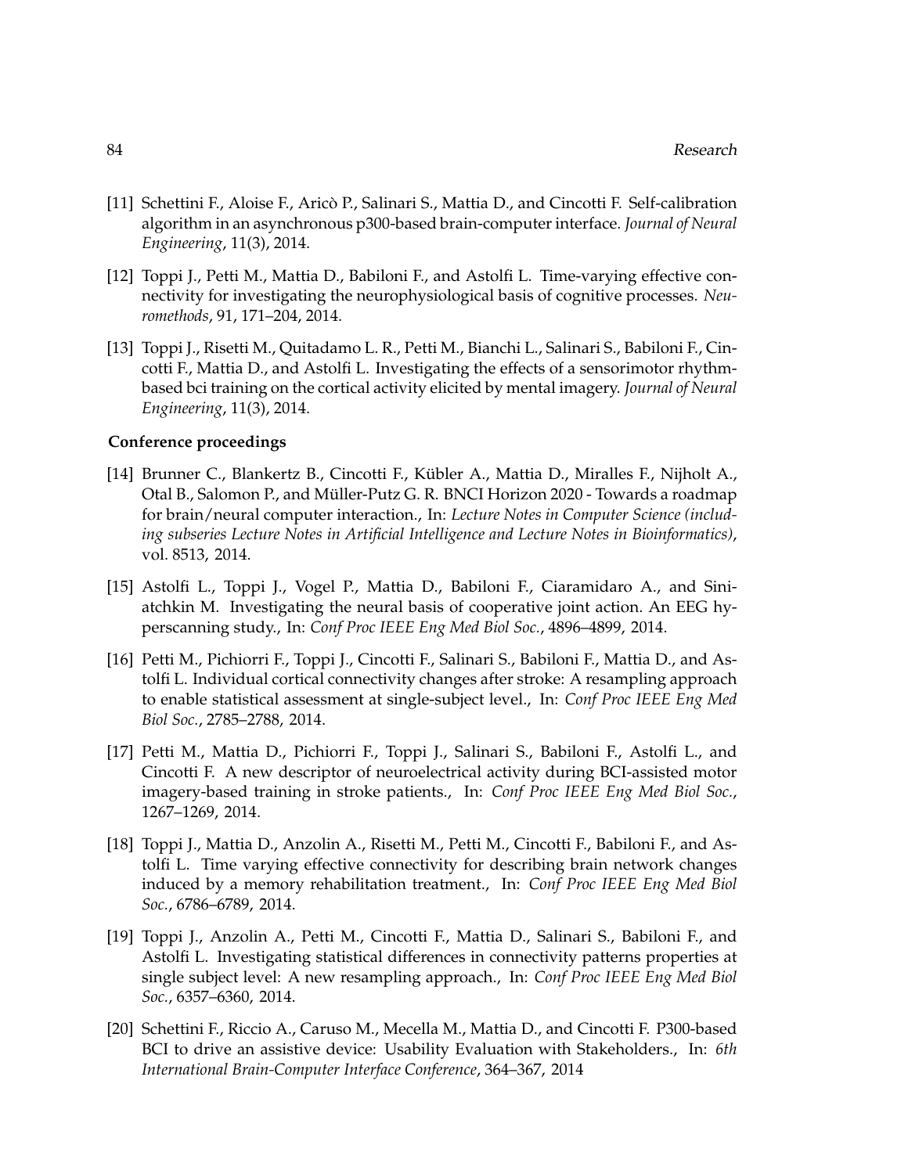- [11] Schettini F., Aloise F., Arico P., Salinari S., Mattia D., and Cincotti F. Self-calibration ` algorithm in an asynchronous p300-based brain-computer interface. *Journal of Neural Engineering*, 11(3), 2014.
- [12] Toppi J., Petti M., Mattia D., Babiloni F., and Astolfi L. Time-varying effective connectivity for investigating the neurophysiological basis of cognitive processes. *Neuromethods*, 91, 171–204, 2014.
- [13] Toppi J., Risetti M., Quitadamo L. R., Petti M., Bianchi L., Salinari S., Babiloni F., Cincotti F., Mattia D., and Astolfi L. Investigating the effects of a sensorimotor rhythmbased bci training on the cortical activity elicited by mental imagery. *Journal of Neural Engineering*, 11(3), 2014.

## **Conference proceedings**

- [14] Brunner C., Blankertz B., Cincotti F., Kubler A., Mattia D., Miralles F., Nijholt A., ¨ Otal B., Salomon P., and Muller-Putz G. R. BNCI Horizon 2020 - Towards a roadmap ¨ for brain/neural computer interaction., In: *Lecture Notes in Computer Science (including subseries Lecture Notes in Artificial Intelligence and Lecture Notes in Bioinformatics)*, vol. 8513, 2014.
- [15] Astolfi L., Toppi J., Vogel P., Mattia D., Babiloni F., Ciaramidaro A., and Siniatchkin M. Investigating the neural basis of cooperative joint action. An EEG hyperscanning study., In: *Conf Proc IEEE Eng Med Biol Soc.*, 4896–4899, 2014.
- [16] Petti M., Pichiorri F., Toppi J., Cincotti F., Salinari S., Babiloni F., Mattia D., and Astolfi L. Individual cortical connectivity changes after stroke: A resampling approach to enable statistical assessment at single-subject level., In: *Conf Proc IEEE Eng Med Biol Soc.*, 2785–2788, 2014.
- [17] Petti M., Mattia D., Pichiorri F., Toppi J., Salinari S., Babiloni F., Astolfi L., and Cincotti F. A new descriptor of neuroelectrical activity during BCI-assisted motor imagery-based training in stroke patients., In: *Conf Proc IEEE Eng Med Biol Soc.*, 1267–1269, 2014.
- [18] Toppi J., Mattia D., Anzolin A., Risetti M., Petti M., Cincotti F., Babiloni F., and Astolfi L. Time varying effective connectivity for describing brain network changes induced by a memory rehabilitation treatment., In: *Conf Proc IEEE Eng Med Biol Soc.*, 6786–6789, 2014.
- [19] Toppi J., Anzolin A., Petti M., Cincotti F., Mattia D., Salinari S., Babiloni F., and Astolfi L. Investigating statistical differences in connectivity patterns properties at single subject level: A new resampling approach., In: *Conf Proc IEEE Eng Med Biol Soc.*, 6357–6360, 2014.
- [20] Schettini F., Riccio A., Caruso M., Mecella M., Mattia D., and Cincotti F. P300-based BCI to drive an assistive device: Usability Evaluation with Stakeholders., In: *6th International Brain-Computer Interface Conference*, 364–367, 2014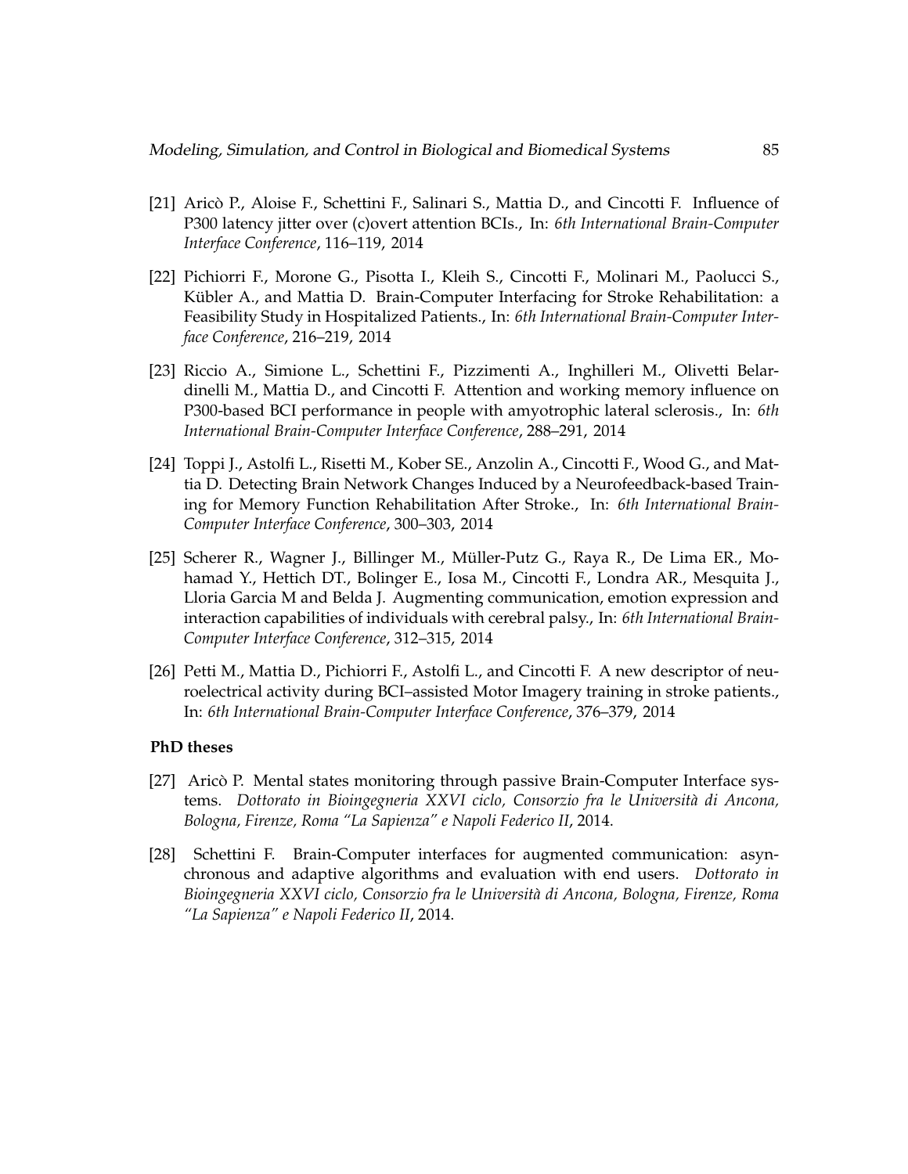- [21] Arico P., Aloise F., Schettini F., Salinari S., Mattia D., and Cincotti F. Influence of ` P300 latency jitter over (c)overt attention BCIs., In: *6th International Brain-Computer Interface Conference*, 116–119, 2014
- [22] Pichiorri F., Morone G., Pisotta I., Kleih S., Cincotti F., Molinari M., Paolucci S., Kübler A., and Mattia D. Brain-Computer Interfacing for Stroke Rehabilitation: a Feasibility Study in Hospitalized Patients., In: *6th International Brain-Computer Interface Conference*, 216–219, 2014
- [23] Riccio A., Simione L., Schettini F., Pizzimenti A., Inghilleri M., Olivetti Belardinelli M., Mattia D., and Cincotti F. Attention and working memory influence on P300-based BCI performance in people with amyotrophic lateral sclerosis., In: *6th International Brain-Computer Interface Conference*, 288–291, 2014
- [24] Toppi J., Astolfi L., Risetti M., Kober SE., Anzolin A., Cincotti F., Wood G., and Mattia D. Detecting Brain Network Changes Induced by a Neurofeedback-based Training for Memory Function Rehabilitation After Stroke., In: *6th International Brain-Computer Interface Conference*, 300–303, 2014
- [25] Scherer R., Wagner J., Billinger M., Müller-Putz G., Raya R., De Lima ER., Mohamad Y., Hettich DT., Bolinger E., Iosa M., Cincotti F., Londra AR., Mesquita J., Lloria Garcia M and Belda J. Augmenting communication, emotion expression and interaction capabilities of individuals with cerebral palsy., In: *6th International Brain-Computer Interface Conference*, 312–315, 2014
- [26] Petti M., Mattia D., Pichiorri F., Astolfi L., and Cincotti F. A new descriptor of neuroelectrical activity during BCI–assisted Motor Imagery training in stroke patients., In: *6th International Brain-Computer Interface Conference*, 376–379, 2014

#### **PhD theses**

- [27] Aricò P. Mental states monitoring through passive Brain-Computer Interface systems. *Dottorato in Bioingegneria XXVI ciclo, Consorzio fra le Università di Ancona*, *Bologna, Firenze, Roma "La Sapienza" e Napoli Federico II*, 2014.
- [28] Schettini F. Brain-Computer interfaces for augmented communication: asynchronous and adaptive algorithms and evaluation with end users. *Dottorato in Bioingegneria XXVI ciclo, Consorzio fra le Universit`a di Ancona, Bologna, Firenze, Roma "La Sapienza" e Napoli Federico II*, 2014.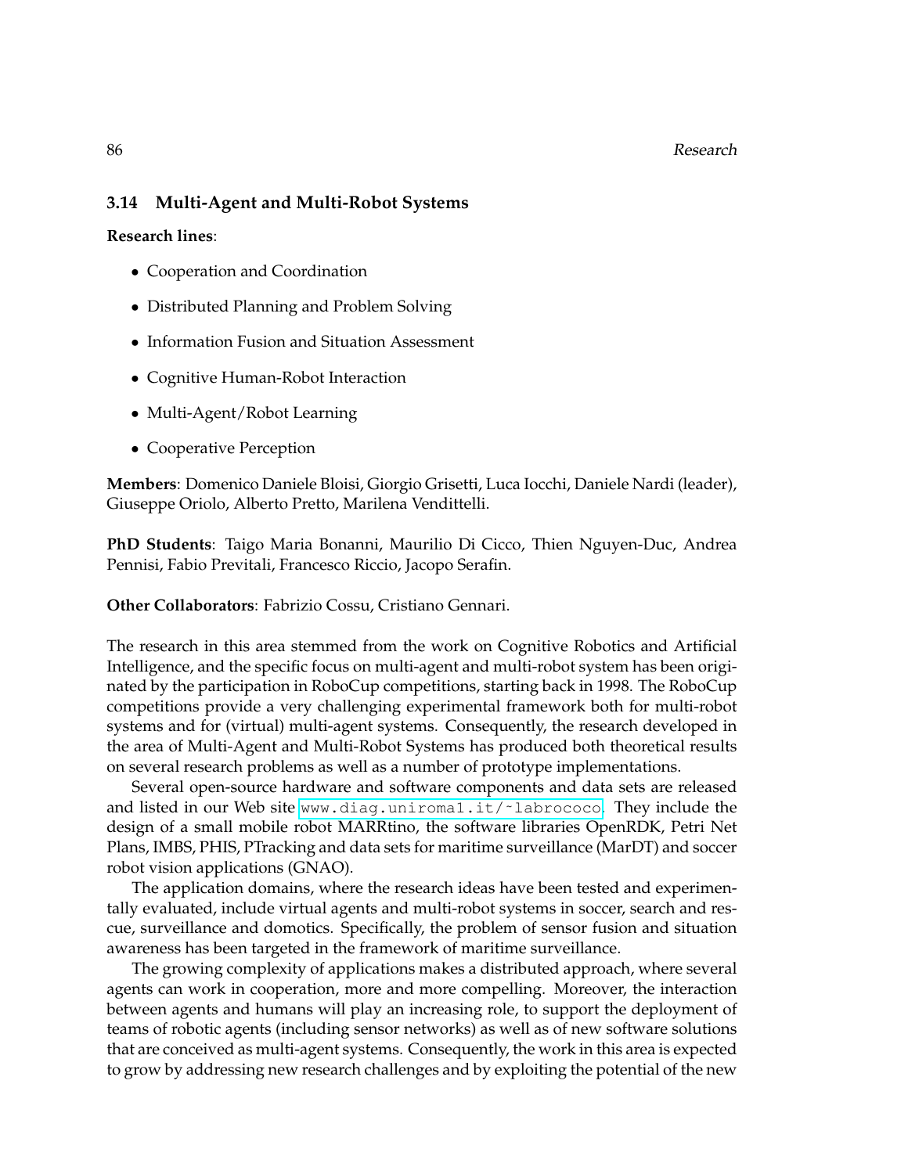## **3.14 Multi-Agent and Multi-Robot Systems**

**Research lines**:

- Cooperation and Coordination
- Distributed Planning and Problem Solving
- Information Fusion and Situation Assessment
- Cognitive Human-Robot Interaction
- Multi-Agent/Robot Learning
- Cooperative Perception

**Members**: Domenico Daniele Bloisi, Giorgio Grisetti, Luca Iocchi, Daniele Nardi (leader), Giuseppe Oriolo, Alberto Pretto, Marilena Vendittelli.

**PhD Students**: Taigo Maria Bonanni, Maurilio Di Cicco, Thien Nguyen-Duc, Andrea Pennisi, Fabio Previtali, Francesco Riccio, Jacopo Serafin.

**Other Collaborators**: Fabrizio Cossu, Cristiano Gennari.

The research in this area stemmed from the work on Cognitive Robotics and Artificial Intelligence, and the specific focus on multi-agent and multi-robot system has been originated by the participation in RoboCup competitions, starting back in 1998. The RoboCup competitions provide a very challenging experimental framework both for multi-robot systems and for (virtual) multi-agent systems. Consequently, the research developed in the area of Multi-Agent and Multi-Robot Systems has produced both theoretical results on several research problems as well as a number of prototype implementations.

Several open-source hardware and software components and data sets are released and listed in our Web site www.diag.uniroma1.it/~labrococo. They include the design of a small mobile robot MARRtino, the software libraries OpenRDK, Petri Net Plans, IMBS, PHIS, PTracking and data sets for maritime surveillance (MarDT) and soccer robot vision applications (GNAO).

The application domains, where the research ideas have been tested and experimentally evaluated, include virtual agents and multi-robot systems in soccer, search and rescue, surveillance and domotics. Specifically, the problem of sensor fusion and situation awareness has been targeted in the framework of maritime surveillance.

The growing complexity of applications makes a distributed approach, where several agents can work in cooperation, more and more compelling. Moreover, the interaction between agents and humans will play an increasing role, to support the deployment of teams of robotic agents (including sensor networks) as well as of new software solutions that are conceived as multi-agent systems. Consequently, the work in this area is expected to grow by addressing new research challenges and by exploiting the potential of the new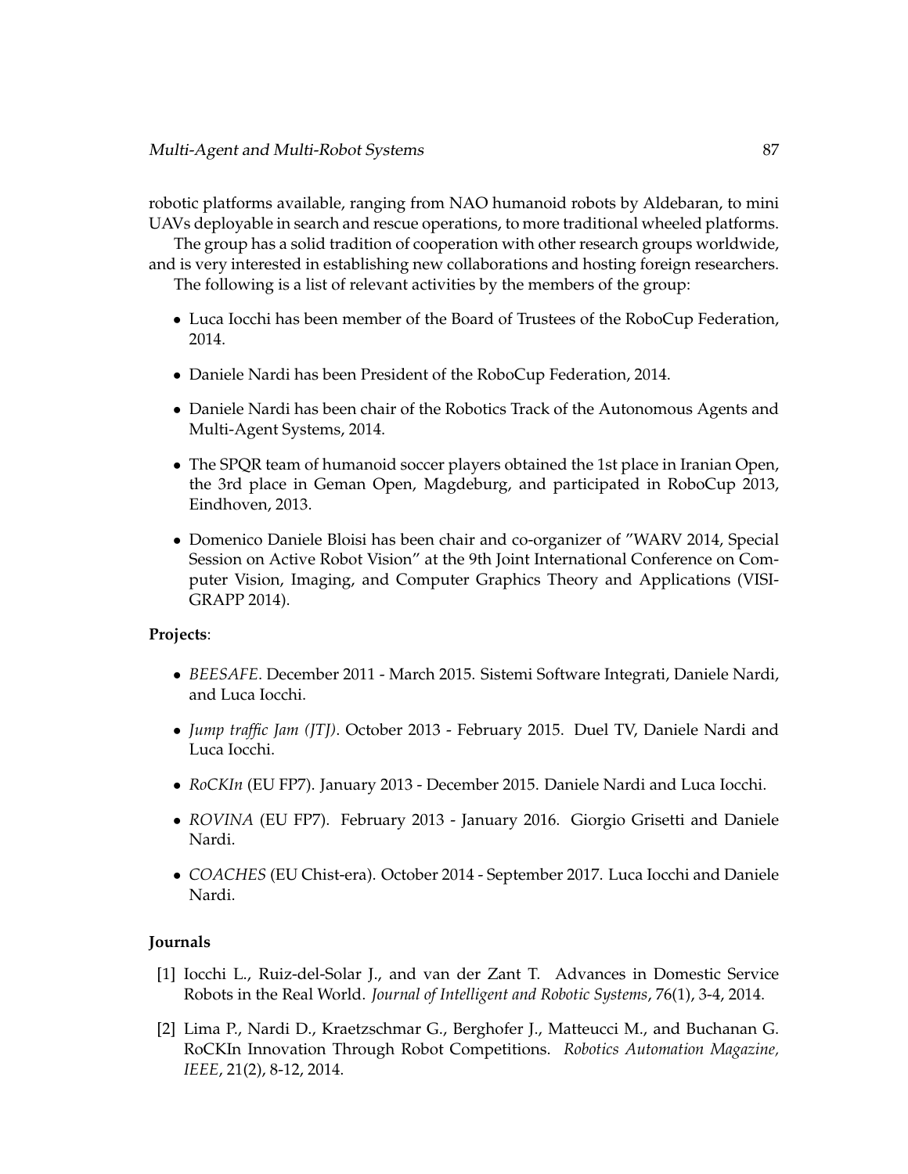robotic platforms available, ranging from NAO humanoid robots by Aldebaran, to mini UAVs deployable in search and rescue operations, to more traditional wheeled platforms.

The group has a solid tradition of cooperation with other research groups worldwide, and is very interested in establishing new collaborations and hosting foreign researchers.

The following is a list of relevant activities by the members of the group:

- Luca Iocchi has been member of the Board of Trustees of the RoboCup Federation, 2014.
- Daniele Nardi has been President of the RoboCup Federation, 2014.
- Daniele Nardi has been chair of the Robotics Track of the Autonomous Agents and Multi-Agent Systems, 2014.
- The SPQR team of humanoid soccer players obtained the 1st place in Iranian Open, the 3rd place in Geman Open, Magdeburg, and participated in RoboCup 2013, Eindhoven, 2013.
- Domenico Daniele Bloisi has been chair and co-organizer of "WARV 2014, Special Session on Active Robot Vision" at the 9th Joint International Conference on Computer Vision, Imaging, and Computer Graphics Theory and Applications (VISI-GRAPP 2014).

## **Projects**:

- *BEESAFE*. December 2011 March 2015. Sistemi Software Integrati, Daniele Nardi, and Luca Iocchi.
- *Jump traffic Jam (JTJ)*. October 2013 February 2015. Duel TV, Daniele Nardi and Luca Iocchi.
- *RoCKIn* (EU FP7). January 2013 December 2015. Daniele Nardi and Luca Iocchi.
- *ROVINA* (EU FP7). February 2013 January 2016. Giorgio Grisetti and Daniele Nardi.
- *COACHES* (EU Chist-era). October 2014 September 2017. Luca Iocchi and Daniele Nardi.

#### **Journals**

- [1] Iocchi L., Ruiz-del-Solar J., and van der Zant T. Advances in Domestic Service Robots in the Real World. *Journal of Intelligent and Robotic Systems*, 76(1), 3-4, 2014.
- [2] Lima P., Nardi D., Kraetzschmar G., Berghofer J., Matteucci M., and Buchanan G. RoCKIn Innovation Through Robot Competitions. *Robotics Automation Magazine, IEEE*, 21(2), 8-12, 2014.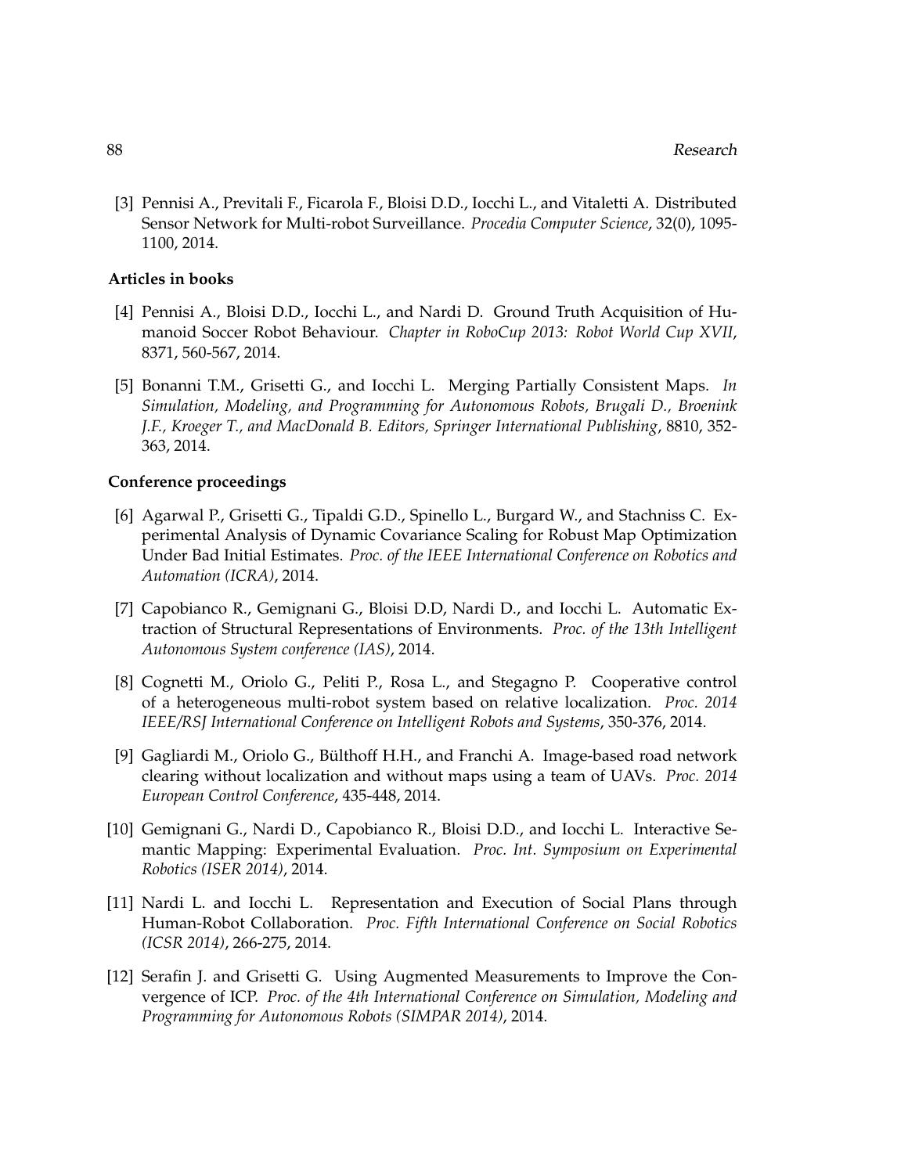[3] Pennisi A., Previtali F., Ficarola F., Bloisi D.D., Iocchi L., and Vitaletti A. Distributed Sensor Network for Multi-robot Surveillance. *Procedia Computer Science*, 32(0), 1095- 1100, 2014.

#### **Articles in books**

- [4] Pennisi A., Bloisi D.D., Iocchi L., and Nardi D. Ground Truth Acquisition of Humanoid Soccer Robot Behaviour. *Chapter in RoboCup 2013: Robot World Cup XVII*, 8371, 560-567, 2014.
- [5] Bonanni T.M., Grisetti G., and Iocchi L. Merging Partially Consistent Maps. *In Simulation, Modeling, and Programming for Autonomous Robots, Brugali D., Broenink J.F., Kroeger T., and MacDonald B. Editors, Springer International Publishing*, 8810, 352- 363, 2014.

## **Conference proceedings**

- [6] Agarwal P., Grisetti G., Tipaldi G.D., Spinello L., Burgard W., and Stachniss C. Experimental Analysis of Dynamic Covariance Scaling for Robust Map Optimization Under Bad Initial Estimates. *Proc. of the IEEE International Conference on Robotics and Automation (ICRA)*, 2014.
- [7] Capobianco R., Gemignani G., Bloisi D.D, Nardi D., and Iocchi L. Automatic Extraction of Structural Representations of Environments. *Proc. of the 13th Intelligent Autonomous System conference (IAS)*, 2014.
- [8] Cognetti M., Oriolo G., Peliti P., Rosa L., and Stegagno P. Cooperative control of a heterogeneous multi-robot system based on relative localization. *Proc. 2014 IEEE/RSJ International Conference on Intelligent Robots and Systems*, 350-376, 2014.
- [9] Gagliardi M., Oriolo G., Bülthoff H.H., and Franchi A. Image-based road network clearing without localization and without maps using a team of UAVs. *Proc. 2014 European Control Conference*, 435-448, 2014.
- [10] Gemignani G., Nardi D., Capobianco R., Bloisi D.D., and Iocchi L. Interactive Semantic Mapping: Experimental Evaluation. *Proc. Int. Symposium on Experimental Robotics (ISER 2014)*, 2014.
- [11] Nardi L. and Iocchi L. Representation and Execution of Social Plans through Human-Robot Collaboration. *Proc. Fifth International Conference on Social Robotics (ICSR 2014)*, 266-275, 2014.
- [12] Serafin J. and Grisetti G. Using Augmented Measurements to Improve the Convergence of ICP. *Proc. of the 4th International Conference on Simulation, Modeling and Programming for Autonomous Robots (SIMPAR 2014)*, 2014.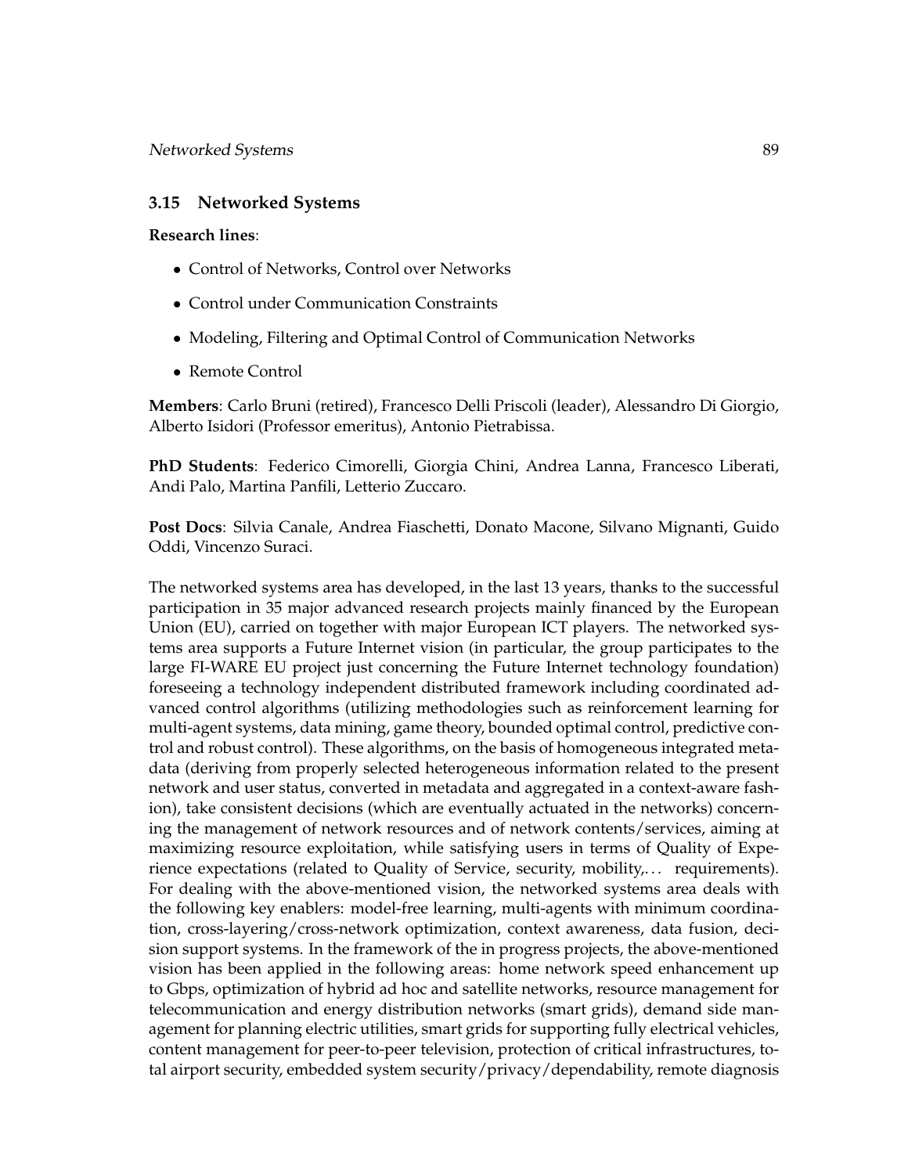## **3.15 Networked Systems**

#### **Research lines**:

- Control of Networks, Control over Networks
- Control under Communication Constraints
- Modeling, Filtering and Optimal Control of Communication Networks
- Remote Control

**Members**: Carlo Bruni (retired), Francesco Delli Priscoli (leader), Alessandro Di Giorgio, Alberto Isidori (Professor emeritus), Antonio Pietrabissa.

**PhD Students**: Federico Cimorelli, Giorgia Chini, Andrea Lanna, Francesco Liberati, Andi Palo, Martina Panfili, Letterio Zuccaro.

**Post Docs**: Silvia Canale, Andrea Fiaschetti, Donato Macone, Silvano Mignanti, Guido Oddi, Vincenzo Suraci.

The networked systems area has developed, in the last 13 years, thanks to the successful participation in 35 major advanced research projects mainly financed by the European Union (EU), carried on together with major European ICT players. The networked systems area supports a Future Internet vision (in particular, the group participates to the large FI-WARE EU project just concerning the Future Internet technology foundation) foreseeing a technology independent distributed framework including coordinated advanced control algorithms (utilizing methodologies such as reinforcement learning for multi-agent systems, data mining, game theory, bounded optimal control, predictive control and robust control). These algorithms, on the basis of homogeneous integrated metadata (deriving from properly selected heterogeneous information related to the present network and user status, converted in metadata and aggregated in a context-aware fashion), take consistent decisions (which are eventually actuated in the networks) concerning the management of network resources and of network contents/services, aiming at maximizing resource exploitation, while satisfying users in terms of Quality of Experience expectations (related to Quality of Service, security, mobility,... requirements). For dealing with the above-mentioned vision, the networked systems area deals with the following key enablers: model-free learning, multi-agents with minimum coordination, cross-layering/cross-network optimization, context awareness, data fusion, decision support systems. In the framework of the in progress projects, the above-mentioned vision has been applied in the following areas: home network speed enhancement up to Gbps, optimization of hybrid ad hoc and satellite networks, resource management for telecommunication and energy distribution networks (smart grids), demand side management for planning electric utilities, smart grids for supporting fully electrical vehicles, content management for peer-to-peer television, protection of critical infrastructures, total airport security, embedded system security/privacy/dependability, remote diagnosis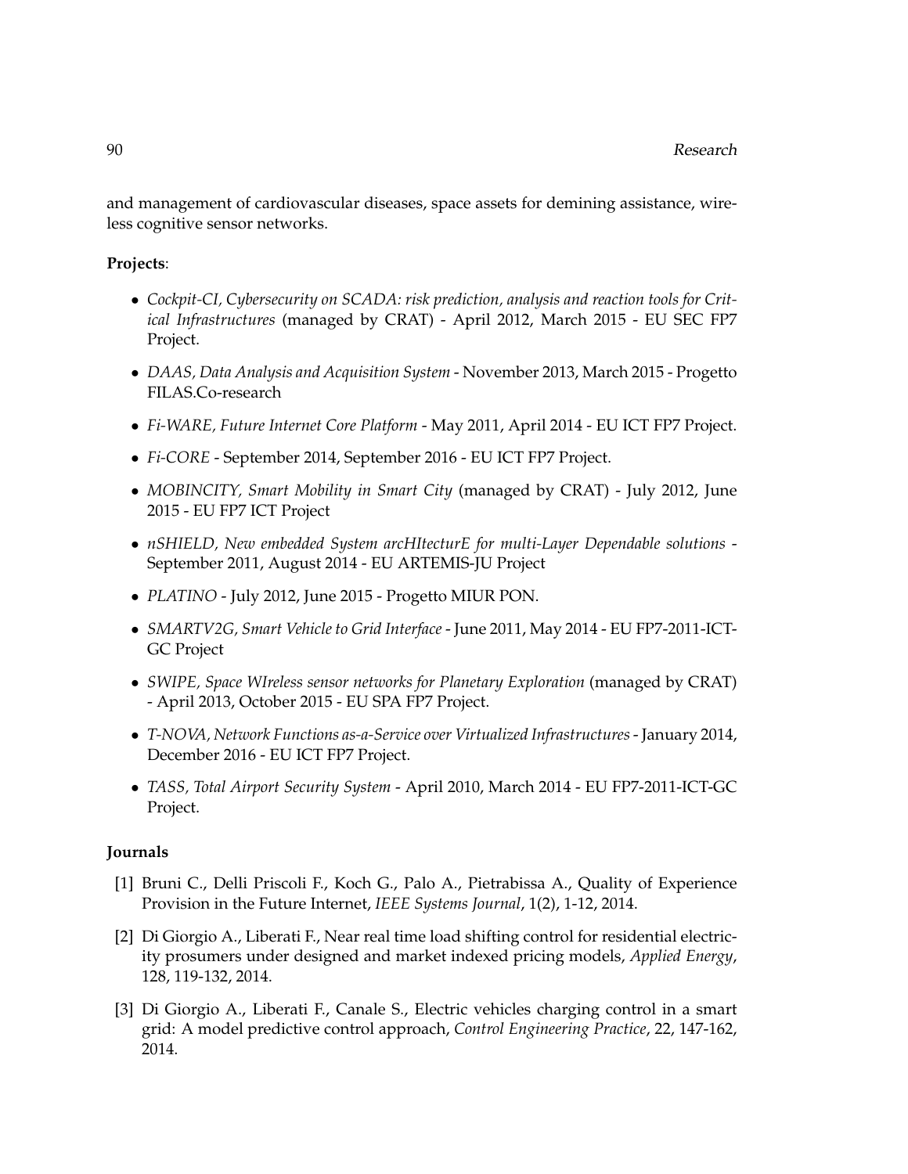and management of cardiovascular diseases, space assets for demining assistance, wireless cognitive sensor networks.

## **Projects**:

- *Cockpit-CI, Cybersecurity on SCADA: risk prediction, analysis and reaction tools for Critical Infrastructures* (managed by CRAT) - April 2012, March 2015 - EU SEC FP7 Project.
- *DAAS, Data Analysis and Acquisition System* November 2013, March 2015 Progetto FILAS.Co-research
- *Fi-WARE, Future Internet Core Platform* May 2011, April 2014 EU ICT FP7 Project.
- *Fi-CORE* September 2014, September 2016 EU ICT FP7 Project.
- *MOBINCITY, Smart Mobility in Smart City* (managed by CRAT) July 2012, June 2015 - EU FP7 ICT Project
- *nSHIELD, New embedded System arcHItecturE for multi-Layer Dependable solutions* September 2011, August 2014 - EU ARTEMIS-JU Project
- *PLATINO* July 2012, June 2015 Progetto MIUR PON.
- *SMARTV2G, Smart Vehicle to Grid Interface* June 2011, May 2014 EU FP7-2011-ICT-GC Project
- *SWIPE, Space WIreless sensor networks for Planetary Exploration* (managed by CRAT) - April 2013, October 2015 - EU SPA FP7 Project.
- *T-NOVA, Network Functions as-a-Service over Virtualized Infrastructures* January 2014, December 2016 - EU ICT FP7 Project.
- *TASS, Total Airport Security System* April 2010, March 2014 EU FP7-2011-ICT-GC Project.

## **Journals**

- [1] Bruni C., Delli Priscoli F., Koch G., Palo A., Pietrabissa A., Quality of Experience Provision in the Future Internet, *IEEE Systems Journal*, 1(2), 1-12, 2014.
- [2] Di Giorgio A., Liberati F., Near real time load shifting control for residential electricity prosumers under designed and market indexed pricing models, *Applied Energy*, 128, 119-132, 2014.
- [3] Di Giorgio A., Liberati F., Canale S., Electric vehicles charging control in a smart grid: A model predictive control approach, *Control Engineering Practice*, 22, 147-162, 2014.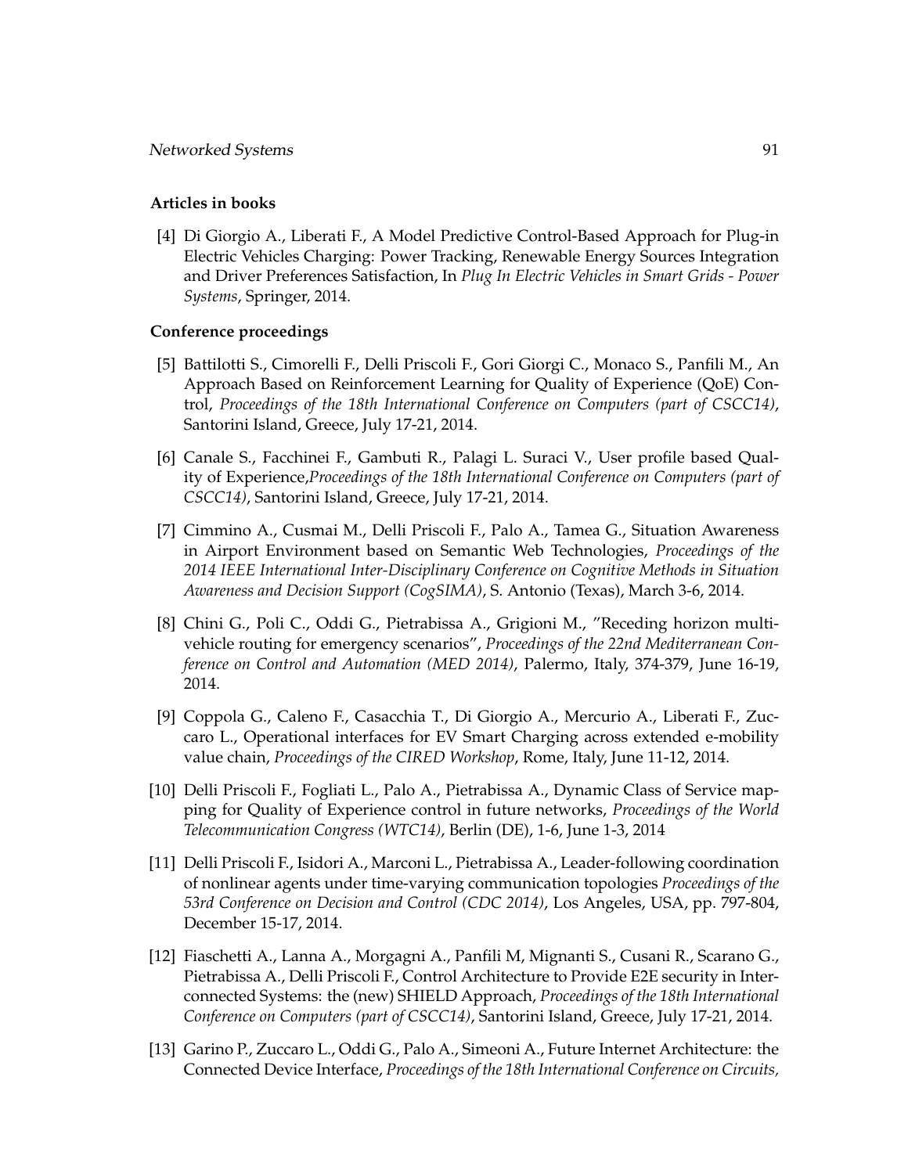## **Articles in books**

[4] Di Giorgio A., Liberati F., A Model Predictive Control-Based Approach for Plug-in Electric Vehicles Charging: Power Tracking, Renewable Energy Sources Integration and Driver Preferences Satisfaction, In *Plug In Electric Vehicles in Smart Grids - Power Systems*, Springer, 2014.

## **Conference proceedings**

- [5] Battilotti S., Cimorelli F., Delli Priscoli F., Gori Giorgi C., Monaco S., Panfili M., An Approach Based on Reinforcement Learning for Quality of Experience (QoE) Control, *Proceedings of the 18th International Conference on Computers (part of CSCC14)*, Santorini Island, Greece, July 17-21, 2014.
- [6] Canale S., Facchinei F., Gambuti R., Palagi L. Suraci V., User profile based Quality of Experience,*Proceedings of the 18th International Conference on Computers (part of CSCC14)*, Santorini Island, Greece, July 17-21, 2014.
- [7] Cimmino A., Cusmai M., Delli Priscoli F., Palo A., Tamea G., Situation Awareness in Airport Environment based on Semantic Web Technologies, *Proceedings of the 2014 IEEE International Inter-Disciplinary Conference on Cognitive Methods in Situation Awareness and Decision Support (CogSIMA)*, S. Antonio (Texas), March 3-6, 2014.
- [8] Chini G., Poli C., Oddi G., Pietrabissa A., Grigioni M., "Receding horizon multivehicle routing for emergency scenarios", *Proceedings of the 22nd Mediterranean Conference on Control and Automation (MED 2014)*, Palermo, Italy, 374-379, June 16-19, 2014.
- [9] Coppola G., Caleno F., Casacchia T., Di Giorgio A., Mercurio A., Liberati F., Zuccaro L., Operational interfaces for EV Smart Charging across extended e-mobility value chain, *Proceedings of the CIRED Workshop*, Rome, Italy, June 11-12, 2014.
- [10] Delli Priscoli F., Fogliati L., Palo A., Pietrabissa A., Dynamic Class of Service mapping for Quality of Experience control in future networks, *Proceedings of the World Telecommunication Congress (WTC14)*, Berlin (DE), 1-6, June 1-3, 2014
- [11] Delli Priscoli F., Isidori A., Marconi L., Pietrabissa A., Leader-following coordination of nonlinear agents under time-varying communication topologies *Proceedings of the 53rd Conference on Decision and Control (CDC 2014)*, Los Angeles, USA, pp. 797-804, December 15-17, 2014.
- [12] Fiaschetti A., Lanna A., Morgagni A., Panfili M, Mignanti S., Cusani R., Scarano G., Pietrabissa A., Delli Priscoli F., Control Architecture to Provide E2E security in Interconnected Systems: the (new) SHIELD Approach, *Proceedings of the 18th International Conference on Computers (part of CSCC14)*, Santorini Island, Greece, July 17-21, 2014.
- [13] Garino P., Zuccaro L., Oddi G., Palo A., Simeoni A., Future Internet Architecture: the Connected Device Interface, *Proceedings of the 18th International Conference on Circuits,*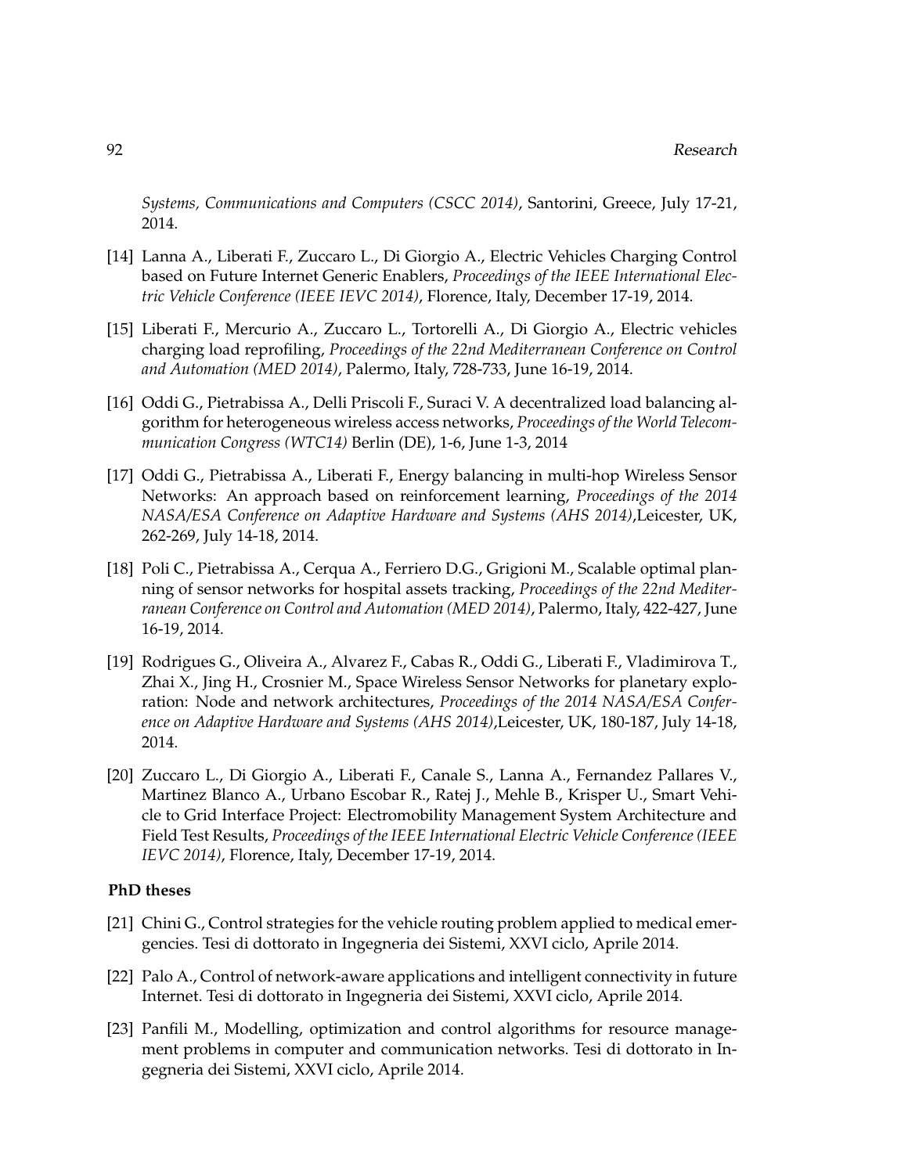*Systems, Communications and Computers (CSCC 2014)*, Santorini, Greece, July 17-21, 2014.

- [14] Lanna A., Liberati F., Zuccaro L., Di Giorgio A., Electric Vehicles Charging Control based on Future Internet Generic Enablers, *Proceedings of the IEEE International Electric Vehicle Conference (IEEE IEVC 2014)*, Florence, Italy, December 17-19, 2014.
- [15] Liberati F., Mercurio A., Zuccaro L., Tortorelli A., Di Giorgio A., Electric vehicles charging load reprofiling, *Proceedings of the 22nd Mediterranean Conference on Control and Automation (MED 2014)*, Palermo, Italy, 728-733, June 16-19, 2014.
- [16] Oddi G., Pietrabissa A., Delli Priscoli F., Suraci V. A decentralized load balancing algorithm for heterogeneous wireless access networks, *Proceedings of the World Telecommunication Congress (WTC14)* Berlin (DE), 1-6, June 1-3, 2014
- [17] Oddi G., Pietrabissa A., Liberati F., Energy balancing in multi-hop Wireless Sensor Networks: An approach based on reinforcement learning, *Proceedings of the 2014 NASA/ESA Conference on Adaptive Hardware and Systems (AHS 2014)*,Leicester, UK, 262-269, July 14-18, 2014.
- [18] Poli C., Pietrabissa A., Cerqua A., Ferriero D.G., Grigioni M., Scalable optimal planning of sensor networks for hospital assets tracking, *Proceedings of the 22nd Mediterranean Conference on Control and Automation (MED 2014)*, Palermo, Italy, 422-427, June 16-19, 2014.
- [19] Rodrigues G., Oliveira A., Alvarez F., Cabas R., Oddi G., Liberati F., Vladimirova T., Zhai X., Jing H., Crosnier M., Space Wireless Sensor Networks for planetary exploration: Node and network architectures, *Proceedings of the 2014 NASA/ESA Conference on Adaptive Hardware and Systems (AHS 2014)*,Leicester, UK, 180-187, July 14-18, 2014.
- [20] Zuccaro L., Di Giorgio A., Liberati F., Canale S., Lanna A., Fernandez Pallares V., Martinez Blanco A., Urbano Escobar R., Ratej J., Mehle B., Krisper U., Smart Vehicle to Grid Interface Project: Electromobility Management System Architecture and Field Test Results, *Proceedings of the IEEE International Electric Vehicle Conference (IEEE IEVC 2014)*, Florence, Italy, December 17-19, 2014.

## **PhD theses**

- [21] Chini G., Control strategies for the vehicle routing problem applied to medical emergencies. Tesi di dottorato in Ingegneria dei Sistemi, XXVI ciclo, Aprile 2014.
- [22] Palo A., Control of network-aware applications and intelligent connectivity in future Internet. Tesi di dottorato in Ingegneria dei Sistemi, XXVI ciclo, Aprile 2014.
- [23] Panfili M., Modelling, optimization and control algorithms for resource management problems in computer and communication networks. Tesi di dottorato in Ingegneria dei Sistemi, XXVI ciclo, Aprile 2014.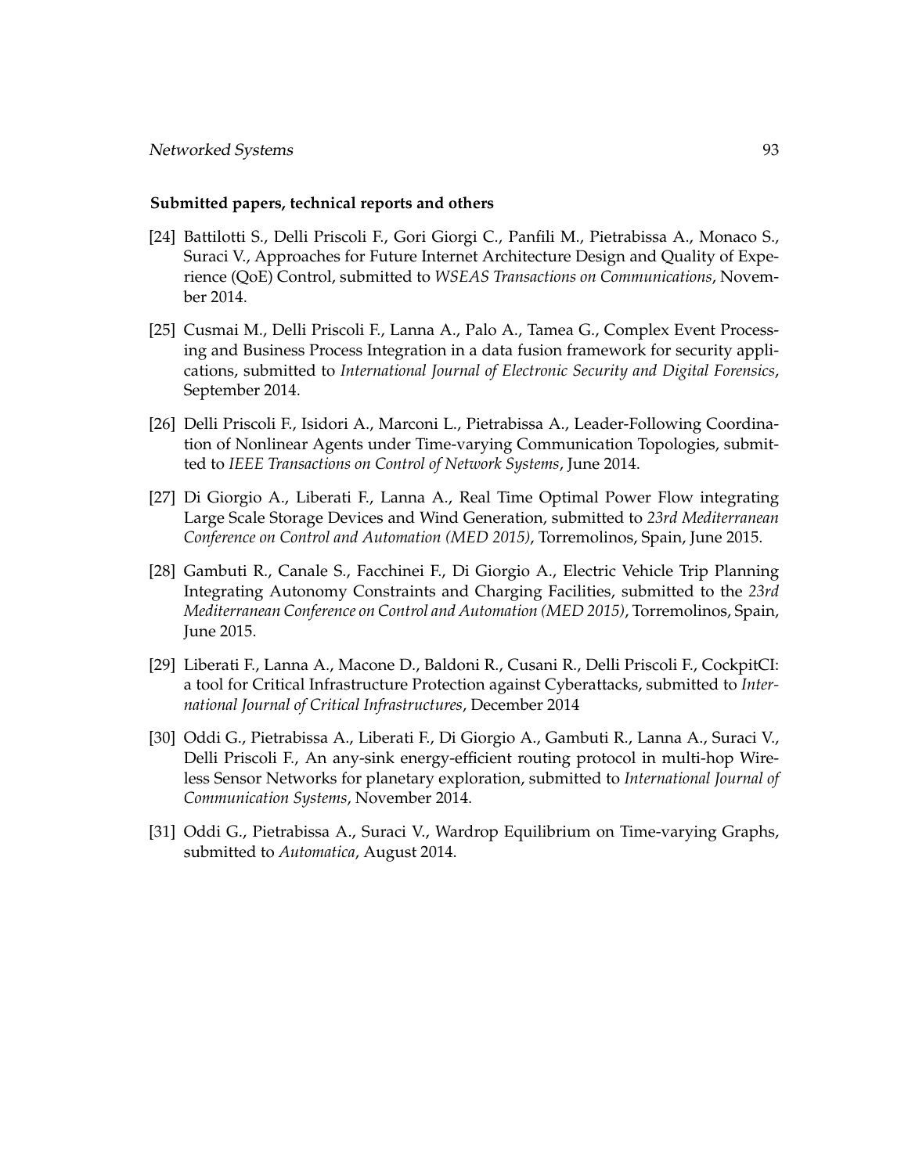## **Submitted papers, technical reports and others**

- [24] Battilotti S., Delli Priscoli F., Gori Giorgi C., Panfili M., Pietrabissa A., Monaco S., Suraci V., Approaches for Future Internet Architecture Design and Quality of Experience (QoE) Control, submitted to *WSEAS Transactions on Communications*, November 2014.
- [25] Cusmai M., Delli Priscoli F., Lanna A., Palo A., Tamea G., Complex Event Processing and Business Process Integration in a data fusion framework for security applications, submitted to *International Journal of Electronic Security and Digital Forensics*, September 2014.
- [26] Delli Priscoli F., Isidori A., Marconi L., Pietrabissa A., Leader-Following Coordination of Nonlinear Agents under Time-varying Communication Topologies, submitted to *IEEE Transactions on Control of Network Systems*, June 2014.
- [27] Di Giorgio A., Liberati F., Lanna A., Real Time Optimal Power Flow integrating Large Scale Storage Devices and Wind Generation, submitted to *23rd Mediterranean Conference on Control and Automation (MED 2015)*, Torremolinos, Spain, June 2015.
- [28] Gambuti R., Canale S., Facchinei F., Di Giorgio A., Electric Vehicle Trip Planning Integrating Autonomy Constraints and Charging Facilities, submitted to the *23rd Mediterranean Conference on Control and Automation (MED 2015)*, Torremolinos, Spain, June 2015.
- [29] Liberati F., Lanna A., Macone D., Baldoni R., Cusani R., Delli Priscoli F., CockpitCI: a tool for Critical Infrastructure Protection against Cyberattacks, submitted to *International Journal of Critical Infrastructures*, December 2014
- [30] Oddi G., Pietrabissa A., Liberati F., Di Giorgio A., Gambuti R., Lanna A., Suraci V., Delli Priscoli F., An any-sink energy-efficient routing protocol in multi-hop Wireless Sensor Networks for planetary exploration, submitted to *International Journal of Communication Systems*, November 2014.
- [31] Oddi G., Pietrabissa A., Suraci V., Wardrop Equilibrium on Time-varying Graphs, submitted to *Automatica*, August 2014.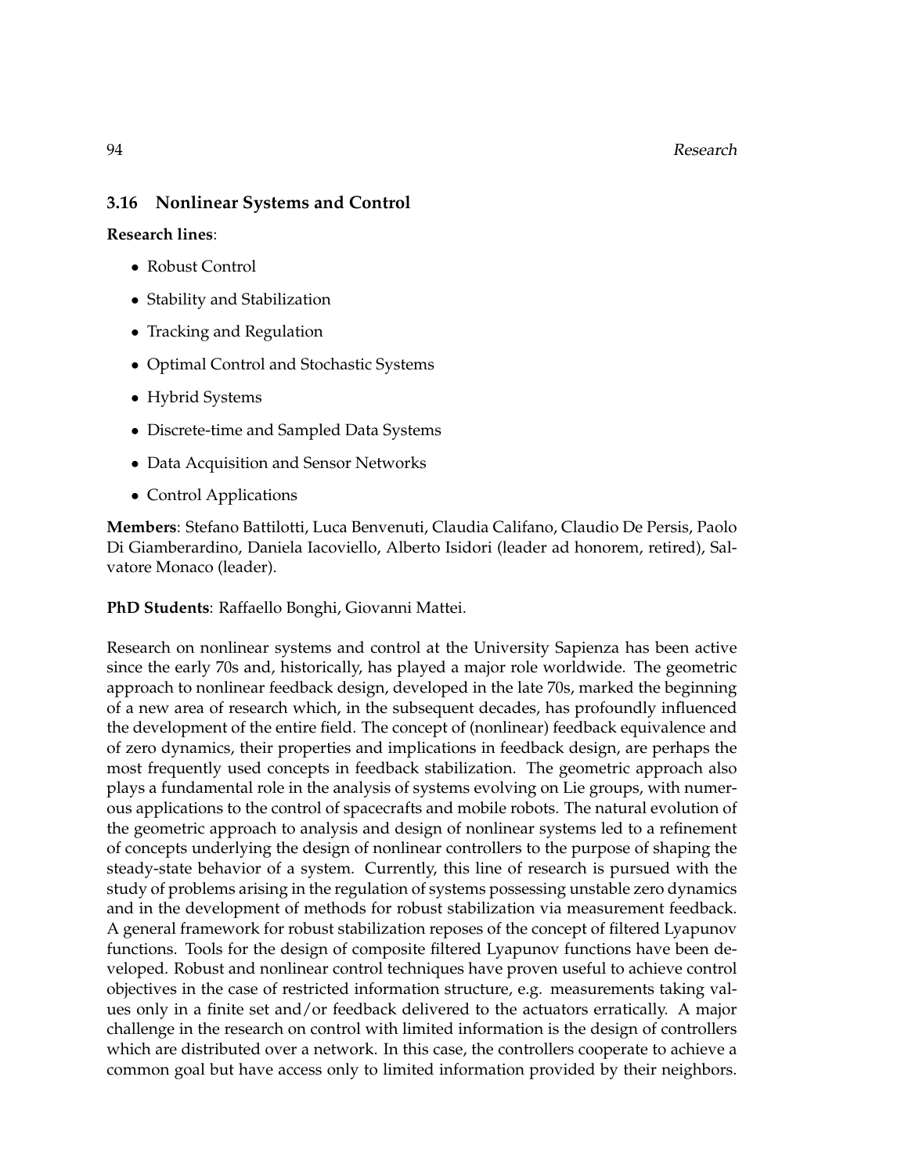94 Research

# **3.16 Nonlinear Systems and Control**

**Research lines**:

- Robust Control
- Stability and Stabilization
- Tracking and Regulation
- Optimal Control and Stochastic Systems
- Hybrid Systems
- Discrete-time and Sampled Data Systems
- Data Acquisition and Sensor Networks
- Control Applications

**Members**: Stefano Battilotti, Luca Benvenuti, Claudia Califano, Claudio De Persis, Paolo Di Giamberardino, Daniela Iacoviello, Alberto Isidori (leader ad honorem, retired), Salvatore Monaco (leader).

**PhD Students**: Raffaello Bonghi, Giovanni Mattei.

Research on nonlinear systems and control at the University Sapienza has been active since the early 70s and, historically, has played a major role worldwide. The geometric approach to nonlinear feedback design, developed in the late 70s, marked the beginning of a new area of research which, in the subsequent decades, has profoundly influenced the development of the entire field. The concept of (nonlinear) feedback equivalence and of zero dynamics, their properties and implications in feedback design, are perhaps the most frequently used concepts in feedback stabilization. The geometric approach also plays a fundamental role in the analysis of systems evolving on Lie groups, with numerous applications to the control of spacecrafts and mobile robots. The natural evolution of the geometric approach to analysis and design of nonlinear systems led to a refinement of concepts underlying the design of nonlinear controllers to the purpose of shaping the steady-state behavior of a system. Currently, this line of research is pursued with the study of problems arising in the regulation of systems possessing unstable zero dynamics and in the development of methods for robust stabilization via measurement feedback. A general framework for robust stabilization reposes of the concept of filtered Lyapunov functions. Tools for the design of composite filtered Lyapunov functions have been developed. Robust and nonlinear control techniques have proven useful to achieve control objectives in the case of restricted information structure, e.g. measurements taking values only in a finite set and/or feedback delivered to the actuators erratically. A major challenge in the research on control with limited information is the design of controllers which are distributed over a network. In this case, the controllers cooperate to achieve a common goal but have access only to limited information provided by their neighbors.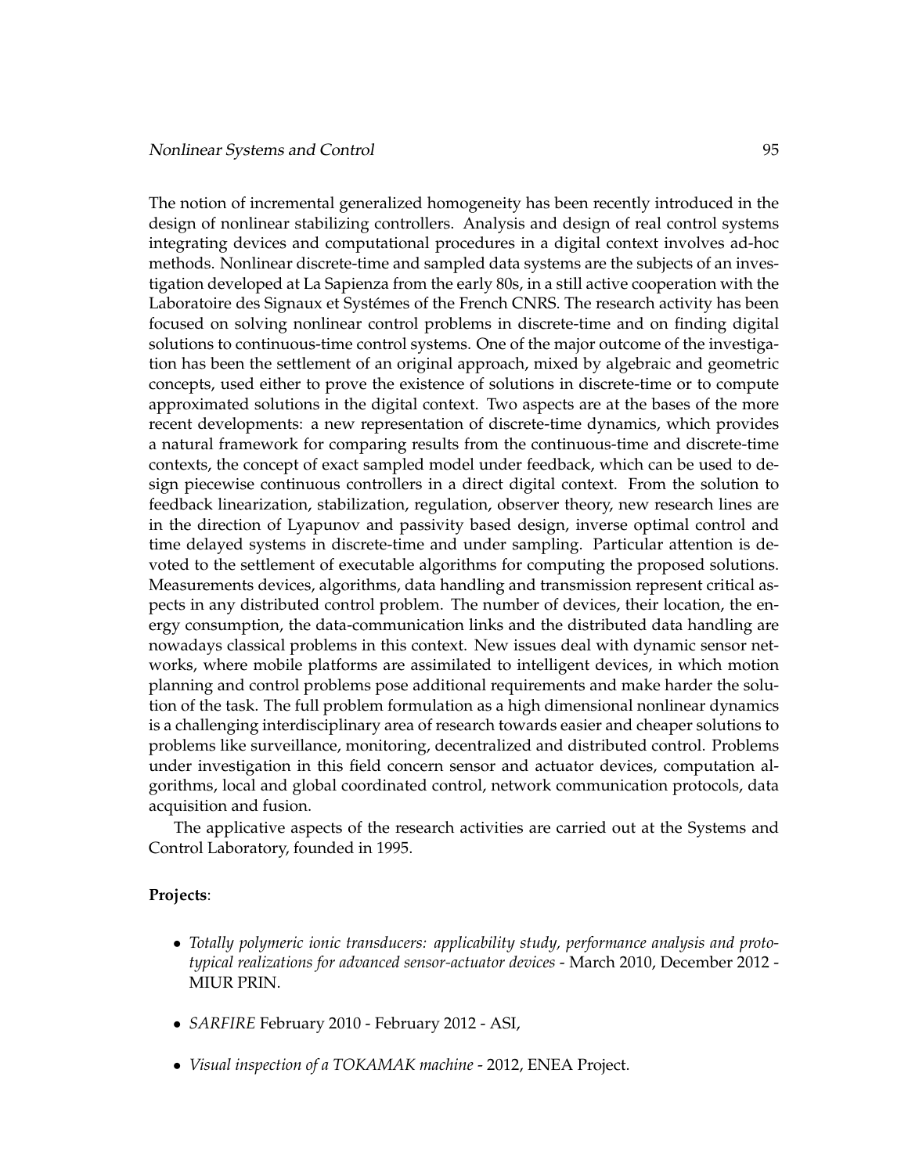The notion of incremental generalized homogeneity has been recently introduced in the design of nonlinear stabilizing controllers. Analysis and design of real control systems integrating devices and computational procedures in a digital context involves ad-hoc methods. Nonlinear discrete-time and sampled data systems are the subjects of an investigation developed at La Sapienza from the early 80s, in a still active cooperation with the Laboratoire des Signaux et Systémes of the French CNRS. The research activity has been focused on solving nonlinear control problems in discrete-time and on finding digital solutions to continuous-time control systems. One of the major outcome of the investigation has been the settlement of an original approach, mixed by algebraic and geometric concepts, used either to prove the existence of solutions in discrete-time or to compute approximated solutions in the digital context. Two aspects are at the bases of the more recent developments: a new representation of discrete-time dynamics, which provides a natural framework for comparing results from the continuous-time and discrete-time contexts, the concept of exact sampled model under feedback, which can be used to design piecewise continuous controllers in a direct digital context. From the solution to feedback linearization, stabilization, regulation, observer theory, new research lines are in the direction of Lyapunov and passivity based design, inverse optimal control and time delayed systems in discrete-time and under sampling. Particular attention is devoted to the settlement of executable algorithms for computing the proposed solutions. Measurements devices, algorithms, data handling and transmission represent critical aspects in any distributed control problem. The number of devices, their location, the energy consumption, the data-communication links and the distributed data handling are nowadays classical problems in this context. New issues deal with dynamic sensor networks, where mobile platforms are assimilated to intelligent devices, in which motion planning and control problems pose additional requirements and make harder the solution of the task. The full problem formulation as a high dimensional nonlinear dynamics is a challenging interdisciplinary area of research towards easier and cheaper solutions to problems like surveillance, monitoring, decentralized and distributed control. Problems under investigation in this field concern sensor and actuator devices, computation algorithms, local and global coordinated control, network communication protocols, data acquisition and fusion.

The applicative aspects of the research activities are carried out at the Systems and Control Laboratory, founded in 1995.

## **Projects**:

- *Totally polymeric ionic transducers: applicability study, performance analysis and prototypical realizations for advanced sensor-actuator devices* - March 2010, December 2012 - MIUR PRIN.
- *SARFIRE* February 2010 February 2012 ASI,
- *Visual inspection of a TOKAMAK machine* 2012, ENEA Project.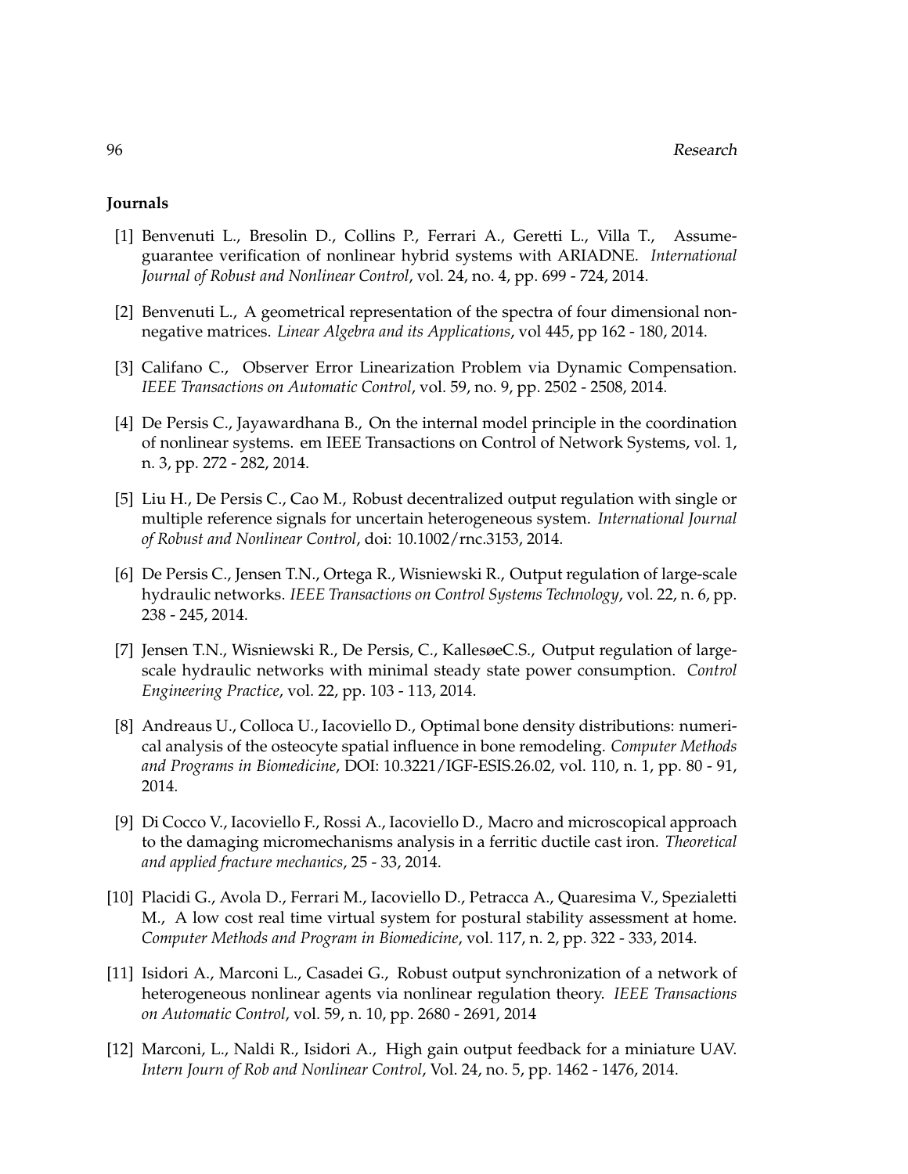## **Journals**

- [1] Benvenuti L., Bresolin D., Collins P., Ferrari A., Geretti L., Villa T., Assumeguarantee verification of nonlinear hybrid systems with ARIADNE. *International Journal of Robust and Nonlinear Control*, vol. 24, no. 4, pp. 699 - 724, 2014.
- [2] Benvenuti L., A geometrical representation of the spectra of four dimensional nonnegative matrices. *Linear Algebra and its Applications*, vol 445, pp 162 - 180, 2014.
- [3] Califano C., Observer Error Linearization Problem via Dynamic Compensation. *IEEE Transactions on Automatic Control*, vol. 59, no. 9, pp. 2502 - 2508, 2014.
- [4] De Persis C., Jayawardhana B., On the internal model principle in the coordination of nonlinear systems. em IEEE Transactions on Control of Network Systems, vol. 1, n. 3, pp. 272 - 282, 2014.
- [5] Liu H., De Persis C., Cao M., Robust decentralized output regulation with single or multiple reference signals for uncertain heterogeneous system. *International Journal of Robust and Nonlinear Control*, doi: 10.1002/rnc.3153, 2014.
- [6] De Persis C., Jensen T.N., Ortega R., Wisniewski R., Output regulation of large-scale hydraulic networks. *IEEE Transactions on Control Systems Technology*, vol. 22, n. 6, pp. 238 - 245, 2014.
- [7] Jensen T.N., Wisniewski R., De Persis, C., KallesøeC.S., Output regulation of largescale hydraulic networks with minimal steady state power consumption. *Control Engineering Practice*, vol. 22, pp. 103 - 113, 2014.
- [8] Andreaus U., Colloca U., Iacoviello D., Optimal bone density distributions: numerical analysis of the osteocyte spatial influence in bone remodeling. *Computer Methods and Programs in Biomedicine*, DOI: 10.3221/IGF-ESIS.26.02, vol. 110, n. 1, pp. 80 - 91, 2014.
- [9] Di Cocco V., Iacoviello F., Rossi A., Iacoviello D., Macro and microscopical approach to the damaging micromechanisms analysis in a ferritic ductile cast iron. *Theoretical and applied fracture mechanics*, 25 - 33, 2014.
- [10] Placidi G., Avola D., Ferrari M., Iacoviello D., Petracca A., Quaresima V., Spezialetti M., A low cost real time virtual system for postural stability assessment at home. *Computer Methods and Program in Biomedicine*, vol. 117, n. 2, pp. 322 - 333, 2014.
- [11] Isidori A., Marconi L., Casadei G., Robust output synchronization of a network of heterogeneous nonlinear agents via nonlinear regulation theory. *IEEE Transactions on Automatic Control*, vol. 59, n. 10, pp. 2680 - 2691, 2014
- [12] Marconi, L., Naldi R., Isidori A., High gain output feedback for a miniature UAV. *Intern Journ of Rob and Nonlinear Control*, Vol. 24, no. 5, pp. 1462 - 1476, 2014.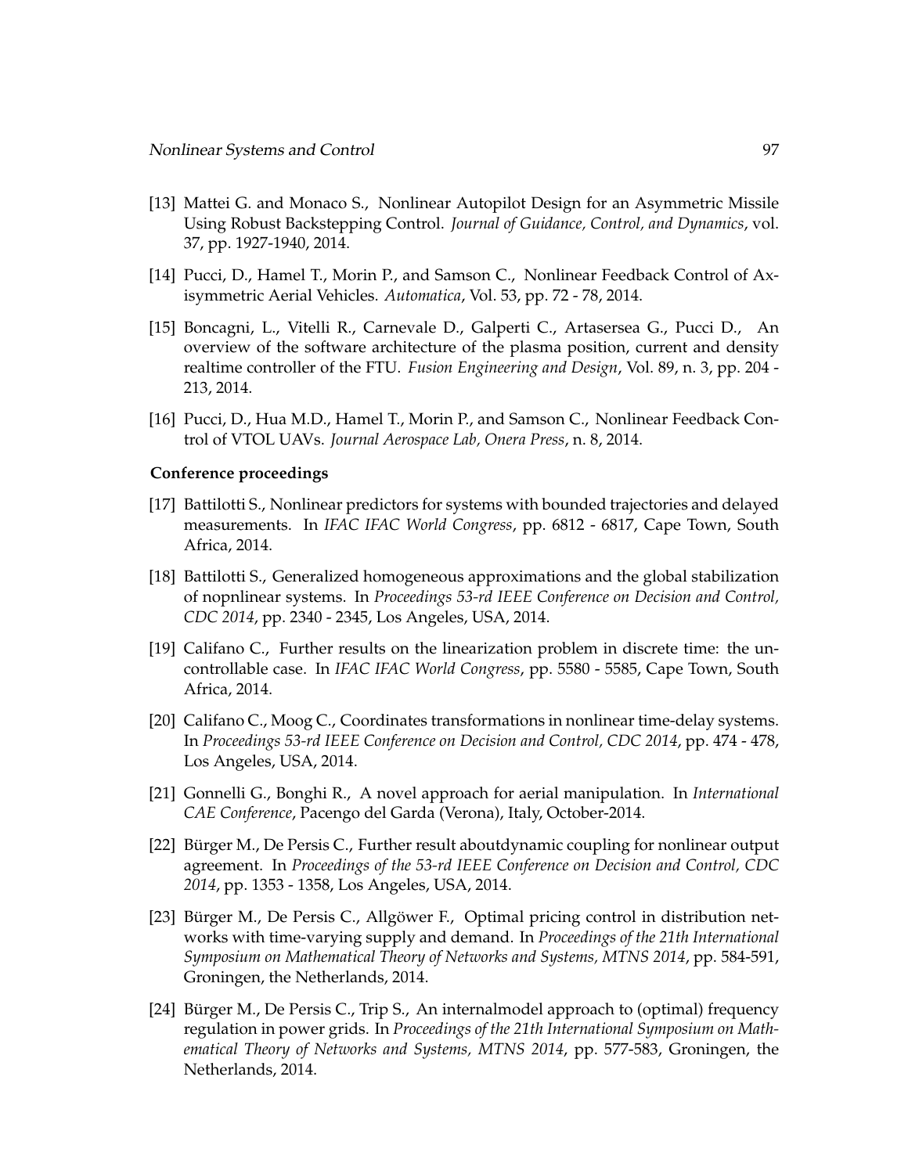- [13] Mattei G. and Monaco S., Nonlinear Autopilot Design for an Asymmetric Missile Using Robust Backstepping Control. *Journal of Guidance, Control, and Dynamics*, vol. 37, pp. 1927-1940, 2014.
- [14] Pucci, D., Hamel T., Morin P., and Samson C., Nonlinear Feedback Control of Axisymmetric Aerial Vehicles. *Automatica*, Vol. 53, pp. 72 - 78, 2014.
- [15] Boncagni, L., Vitelli R., Carnevale D., Galperti C., Artasersea G., Pucci D., An overview of the software architecture of the plasma position, current and density realtime controller of the FTU. *Fusion Engineering and Design*, Vol. 89, n. 3, pp. 204 - 213, 2014.
- [16] Pucci, D., Hua M.D., Hamel T., Morin P., and Samson C., Nonlinear Feedback Control of VTOL UAVs. *Journal Aerospace Lab, Onera Press*, n. 8, 2014.

#### **Conference proceedings**

- [17] Battilotti S., Nonlinear predictors for systems with bounded trajectories and delayed measurements. In *IFAC IFAC World Congress*, pp. 6812 - 6817, Cape Town, South Africa, 2014.
- [18] Battilotti S., Generalized homogeneous approximations and the global stabilization of nopnlinear systems. In *Proceedings 53-rd IEEE Conference on Decision and Control, CDC 2014*, pp. 2340 - 2345, Los Angeles, USA, 2014.
- [19] Califano C., Further results on the linearization problem in discrete time: the uncontrollable case. In *IFAC IFAC World Congress*, pp. 5580 - 5585, Cape Town, South Africa, 2014.
- [20] Califano C., Moog C., Coordinates transformations in nonlinear time-delay systems. In *Proceedings 53-rd IEEE Conference on Decision and Control, CDC 2014*, pp. 474 - 478, Los Angeles, USA, 2014.
- [21] Gonnelli G., Bonghi R., A novel approach for aerial manipulation. In *International CAE Conference*, Pacengo del Garda (Verona), Italy, October-2014.
- [22] Bürger M., De Persis C., Further result aboutdynamic coupling for nonlinear output agreement. In *Proceedings of the 53-rd IEEE Conference on Decision and Control, CDC 2014*, pp. 1353 - 1358, Los Angeles, USA, 2014.
- [23] Bürger M., De Persis C., Allgöwer F., Optimal pricing control in distribution networks with time-varying supply and demand. In *Proceedings of the 21th International Symposium on Mathematical Theory of Networks and Systems, MTNS 2014*, pp. 584-591, Groningen, the Netherlands, 2014.
- [24] Bürger M., De Persis C., Trip S., An internalmodel approach to (optimal) frequency regulation in power grids. In *Proceedings of the 21th International Symposium on Mathematical Theory of Networks and Systems, MTNS 2014*, pp. 577-583, Groningen, the Netherlands, 2014.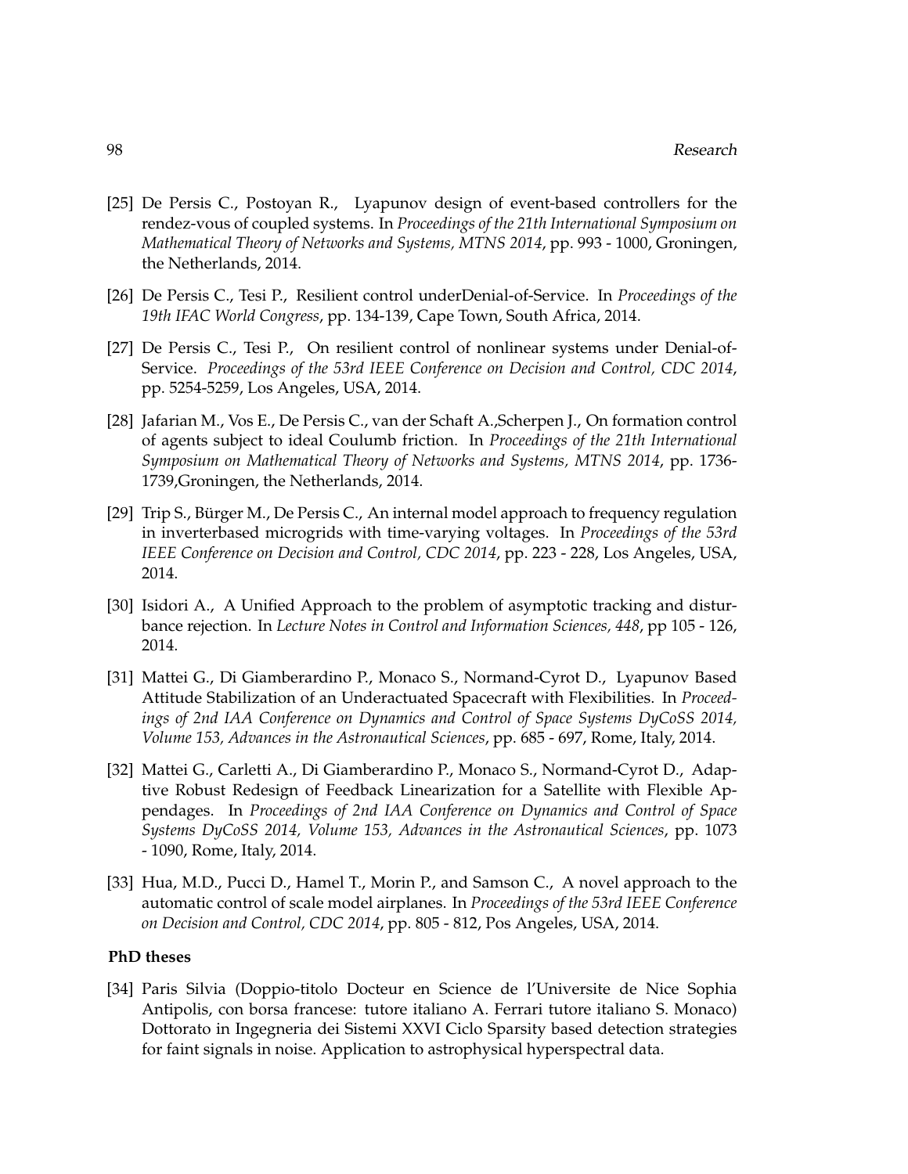- [25] De Persis C., Postoyan R., Lyapunov design of event-based controllers for the rendez-vous of coupled systems. In *Proceedings of the 21th International Symposium on Mathematical Theory of Networks and Systems, MTNS 2014*, pp. 993 - 1000, Groningen, the Netherlands, 2014.
- [26] De Persis C., Tesi P., Resilient control underDenial-of-Service. In *Proceedings of the 19th IFAC World Congress*, pp. 134-139, Cape Town, South Africa, 2014.
- [27] De Persis C., Tesi P., On resilient control of nonlinear systems under Denial-of-Service. *Proceedings of the 53rd IEEE Conference on Decision and Control, CDC 2014*, pp. 5254-5259, Los Angeles, USA, 2014.
- [28] Jafarian M., Vos E., De Persis C., van der Schaft A.,Scherpen J., On formation control of agents subject to ideal Coulumb friction. In *Proceedings of the 21th International Symposium on Mathematical Theory of Networks and Systems, MTNS 2014*, pp. 1736- 1739,Groningen, the Netherlands, 2014.
- [29] Trip S., Bürger M., De Persis C., An internal model approach to frequency regulation in inverterbased microgrids with time-varying voltages. In *Proceedings of the 53rd IEEE Conference on Decision and Control, CDC 2014*, pp. 223 - 228, Los Angeles, USA, 2014.
- [30] Isidori A., A Unified Approach to the problem of asymptotic tracking and disturbance rejection. In *Lecture Notes in Control and Information Sciences, 448*, pp 105 - 126, 2014.
- [31] Mattei G., Di Giamberardino P., Monaco S., Normand-Cyrot D., Lyapunov Based Attitude Stabilization of an Underactuated Spacecraft with Flexibilities. In *Proceedings of 2nd IAA Conference on Dynamics and Control of Space Systems DyCoSS 2014, Volume 153, Advances in the Astronautical Sciences*, pp. 685 - 697, Rome, Italy, 2014.
- [32] Mattei G., Carletti A., Di Giamberardino P., Monaco S., Normand-Cyrot D., Adaptive Robust Redesign of Feedback Linearization for a Satellite with Flexible Appendages. In *Proceedings of 2nd IAA Conference on Dynamics and Control of Space Systems DyCoSS 2014, Volume 153, Advances in the Astronautical Sciences*, pp. 1073 - 1090, Rome, Italy, 2014.
- [33] Hua, M.D., Pucci D., Hamel T., Morin P., and Samson C., A novel approach to the automatic control of scale model airplanes. In *Proceedings of the 53rd IEEE Conference on Decision and Control, CDC 2014*, pp. 805 - 812, Pos Angeles, USA, 2014.

## **PhD theses**

[34] Paris Silvia (Doppio-titolo Docteur en Science de l'Universite de Nice Sophia Antipolis, con borsa francese: tutore italiano A. Ferrari tutore italiano S. Monaco) Dottorato in Ingegneria dei Sistemi XXVI Ciclo Sparsity based detection strategies for faint signals in noise. Application to astrophysical hyperspectral data.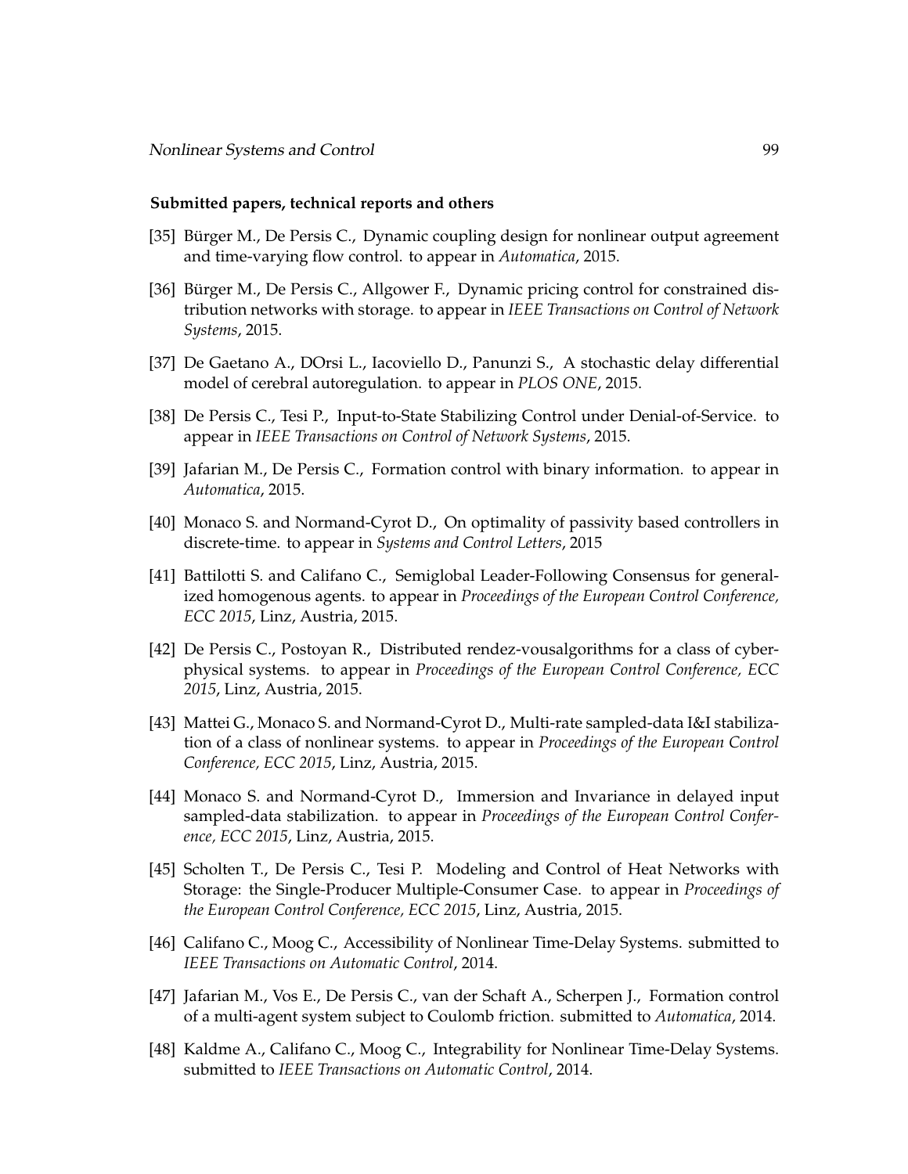#### **Submitted papers, technical reports and others**

- [35] Bürger M., De Persis C., Dynamic coupling design for nonlinear output agreement and time-varying flow control. to appear in *Automatica*, 2015.
- [36] Bürger M., De Persis C., Allgower F., Dynamic pricing control for constrained distribution networks with storage. to appear in *IEEE Transactions on Control of Network Systems*, 2015.
- [37] De Gaetano A., DOrsi L., Iacoviello D., Panunzi S., A stochastic delay differential model of cerebral autoregulation. to appear in *PLOS ONE*, 2015.
- [38] De Persis C., Tesi P., Input-to-State Stabilizing Control under Denial-of-Service. to appear in *IEEE Transactions on Control of Network Systems*, 2015.
- [39] Jafarian M., De Persis C., Formation control with binary information. to appear in *Automatica*, 2015.
- [40] Monaco S. and Normand-Cyrot D., On optimality of passivity based controllers in discrete-time. to appear in *Systems and Control Letters*, 2015
- [41] Battilotti S. and Califano C., Semiglobal Leader-Following Consensus for generalized homogenous agents. to appear in *Proceedings of the European Control Conference, ECC 2015*, Linz, Austria, 2015.
- [42] De Persis C., Postoyan R., Distributed rendez-vousalgorithms for a class of cyberphysical systems. to appear in *Proceedings of the European Control Conference, ECC 2015*, Linz, Austria, 2015.
- [43] Mattei G., Monaco S. and Normand-Cyrot D., Multi-rate sampled-data I&I stabilization of a class of nonlinear systems. to appear in *Proceedings of the European Control Conference, ECC 2015*, Linz, Austria, 2015.
- [44] Monaco S. and Normand-Cyrot D., Immersion and Invariance in delayed input sampled-data stabilization. to appear in *Proceedings of the European Control Conference, ECC 2015*, Linz, Austria, 2015.
- [45] Scholten T., De Persis C., Tesi P. Modeling and Control of Heat Networks with Storage: the Single-Producer Multiple-Consumer Case. to appear in *Proceedings of the European Control Conference, ECC 2015*, Linz, Austria, 2015.
- [46] Califano C., Moog C., Accessibility of Nonlinear Time-Delay Systems. submitted to *IEEE Transactions on Automatic Control*, 2014.
- [47] Jafarian M., Vos E., De Persis C., van der Schaft A., Scherpen J., Formation control of a multi-agent system subject to Coulomb friction. submitted to *Automatica*, 2014.
- [48] Kaldme A., Califano C., Moog C., Integrability for Nonlinear Time-Delay Systems. submitted to *IEEE Transactions on Automatic Control*, 2014.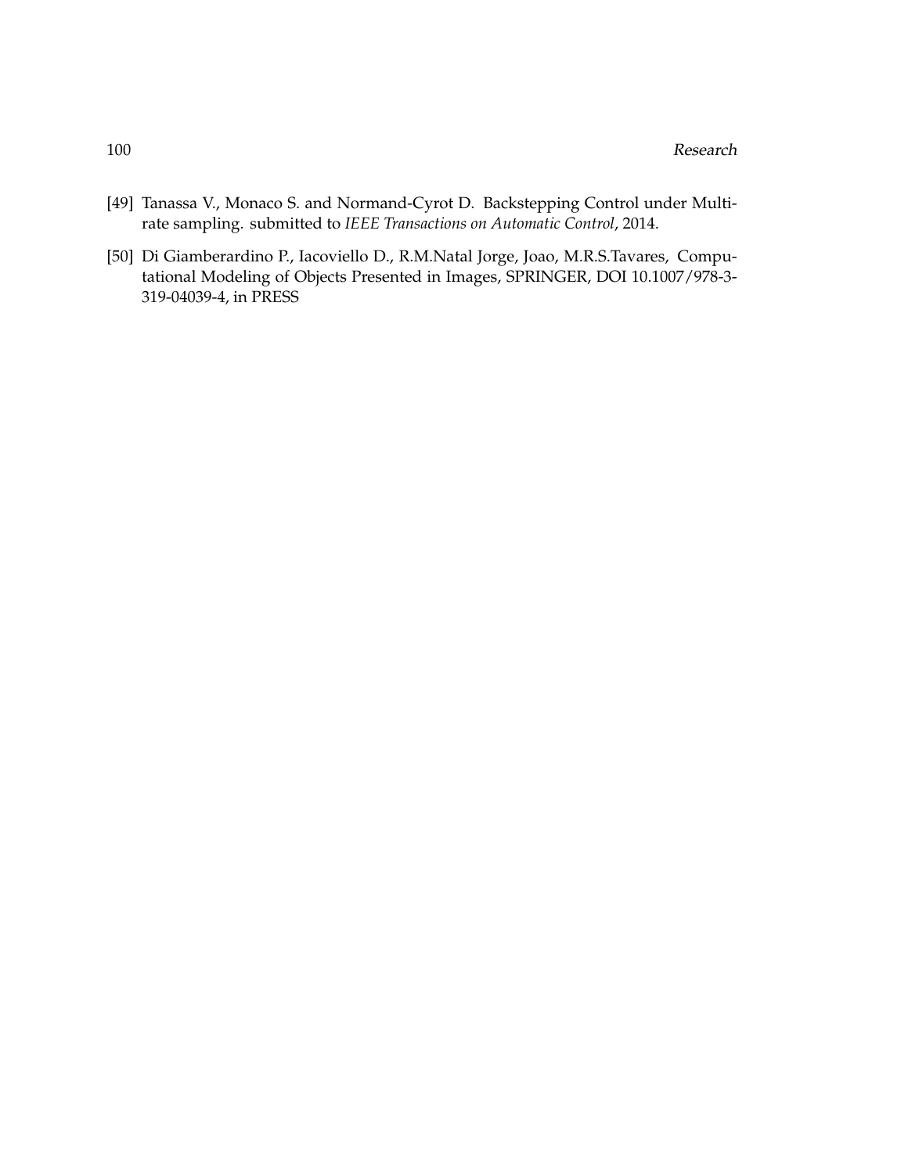- [49] Tanassa V., Monaco S. and Normand-Cyrot D. Backstepping Control under Multirate sampling. submitted to *IEEE Transactions on Automatic Control*, 2014.
- [50] Di Giamberardino P., Iacoviello D., R.M.Natal Jorge, Joao, M.R.S.Tavares, Computational Modeling of Objects Presented in Images, SPRINGER, DOI 10.1007/978-3- 319-04039-4, in PRESS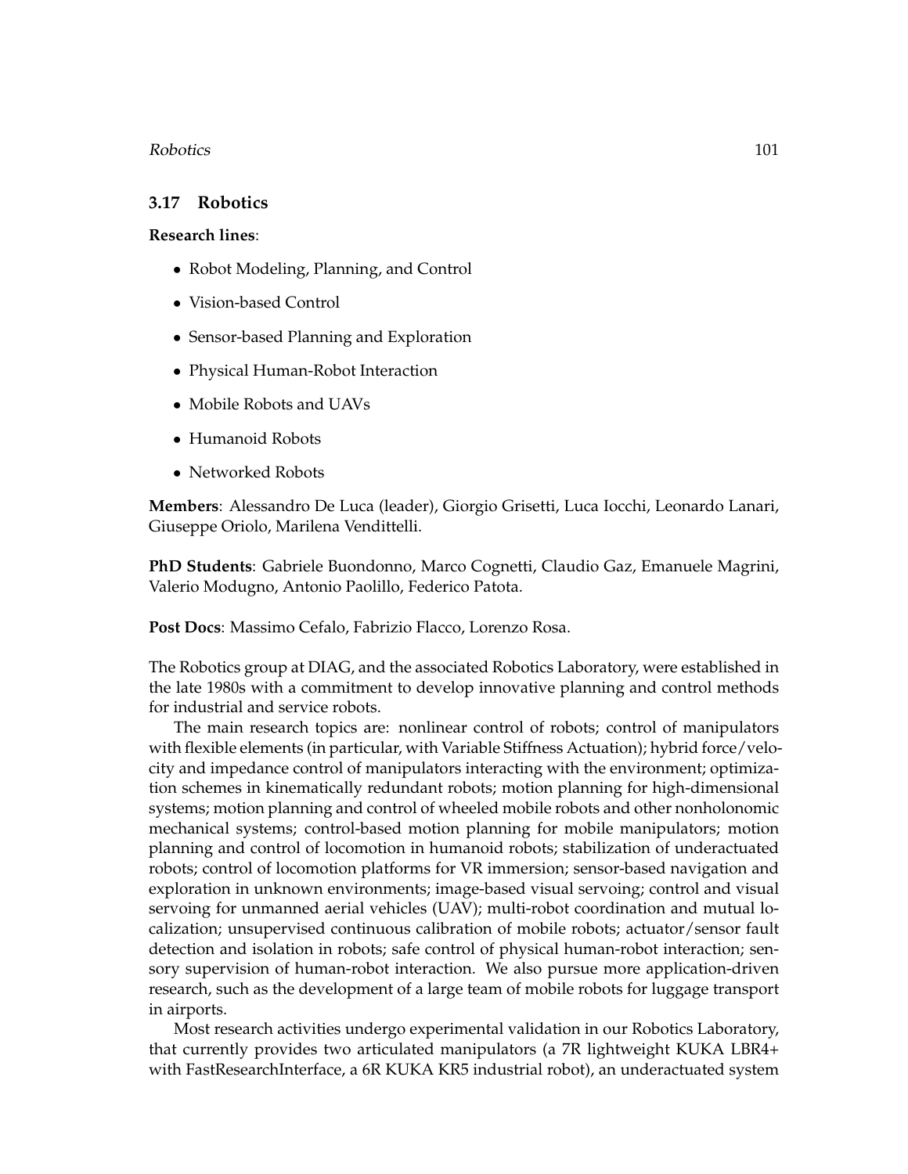## Robotics 101

## **3.17 Robotics**

## **Research lines**:

- Robot Modeling, Planning, and Control
- Vision-based Control
- Sensor-based Planning and Exploration
- Physical Human-Robot Interaction
- Mobile Robots and UAVs
- Humanoid Robots
- Networked Robots

**Members**: Alessandro De Luca (leader), Giorgio Grisetti, Luca Iocchi, Leonardo Lanari, Giuseppe Oriolo, Marilena Vendittelli.

**PhD Students**: Gabriele Buondonno, Marco Cognetti, Claudio Gaz, Emanuele Magrini, Valerio Modugno, Antonio Paolillo, Federico Patota.

**Post Docs**: Massimo Cefalo, Fabrizio Flacco, Lorenzo Rosa.

The Robotics group at DIAG, and the associated Robotics Laboratory, were established in the late 1980s with a commitment to develop innovative planning and control methods for industrial and service robots.

The main research topics are: nonlinear control of robots; control of manipulators with flexible elements (in particular, with Variable Stiffness Actuation); hybrid force/velocity and impedance control of manipulators interacting with the environment; optimization schemes in kinematically redundant robots; motion planning for high-dimensional systems; motion planning and control of wheeled mobile robots and other nonholonomic mechanical systems; control-based motion planning for mobile manipulators; motion planning and control of locomotion in humanoid robots; stabilization of underactuated robots; control of locomotion platforms for VR immersion; sensor-based navigation and exploration in unknown environments; image-based visual servoing; control and visual servoing for unmanned aerial vehicles (UAV); multi-robot coordination and mutual localization; unsupervised continuous calibration of mobile robots; actuator/sensor fault detection and isolation in robots; safe control of physical human-robot interaction; sensory supervision of human-robot interaction. We also pursue more application-driven research, such as the development of a large team of mobile robots for luggage transport in airports.

Most research activities undergo experimental validation in our Robotics Laboratory, that currently provides two articulated manipulators (a 7R lightweight KUKA LBR4+ with FastResearchInterface, a 6R KUKA KR5 industrial robot), an underactuated system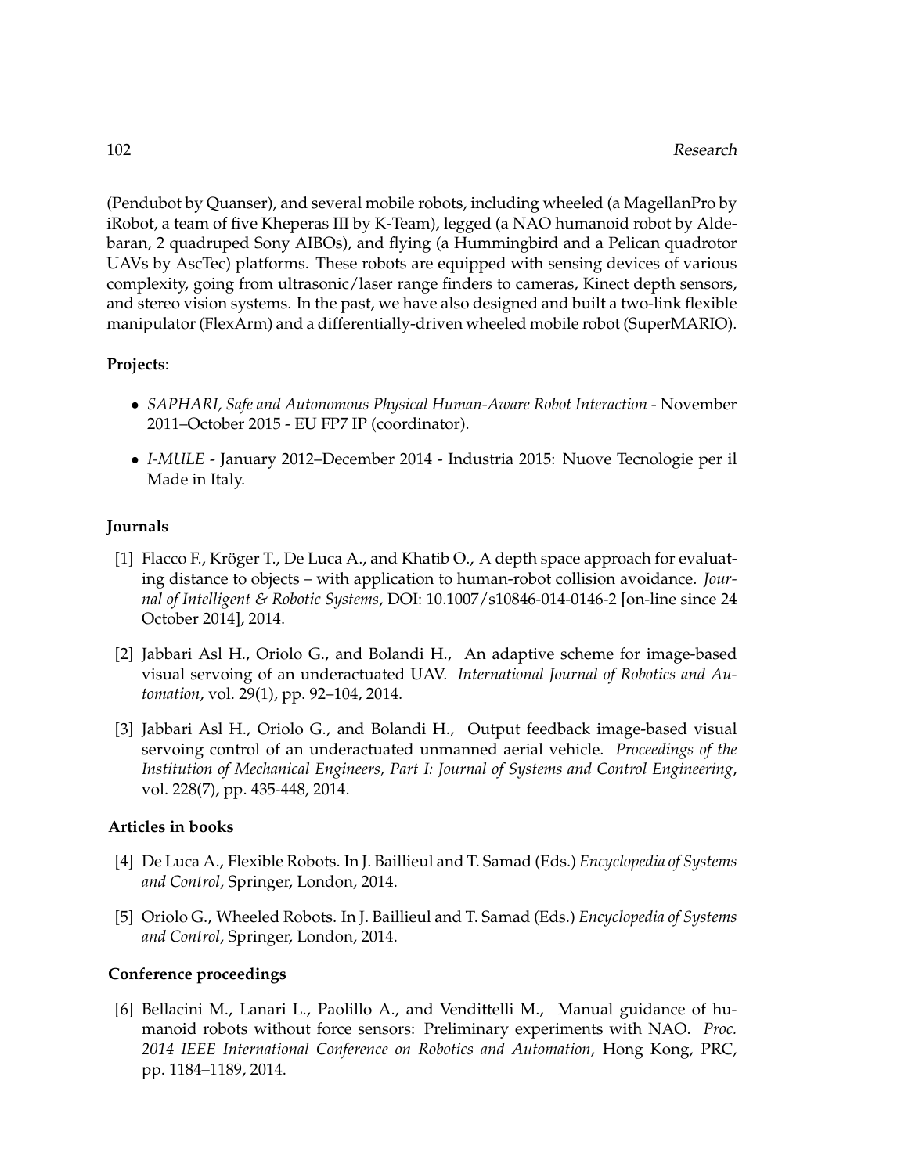(Pendubot by Quanser), and several mobile robots, including wheeled (a MagellanPro by iRobot, a team of five Kheperas III by K-Team), legged (a NAO humanoid robot by Aldebaran, 2 quadruped Sony AIBOs), and flying (a Hummingbird and a Pelican quadrotor UAVs by AscTec) platforms. These robots are equipped with sensing devices of various complexity, going from ultrasonic/laser range finders to cameras, Kinect depth sensors, and stereo vision systems. In the past, we have also designed and built a two-link flexible manipulator (FlexArm) and a differentially-driven wheeled mobile robot (SuperMARIO).

## **Projects**:

- *SAPHARI, Safe and Autonomous Physical Human-Aware Robot Interaction* November 2011–October 2015 - EU FP7 IP (coordinator).
- *I-MULE* January 2012–December 2014 Industria 2015: Nuove Tecnologie per il Made in Italy.

## **Journals**

- [1] Flacco F., Kröger T., De Luca A., and Khatib O., A depth space approach for evaluating distance to objects – with application to human-robot collision avoidance. *Journal of Intelligent & Robotic Systems*, DOI: 10.1007/s10846-014-0146-2 [on-line since 24 October 2014], 2014.
- [2] Jabbari Asl H., Oriolo G., and Bolandi H., An adaptive scheme for image-based visual servoing of an underactuated UAV. *International Journal of Robotics and Automation*, vol. 29(1), pp. 92–104, 2014.
- [3] Jabbari Asl H., Oriolo G., and Bolandi H., Output feedback image-based visual servoing control of an underactuated unmanned aerial vehicle. *Proceedings of the Institution of Mechanical Engineers, Part I: Journal of Systems and Control Engineering*, vol. 228(7), pp. 435-448, 2014.

## **Articles in books**

- [4] De Luca A., Flexible Robots. In J. Baillieul and T. Samad (Eds.) *Encyclopedia of Systems and Control*, Springer, London, 2014.
- [5] Oriolo G., Wheeled Robots. In J. Baillieul and T. Samad (Eds.) *Encyclopedia of Systems and Control*, Springer, London, 2014.

## **Conference proceedings**

[6] Bellacini M., Lanari L., Paolillo A., and Vendittelli M., Manual guidance of humanoid robots without force sensors: Preliminary experiments with NAO. *Proc. 2014 IEEE International Conference on Robotics and Automation*, Hong Kong, PRC, pp. 1184–1189, 2014.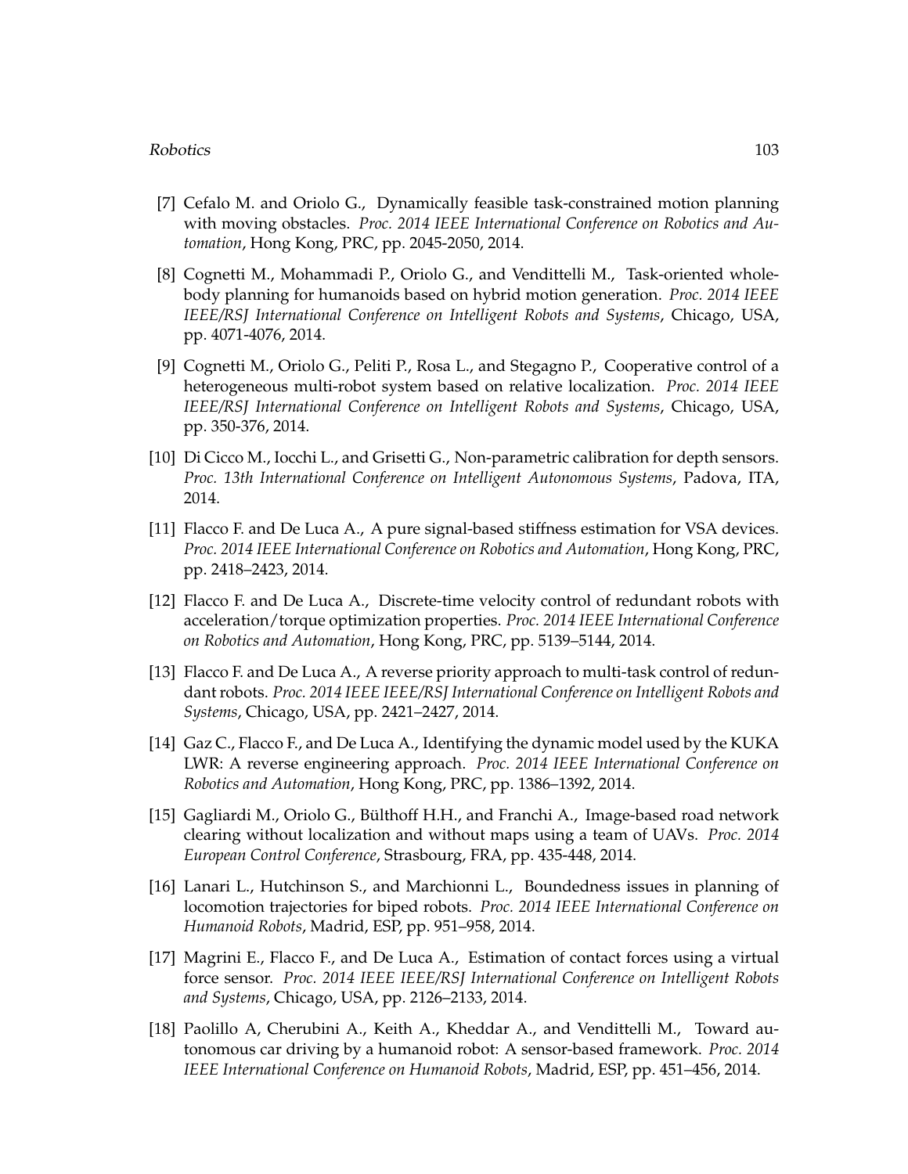## Robotics 103

- [7] Cefalo M. and Oriolo G., Dynamically feasible task-constrained motion planning with moving obstacles. *Proc. 2014 IEEE International Conference on Robotics and Automation*, Hong Kong, PRC, pp. 2045-2050, 2014.
- [8] Cognetti M., Mohammadi P., Oriolo G., and Vendittelli M., Task-oriented wholebody planning for humanoids based on hybrid motion generation. *Proc. 2014 IEEE IEEE/RSJ International Conference on Intelligent Robots and Systems*, Chicago, USA, pp. 4071-4076, 2014.
- [9] Cognetti M., Oriolo G., Peliti P., Rosa L., and Stegagno P., Cooperative control of a heterogeneous multi-robot system based on relative localization. *Proc. 2014 IEEE IEEE/RSJ International Conference on Intelligent Robots and Systems*, Chicago, USA, pp. 350-376, 2014.
- [10] Di Cicco M., Iocchi L., and Grisetti G., Non-parametric calibration for depth sensors. *Proc. 13th International Conference on Intelligent Autonomous Systems*, Padova, ITA, 2014.
- [11] Flacco F. and De Luca A., A pure signal-based stiffness estimation for VSA devices. *Proc. 2014 IEEE International Conference on Robotics and Automation*, Hong Kong, PRC, pp. 2418–2423, 2014.
- [12] Flacco F. and De Luca A., Discrete-time velocity control of redundant robots with acceleration/torque optimization properties. *Proc. 2014 IEEE International Conference on Robotics and Automation*, Hong Kong, PRC, pp. 5139–5144, 2014.
- [13] Flacco F. and De Luca A., A reverse priority approach to multi-task control of redundant robots. *Proc. 2014 IEEE IEEE/RSJ International Conference on Intelligent Robots and Systems*, Chicago, USA, pp. 2421–2427, 2014.
- [14] Gaz C., Flacco F., and De Luca A., Identifying the dynamic model used by the KUKA LWR: A reverse engineering approach. *Proc. 2014 IEEE International Conference on Robotics and Automation*, Hong Kong, PRC, pp. 1386–1392, 2014.
- [15] Gagliardi M., Oriolo G., Bülthoff H.H., and Franchi A., Image-based road network clearing without localization and without maps using a team of UAVs. *Proc. 2014 European Control Conference*, Strasbourg, FRA, pp. 435-448, 2014.
- [16] Lanari L., Hutchinson S., and Marchionni L., Boundedness issues in planning of locomotion trajectories for biped robots. *Proc. 2014 IEEE International Conference on Humanoid Robots*, Madrid, ESP, pp. 951–958, 2014.
- [17] Magrini E., Flacco F., and De Luca A., Estimation of contact forces using a virtual force sensor. *Proc. 2014 IEEE IEEE/RSJ International Conference on Intelligent Robots and Systems*, Chicago, USA, pp. 2126–2133, 2014.
- [18] Paolillo A, Cherubini A., Keith A., Kheddar A., and Vendittelli M., Toward autonomous car driving by a humanoid robot: A sensor-based framework. *Proc. 2014 IEEE International Conference on Humanoid Robots*, Madrid, ESP, pp. 451–456, 2014.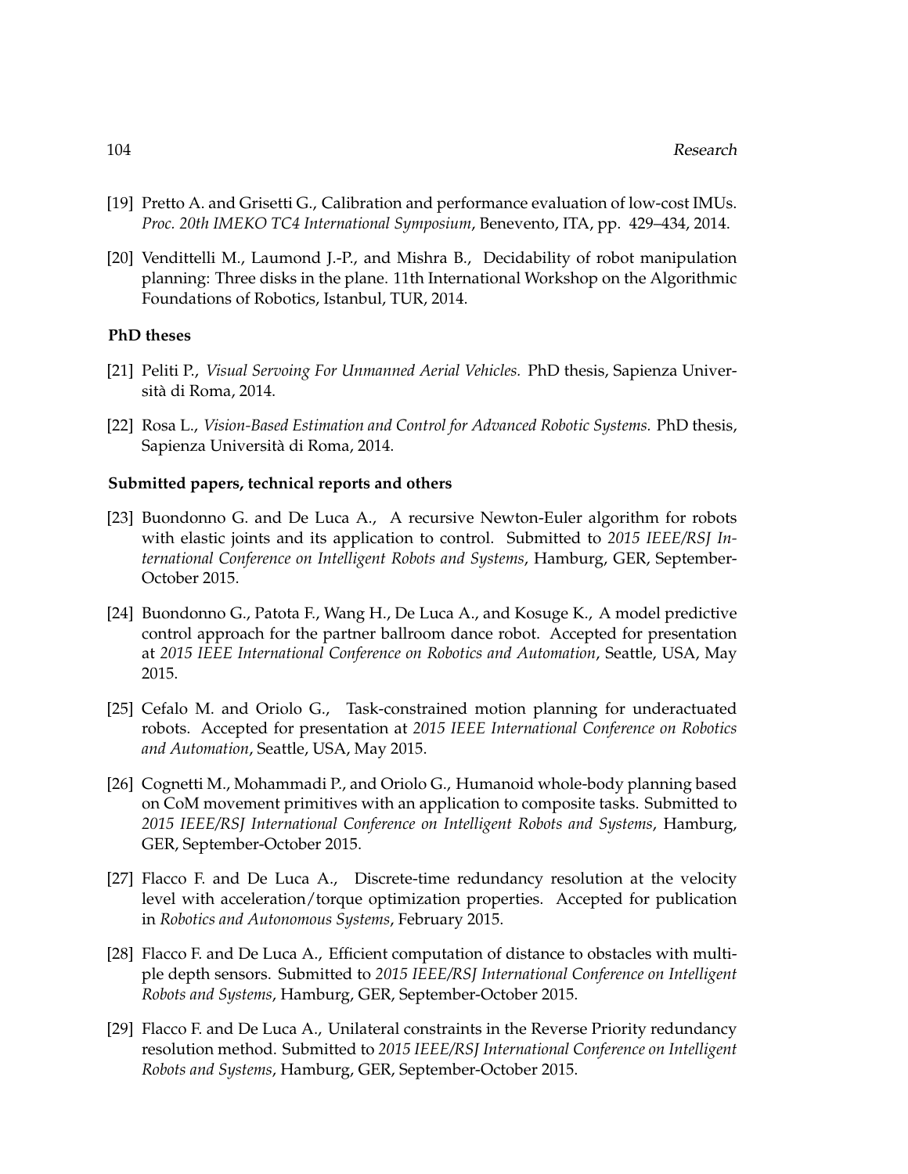- [19] Pretto A. and Grisetti G., Calibration and performance evaluation of low-cost IMUs. *Proc. 20th IMEKO TC4 International Symposium*, Benevento, ITA, pp. 429–434, 2014.
- [20] Vendittelli M., Laumond J.-P., and Mishra B., Decidability of robot manipulation planning: Three disks in the plane. 11th International Workshop on the Algorithmic Foundations of Robotics, Istanbul, TUR, 2014.

#### **PhD theses**

- [21] Peliti P., *Visual Servoing For Unmanned Aerial Vehicles.* PhD thesis, Sapienza Universita di Roma, 2014. `
- [22] Rosa L., *Vision-Based Estimation and Control for Advanced Robotic Systems.* PhD thesis, Sapienza Universita di Roma, 2014. `

### **Submitted papers, technical reports and others**

- [23] Buondonno G. and De Luca A., A recursive Newton-Euler algorithm for robots with elastic joints and its application to control. Submitted to *2015 IEEE/RSJ International Conference on Intelligent Robots and Systems*, Hamburg, GER, September-October 2015.
- [24] Buondonno G., Patota F., Wang H., De Luca A., and Kosuge K., A model predictive control approach for the partner ballroom dance robot. Accepted for presentation at *2015 IEEE International Conference on Robotics and Automation*, Seattle, USA, May 2015.
- [25] Cefalo M. and Oriolo G., Task-constrained motion planning for underactuated robots. Accepted for presentation at *2015 IEEE International Conference on Robotics and Automation*, Seattle, USA, May 2015.
- [26] Cognetti M., Mohammadi P., and Oriolo G., Humanoid whole-body planning based on CoM movement primitives with an application to composite tasks. Submitted to *2015 IEEE/RSJ International Conference on Intelligent Robots and Systems*, Hamburg, GER, September-October 2015.
- [27] Flacco F. and De Luca A., Discrete-time redundancy resolution at the velocity level with acceleration/torque optimization properties. Accepted for publication in *Robotics and Autonomous Systems*, February 2015.
- [28] Flacco F. and De Luca A., Efficient computation of distance to obstacles with multiple depth sensors. Submitted to *2015 IEEE/RSJ International Conference on Intelligent Robots and Systems*, Hamburg, GER, September-October 2015.
- [29] Flacco F. and De Luca A., Unilateral constraints in the Reverse Priority redundancy resolution method. Submitted to *2015 IEEE/RSJ International Conference on Intelligent Robots and Systems*, Hamburg, GER, September-October 2015.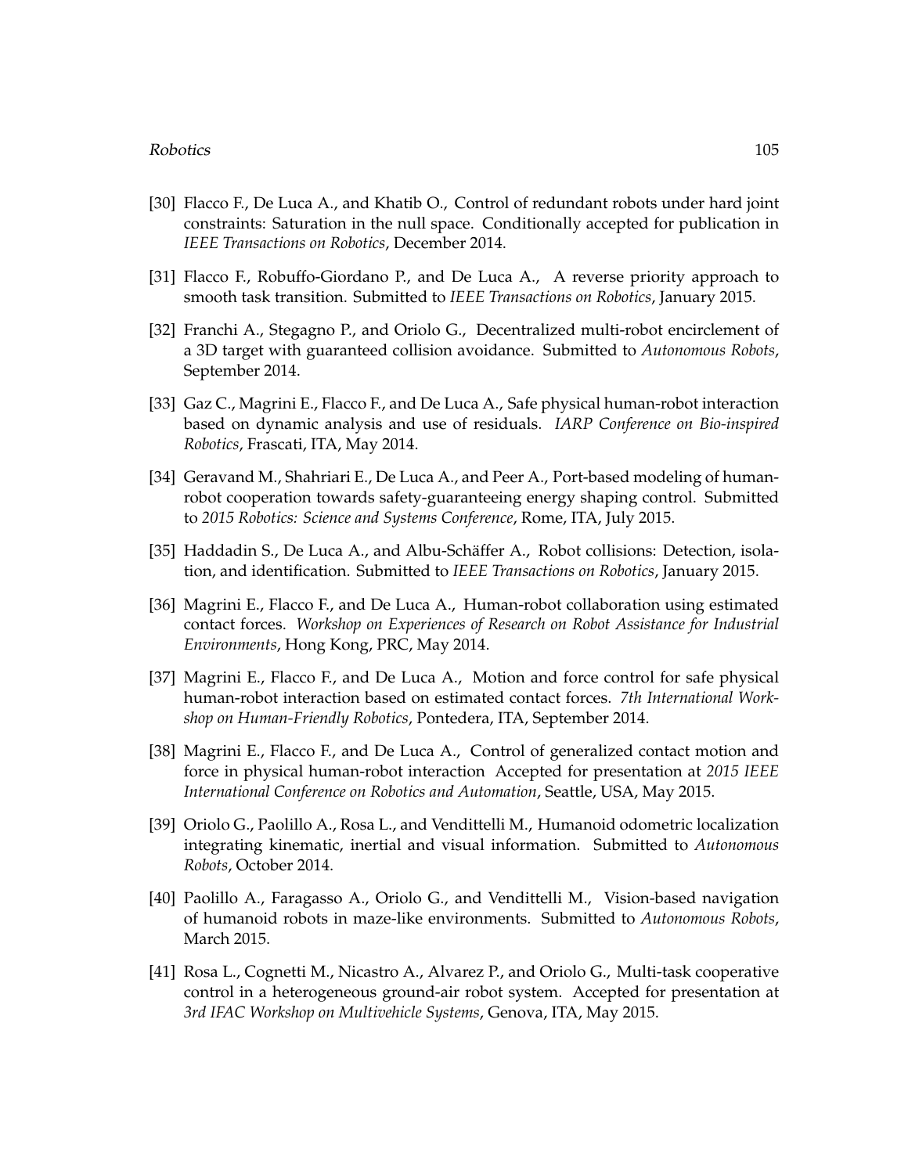### Robotics and the set of the set of the set of the set of the set of the set of the set of the set of the set of the set of the set of the set of the set of the set of the set of the set of the set of the set of the set of

- [30] Flacco F., De Luca A., and Khatib O., Control of redundant robots under hard joint constraints: Saturation in the null space. Conditionally accepted for publication in *IEEE Transactions on Robotics*, December 2014.
- [31] Flacco F., Robuffo-Giordano P., and De Luca A., A reverse priority approach to smooth task transition. Submitted to *IEEE Transactions on Robotics*, January 2015.
- [32] Franchi A., Stegagno P., and Oriolo G., Decentralized multi-robot encirclement of a 3D target with guaranteed collision avoidance. Submitted to *Autonomous Robots*, September 2014.
- [33] Gaz C., Magrini E., Flacco F., and De Luca A., Safe physical human-robot interaction based on dynamic analysis and use of residuals. *IARP Conference on Bio-inspired Robotics*, Frascati, ITA, May 2014.
- [34] Geravand M., Shahriari E., De Luca A., and Peer A., Port-based modeling of humanrobot cooperation towards safety-guaranteeing energy shaping control. Submitted to *2015 Robotics: Science and Systems Conference*, Rome, ITA, July 2015.
- [35] Haddadin S., De Luca A., and Albu-Schäffer A., Robot collisions: Detection, isolation, and identification. Submitted to *IEEE Transactions on Robotics*, January 2015.
- [36] Magrini E., Flacco F., and De Luca A., Human-robot collaboration using estimated contact forces. *Workshop on Experiences of Research on Robot Assistance for Industrial Environments*, Hong Kong, PRC, May 2014.
- [37] Magrini E., Flacco F., and De Luca A., Motion and force control for safe physical human-robot interaction based on estimated contact forces. *7th International Workshop on Human-Friendly Robotics*, Pontedera, ITA, September 2014.
- [38] Magrini E., Flacco F., and De Luca A., Control of generalized contact motion and force in physical human-robot interaction Accepted for presentation at *2015 IEEE International Conference on Robotics and Automation*, Seattle, USA, May 2015.
- [39] Oriolo G., Paolillo A., Rosa L., and Vendittelli M., Humanoid odometric localization integrating kinematic, inertial and visual information. Submitted to *Autonomous Robots*, October 2014.
- [40] Paolillo A., Faragasso A., Oriolo G., and Vendittelli M., Vision-based navigation of humanoid robots in maze-like environments. Submitted to *Autonomous Robots*, March 2015.
- [41] Rosa L., Cognetti M., Nicastro A., Alvarez P., and Oriolo G., Multi-task cooperative control in a heterogeneous ground-air robot system. Accepted for presentation at *3rd IFAC Workshop on Multivehicle Systems*, Genova, ITA, May 2015.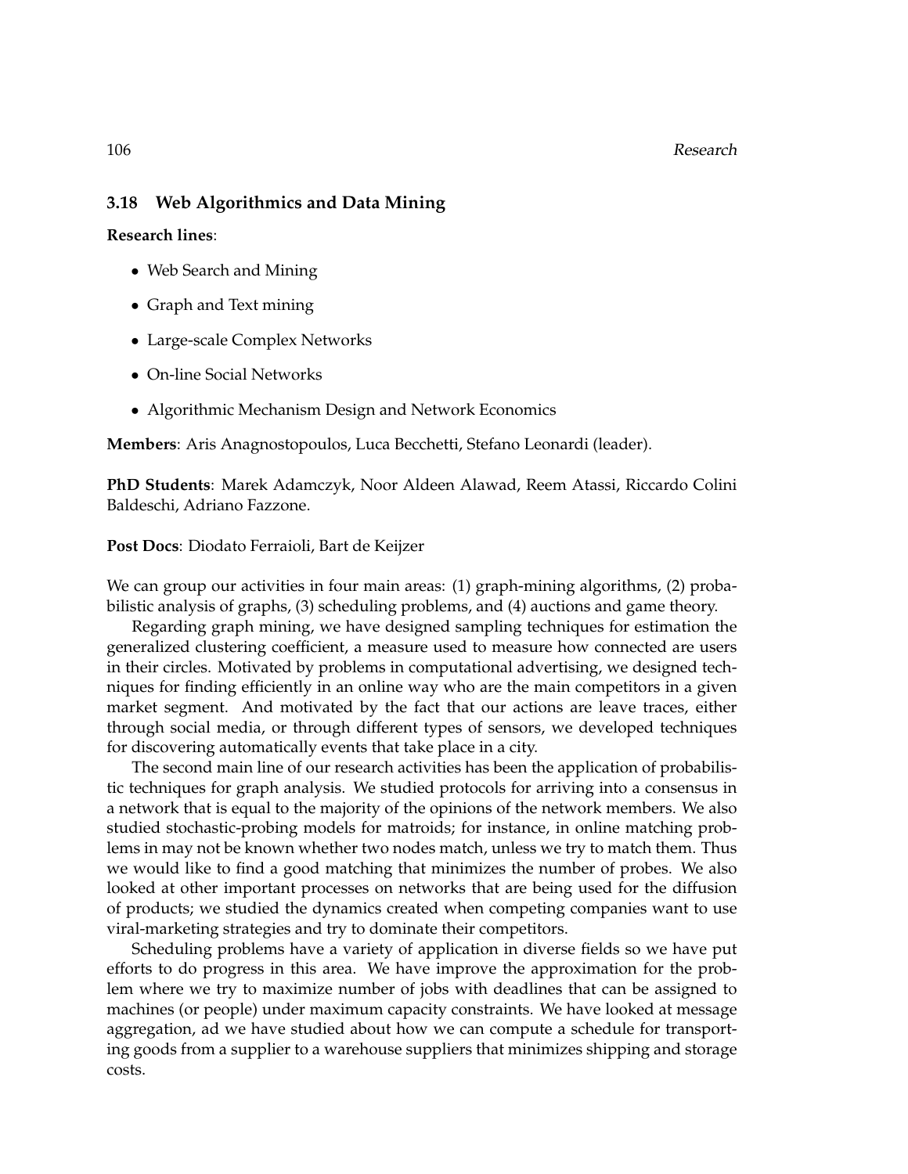# **3.18 Web Algorithmics and Data Mining**

**Research lines**:

- Web Search and Mining
- Graph and Text mining
- Large-scale Complex Networks
- On-line Social Networks
- Algorithmic Mechanism Design and Network Economics

**Members**: Aris Anagnostopoulos, Luca Becchetti, Stefano Leonardi (leader).

**PhD Students**: Marek Adamczyk, Noor Aldeen Alawad, Reem Atassi, Riccardo Colini Baldeschi, Adriano Fazzone.

## **Post Docs**: Diodato Ferraioli, Bart de Keijzer

We can group our activities in four main areas: (1) graph-mining algorithms, (2) probabilistic analysis of graphs, (3) scheduling problems, and (4) auctions and game theory.

Regarding graph mining, we have designed sampling techniques for estimation the generalized clustering coefficient, a measure used to measure how connected are users in their circles. Motivated by problems in computational advertising, we designed techniques for finding efficiently in an online way who are the main competitors in a given market segment. And motivated by the fact that our actions are leave traces, either through social media, or through different types of sensors, we developed techniques for discovering automatically events that take place in a city.

The second main line of our research activities has been the application of probabilistic techniques for graph analysis. We studied protocols for arriving into a consensus in a network that is equal to the majority of the opinions of the network members. We also studied stochastic-probing models for matroids; for instance, in online matching problems in may not be known whether two nodes match, unless we try to match them. Thus we would like to find a good matching that minimizes the number of probes. We also looked at other important processes on networks that are being used for the diffusion of products; we studied the dynamics created when competing companies want to use viral-marketing strategies and try to dominate their competitors.

Scheduling problems have a variety of application in diverse fields so we have put efforts to do progress in this area. We have improve the approximation for the problem where we try to maximize number of jobs with deadlines that can be assigned to machines (or people) under maximum capacity constraints. We have looked at message aggregation, ad we have studied about how we can compute a schedule for transporting goods from a supplier to a warehouse suppliers that minimizes shipping and storage costs.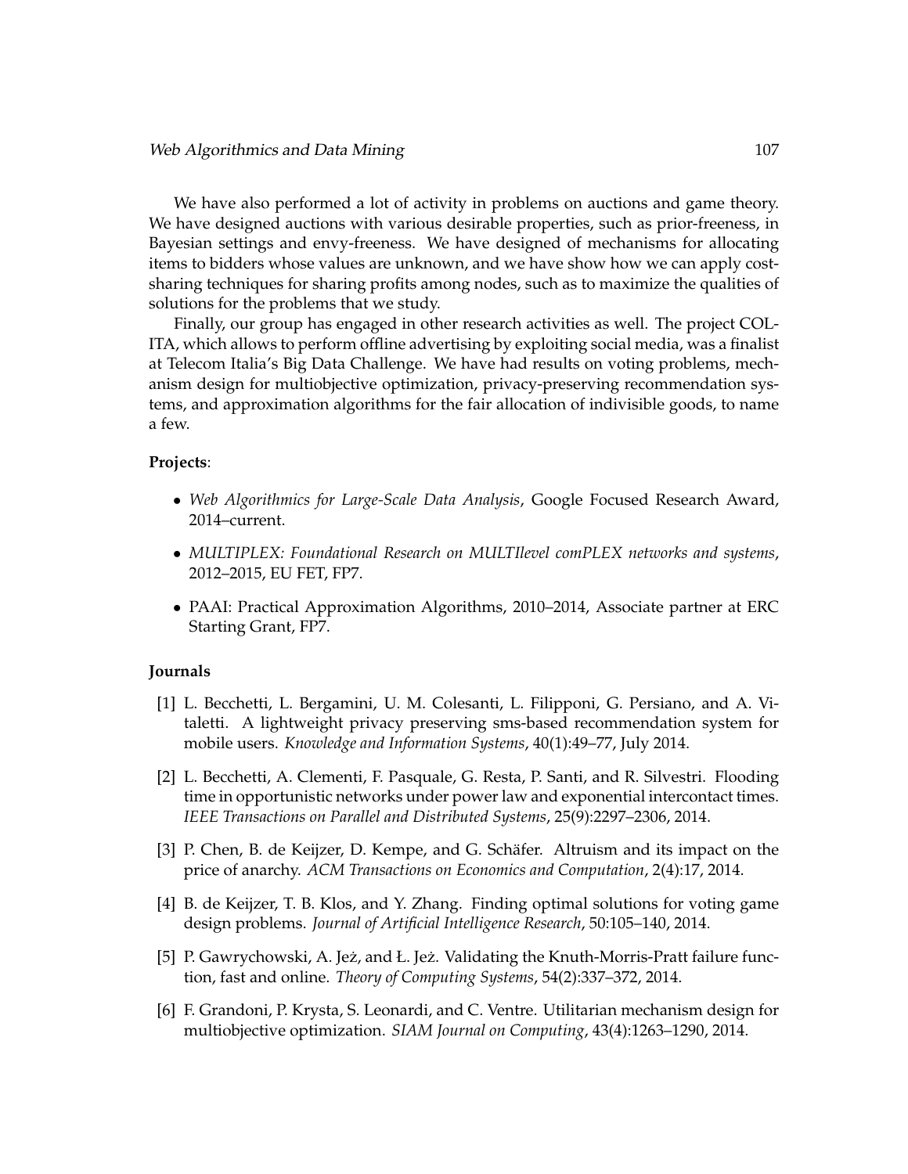We have also performed a lot of activity in problems on auctions and game theory. We have designed auctions with various desirable properties, such as prior-freeness, in Bayesian settings and envy-freeness. We have designed of mechanisms for allocating items to bidders whose values are unknown, and we have show how we can apply costsharing techniques for sharing profits among nodes, such as to maximize the qualities of solutions for the problems that we study.

Finally, our group has engaged in other research activities as well. The project COL-ITA, which allows to perform offline advertising by exploiting social media, was a finalist at Telecom Italia's Big Data Challenge. We have had results on voting problems, mechanism design for multiobjective optimization, privacy-preserving recommendation systems, and approximation algorithms for the fair allocation of indivisible goods, to name a few.

### **Projects**:

- *Web Algorithmics for Large-Scale Data Analysis*, Google Focused Research Award, 2014–current.
- *MULTIPLEX: Foundational Research on MULTIlevel comPLEX networks and systems*, 2012–2015, EU FET, FP7.
- PAAI: Practical Approximation Algorithms, 2010–2014, Associate partner at ERC Starting Grant, FP7.

#### **Journals**

- [1] L. Becchetti, L. Bergamini, U. M. Colesanti, L. Filipponi, G. Persiano, and A. Vitaletti. A lightweight privacy preserving sms-based recommendation system for mobile users. *Knowledge and Information Systems*, 40(1):49–77, July 2014.
- [2] L. Becchetti, A. Clementi, F. Pasquale, G. Resta, P. Santi, and R. Silvestri. Flooding time in opportunistic networks under power law and exponential intercontact times. *IEEE Transactions on Parallel and Distributed Systems*, 25(9):2297–2306, 2014.
- [3] P. Chen, B. de Keijzer, D. Kempe, and G. Schäfer. Altruism and its impact on the price of anarchy. *ACM Transactions on Economics and Computation*, 2(4):17, 2014.
- [4] B. de Keijzer, T. B. Klos, and Y. Zhang. Finding optimal solutions for voting game design problems. *Journal of Artificial Intelligence Research*, 50:105–140, 2014.
- [5] P. Gawrychowski, A. Jeż, and Ł. Jeż. Validating the Knuth-Morris-Pratt failure function, fast and online. *Theory of Computing Systems*, 54(2):337–372, 2014.
- [6] F. Grandoni, P. Krysta, S. Leonardi, and C. Ventre. Utilitarian mechanism design for multiobjective optimization. *SIAM Journal on Computing*, 43(4):1263–1290, 2014.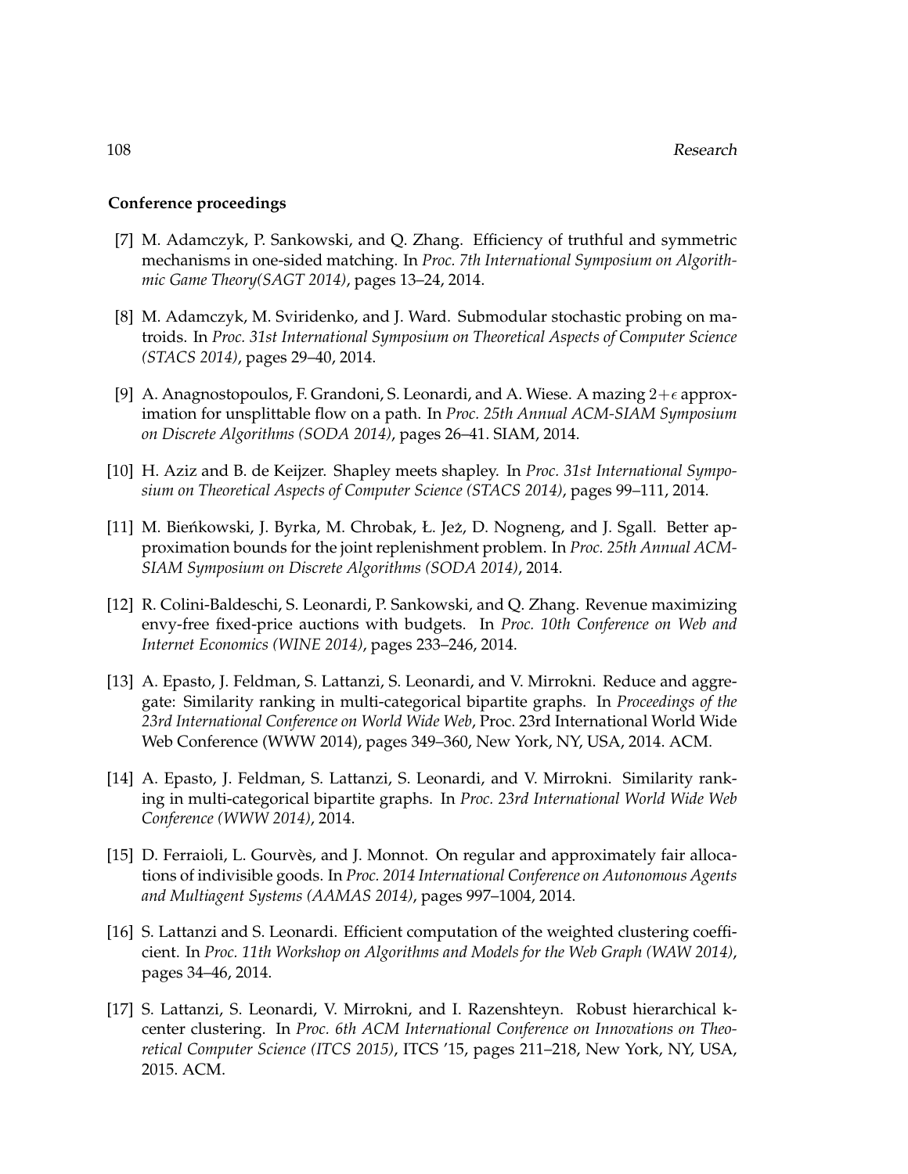## **Conference proceedings**

- [7] M. Adamczyk, P. Sankowski, and Q. Zhang. Efficiency of truthful and symmetric mechanisms in one-sided matching. In *Proc. 7th International Symposium on Algorithmic Game Theory(SAGT 2014)*, pages 13–24, 2014.
- [8] M. Adamczyk, M. Sviridenko, and J. Ward. Submodular stochastic probing on matroids. In *Proc. 31st International Symposium on Theoretical Aspects of Computer Science (STACS 2014)*, pages 29–40, 2014.
- [9] A. Anagnostopoulos, F. Grandoni, S. Leonardi, and A. Wiese. A mazing  $2+\epsilon$  approximation for unsplittable flow on a path. In *Proc. 25th Annual ACM-SIAM Symposium on Discrete Algorithms (SODA 2014)*, pages 26–41. SIAM, 2014.
- [10] H. Aziz and B. de Keijzer. Shapley meets shapley. In *Proc. 31st International Symposium on Theoretical Aspects of Computer Science (STACS 2014)*, pages 99–111, 2014.
- [11] M. Bieńkowski, J. Byrka, M. Chrobak, Ł. Jeż, D. Nogneng, and J. Sgall. Better approximation bounds for the joint replenishment problem. In *Proc. 25th Annual ACM-SIAM Symposium on Discrete Algorithms (SODA 2014)*, 2014.
- [12] R. Colini-Baldeschi, S. Leonardi, P. Sankowski, and Q. Zhang. Revenue maximizing envy-free fixed-price auctions with budgets. In *Proc. 10th Conference on Web and Internet Economics (WINE 2014)*, pages 233–246, 2014.
- [13] A. Epasto, J. Feldman, S. Lattanzi, S. Leonardi, and V. Mirrokni. Reduce and aggregate: Similarity ranking in multi-categorical bipartite graphs. In *Proceedings of the 23rd International Conference on World Wide Web*, Proc. 23rd International World Wide Web Conference (WWW 2014), pages 349–360, New York, NY, USA, 2014. ACM.
- [14] A. Epasto, J. Feldman, S. Lattanzi, S. Leonardi, and V. Mirrokni. Similarity ranking in multi-categorical bipartite graphs. In *Proc. 23rd International World Wide Web Conference (WWW 2014)*, 2014.
- [15] D. Ferraioli, L. Gourvès, and J. Monnot. On regular and approximately fair allocations of indivisible goods. In *Proc. 2014 International Conference on Autonomous Agents and Multiagent Systems (AAMAS 2014)*, pages 997–1004, 2014.
- [16] S. Lattanzi and S. Leonardi. Efficient computation of the weighted clustering coefficient. In *Proc. 11th Workshop on Algorithms and Models for the Web Graph (WAW 2014)*, pages 34–46, 2014.
- [17] S. Lattanzi, S. Leonardi, V. Mirrokni, and I. Razenshteyn. Robust hierarchical kcenter clustering. In *Proc. 6th ACM International Conference on Innovations on Theoretical Computer Science (ITCS 2015)*, ITCS '15, pages 211–218, New York, NY, USA, 2015. ACM.